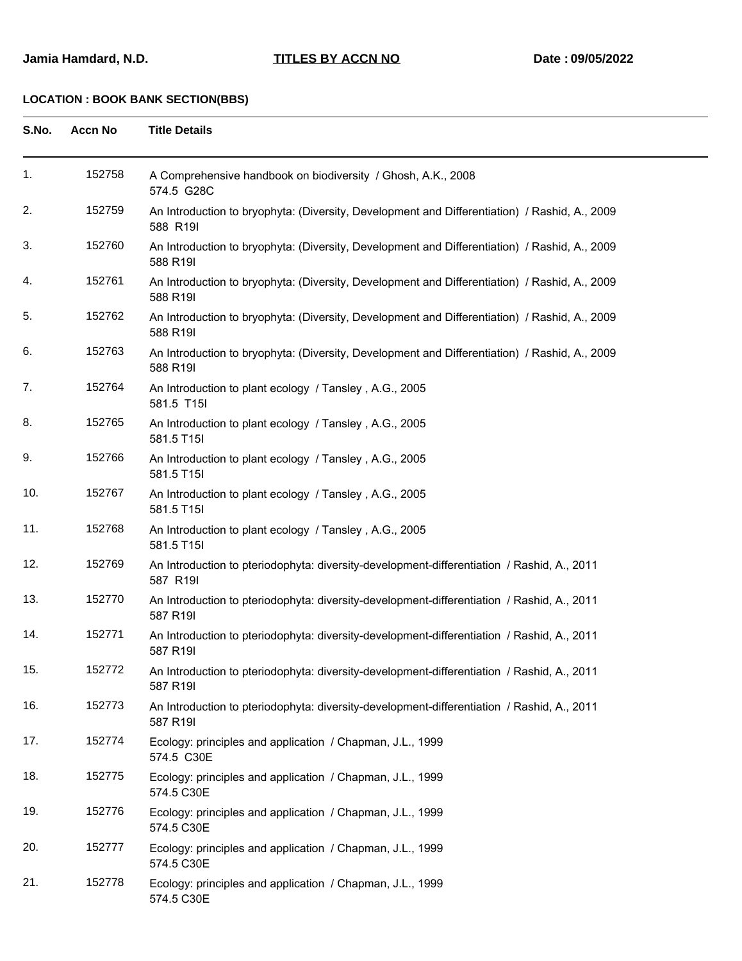| S.No. | <b>Accn No</b> | <b>Title Details</b>                                                                                      |
|-------|----------------|-----------------------------------------------------------------------------------------------------------|
| 1.    | 152758         | A Comprehensive handbook on biodiversity / Ghosh, A.K., 2008<br>574.5 G28C                                |
| 2.    | 152759         | An Introduction to bryophyta: (Diversity, Development and Differentiation) / Rashid, A., 2009<br>588 R19I |
| 3.    | 152760         | An Introduction to bryophyta: (Diversity, Development and Differentiation) / Rashid, A., 2009<br>588 R19I |
| 4.    | 152761         | An Introduction to bryophyta: (Diversity, Development and Differentiation) / Rashid, A., 2009<br>588 R19I |
| 5.    | 152762         | An Introduction to bryophyta: (Diversity, Development and Differentiation) / Rashid, A., 2009<br>588 R19I |
| 6.    | 152763         | An Introduction to bryophyta: (Diversity, Development and Differentiation) / Rashid, A., 2009<br>588 R19I |
| 7.    | 152764         | An Introduction to plant ecology / Tansley, A.G., 2005<br>581.5 T15I                                      |
| 8.    | 152765         | An Introduction to plant ecology / Tansley, A.G., 2005<br>581.5 T15I                                      |
| 9.    | 152766         | An Introduction to plant ecology / Tansley, A.G., 2005<br>581.5 T15I                                      |
| 10.   | 152767         | An Introduction to plant ecology / Tansley, A.G., 2005<br>581.5 T15I                                      |
| 11.   | 152768         | An Introduction to plant ecology / Tansley, A.G., 2005<br>581.5 T15I                                      |
| 12.   | 152769         | An Introduction to pteriodophyta: diversity-development-differentiation / Rashid, A., 2011<br>587 R19I    |
| 13.   | 152770         | An Introduction to pteriodophyta: diversity-development-differentiation / Rashid, A., 2011<br>587 R19I    |
| 14.   | 152771         | An Introduction to pteriodophyta: diversity-development-differentiation / Rashid, A., 2011<br>587 R19I    |
| 15.   | 152772         | An Introduction to pteriodophyta: diversity-development-differentiation / Rashid, A., 2011<br>587 R19I    |
| 16.   | 152773         | An Introduction to pteriodophyta: diversity-development-differentiation / Rashid, A., 2011<br>587 R19I    |
| 17.   | 152774         | Ecology: principles and application / Chapman, J.L., 1999<br>574.5 C30E                                   |
| 18.   | 152775         | Ecology: principles and application / Chapman, J.L., 1999<br>574.5 C30E                                   |
| 19.   | 152776         | Ecology: principles and application / Chapman, J.L., 1999<br>574.5 C30E                                   |
| 20.   | 152777         | Ecology: principles and application / Chapman, J.L., 1999<br>574.5 C30E                                   |
| 21.   | 152778         | Ecology: principles and application / Chapman, J.L., 1999<br>574.5 C30E                                   |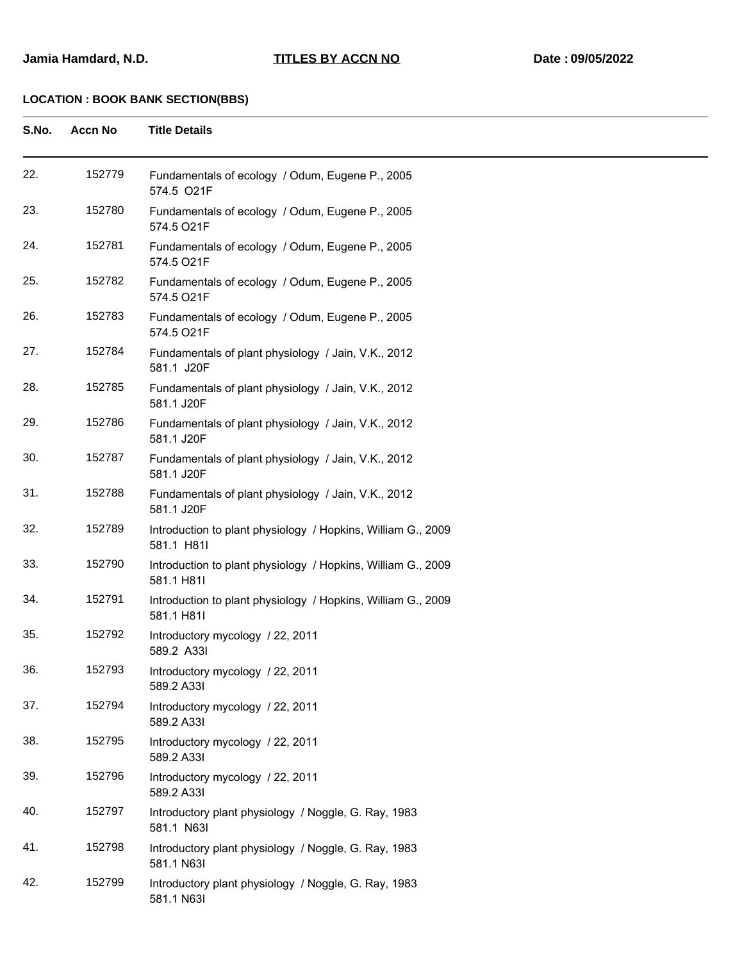| S.No. | <b>Accn No</b> | <b>Title Details</b>                                                       |
|-------|----------------|----------------------------------------------------------------------------|
| 22.   | 152779         | Fundamentals of ecology / Odum, Eugene P., 2005<br>574.5 O21F              |
| 23.   | 152780         | Fundamentals of ecology / Odum, Eugene P., 2005<br>574.5 O21F              |
| 24.   | 152781         | Fundamentals of ecology / Odum, Eugene P., 2005<br>574.5 O21F              |
| 25.   | 152782         | Fundamentals of ecology / Odum, Eugene P., 2005<br>574.5 O21F              |
| 26.   | 152783         | Fundamentals of ecology / Odum, Eugene P., 2005<br>574.5 O21F              |
| 27.   | 152784         | Fundamentals of plant physiology / Jain, V.K., 2012<br>581.1 J20F          |
| 28.   | 152785         | Fundamentals of plant physiology / Jain, V.K., 2012<br>581.1 J20F          |
| 29.   | 152786         | Fundamentals of plant physiology / Jain, V.K., 2012<br>581.1 J20F          |
| 30.   | 152787         | Fundamentals of plant physiology / Jain, V.K., 2012<br>581.1 J20F          |
| 31.   | 152788         | Fundamentals of plant physiology / Jain, V.K., 2012<br>581.1 J20F          |
| 32.   | 152789         | Introduction to plant physiology / Hopkins, William G., 2009<br>581.1 H81I |
| 33.   | 152790         | Introduction to plant physiology / Hopkins, William G., 2009<br>581.1 H81I |
| 34.   | 152791         | Introduction to plant physiology / Hopkins, William G., 2009<br>581.1 H81I |
| 35.   | 152792         | Introductory mycology / 22, 2011<br>589.2 A33I                             |
| 36.   | 152793         | Introductory mycology / 22, 2011<br>589.2 A33I                             |
| 37.   | 152794         | Introductory mycology / 22, 2011<br>589.2 A33I                             |
| 38.   | 152795         | Introductory mycology / 22, 2011<br>589.2 A33I                             |
| 39.   | 152796         | Introductory mycology / 22, 2011<br>589.2 A33I                             |
| 40.   | 152797         | Introductory plant physiology / Noggle, G. Ray, 1983<br>581.1 N63I         |
| 41.   | 152798         | Introductory plant physiology / Noggle, G. Ray, 1983<br>581.1 N63I         |
| 42.   | 152799         | Introductory plant physiology / Noggle, G. Ray, 1983<br>581.1 N63I         |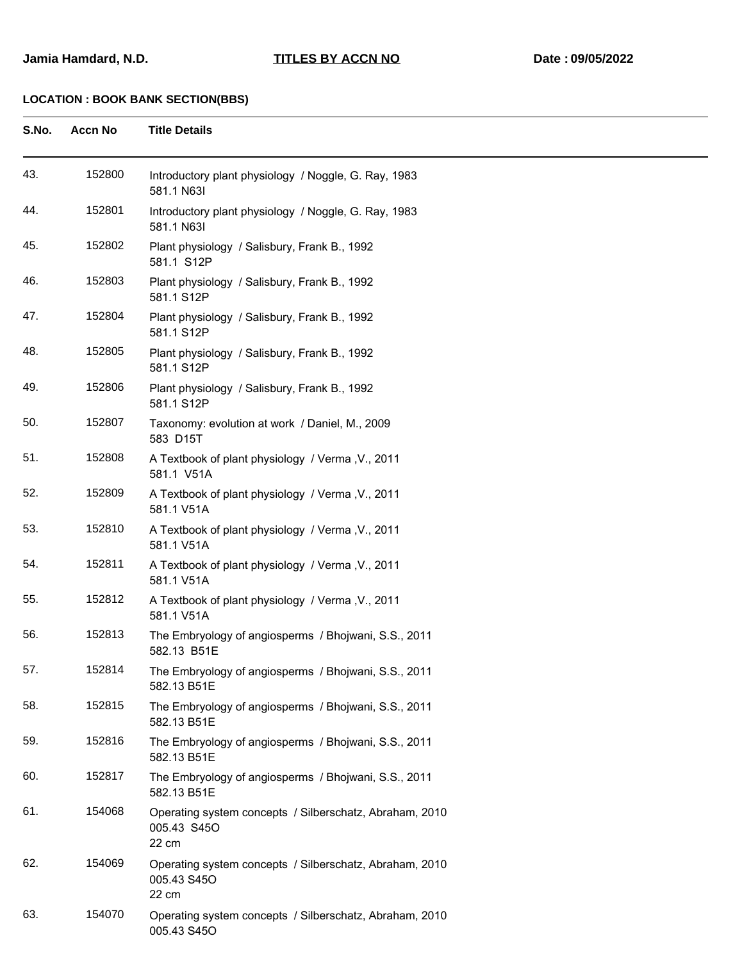| S.No. | <b>Accn No</b> | <b>Title Details</b>                                                            |
|-------|----------------|---------------------------------------------------------------------------------|
| 43.   | 152800         | Introductory plant physiology / Noggle, G. Ray, 1983<br>581.1 N63I              |
| 44.   | 152801         | Introductory plant physiology / Noggle, G. Ray, 1983<br>581.1 N63I              |
| 45.   | 152802         | Plant physiology / Salisbury, Frank B., 1992<br>581.1 S12P                      |
| 46.   | 152803         | Plant physiology / Salisbury, Frank B., 1992<br>581.1 S12P                      |
| 47.   | 152804         | Plant physiology / Salisbury, Frank B., 1992<br>581.1 S12P                      |
| 48.   | 152805         | Plant physiology / Salisbury, Frank B., 1992<br>581.1 S12P                      |
| 49.   | 152806         | Plant physiology / Salisbury, Frank B., 1992<br>581.1 S12P                      |
| 50.   | 152807         | Taxonomy: evolution at work / Daniel, M., 2009<br>583 D15T                      |
| 51.   | 152808         | A Textbook of plant physiology / Verma, V., 2011<br>581.1 V51A                  |
| 52.   | 152809         | A Textbook of plant physiology / Verma, V., 2011<br>581.1 V51A                  |
| 53.   | 152810         | A Textbook of plant physiology / Verma, V., 2011<br>581.1 V51A                  |
| 54.   | 152811         | A Textbook of plant physiology / Verma, V., 2011<br>581.1 V51A                  |
| 55.   | 152812         | A Textbook of plant physiology / Verma, V., 2011<br>581.1 V51A                  |
| 56.   | 152813         | The Embryology of angiosperms / Bhojwani, S.S., 2011<br>582.13 B51E             |
| 57.   | 152814         | The Embryology of angiosperms / Bhojwani, S.S., 2011<br>582.13 B51E             |
| 58.   | 152815         | The Embryology of angiosperms / Bhojwani, S.S., 2011<br>582.13 B51E             |
| 59.   | 152816         | The Embryology of angiosperms / Bhojwani, S.S., 2011<br>582.13 B51E             |
| 60.   | 152817         | The Embryology of angiosperms / Bhojwani, S.S., 2011<br>582.13 B51E             |
| 61.   | 154068         | Operating system concepts / Silberschatz, Abraham, 2010<br>005.43 S45O<br>22 cm |
| 62.   | 154069         | Operating system concepts / Silberschatz, Abraham, 2010<br>005.43 S45O<br>22 cm |
| 63.   | 154070         | Operating system concepts / Silberschatz, Abraham, 2010<br>005.43 S45O          |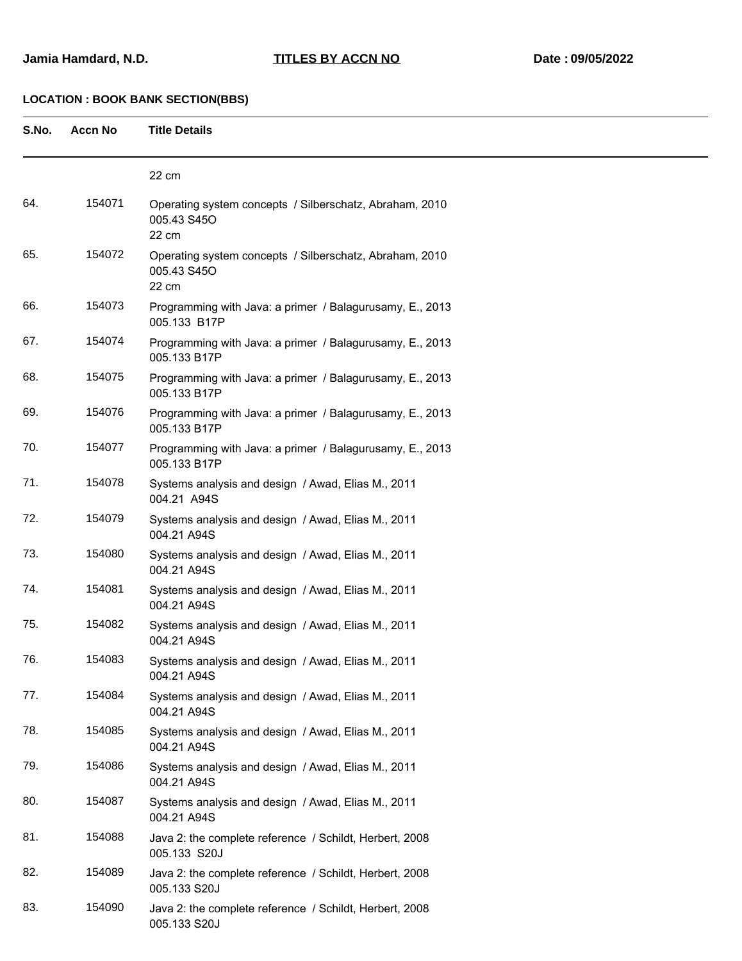| S.No. | <b>Accn No</b> | <b>Title Details</b>                                                            |
|-------|----------------|---------------------------------------------------------------------------------|
|       |                | 22 cm                                                                           |
| 64.   | 154071         | Operating system concepts / Silberschatz, Abraham, 2010<br>005.43 S45O<br>22 cm |
| 65.   | 154072         | Operating system concepts / Silberschatz, Abraham, 2010<br>005.43 S45O<br>22 cm |
| 66.   | 154073         | Programming with Java: a primer / Balagurusamy, E., 2013<br>005.133 B17P        |
| 67.   | 154074         | Programming with Java: a primer / Balagurusamy, E., 2013<br>005.133 B17P        |
| 68.   | 154075         | Programming with Java: a primer / Balagurusamy, E., 2013<br>005.133 B17P        |
| 69.   | 154076         | Programming with Java: a primer / Balagurusamy, E., 2013<br>005.133 B17P        |
| 70.   | 154077         | Programming with Java: a primer / Balagurusamy, E., 2013<br>005.133 B17P        |
| 71.   | 154078         | Systems analysis and design / Awad, Elias M., 2011<br>004.21 A94S               |
| 72.   | 154079         | Systems analysis and design / Awad, Elias M., 2011<br>004.21 A94S               |
| 73.   | 154080         | Systems analysis and design / Awad, Elias M., 2011<br>004.21 A94S               |
| 74.   | 154081         | Systems analysis and design / Awad, Elias M., 2011<br>004.21 A94S               |
| 75.   | 154082         | Systems analysis and design / Awad, Elias M., 2011<br>004.21 A94S               |
| 76.   | 154083         | Systems analysis and design / Awad, Elias M., 2011<br>004.21 A94S               |
| 77.   | 154084         | Systems analysis and design / Awad, Elias M., 2011<br>004.21 A94S               |
| 78.   | 154085         | Systems analysis and design / Awad, Elias M., 2011<br>004.21 A94S               |
| 79.   | 154086         | Systems analysis and design / Awad, Elias M., 2011<br>004.21 A94S               |
| 80.   | 154087         | Systems analysis and design / Awad, Elias M., 2011<br>004.21 A94S               |
| 81.   | 154088         | Java 2: the complete reference / Schildt, Herbert, 2008<br>005.133 S20J         |
| 82.   | 154089         | Java 2: the complete reference / Schildt, Herbert, 2008<br>005.133 S20J         |
| 83.   | 154090         | Java 2: the complete reference / Schildt, Herbert, 2008<br>005.133 S20J         |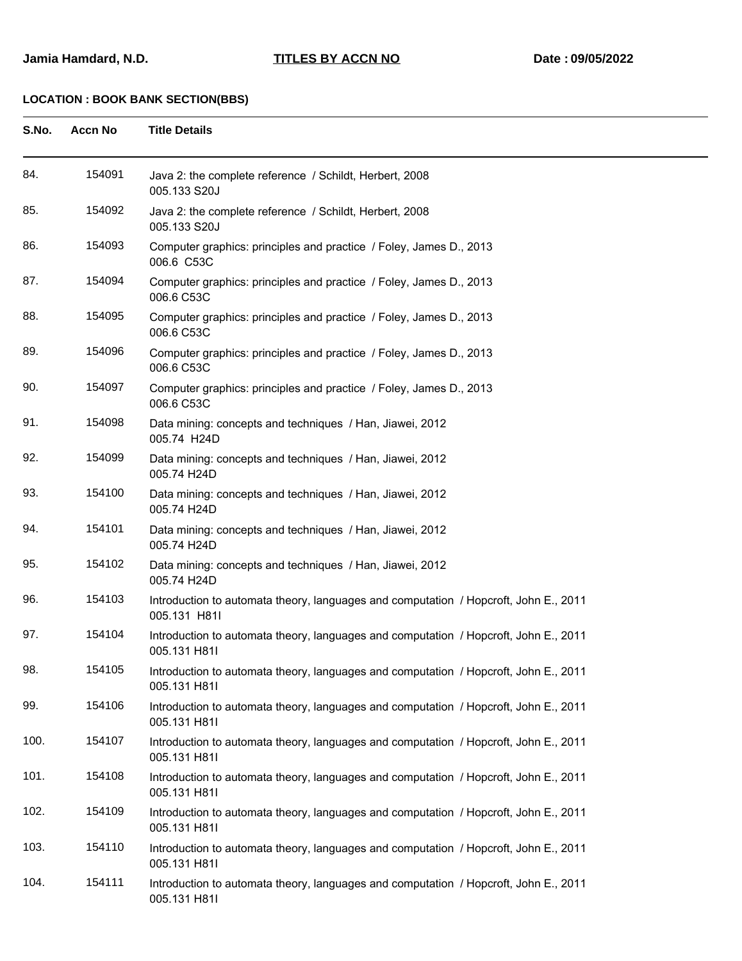| S.No. | <b>Accn No</b> | <b>Title Details</b>                                                                                 |
|-------|----------------|------------------------------------------------------------------------------------------------------|
| 84.   | 154091         | Java 2: the complete reference / Schildt, Herbert, 2008<br>005.133 S20J                              |
| 85.   | 154092         | Java 2: the complete reference / Schildt, Herbert, 2008<br>005.133 S20J                              |
| 86.   | 154093         | Computer graphics: principles and practice / Foley, James D., 2013<br>006.6 C53C                     |
| 87.   | 154094         | Computer graphics: principles and practice / Foley, James D., 2013<br>006.6 C53C                     |
| 88.   | 154095         | Computer graphics: principles and practice / Foley, James D., 2013<br>006.6 C53C                     |
| 89.   | 154096         | Computer graphics: principles and practice / Foley, James D., 2013<br>006.6 C53C                     |
| 90.   | 154097         | Computer graphics: principles and practice / Foley, James D., 2013<br>006.6 C53C                     |
| 91.   | 154098         | Data mining: concepts and techniques / Han, Jiawei, 2012<br>005.74 H24D                              |
| 92.   | 154099         | Data mining: concepts and techniques / Han, Jiawei, 2012<br>005.74 H24D                              |
| 93.   | 154100         | Data mining: concepts and techniques / Han, Jiawei, 2012<br>005.74 H24D                              |
| 94.   | 154101         | Data mining: concepts and techniques / Han, Jiawei, 2012<br>005.74 H24D                              |
| 95.   | 154102         | Data mining: concepts and techniques / Han, Jiawei, 2012<br>005.74 H24D                              |
| 96.   | 154103         | Introduction to automata theory, languages and computation / Hopcroft, John E., 2011<br>005.131 H81I |
| 97.   | 154104         | Introduction to automata theory, languages and computation / Hopcroft, John E., 2011<br>005.131 H81I |
| 98.   | 154105         | Introduction to automata theory, languages and computation / Hopcroft, John E., 2011<br>005.131 H81I |
| 99.   | 154106         | Introduction to automata theory, languages and computation / Hopcroft, John E., 2011<br>005.131 H81I |
| 100.  | 154107         | Introduction to automata theory, languages and computation / Hopcroft, John E., 2011<br>005.131 H81I |
| 101.  | 154108         | Introduction to automata theory, languages and computation / Hopcroft, John E., 2011<br>005.131 H81I |
| 102.  | 154109         | Introduction to automata theory, languages and computation / Hopcroft, John E., 2011<br>005.131 H81I |
| 103.  | 154110         | Introduction to automata theory, languages and computation / Hopcroft, John E., 2011<br>005.131 H81I |
| 104.  | 154111         | Introduction to automata theory, languages and computation / Hopcroft, John E., 2011<br>005.131 H81I |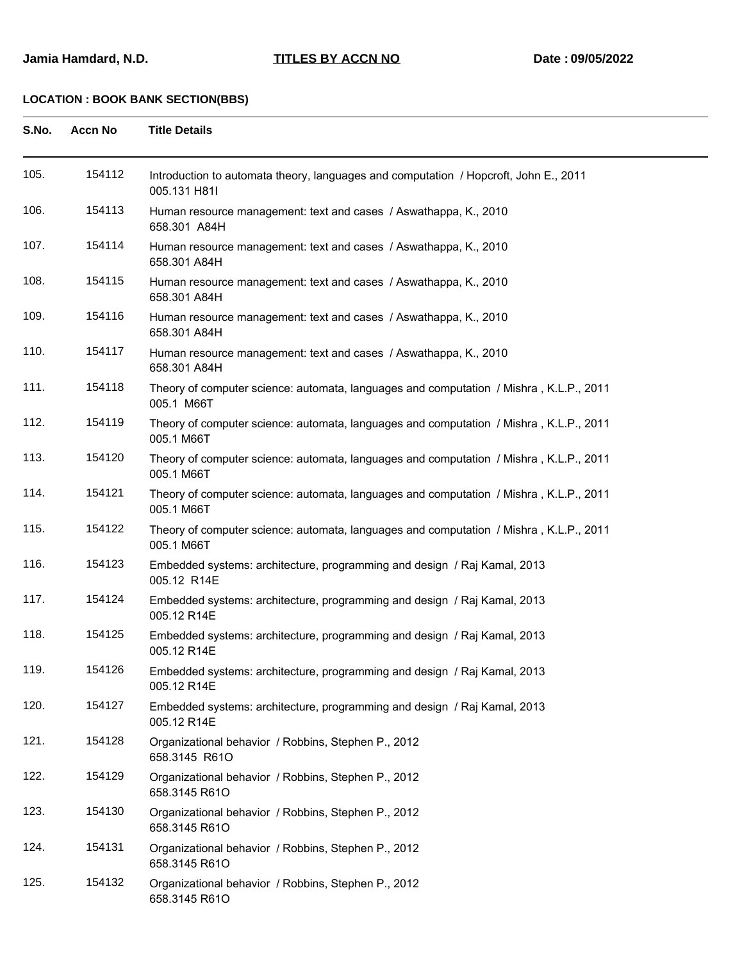| S.No. | <b>Accn No</b> | <b>Title Details</b>                                                                                 |
|-------|----------------|------------------------------------------------------------------------------------------------------|
| 105.  | 154112         | Introduction to automata theory, languages and computation / Hopcroft, John E., 2011<br>005.131 H81I |
| 106.  | 154113         | Human resource management: text and cases / Aswathappa, K., 2010<br>658.301 A84H                     |
| 107.  | 154114         | Human resource management: text and cases / Aswathappa, K., 2010<br>658.301 A84H                     |
| 108.  | 154115         | Human resource management: text and cases / Aswathappa, K., 2010<br>658.301 A84H                     |
| 109.  | 154116         | Human resource management: text and cases / Aswathappa, K., 2010<br>658.301 A84H                     |
| 110.  | 154117         | Human resource management: text and cases / Aswathappa, K., 2010<br>658.301 A84H                     |
| 111.  | 154118         | Theory of computer science: automata, languages and computation / Mishra, K.L.P., 2011<br>005.1 M66T |
| 112.  | 154119         | Theory of computer science: automata, languages and computation / Mishra, K.L.P., 2011<br>005.1 M66T |
| 113.  | 154120         | Theory of computer science: automata, languages and computation / Mishra, K.L.P., 2011<br>005.1 M66T |
| 114.  | 154121         | Theory of computer science: automata, languages and computation / Mishra, K.L.P., 2011<br>005.1 M66T |
| 115.  | 154122         | Theory of computer science: automata, languages and computation / Mishra, K.L.P., 2011<br>005.1 M66T |
| 116.  | 154123         | Embedded systems: architecture, programming and design / Raj Kamal, 2013<br>005.12 R14E              |
| 117.  | 154124         | Embedded systems: architecture, programming and design / Raj Kamal, 2013<br>005.12 R14E              |
| 118.  | 154125         | Embedded systems: architecture, programming and design / Raj Kamal, 2013<br>005.12 R14E              |
| 119.  | 154126         | Embedded systems: architecture, programming and design / Raj Kamal, 2013<br>005.12 R14E              |
| 120.  | 154127         | Embedded systems: architecture, programming and design / Raj Kamal, 2013<br>005.12 R14E              |
| 121.  | 154128         | Organizational behavior / Robbins, Stephen P., 2012<br>658.3145 R61O                                 |
| 122.  | 154129         | Organizational behavior / Robbins, Stephen P., 2012<br>658.3145 R61O                                 |
| 123.  | 154130         | Organizational behavior / Robbins, Stephen P., 2012<br>658.3145 R61O                                 |
| 124.  | 154131         | Organizational behavior / Robbins, Stephen P., 2012<br>658.3145 R61O                                 |
| 125.  | 154132         | Organizational behavior / Robbins, Stephen P., 2012<br>658.3145 R61O                                 |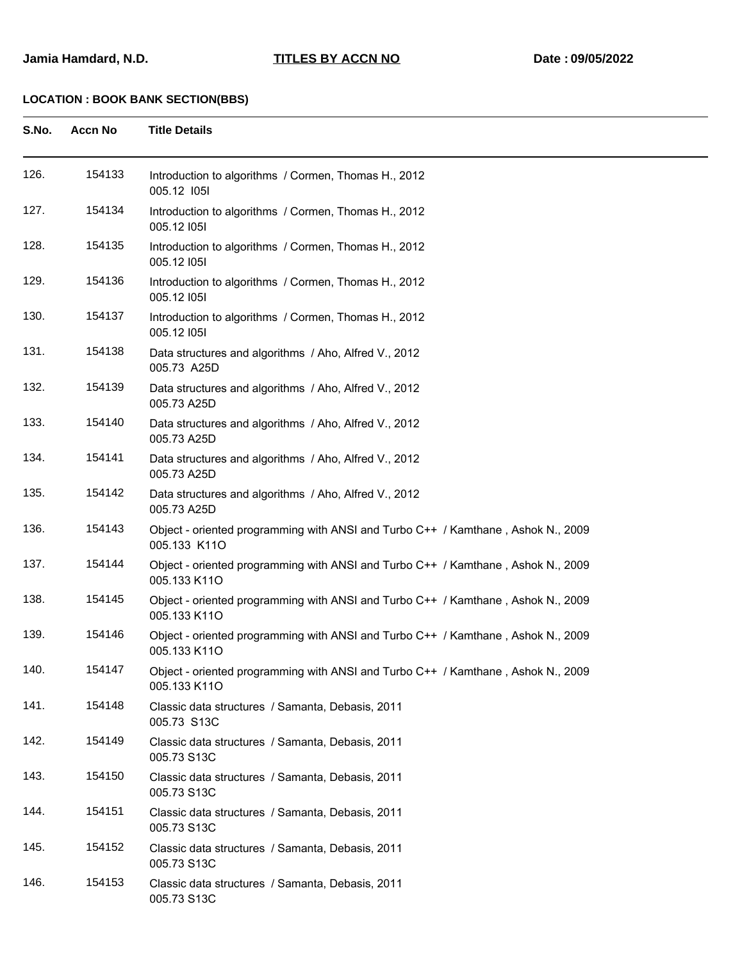| S.No. | <b>Accn No</b> | <b>Title Details</b>                                                                             |
|-------|----------------|--------------------------------------------------------------------------------------------------|
| 126.  | 154133         | Introduction to algorithms / Cormen, Thomas H., 2012<br>005.12 1051                              |
| 127.  | 154134         | Introduction to algorithms / Cormen, Thomas H., 2012<br>005.12 1051                              |
| 128.  | 154135         | Introduction to algorithms / Cormen, Thomas H., 2012<br>005.12 1051                              |
| 129.  | 154136         | Introduction to algorithms / Cormen, Thomas H., 2012<br>005.12 1051                              |
| 130.  | 154137         | Introduction to algorithms / Cormen, Thomas H., 2012<br>005.12 1051                              |
| 131.  | 154138         | Data structures and algorithms / Aho, Alfred V., 2012<br>005.73 A25D                             |
| 132.  | 154139         | Data structures and algorithms / Aho, Alfred V., 2012<br>005.73 A25D                             |
| 133.  | 154140         | Data structures and algorithms / Aho, Alfred V., 2012<br>005.73 A25D                             |
| 134.  | 154141         | Data structures and algorithms / Aho, Alfred V., 2012<br>005.73 A25D                             |
| 135.  | 154142         | Data structures and algorithms / Aho, Alfred V., 2012<br>005.73 A25D                             |
| 136.  | 154143         | Object - oriented programming with ANSI and Turbo C++ / Kamthane, Ashok N., 2009<br>005.133 K11O |
| 137.  | 154144         | Object - oriented programming with ANSI and Turbo C++ / Kamthane, Ashok N., 2009<br>005.133 K11O |
| 138.  | 154145         | Object - oriented programming with ANSI and Turbo C++ / Kamthane, Ashok N., 2009<br>005.133 K11O |
| 139.  | 154146         | Object - oriented programming with ANSI and Turbo C++ / Kamthane, Ashok N., 2009<br>005.133 K11O |
| 140.  | 154147         | Object - oriented programming with ANSI and Turbo C++ / Kamthane, Ashok N., 2009<br>005.133 K11O |
| 141.  | 154148         | Classic data structures / Samanta, Debasis, 2011<br>005.73 S13C                                  |
| 142.  | 154149         | Classic data structures / Samanta, Debasis, 2011<br>005.73 S13C                                  |
| 143.  | 154150         | Classic data structures / Samanta, Debasis, 2011<br>005.73 S13C                                  |
| 144.  | 154151         | Classic data structures / Samanta, Debasis, 2011<br>005.73 S13C                                  |
| 145.  | 154152         | Classic data structures / Samanta, Debasis, 2011<br>005.73 S13C                                  |
| 146.  | 154153         | Classic data structures / Samanta, Debasis, 2011<br>005.73 S13C                                  |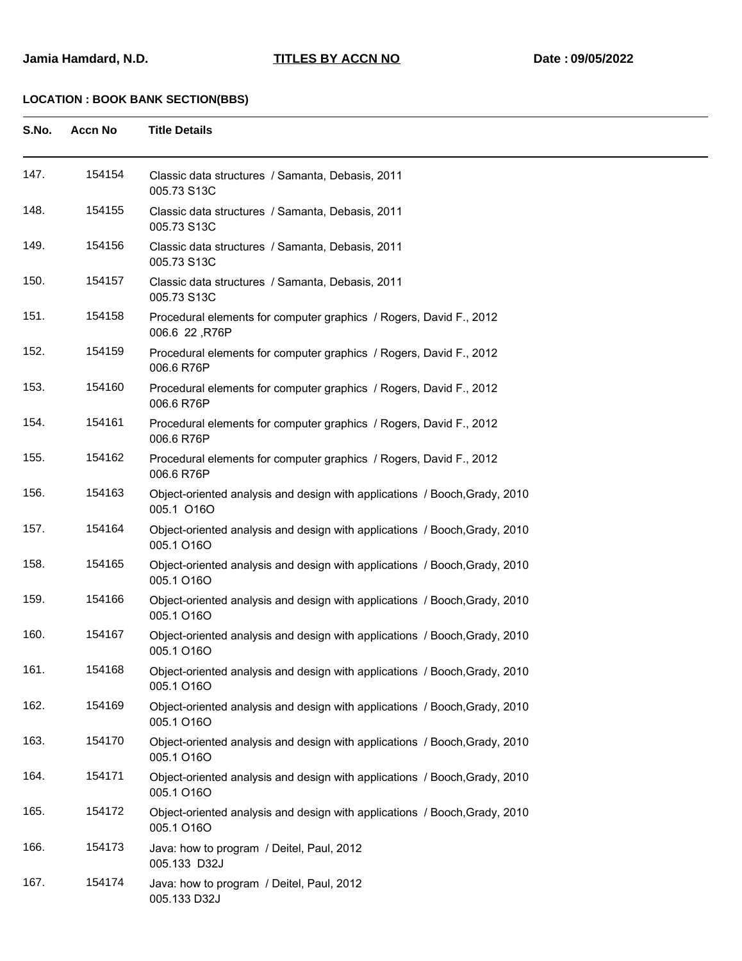| S.No. | Accn No | <b>Title Details</b>                                                         |
|-------|---------|------------------------------------------------------------------------------|
| 147.  | 154154  | Classic data structures / Samanta, Debasis, 2011<br>005.73 S <sub>13</sub> C |
| 148.  | 154155  | Classic data structures / Samanta, Debasis, 2011<br>005.73 S13C              |

| 149. | 154156 | Classic data structures / Samanta, Debasis, 2011<br>005.73 S13C                          |
|------|--------|------------------------------------------------------------------------------------------|
| 150. | 154157 | Classic data structures / Samanta, Debasis, 2011<br>005.73 S13C                          |
| 151. | 154158 | Procedural elements for computer graphics / Rogers, David F., 2012<br>006.6 22, R76P     |
| 152. | 154159 | Procedural elements for computer graphics / Rogers, David F., 2012<br>006.6 R76P         |
| 153. | 154160 | Procedural elements for computer graphics / Rogers, David F., 2012<br>006.6 R76P         |
| 154. | 154161 | Procedural elements for computer graphics / Rogers, David F., 2012<br>006.6 R76P         |
| 155. | 154162 | Procedural elements for computer graphics / Rogers, David F., 2012<br>006.6 R76P         |
| 156. | 154163 | Object-oriented analysis and design with applications / Booch, Grady, 2010<br>005.1 O16O |
| 157. | 154164 | Object-oriented analysis and design with applications / Booch, Grady, 2010<br>005.1 O16O |
| 158. | 154165 | Object-oriented analysis and design with applications / Booch, Grady, 2010<br>005.1 O16O |
| 159. | 154166 | Object-oriented analysis and design with applications / Booch, Grady, 2010<br>005.1 O16O |
| 160. | 154167 | Object-oriented analysis and design with applications / Booch, Grady, 2010<br>005.1 O16O |
| 161. | 154168 | Object-oriented analysis and design with applications / Booch, Grady, 2010<br>005.1 O16O |
| 162. | 154169 | Object-oriented analysis and design with applications / Booch, Grady, 2010<br>005.1 O16O |
| 163. | 154170 | Object-oriented analysis and design with applications / Booch, Grady, 2010<br>005.1 O16O |
| 164. | 154171 | Object-oriented analysis and design with applications / Booch, Grady, 2010<br>005.1 O16O |
| 165. | 154172 | Object-oriented analysis and design with applications / Booch, Grady, 2010<br>005.1 O16O |
| 166. | 154173 | Java: how to program / Deitel, Paul, 2012<br>005.133 D32J                                |
| 167. | 154174 | Java: how to program / Deitel, Paul, 2012<br>005.133 D32J                                |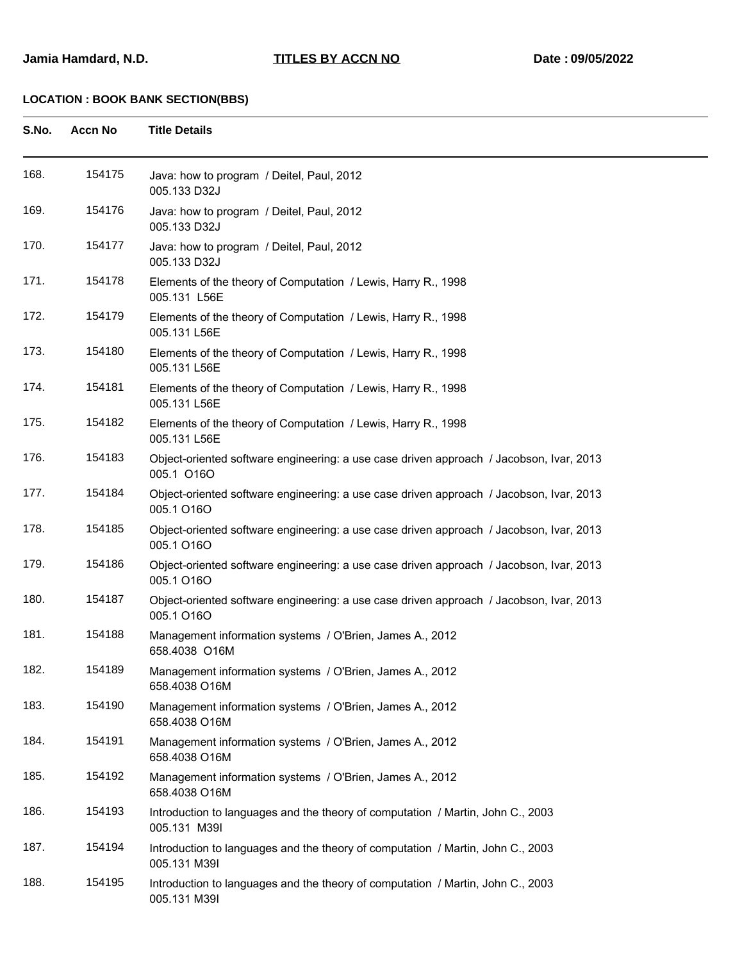| S.No. | <b>Accn No</b> | <b>Title Details</b>                                                                                  |
|-------|----------------|-------------------------------------------------------------------------------------------------------|
| 168.  | 154175         | Java: how to program / Deitel, Paul, 2012<br>005.133 D32J                                             |
| 169.  | 154176         | Java: how to program / Deitel, Paul, 2012<br>005.133 D32J                                             |
| 170.  | 154177         | Java: how to program / Deitel, Paul, 2012<br>005.133 D32J                                             |
| 171.  | 154178         | Elements of the theory of Computation / Lewis, Harry R., 1998<br>005.131 L56E                         |
| 172.  | 154179         | Elements of the theory of Computation / Lewis, Harry R., 1998<br>005.131 L56E                         |
| 173.  | 154180         | Elements of the theory of Computation / Lewis, Harry R., 1998<br>005.131 L56E                         |
| 174.  | 154181         | Elements of the theory of Computation / Lewis, Harry R., 1998<br>005.131 L56E                         |
| 175.  | 154182         | Elements of the theory of Computation / Lewis, Harry R., 1998<br>005.131 L56E                         |
| 176.  | 154183         | Object-oriented software engineering: a use case driven approach / Jacobson, Ivar, 2013<br>005.1 O16O |
| 177.  | 154184         | Object-oriented software engineering: a use case driven approach / Jacobson, Ivar, 2013<br>005.1 O16O |
| 178.  | 154185         | Object-oriented software engineering: a use case driven approach / Jacobson, Ivar, 2013<br>005.1 O16O |
| 179.  | 154186         | Object-oriented software engineering: a use case driven approach / Jacobson, Ivar, 2013<br>005.1 O16O |
| 180.  | 154187         | Object-oriented software engineering: a use case driven approach / Jacobson, Ivar, 2013<br>005.1 O16O |
| 181.  | 154188         | Management information systems / O'Brien, James A., 2012<br>658.4038 O16M                             |
| 182.  | 154189         | Management information systems / O'Brien, James A., 2012<br>658.4038 O16M                             |
| 183.  | 154190         | Management information systems / O'Brien, James A., 2012<br>658.4038 O16M                             |
| 184.  | 154191         | Management information systems / O'Brien, James A., 2012<br>658.4038 O16M                             |
| 185.  | 154192         | Management information systems / O'Brien, James A., 2012<br>658.4038 O16M                             |
| 186.  | 154193         | Introduction to languages and the theory of computation / Martin, John C., 2003<br>005.131 M39I       |
| 187.  | 154194         | Introduction to languages and the theory of computation / Martin, John C., 2003<br>005.131 M39I       |
| 188.  | 154195         | Introduction to languages and the theory of computation / Martin, John C., 2003<br>005.131 M39I       |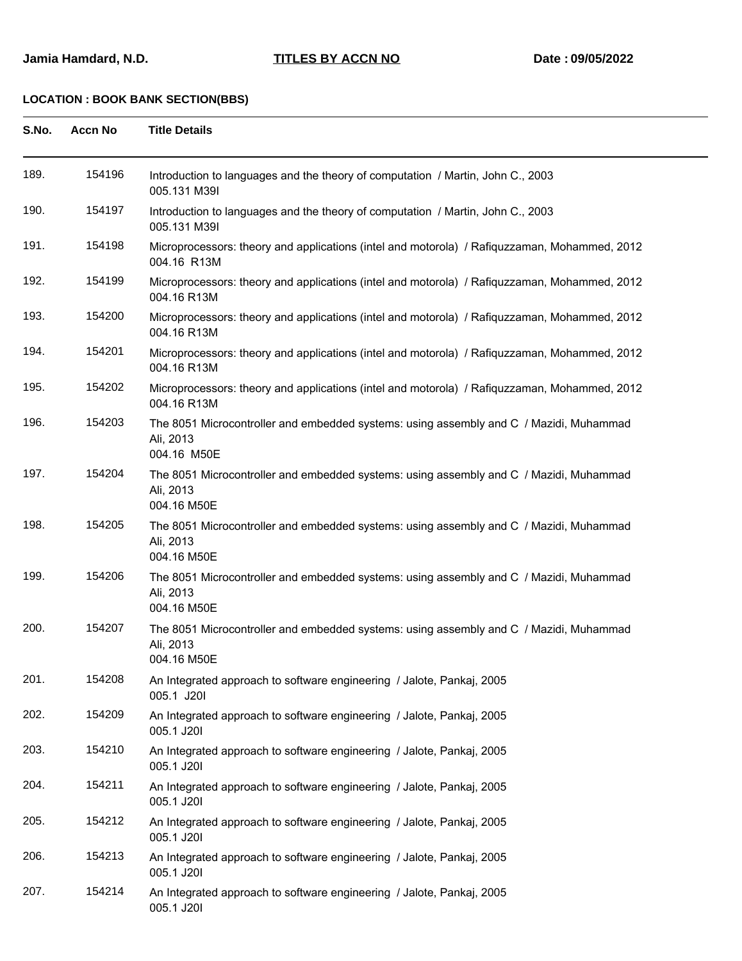| S.No. | <b>Accn No</b> | <b>Title Details</b>                                                                                               |
|-------|----------------|--------------------------------------------------------------------------------------------------------------------|
| 189.  | 154196         | Introduction to languages and the theory of computation / Martin, John C., 2003<br>005.131 M39I                    |
| 190.  | 154197         | Introduction to languages and the theory of computation / Martin, John C., 2003<br>005.131 M39I                    |
| 191.  | 154198         | Microprocessors: theory and applications (intel and motorola) / Rafiquzzaman, Mohammed, 2012<br>004.16 R13M        |
| 192.  | 154199         | Microprocessors: theory and applications (intel and motorola) / Rafiquzzaman, Mohammed, 2012<br>004.16 R13M        |
| 193.  | 154200         | Microprocessors: theory and applications (intel and motorola) / Rafiquzzaman, Mohammed, 2012<br>004.16 R13M        |
| 194.  | 154201         | Microprocessors: theory and applications (intel and motorola) / Rafiquzzaman, Mohammed, 2012<br>004.16 R13M        |
| 195.  | 154202         | Microprocessors: theory and applications (intel and motorola) / Rafiquzzaman, Mohammed, 2012<br>004.16 R13M        |
| 196.  | 154203         | The 8051 Microcontroller and embedded systems: using assembly and C / Mazidi, Muhammad<br>Ali, 2013<br>004.16 M50E |
| 197.  | 154204         | The 8051 Microcontroller and embedded systems: using assembly and C / Mazidi, Muhammad<br>Ali, 2013<br>004.16 M50E |
| 198.  | 154205         | The 8051 Microcontroller and embedded systems: using assembly and C / Mazidi, Muhammad<br>Ali, 2013<br>004.16 M50E |
| 199.  | 154206         | The 8051 Microcontroller and embedded systems: using assembly and C / Mazidi, Muhammad<br>Ali, 2013<br>004.16 M50E |
| 200.  | 154207         | The 8051 Microcontroller and embedded systems: using assembly and C / Mazidi, Muhammad<br>Ali, 2013<br>004.16 M50E |
| 201.  | 154208         | An Integrated approach to software engineering / Jalote, Pankaj, 2005<br>005.1 J20I                                |
| 202.  | 154209         | An Integrated approach to software engineering / Jalote, Pankaj, 2005<br>005.1 J20I                                |
| 203.  | 154210         | An Integrated approach to software engineering / Jalote, Pankaj, 2005<br>005.1 J20I                                |
| 204.  | 154211         | An Integrated approach to software engineering / Jalote, Pankaj, 2005<br>005.1 J20I                                |
| 205.  | 154212         | An Integrated approach to software engineering / Jalote, Pankaj, 2005<br>005.1 J20I                                |
| 206.  | 154213         | An Integrated approach to software engineering / Jalote, Pankaj, 2005<br>005.1 J20I                                |
| 207.  | 154214         | An Integrated approach to software engineering / Jalote, Pankaj, 2005<br>005.1 J20I                                |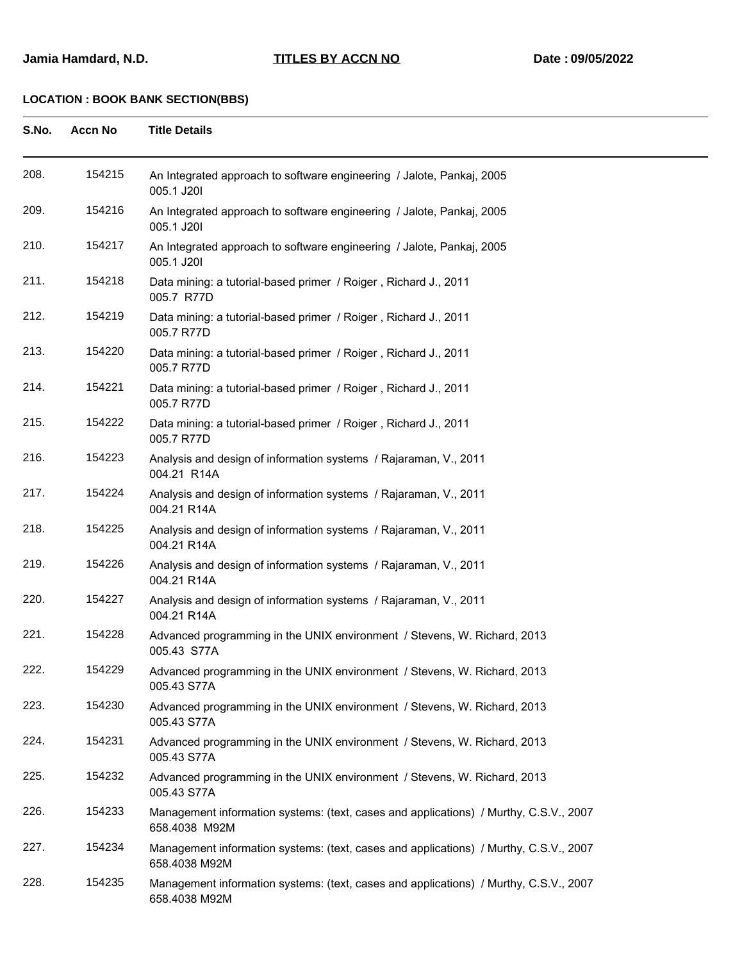| S.No. | <b>Accn No</b> | <b>Title Details</b>                                                                                   |
|-------|----------------|--------------------------------------------------------------------------------------------------------|
| 208.  | 154215         | An Integrated approach to software engineering / Jalote, Pankaj, 2005<br>005.1 J20I                    |
| 209.  | 154216         | An Integrated approach to software engineering / Jalote, Pankaj, 2005<br>005.1 J20I                    |
| 210.  | 154217         | An Integrated approach to software engineering / Jalote, Pankaj, 2005<br>005.1 J20I                    |
| 211.  | 154218         | Data mining: a tutorial-based primer / Roiger, Richard J., 2011<br>005.7 R77D                          |
| 212.  | 154219         | Data mining: a tutorial-based primer / Roiger, Richard J., 2011<br>005.7 R77D                          |
| 213.  | 154220         | Data mining: a tutorial-based primer / Roiger, Richard J., 2011<br>005.7 R77D                          |
| 214.  | 154221         | Data mining: a tutorial-based primer / Roiger, Richard J., 2011<br>005.7 R77D                          |
| 215.  | 154222         | Data mining: a tutorial-based primer / Roiger, Richard J., 2011<br>005.7 R77D                          |
| 216.  | 154223         | Analysis and design of information systems / Rajaraman, V., 2011<br>004.21 R14A                        |
| 217.  | 154224         | Analysis and design of information systems / Rajaraman, V., 2011<br>004.21 R14A                        |
| 218.  | 154225         | Analysis and design of information systems / Rajaraman, V., 2011<br>004.21 R14A                        |
| 219.  | 154226         | Analysis and design of information systems / Rajaraman, V., 2011<br>004.21 R14A                        |
| 220.  | 154227         | Analysis and design of information systems / Rajaraman, V., 2011<br>004.21 R14A                        |
| 221.  | 154228         | Advanced programming in the UNIX environment / Stevens, W. Richard, 2013<br>005.43 S77A                |
| 222.  | 154229         | Advanced programming in the UNIX environment / Stevens, W. Richard, 2013<br>005.43 S77A                |
| 223.  | 154230         | Advanced programming in the UNIX environment / Stevens, W. Richard, 2013<br>005.43 S77A                |
| 224.  | 154231         | Advanced programming in the UNIX environment / Stevens, W. Richard, 2013<br>005.43 S77A                |
| 225.  | 154232         | Advanced programming in the UNIX environment / Stevens, W. Richard, 2013<br>005.43 S77A                |
| 226.  | 154233         | Management information systems: (text, cases and applications) / Murthy, C.S.V., 2007<br>658.4038 M92M |
| 227.  | 154234         | Management information systems: (text, cases and applications) / Murthy, C.S.V., 2007<br>658.4038 M92M |
| 228.  | 154235         | Management information systems: (text, cases and applications) / Murthy, C.S.V., 2007<br>658.4038 M92M |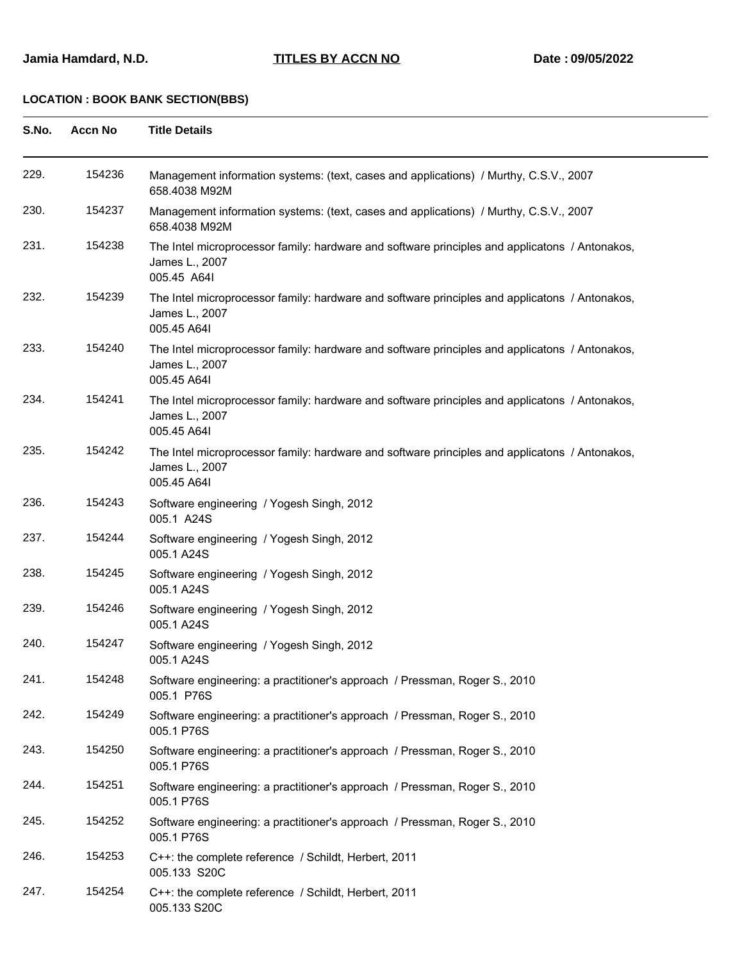| S.No. | <b>Accn No</b> | <b>Title Details</b>                                                                                                            |
|-------|----------------|---------------------------------------------------------------------------------------------------------------------------------|
| 229.  | 154236         | Management information systems: (text, cases and applications) / Murthy, C.S.V., 2007<br>658.4038 M92M                          |
| 230.  | 154237         | Management information systems: (text, cases and applications) / Murthy, C.S.V., 2007<br>658.4038 M92M                          |
| 231.  | 154238         | The Intel microprocessor family: hardware and software principles and applicatons / Antonakos,<br>James L., 2007<br>005.45 A64I |
| 232.  | 154239         | The Intel microprocessor family: hardware and software principles and applicatons / Antonakos,<br>James L., 2007<br>005.45 A64I |
| 233.  | 154240         | The Intel microprocessor family: hardware and software principles and applicatons / Antonakos,<br>James L., 2007<br>005.45 A64I |
| 234.  | 154241         | The Intel microprocessor family: hardware and software principles and applicatons / Antonakos,<br>James L., 2007<br>005.45 A64I |
| 235.  | 154242         | The Intel microprocessor family: hardware and software principles and applicatons / Antonakos,<br>James L., 2007<br>005.45 A64I |
| 236.  | 154243         | Software engineering / Yogesh Singh, 2012<br>005.1 A24S                                                                         |
| 237.  | 154244         | Software engineering / Yogesh Singh, 2012<br>005.1 A24S                                                                         |
| 238.  | 154245         | Software engineering / Yogesh Singh, 2012<br>005.1 A24S                                                                         |
| 239.  | 154246         | Software engineering / Yogesh Singh, 2012<br>005.1 A24S                                                                         |
| 240.  | 154247         | Software engineering / Yogesh Singh, 2012<br>005.1 A24S                                                                         |
| 241.  | 154248         | Software engineering: a practitioner's approach / Pressman, Roger S., 2010<br>005.1 P76S                                        |
| 242.  | 154249         | Software engineering: a practitioner's approach / Pressman, Roger S., 2010<br>005.1 P76S                                        |
| 243.  | 154250         | Software engineering: a practitioner's approach / Pressman, Roger S., 2010<br>005.1 P76S                                        |
| 244.  | 154251         | Software engineering: a practitioner's approach / Pressman, Roger S., 2010<br>005.1 P76S                                        |
| 245.  | 154252         | Software engineering: a practitioner's approach / Pressman, Roger S., 2010<br>005.1 P76S                                        |
| 246.  | 154253         | C++: the complete reference / Schildt, Herbert, 2011<br>005.133 S20C                                                            |
| 247.  | 154254         | C++: the complete reference / Schildt, Herbert, 2011<br>005.133 S20C                                                            |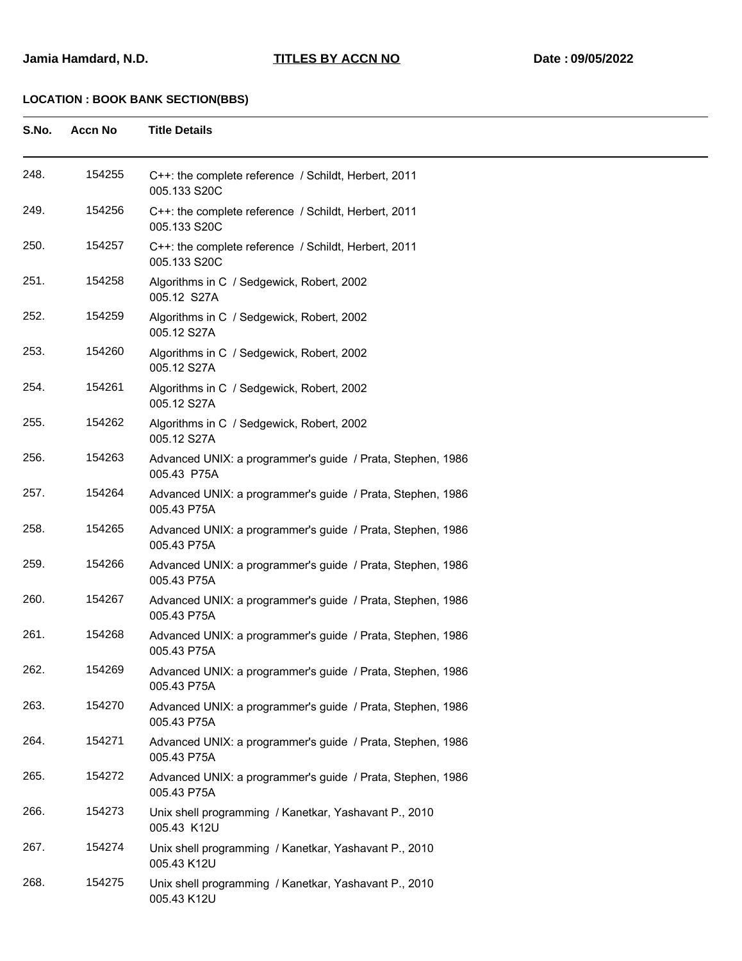| S.No. | <b>Accn No</b> | <b>Title Details</b>                                                      |
|-------|----------------|---------------------------------------------------------------------------|
| 248.  | 154255         | C++: the complete reference / Schildt, Herbert, 2011<br>005.133 S20C      |
| 249.  | 154256         | C++: the complete reference / Schildt, Herbert, 2011<br>005.133 S20C      |
| 250.  | 154257         | C++: the complete reference / Schildt, Herbert, 2011<br>005.133 S20C      |
| 251.  | 154258         | Algorithms in C / Sedgewick, Robert, 2002<br>005.12 S27A                  |
| 252.  | 154259         | Algorithms in C / Sedgewick, Robert, 2002<br>005.12 S27A                  |
| 253.  | 154260         | Algorithms in C / Sedgewick, Robert, 2002<br>005.12 S27A                  |
| 254.  | 154261         | Algorithms in C / Sedgewick, Robert, 2002<br>005.12 S27A                  |
| 255.  | 154262         | Algorithms in C / Sedgewick, Robert, 2002<br>005.12 S27A                  |
| 256.  | 154263         | Advanced UNIX: a programmer's guide / Prata, Stephen, 1986<br>005.43 P75A |
| 257.  | 154264         | Advanced UNIX: a programmer's guide / Prata, Stephen, 1986<br>005.43 P75A |
| 258.  | 154265         | Advanced UNIX: a programmer's guide / Prata, Stephen, 1986<br>005.43 P75A |
| 259.  | 154266         | Advanced UNIX: a programmer's guide / Prata, Stephen, 1986<br>005.43 P75A |
| 260.  | 154267         | Advanced UNIX: a programmer's guide / Prata, Stephen, 1986<br>005.43 P75A |
| 261.  | 154268         | Advanced UNIX: a programmer's guide / Prata, Stephen, 1986<br>005.43 P75A |
| 262.  | 154269         | Advanced UNIX: a programmer's guide / Prata, Stephen, 1986<br>005.43 P75A |
| 263.  | 154270         | Advanced UNIX: a programmer's guide / Prata, Stephen, 1986<br>005.43 P75A |
| 264.  | 154271         | Advanced UNIX: a programmer's guide / Prata, Stephen, 1986<br>005.43 P75A |
| 265.  | 154272         | Advanced UNIX: a programmer's guide / Prata, Stephen, 1986<br>005.43 P75A |
| 266.  | 154273         | Unix shell programming / Kanetkar, Yashavant P., 2010<br>005.43 K12U      |
| 267.  | 154274         | Unix shell programming / Kanetkar, Yashavant P., 2010<br>005.43 K12U      |
| 268.  | 154275         | Unix shell programming / Kanetkar, Yashavant P., 2010<br>005.43 K12U      |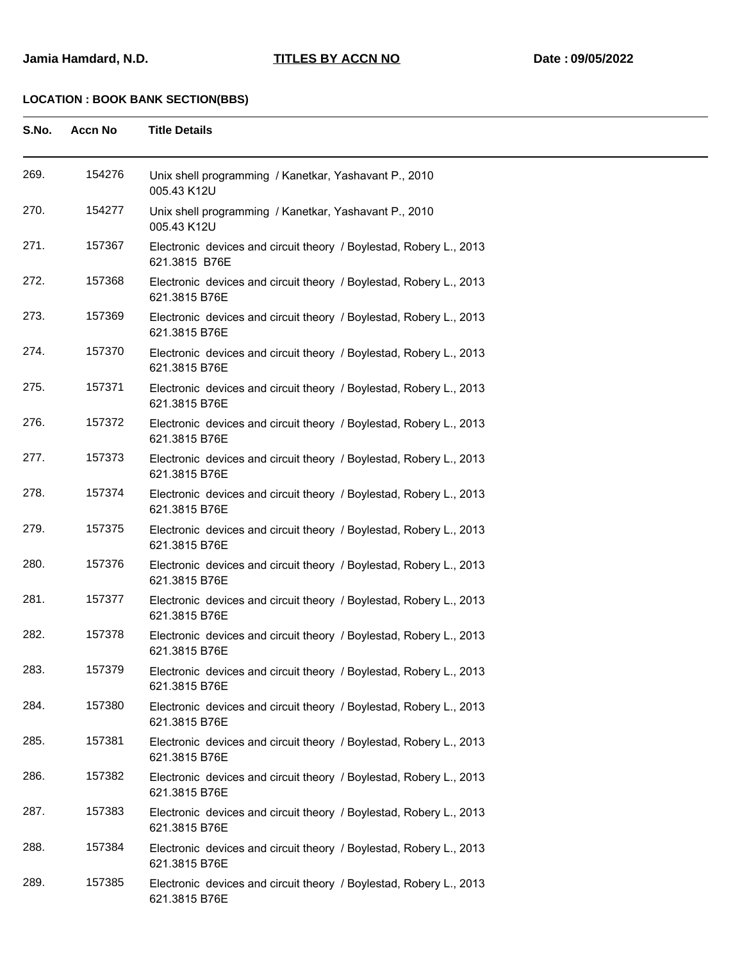| S.No. | <b>Accn No</b> | <b>Title Details</b>                                                                |
|-------|----------------|-------------------------------------------------------------------------------------|
| 269.  | 154276         | Unix shell programming / Kanetkar, Yashavant P., 2010<br>005.43 K12U                |
| 270.  | 154277         | Unix shell programming / Kanetkar, Yashavant P., 2010<br>005.43 K12U                |
| 271.  | 157367         | Electronic devices and circuit theory / Boylestad, Robery L., 2013<br>621.3815 B76E |
| 272.  | 157368         | Electronic devices and circuit theory / Boylestad, Robery L., 2013<br>621.3815 B76E |
| 273.  | 157369         | Electronic devices and circuit theory / Boylestad, Robery L., 2013<br>621.3815 B76E |
| 274.  | 157370         | Electronic devices and circuit theory / Boylestad, Robery L., 2013<br>621.3815 B76E |
| 275.  | 157371         | Electronic devices and circuit theory / Boylestad, Robery L., 2013<br>621.3815 B76E |
| 276.  | 157372         | Electronic devices and circuit theory / Boylestad, Robery L., 2013<br>621.3815 B76E |
| 277.  | 157373         | Electronic devices and circuit theory / Boylestad, Robery L., 2013<br>621.3815 B76E |
| 278.  | 157374         | Electronic devices and circuit theory / Boylestad, Robery L., 2013<br>621.3815 B76E |
| 279.  | 157375         | Electronic devices and circuit theory / Boylestad, Robery L., 2013<br>621.3815 B76E |
| 280.  | 157376         | Electronic devices and circuit theory / Boylestad, Robery L., 2013<br>621.3815 B76E |
| 281.  | 157377         | Electronic devices and circuit theory / Boylestad, Robery L., 2013<br>621.3815 B76E |
| 282.  | 157378         | Electronic devices and circuit theory / Boylestad, Robery L., 2013<br>621.3815 B76E |
| 283.  | 157379         | Electronic devices and circuit theory / Boylestad, Robery L., 2013<br>621.3815 B76E |
| 284.  | 157380         | Electronic devices and circuit theory / Boylestad, Robery L., 2013<br>621.3815 B76E |
| 285.  | 157381         | Electronic devices and circuit theory / Boylestad, Robery L., 2013<br>621.3815 B76E |
| 286.  | 157382         | Electronic devices and circuit theory / Boylestad, Robery L., 2013<br>621.3815 B76E |
| 287.  | 157383         | Electronic devices and circuit theory / Boylestad, Robery L., 2013<br>621.3815 B76E |
| 288.  | 157384         | Electronic devices and circuit theory / Boylestad, Robery L., 2013<br>621.3815 B76E |
| 289.  | 157385         | Electronic devices and circuit theory / Boylestad, Robery L., 2013<br>621.3815 B76E |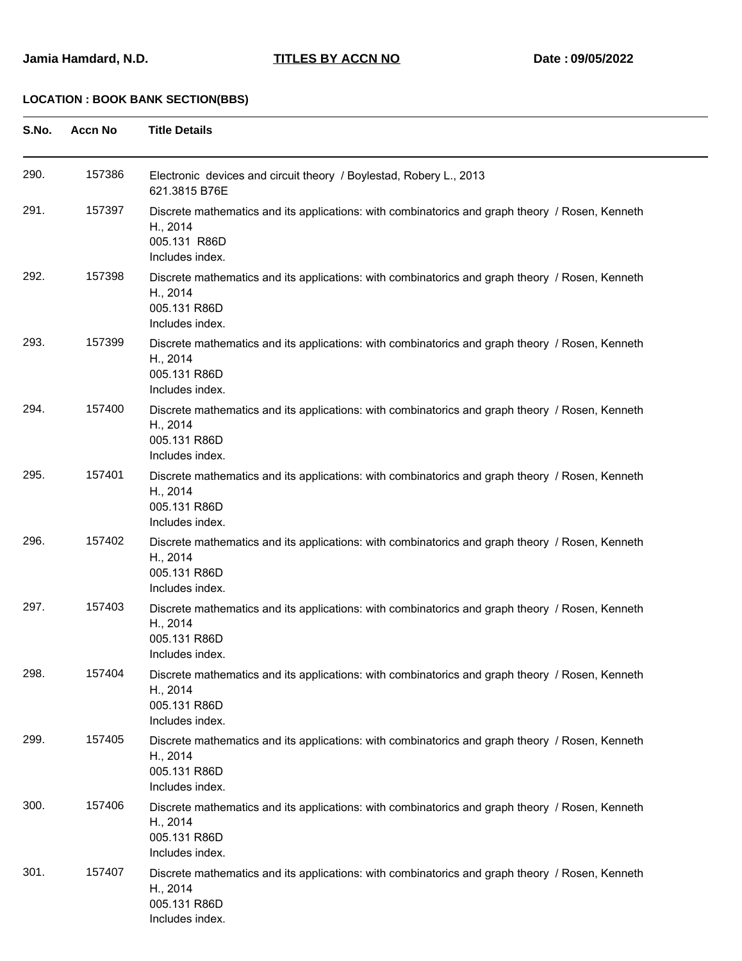| S.No. | <b>Accn No</b> | <b>Title Details</b>                                                                                                                           |
|-------|----------------|------------------------------------------------------------------------------------------------------------------------------------------------|
| 290.  | 157386         | Electronic devices and circuit theory / Boylestad, Robery L., 2013<br>621.3815 B76E                                                            |
| 291.  | 157397         | Discrete mathematics and its applications: with combinatorics and graph theory / Rosen, Kenneth<br>H., 2014<br>005.131 R86D<br>Includes index. |
| 292.  | 157398         | Discrete mathematics and its applications: with combinatorics and graph theory / Rosen, Kenneth<br>H., 2014<br>005.131 R86D<br>Includes index. |
| 293.  | 157399         | Discrete mathematics and its applications: with combinatorics and graph theory / Rosen, Kenneth<br>H., 2014<br>005.131 R86D<br>Includes index. |
| 294.  | 157400         | Discrete mathematics and its applications: with combinatorics and graph theory / Rosen, Kenneth<br>H., 2014<br>005.131 R86D<br>Includes index. |
| 295.  | 157401         | Discrete mathematics and its applications: with combinatorics and graph theory / Rosen, Kenneth<br>H., 2014<br>005.131 R86D<br>Includes index. |
| 296.  | 157402         | Discrete mathematics and its applications: with combinatorics and graph theory / Rosen, Kenneth<br>H., 2014<br>005.131 R86D<br>Includes index. |
| 297.  | 157403         | Discrete mathematics and its applications: with combinatorics and graph theory / Rosen, Kenneth<br>H., 2014<br>005.131 R86D<br>Includes index. |
| 298.  | 157404         | Discrete mathematics and its applications: with combinatorics and graph theory / Rosen, Kenneth<br>H., 2014<br>005.131 R86D<br>Includes index. |
| 299.  | 157405         | Discrete mathematics and its applications: with combinatorics and graph theory / Rosen, Kenneth<br>H., 2014<br>005.131 R86D<br>Includes index. |
| 300.  | 157406         | Discrete mathematics and its applications: with combinatorics and graph theory / Rosen, Kenneth<br>H., 2014<br>005.131 R86D<br>Includes index. |
| 301.  | 157407         | Discrete mathematics and its applications: with combinatorics and graph theory / Rosen, Kenneth<br>H., 2014<br>005.131 R86D<br>Includes index. |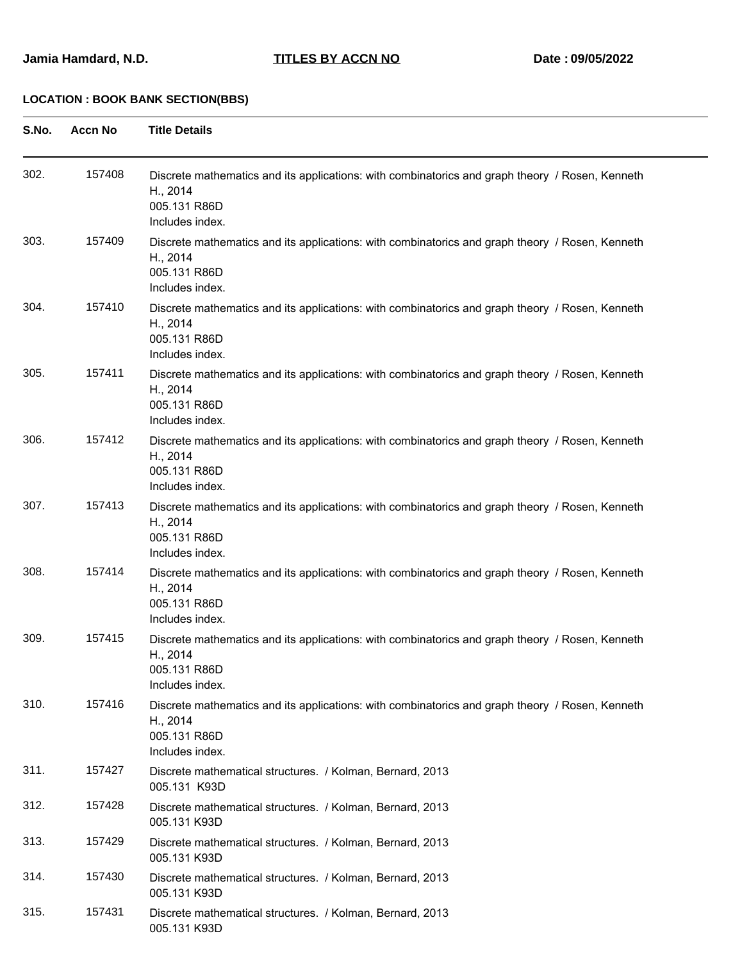| S.No. | <b>Accn No</b> | <b>Title Details</b>                                                                                                                           |
|-------|----------------|------------------------------------------------------------------------------------------------------------------------------------------------|
| 302.  | 157408         | Discrete mathematics and its applications: with combinatorics and graph theory / Rosen, Kenneth<br>H., 2014<br>005.131 R86D<br>Includes index. |
| 303.  | 157409         | Discrete mathematics and its applications: with combinatorics and graph theory / Rosen, Kenneth<br>H., 2014<br>005.131 R86D<br>Includes index. |
| 304.  | 157410         | Discrete mathematics and its applications: with combinatorics and graph theory / Rosen, Kenneth<br>H., 2014<br>005.131 R86D<br>Includes index. |
| 305.  | 157411         | Discrete mathematics and its applications: with combinatorics and graph theory / Rosen, Kenneth<br>H., 2014<br>005.131 R86D<br>Includes index. |
| 306.  | 157412         | Discrete mathematics and its applications: with combinatorics and graph theory / Rosen, Kenneth<br>H., 2014<br>005.131 R86D<br>Includes index. |
| 307.  | 157413         | Discrete mathematics and its applications: with combinatorics and graph theory / Rosen, Kenneth<br>H., 2014<br>005.131 R86D<br>Includes index. |
| 308.  | 157414         | Discrete mathematics and its applications: with combinatorics and graph theory / Rosen, Kenneth<br>H., 2014<br>005.131 R86D<br>Includes index. |
| 309.  | 157415         | Discrete mathematics and its applications: with combinatorics and graph theory / Rosen, Kenneth<br>H., 2014<br>005.131 R86D<br>Includes index. |
| 310.  | 157416         | Discrete mathematics and its applications: with combinatorics and graph theory / Rosen, Kenneth<br>H., 2014<br>005.131 R86D<br>Includes index. |
| 311.  | 157427         | Discrete mathematical structures. / Kolman, Bernard, 2013<br>005.131 K93D                                                                      |
| 312.  | 157428         | Discrete mathematical structures. / Kolman, Bernard, 2013<br>005.131 K93D                                                                      |
| 313.  | 157429         | Discrete mathematical structures. / Kolman, Bernard, 2013<br>005.131 K93D                                                                      |
| 314.  | 157430         | Discrete mathematical structures. / Kolman, Bernard, 2013<br>005.131 K93D                                                                      |
| 315.  | 157431         | Discrete mathematical structures. / Kolman, Bernard, 2013<br>005.131 K93D                                                                      |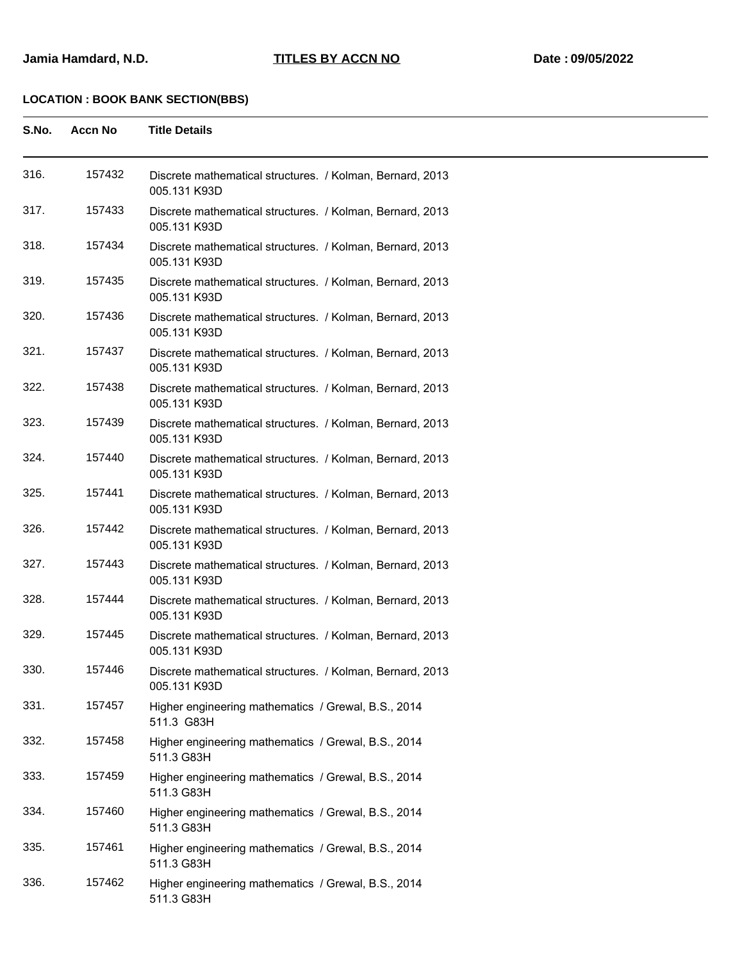| S.No. | <b>Accn No</b> | <b>Title Details</b>                                                      |
|-------|----------------|---------------------------------------------------------------------------|
| 316.  | 157432         | Discrete mathematical structures. / Kolman, Bernard, 2013<br>005.131 K93D |
| 317.  | 157433         | Discrete mathematical structures. / Kolman, Bernard, 2013<br>005.131 K93D |
| 318.  | 157434         | Discrete mathematical structures. / Kolman, Bernard, 2013<br>005.131 K93D |
| 319.  | 157435         | Discrete mathematical structures. / Kolman, Bernard, 2013<br>005.131 K93D |
| 320.  | 157436         | Discrete mathematical structures. / Kolman, Bernard, 2013<br>005.131 K93D |
| 321.  | 157437         | Discrete mathematical structures. / Kolman, Bernard, 2013<br>005.131 K93D |
| 322.  | 157438         | Discrete mathematical structures. / Kolman, Bernard, 2013<br>005.131 K93D |
| 323.  | 157439         | Discrete mathematical structures. / Kolman, Bernard, 2013<br>005.131 K93D |
| 324.  | 157440         | Discrete mathematical structures. / Kolman, Bernard, 2013<br>005.131 K93D |
| 325.  | 157441         | Discrete mathematical structures. / Kolman, Bernard, 2013<br>005.131 K93D |
| 326.  | 157442         | Discrete mathematical structures. / Kolman, Bernard, 2013<br>005.131 K93D |
| 327.  | 157443         | Discrete mathematical structures. / Kolman, Bernard, 2013<br>005.131 K93D |
| 328.  | 157444         | Discrete mathematical structures. / Kolman, Bernard, 2013<br>005.131 K93D |
| 329.  | 157445         | Discrete mathematical structures. / Kolman, Bernard, 2013<br>005.131 K93D |
| 330.  | 157446         | Discrete mathematical structures. / Kolman, Bernard, 2013<br>005.131 K93D |
| 331.  | 157457         | Higher engineering mathematics / Grewal, B.S., 2014<br>511.3 G83H         |
| 332.  | 157458         | Higher engineering mathematics / Grewal, B.S., 2014<br>511.3 G83H         |
| 333.  | 157459         | Higher engineering mathematics / Grewal, B.S., 2014<br>511.3 G83H         |
| 334.  | 157460         | Higher engineering mathematics / Grewal, B.S., 2014<br>511.3 G83H         |
| 335.  | 157461         | Higher engineering mathematics / Grewal, B.S., 2014<br>511.3 G83H         |
| 336.  | 157462         | Higher engineering mathematics / Grewal, B.S., 2014<br>511.3 G83H         |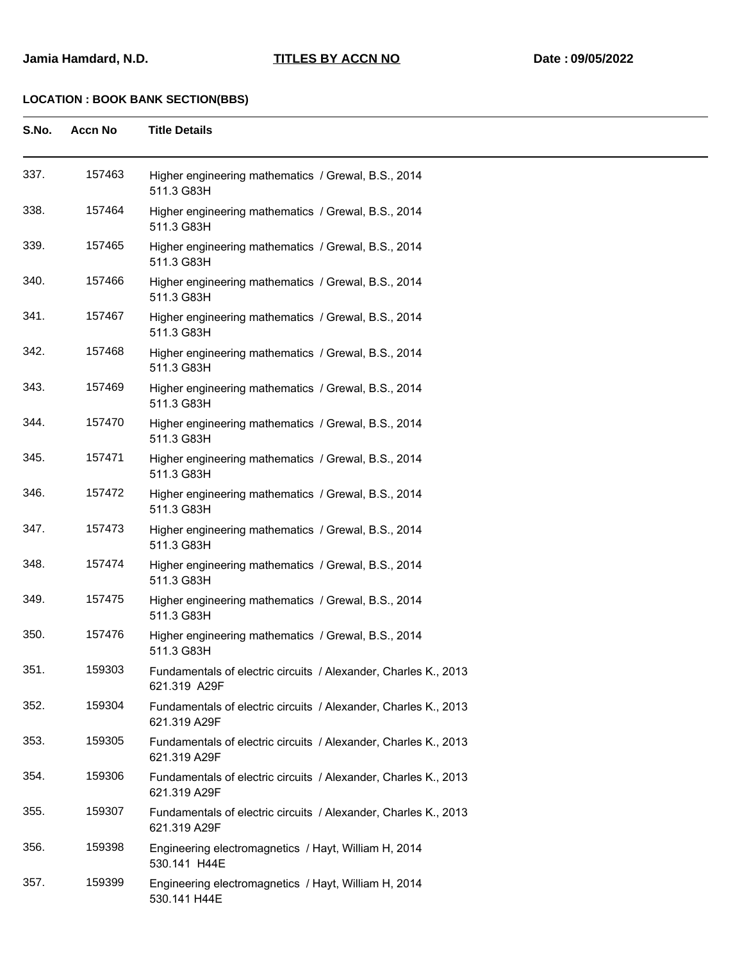| S.No. | <b>Accn No</b> | <b>Title Details</b>                                                            |
|-------|----------------|---------------------------------------------------------------------------------|
| 337.  | 157463         | Higher engineering mathematics / Grewal, B.S., 2014<br>511.3 G83H               |
| 338.  | 157464         | Higher engineering mathematics / Grewal, B.S., 2014<br>511.3 G83H               |
| 339.  | 157465         | Higher engineering mathematics / Grewal, B.S., 2014<br>511.3 G83H               |
| 340.  | 157466         | Higher engineering mathematics / Grewal, B.S., 2014<br>511.3 G83H               |
| 341.  | 157467         | Higher engineering mathematics / Grewal, B.S., 2014<br>511.3 G83H               |
| 342.  | 157468         | Higher engineering mathematics / Grewal, B.S., 2014<br>511.3 G83H               |
| 343.  | 157469         | Higher engineering mathematics / Grewal, B.S., 2014<br>511.3 G83H               |
| 344.  | 157470         | Higher engineering mathematics / Grewal, B.S., 2014<br>511.3 G83H               |
| 345.  | 157471         | Higher engineering mathematics / Grewal, B.S., 2014<br>511.3 G83H               |
| 346.  | 157472         | Higher engineering mathematics / Grewal, B.S., 2014<br>511.3 G83H               |
| 347.  | 157473         | Higher engineering mathematics / Grewal, B.S., 2014<br>511.3 G83H               |
| 348.  | 157474         | Higher engineering mathematics / Grewal, B.S., 2014<br>511.3 G83H               |
| 349.  | 157475         | Higher engineering mathematics / Grewal, B.S., 2014<br>511.3 G83H               |
| 350.  | 157476         | Higher engineering mathematics / Grewal, B.S., 2014<br>511.3 G83H               |
| 351.  | 159303         | Fundamentals of electric circuits / Alexander, Charles K., 2013<br>621.319 A29F |
| 352.  | 159304         | Fundamentals of electric circuits / Alexander, Charles K., 2013<br>621.319 A29F |
| 353.  | 159305         | Fundamentals of electric circuits / Alexander, Charles K., 2013<br>621.319 A29F |
| 354.  | 159306         | Fundamentals of electric circuits / Alexander, Charles K., 2013<br>621.319 A29F |
| 355.  | 159307         | Fundamentals of electric circuits / Alexander, Charles K., 2013<br>621.319 A29F |
| 356.  | 159398         | Engineering electromagnetics / Hayt, William H, 2014<br>530.141 H44E            |
| 357.  | 159399         | Engineering electromagnetics / Hayt, William H, 2014<br>530.141 H44E            |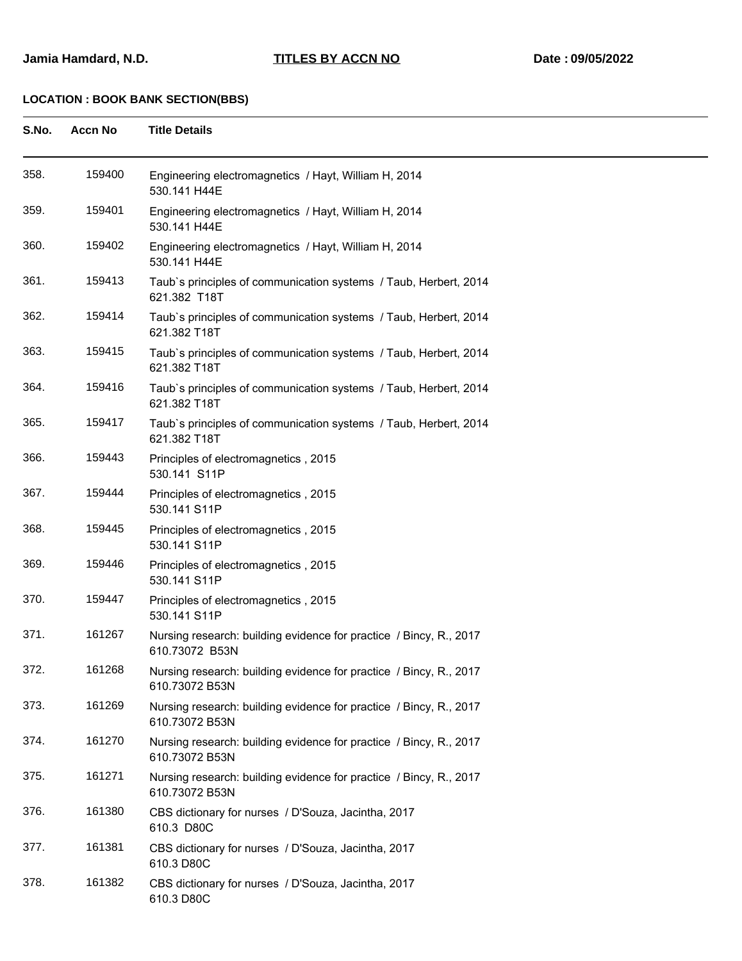| S.No.<br>Accn No | <b>Title Details</b> |
|------------------|----------------------|
|------------------|----------------------|

| 358. | 159400 | Engineering electromagnetics / Hayt, William H, 2014<br>530.141 H44E                 |
|------|--------|--------------------------------------------------------------------------------------|
| 359. | 159401 | Engineering electromagnetics / Hayt, William H, 2014<br>530.141 H44E                 |
| 360. | 159402 | Engineering electromagnetics / Hayt, William H, 2014<br>530.141 H44E                 |
| 361. | 159413 | Taub's principles of communication systems / Taub, Herbert, 2014<br>621.382 T18T     |
| 362. | 159414 | Taub's principles of communication systems / Taub, Herbert, 2014<br>621.382 T18T     |
| 363. | 159415 | Taub's principles of communication systems / Taub, Herbert, 2014<br>621.382 T18T     |
| 364. | 159416 | Taub's principles of communication systems / Taub, Herbert, 2014<br>621.382 T18T     |
| 365. | 159417 | Taub's principles of communication systems / Taub, Herbert, 2014<br>621.382 T18T     |
| 366. | 159443 | Principles of electromagnetics, 2015<br>530.141 S11P                                 |
| 367. | 159444 | Principles of electromagnetics, 2015<br>530.141 S11P                                 |
| 368. | 159445 | Principles of electromagnetics, 2015<br>530.141 S11P                                 |
| 369. | 159446 | Principles of electromagnetics, 2015<br>530.141 S11P                                 |
| 370. | 159447 | Principles of electromagnetics, 2015<br>530.141 S11P                                 |
| 371. | 161267 | Nursing research: building evidence for practice / Bincy, R., 2017<br>610.73072 B53N |
| 372. | 161268 | Nursing research: building evidence for practice / Bincy, R., 2017<br>610.73072 B53N |
| 373. | 161269 | Nursing research: building evidence for practice / Bincy, R., 2017<br>610.73072 B53N |
| 374. | 161270 | Nursing research: building evidence for practice / Bincy, R., 2017<br>610.73072 B53N |
| 375. | 161271 | Nursing research: building evidence for practice / Bincy, R., 2017<br>610.73072 B53N |
| 376. | 161380 | CBS dictionary for nurses / D'Souza, Jacintha, 2017<br>610.3 D80C                    |
| 377. | 161381 | CBS dictionary for nurses / D'Souza, Jacintha, 2017<br>610.3 D80C                    |
| 378. | 161382 | CBS dictionary for nurses / D'Souza, Jacintha, 2017<br>610.3 D80C                    |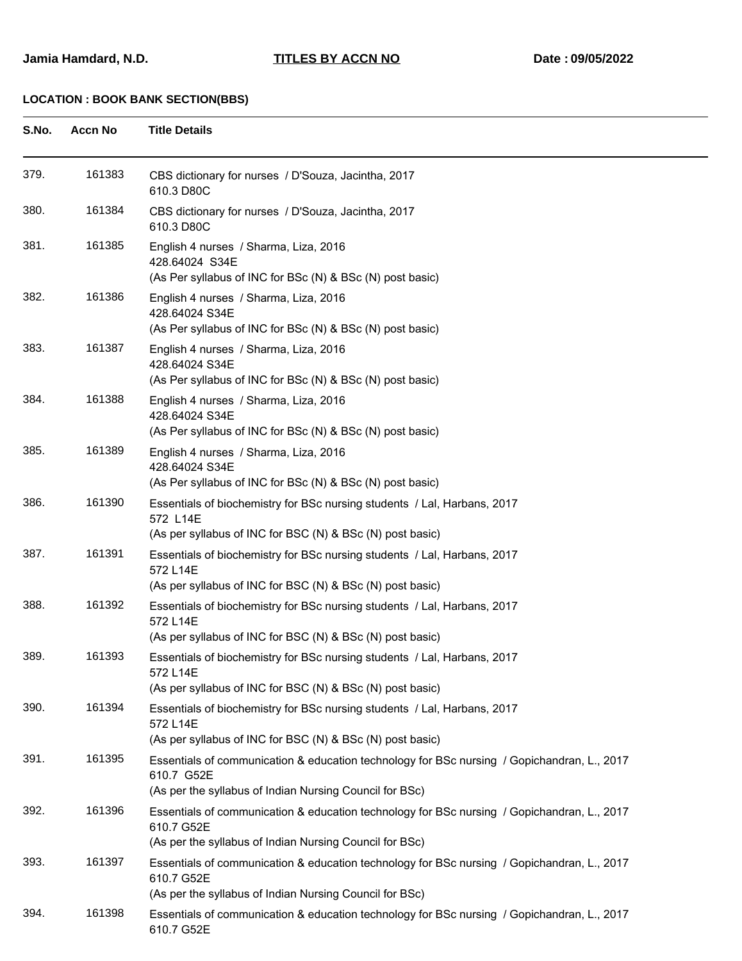| S.No. | <b>Accn No</b> | <b>Title Details</b>                                                                                                                                                 |
|-------|----------------|----------------------------------------------------------------------------------------------------------------------------------------------------------------------|
| 379.  | 161383         | CBS dictionary for nurses / D'Souza, Jacintha, 2017<br>610.3 D80C                                                                                                    |
| 380.  | 161384         | CBS dictionary for nurses / D'Souza, Jacintha, 2017<br>610.3 D80C                                                                                                    |
| 381.  | 161385         | English 4 nurses / Sharma, Liza, 2016<br>428.64024 S34E<br>(As Per syllabus of INC for BSc (N) & BSc (N) post basic)                                                 |
| 382.  | 161386         | English 4 nurses / Sharma, Liza, 2016<br>428.64024 S34E<br>(As Per syllabus of INC for BSc (N) & BSc (N) post basic)                                                 |
| 383.  | 161387         | English 4 nurses / Sharma, Liza, 2016<br>428.64024 S34E<br>(As Per syllabus of INC for BSc (N) & BSc (N) post basic)                                                 |
| 384.  | 161388         | English 4 nurses / Sharma, Liza, 2016<br>428.64024 S34E<br>(As Per syllabus of INC for BSc (N) & BSc (N) post basic)                                                 |
| 385.  | 161389         | English 4 nurses / Sharma, Liza, 2016<br>428.64024 S34E<br>(As Per syllabus of INC for BSc (N) & BSc (N) post basic)                                                 |
| 386.  | 161390         | Essentials of biochemistry for BSc nursing students / Lal, Harbans, 2017<br>572 L14E<br>(As per syllabus of INC for BSC (N) & BSc (N) post basic)                    |
| 387.  | 161391         | Essentials of biochemistry for BSc nursing students / Lal, Harbans, 2017<br>572 L14E<br>(As per syllabus of INC for BSC (N) & BSc (N) post basic)                    |
| 388.  | 161392         | Essentials of biochemistry for BSc nursing students / Lal, Harbans, 2017<br>572 L14E<br>(As per syllabus of INC for BSC (N) & BSc (N) post basic)                    |
| 389.  | 161393         | Essentials of biochemistry for BSc nursing students / Lal, Harbans, 2017<br>572 L14E<br>(As per syllabus of INC for BSC (N) & BSc (N) post basic)                    |
| 390.  | 161394         | Essentials of biochemistry for BSc nursing students / Lal, Harbans, 2017<br>572 L14E<br>(As per syllabus of INC for BSC (N) & BSc (N) post basic)                    |
| 391.  | 161395         | Essentials of communication & education technology for BSc nursing / Gopichandran, L., 2017<br>610.7 G52E<br>(As per the syllabus of Indian Nursing Council for BSc) |
| 392.  | 161396         | Essentials of communication & education technology for BSc nursing / Gopichandran, L., 2017<br>610.7 G52E<br>(As per the syllabus of Indian Nursing Council for BSc) |
| 393.  | 161397         | Essentials of communication & education technology for BSc nursing / Gopichandran, L., 2017<br>610.7 G52E<br>(As per the syllabus of Indian Nursing Council for BSc) |
| 394.  | 161398         | Essentials of communication & education technology for BSc nursing / Gopichandran, L., 2017<br>610.7 G52E                                                            |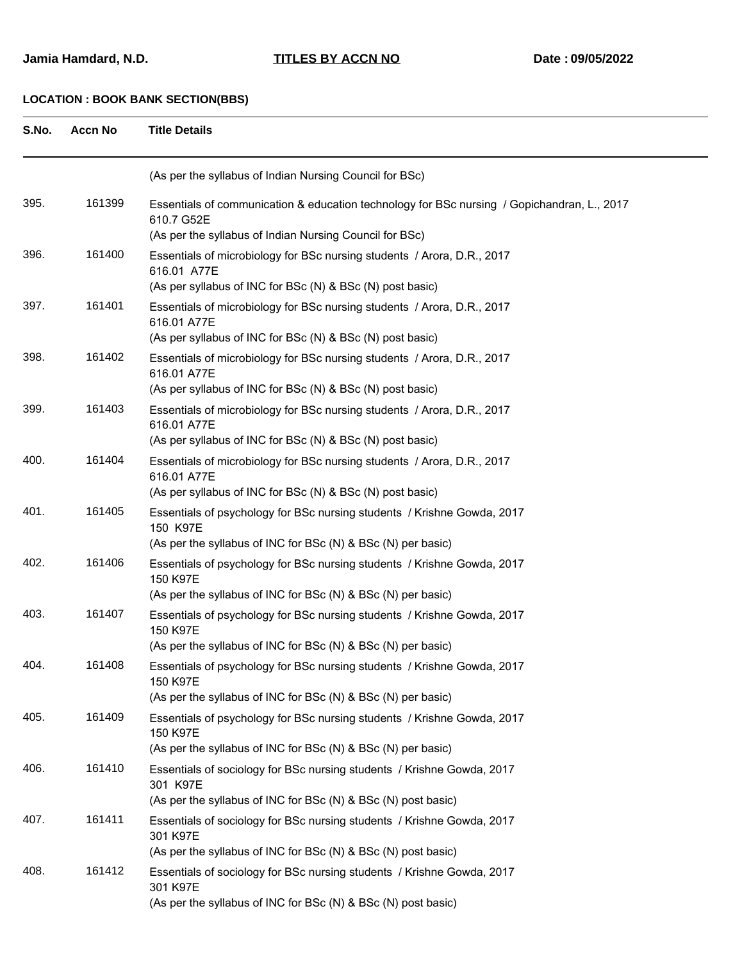#### **Jamia Hamdard, N.D. TITLES BY ACCN NO Date : 09/05/2022**

| S.No. | <b>Accn No</b> | <b>Title Details</b>                                                                                                                                |
|-------|----------------|-----------------------------------------------------------------------------------------------------------------------------------------------------|
|       |                | (As per the syllabus of Indian Nursing Council for BSc)                                                                                             |
| 395.  | 161399         | Essentials of communication & education technology for BSc nursing / Gopichandran, L., 2017<br>610.7 G52E                                           |
|       |                | (As per the syllabus of Indian Nursing Council for BSc)                                                                                             |
| 396.  | 161400         | Essentials of microbiology for BSc nursing students / Arora, D.R., 2017<br>616.01 A77E                                                              |
| 397.  | 161401         | (As per syllabus of INC for BSc (N) & BSc (N) post basic)                                                                                           |
|       |                | Essentials of microbiology for BSc nursing students / Arora, D.R., 2017<br>616.01 A77E<br>(As per syllabus of INC for BSc (N) & BSc (N) post basic) |
| 398.  | 161402         | Essentials of microbiology for BSc nursing students / Arora, D.R., 2017                                                                             |
|       |                | 616.01 A77E<br>(As per syllabus of INC for BSc (N) & BSc (N) post basic)                                                                            |
| 399.  | 161403         | Essentials of microbiology for BSc nursing students / Arora, D.R., 2017                                                                             |
|       |                | 616.01 A77E                                                                                                                                         |
|       |                | (As per syllabus of INC for BSc (N) & BSc (N) post basic)                                                                                           |
| 400.  | 161404         | Essentials of microbiology for BSc nursing students / Arora, D.R., 2017<br>616.01 A77E<br>(As per syllabus of INC for BSc (N) & BSc (N) post basic) |
|       | 161405         |                                                                                                                                                     |
| 401.  |                | Essentials of psychology for BSc nursing students / Krishne Gowda, 2017<br>150 K97E<br>(As per the syllabus of INC for BSc (N) & BSc (N) per basic) |
| 402.  | 161406         | Essentials of psychology for BSc nursing students / Krishne Gowda, 2017                                                                             |
|       |                | 150 K97E<br>(As per the syllabus of INC for BSc (N) & BSc (N) per basic)                                                                            |
| 403.  | 161407         | Essentials of psychology for BSc nursing students / Krishne Gowda, 2017                                                                             |
|       |                | 150 K97E                                                                                                                                            |
|       |                | (As per the syllabus of INC for BSc (N) & BSc (N) per basic)                                                                                        |
| 404.  | 161408         | Essentials of psychology for BSc nursing students / Krishne Gowda, 2017<br>150 K97E                                                                 |
|       |                | (As per the syllabus of INC for BSc (N) & BSc (N) per basic)                                                                                        |
| 405.  | 161409         | Essentials of psychology for BSc nursing students / Krishne Gowda, 2017<br>150 K97E                                                                 |
|       |                | (As per the syllabus of INC for BSc (N) & BSc (N) per basic)                                                                                        |
| 406.  | 161410         | Essentials of sociology for BSc nursing students / Krishne Gowda, 2017<br>301 K97E                                                                  |
|       |                | (As per the syllabus of INC for BSc (N) & BSc (N) post basic)                                                                                       |
| 407.  | 161411         | Essentials of sociology for BSc nursing students / Krishne Gowda, 2017<br>301 K97E                                                                  |
| 408.  | 161412         | (As per the syllabus of INC for BSc (N) & BSc (N) post basic)                                                                                       |
|       |                | Essentials of sociology for BSc nursing students / Krishne Gowda, 2017<br>301 K97E<br>(As per the syllabus of INC for BSc (N) & BSc (N) post basic) |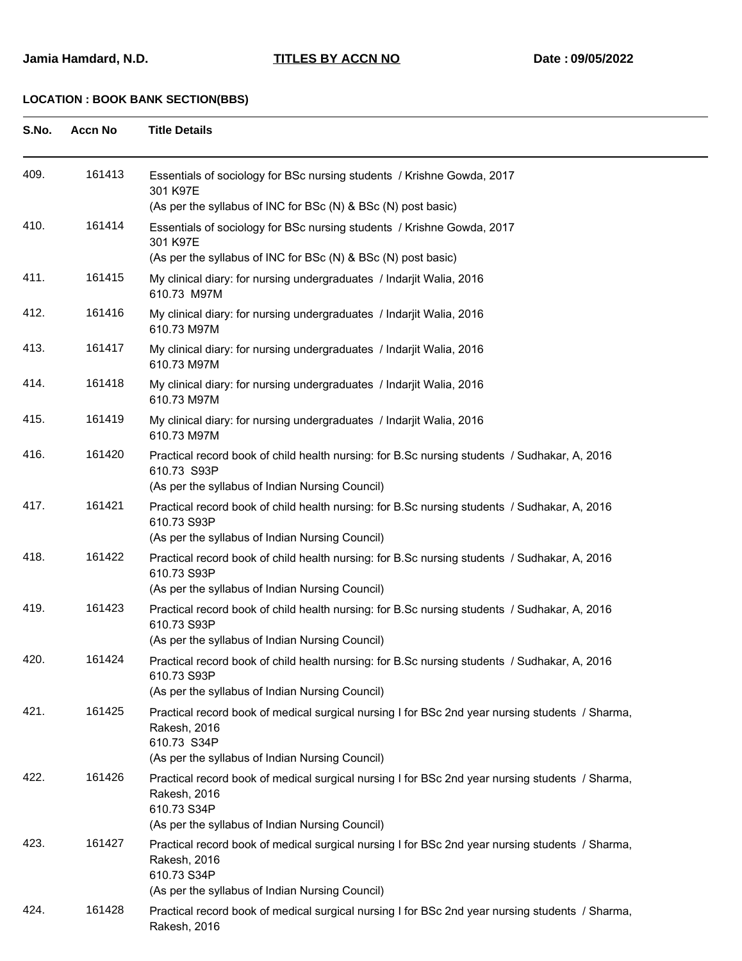| S.No. | <b>Accn No</b> | <b>Title Details</b>                                                                                                                                                              |
|-------|----------------|-----------------------------------------------------------------------------------------------------------------------------------------------------------------------------------|
| 409.  | 161413         | Essentials of sociology for BSc nursing students / Krishne Gowda, 2017<br>301 K97E<br>(As per the syllabus of INC for BSc (N) & BSc (N) post basic)                               |
| 410.  | 161414         | Essentials of sociology for BSc nursing students / Krishne Gowda, 2017<br>301 K97E                                                                                                |
| 411.  | 161415         | (As per the syllabus of INC for BSc (N) & BSc (N) post basic)<br>My clinical diary: for nursing undergraduates / Indarjit Walia, 2016                                             |
| 412.  | 161416         | 610.73 M97M<br>My clinical diary: for nursing undergraduates / Indarjit Walia, 2016                                                                                               |
| 413.  | 161417         | 610.73 M97M<br>My clinical diary: for nursing undergraduates / Indarjit Walia, 2016<br>610.73 M97M                                                                                |
| 414.  | 161418         | My clinical diary: for nursing undergraduates / Indarjit Walia, 2016<br>610.73 M97M                                                                                               |
| 415.  | 161419         | My clinical diary: for nursing undergraduates / Indarjit Walia, 2016<br>610.73 M97M                                                                                               |
| 416.  | 161420         | Practical record book of child health nursing: for B.Sc nursing students / Sudhakar, A, 2016<br>610.73 S93P<br>(As per the syllabus of Indian Nursing Council)                    |
| 417.  | 161421         | Practical record book of child health nursing: for B.Sc nursing students / Sudhakar, A, 2016<br>610.73 S93P<br>(As per the syllabus of Indian Nursing Council)                    |
| 418.  | 161422         | Practical record book of child health nursing: for B.Sc nursing students / Sudhakar, A, 2016<br>610.73 S93P<br>(As per the syllabus of Indian Nursing Council)                    |
| 419.  | 161423         | Practical record book of child health nursing: for B.Sc nursing students / Sudhakar, A, 2016<br>610.73 S93P<br>(As per the syllabus of Indian Nursing Council)                    |
| 420.  | 161424         | Practical record book of child health nursing: for B.Sc nursing students / Sudhakar, A, 2016<br>610.73 S93P<br>(As per the syllabus of Indian Nursing Council)                    |
| 421.  | 161425         | Practical record book of medical surgical nursing I for BSc 2nd year nursing students / Sharma,<br>Rakesh, 2016<br>610.73 S34P<br>(As per the syllabus of Indian Nursing Council) |
| 422.  | 161426         | Practical record book of medical surgical nursing I for BSc 2nd year nursing students / Sharma,<br>Rakesh, 2016<br>610.73 S34P<br>(As per the syllabus of Indian Nursing Council) |
| 423.  | 161427         | Practical record book of medical surgical nursing I for BSc 2nd year nursing students / Sharma,<br>Rakesh, 2016<br>610.73 S34P<br>(As per the syllabus of Indian Nursing Council) |
| 424.  | 161428         | Practical record book of medical surgical nursing I for BSc 2nd year nursing students / Sharma,<br>Rakesh, 2016                                                                   |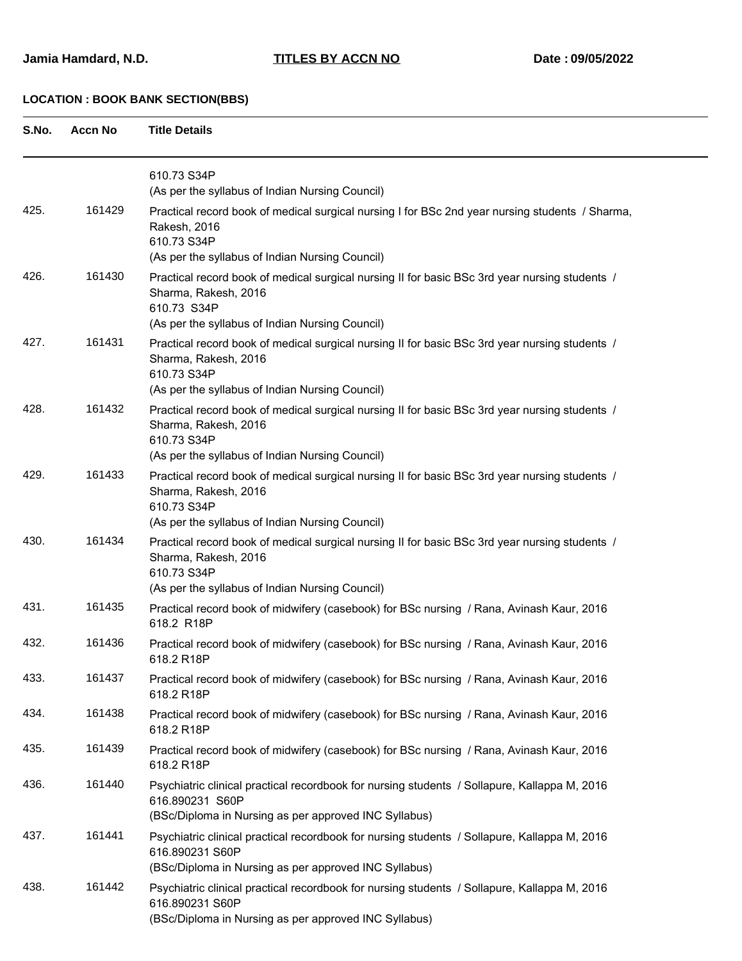| S.No. | <b>Accn No</b> | <b>Title Details</b>                                                                                                                                                                     |
|-------|----------------|------------------------------------------------------------------------------------------------------------------------------------------------------------------------------------------|
|       |                | 610.73 S34P<br>(As per the syllabus of Indian Nursing Council)                                                                                                                           |
| 425.  | 161429         | Practical record book of medical surgical nursing I for BSc 2nd year nursing students / Sharma,<br>Rakesh, 2016<br>610.73 S34P<br>(As per the syllabus of Indian Nursing Council)        |
| 426.  | 161430         | Practical record book of medical surgical nursing II for basic BSc 3rd year nursing students /<br>Sharma, Rakesh, 2016<br>610.73 S34P<br>(As per the syllabus of Indian Nursing Council) |
| 427.  | 161431         | Practical record book of medical surgical nursing II for basic BSc 3rd year nursing students /<br>Sharma, Rakesh, 2016<br>610.73 S34P<br>(As per the syllabus of Indian Nursing Council) |
| 428.  | 161432         | Practical record book of medical surgical nursing II for basic BSc 3rd year nursing students /<br>Sharma, Rakesh, 2016<br>610.73 S34P<br>(As per the syllabus of Indian Nursing Council) |
| 429.  | 161433         | Practical record book of medical surgical nursing II for basic BSc 3rd year nursing students /<br>Sharma, Rakesh, 2016<br>610.73 S34P<br>(As per the syllabus of Indian Nursing Council) |
| 430.  | 161434         | Practical record book of medical surgical nursing II for basic BSc 3rd year nursing students /<br>Sharma, Rakesh, 2016<br>610.73 S34P<br>(As per the syllabus of Indian Nursing Council) |
| 431.  | 161435         | Practical record book of midwifery (casebook) for BSc nursing / Rana, Avinash Kaur, 2016<br>618.2 R18P                                                                                   |
| 432.  | 161436         | Practical record book of midwifery (casebook) for BSc nursing / Rana, Avinash Kaur, 2016<br>618.2 R18P                                                                                   |
| 433.  | 161437         | Practical record book of midwifery (casebook) for BSc nursing / Rana, Avinash Kaur, 2016<br>618.2 R18P                                                                                   |
| 434.  | 161438         | Practical record book of midwifery (casebook) for BSc nursing / Rana, Avinash Kaur, 2016<br>618.2 R18P                                                                                   |
| 435.  | 161439         | Practical record book of midwifery (casebook) for BSc nursing / Rana, Avinash Kaur, 2016<br>618.2 R18P                                                                                   |
| 436.  | 161440         | Psychiatric clinical practical recordbook for nursing students / Sollapure, Kallappa M, 2016<br>616.890231 S60P<br>(BSc/Diploma in Nursing as per approved INC Syllabus)                 |
| 437.  | 161441         | Psychiatric clinical practical recordbook for nursing students / Sollapure, Kallappa M, 2016<br>616.890231 S60P<br>(BSc/Diploma in Nursing as per approved INC Syllabus)                 |
| 438.  | 161442         | Psychiatric clinical practical recordbook for nursing students / Sollapure, Kallappa M, 2016<br>616.890231 S60P<br>(BSc/Diploma in Nursing as per approved INC Syllabus)                 |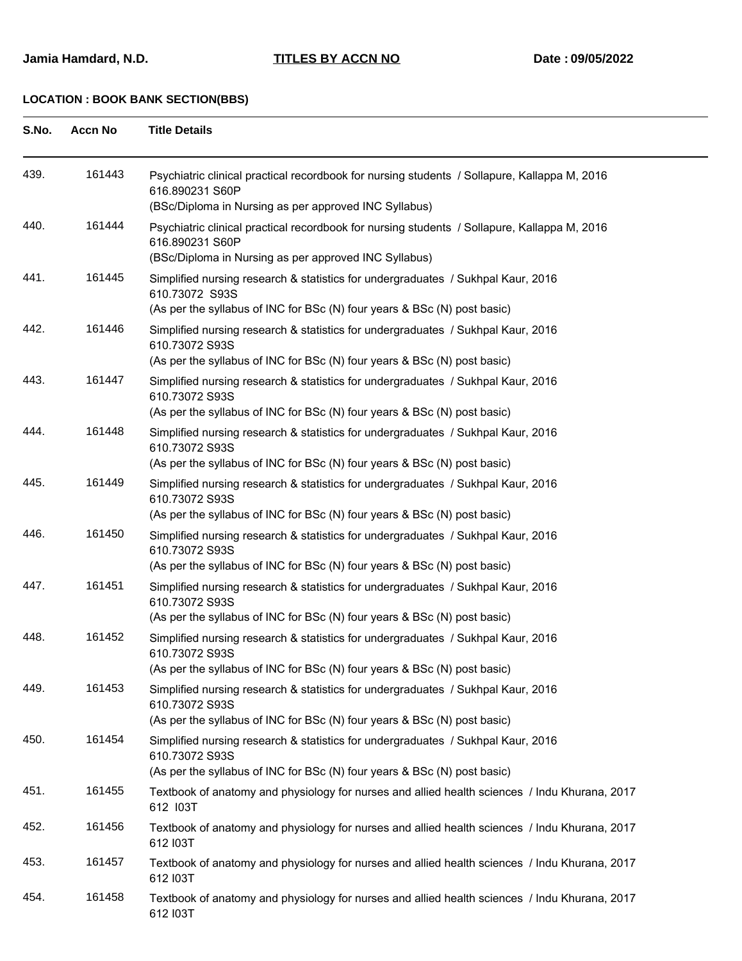| S.No. | <b>Accn No</b> | <b>Title Details</b>                                                                                                                                                           |
|-------|----------------|--------------------------------------------------------------------------------------------------------------------------------------------------------------------------------|
| 439.  | 161443         | Psychiatric clinical practical recordbook for nursing students / Sollapure, Kallappa M, 2016<br>616.890231 S60P<br>(BSc/Diploma in Nursing as per approved INC Syllabus)       |
| 440.  | 161444         | Psychiatric clinical practical recordbook for nursing students / Sollapure, Kallappa M, 2016<br>616.890231 S60P<br>(BSc/Diploma in Nursing as per approved INC Syllabus)       |
| 441.  | 161445         | Simplified nursing research & statistics for undergraduates / Sukhpal Kaur, 2016<br>610.73072 S93S<br>(As per the syllabus of INC for BSc (N) four years & BSc (N) post basic) |
| 442.  | 161446         | Simplified nursing research & statistics for undergraduates / Sukhpal Kaur, 2016<br>610.73072 S93S<br>(As per the syllabus of INC for BSc (N) four years & BSc (N) post basic) |
| 443.  | 161447         | Simplified nursing research & statistics for undergraduates / Sukhpal Kaur, 2016<br>610.73072 S93S<br>(As per the syllabus of INC for BSc (N) four years & BSc (N) post basic) |
| 444.  | 161448         | Simplified nursing research & statistics for undergraduates / Sukhpal Kaur, 2016<br>610.73072 S93S<br>(As per the syllabus of INC for BSc (N) four years & BSc (N) post basic) |
| 445.  | 161449         | Simplified nursing research & statistics for undergraduates / Sukhpal Kaur, 2016<br>610.73072 S93S<br>(As per the syllabus of INC for BSc (N) four years & BSc (N) post basic) |
| 446.  | 161450         | Simplified nursing research & statistics for undergraduates / Sukhpal Kaur, 2016<br>610.73072 S93S<br>(As per the syllabus of INC for BSc (N) four years & BSc (N) post basic) |
| 447.  | 161451         | Simplified nursing research & statistics for undergraduates / Sukhpal Kaur, 2016<br>610.73072 S93S<br>(As per the syllabus of INC for BSc (N) four years & BSc (N) post basic) |
| 448.  | 161452         | Simplified nursing research & statistics for undergraduates / Sukhpal Kaur, 2016<br>610.73072 S93S<br>(As per the syllabus of INC for BSc (N) four years & BSc (N) post basic) |
| 449.  | 161453         | Simplified nursing research & statistics for undergraduates / Sukhpal Kaur, 2016<br>610.73072 S93S<br>(As per the syllabus of INC for BSc (N) four years & BSc (N) post basic) |
| 450.  | 161454         | Simplified nursing research & statistics for undergraduates / Sukhpal Kaur, 2016<br>610.73072 S93S<br>(As per the syllabus of INC for BSc (N) four years & BSc (N) post basic) |
| 451.  | 161455         | Textbook of anatomy and physiology for nurses and allied health sciences / Indu Khurana, 2017<br>612 I03T                                                                      |
| 452.  | 161456         | Textbook of anatomy and physiology for nurses and allied health sciences / Indu Khurana, 2017<br>612 I03T                                                                      |
| 453.  | 161457         | Textbook of anatomy and physiology for nurses and allied health sciences / Indu Khurana, 2017<br>612 I03T                                                                      |
| 454.  | 161458         | Textbook of anatomy and physiology for nurses and allied health sciences / Indu Khurana, 2017<br>612 I03T                                                                      |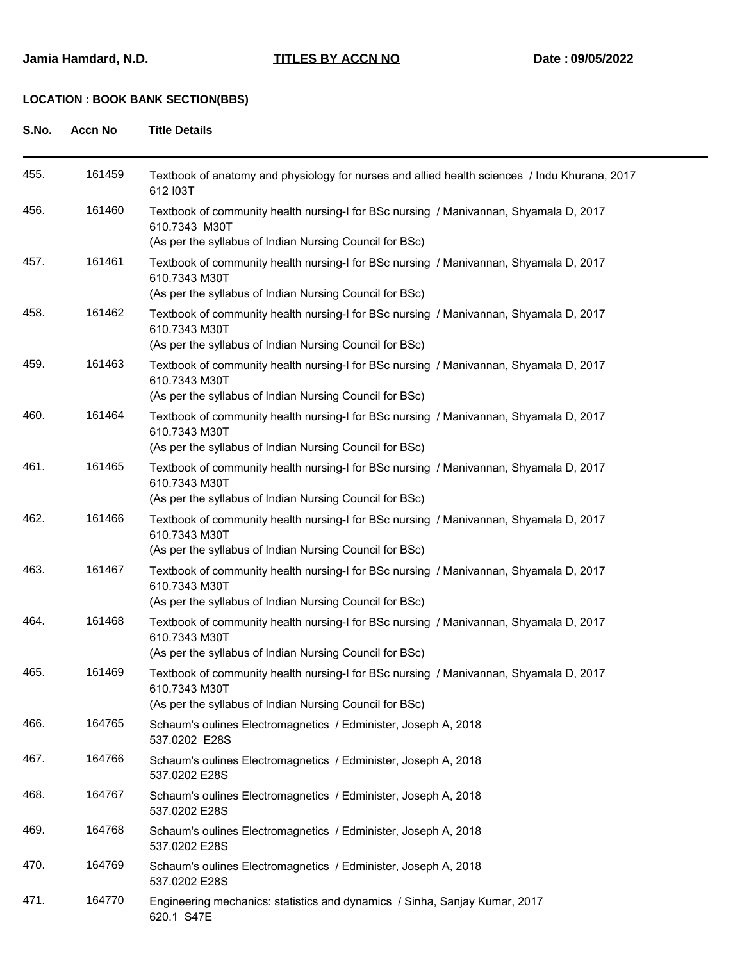| S.No. | <b>Accn No</b> | <b>Title Details</b>                                                                                                                                              |
|-------|----------------|-------------------------------------------------------------------------------------------------------------------------------------------------------------------|
| 455.  | 161459         | Textbook of anatomy and physiology for nurses and allied health sciences / Indu Khurana, 2017<br>612 I03T                                                         |
| 456.  | 161460         | Textbook of community health nursing-I for BSc nursing / Manivannan, Shyamala D, 2017<br>610.7343 M30T<br>(As per the syllabus of Indian Nursing Council for BSc) |
| 457.  | 161461         | Textbook of community health nursing-I for BSc nursing / Manivannan, Shyamala D, 2017<br>610.7343 M30T<br>(As per the syllabus of Indian Nursing Council for BSc) |
| 458.  | 161462         | Textbook of community health nursing-I for BSc nursing / Manivannan, Shyamala D, 2017<br>610.7343 M30T<br>(As per the syllabus of Indian Nursing Council for BSc) |
| 459.  | 161463         | Textbook of community health nursing-I for BSc nursing / Manivannan, Shyamala D, 2017<br>610.7343 M30T<br>(As per the syllabus of Indian Nursing Council for BSc) |
| 460.  | 161464         | Textbook of community health nursing-I for BSc nursing / Manivannan, Shyamala D, 2017<br>610.7343 M30T<br>(As per the syllabus of Indian Nursing Council for BSc) |
| 461.  | 161465         | Textbook of community health nursing-I for BSc nursing / Manivannan, Shyamala D, 2017<br>610.7343 M30T<br>(As per the syllabus of Indian Nursing Council for BSc) |
| 462.  | 161466         | Textbook of community health nursing-I for BSc nursing / Manivannan, Shyamala D, 2017<br>610.7343 M30T<br>(As per the syllabus of Indian Nursing Council for BSc) |
| 463.  | 161467         | Textbook of community health nursing-I for BSc nursing / Manivannan, Shyamala D, 2017<br>610.7343 M30T<br>(As per the syllabus of Indian Nursing Council for BSc) |
| 464.  | 161468         | Textbook of community health nursing-I for BSc nursing / Manivannan, Shyamala D, 2017<br>610.7343 M30T<br>(As per the syllabus of Indian Nursing Council for BSc) |
| 465.  | 161469         | Textbook of community health nursing-I for BSc nursing / Manivannan, Shyamala D, 2017<br>610.7343 M30T<br>(As per the syllabus of Indian Nursing Council for BSc) |
| 466.  | 164765         | Schaum's oulines Electromagnetics / Edminister, Joseph A, 2018<br>537.0202 E28S                                                                                   |
| 467.  | 164766         | Schaum's oulines Electromagnetics / Edminister, Joseph A, 2018<br>537.0202 E28S                                                                                   |
| 468.  | 164767         | Schaum's oulines Electromagnetics / Edminister, Joseph A, 2018<br>537.0202 E28S                                                                                   |
| 469.  | 164768         | Schaum's oulines Electromagnetics / Edminister, Joseph A, 2018<br>537.0202 E28S                                                                                   |
| 470.  | 164769         | Schaum's oulines Electromagnetics / Edminister, Joseph A, 2018<br>537.0202 E28S                                                                                   |
| 471.  | 164770         | Engineering mechanics: statistics and dynamics / Sinha, Sanjay Kumar, 2017<br>620.1 S47E                                                                          |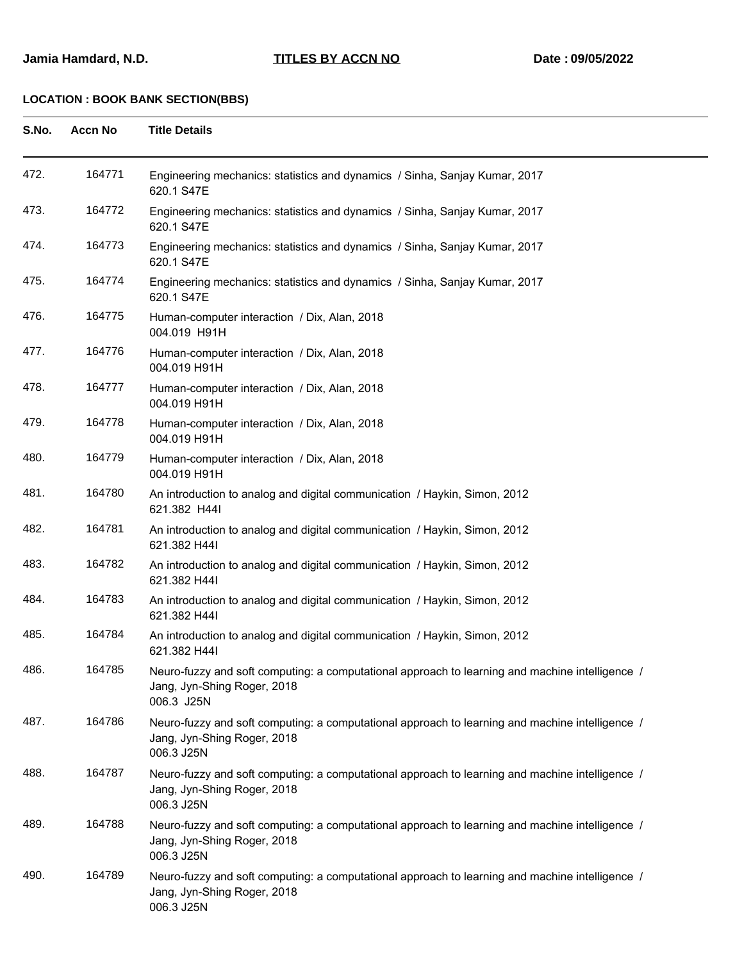| S.No. | <b>Accn No</b> | <b>Title Details</b>                                                                                                                         |
|-------|----------------|----------------------------------------------------------------------------------------------------------------------------------------------|
| 472.  | 164771         | Engineering mechanics: statistics and dynamics / Sinha, Sanjay Kumar, 2017<br>620.1 S47E                                                     |
| 473.  | 164772         | Engineering mechanics: statistics and dynamics / Sinha, Sanjay Kumar, 2017<br>620.1 S47E                                                     |
| 474.  | 164773         | Engineering mechanics: statistics and dynamics / Sinha, Sanjay Kumar, 2017<br>620.1 S47E                                                     |
| 475.  | 164774         | Engineering mechanics: statistics and dynamics / Sinha, Sanjay Kumar, 2017<br>620.1 S47E                                                     |
| 476.  | 164775         | Human-computer interaction / Dix, Alan, 2018<br>004.019 H91H                                                                                 |
| 477.  | 164776         | Human-computer interaction / Dix, Alan, 2018<br>004.019 H91H                                                                                 |
| 478.  | 164777         | Human-computer interaction / Dix, Alan, 2018<br>004.019 H91H                                                                                 |
| 479.  | 164778         | Human-computer interaction / Dix, Alan, 2018<br>004.019 H91H                                                                                 |
| 480.  | 164779         | Human-computer interaction / Dix, Alan, 2018<br>004.019 H91H                                                                                 |
| 481.  | 164780         | An introduction to analog and digital communication / Haykin, Simon, 2012<br>621.382 H44I                                                    |
| 482.  | 164781         | An introduction to analog and digital communication / Haykin, Simon, 2012<br>621.382 H44I                                                    |
| 483.  | 164782         | An introduction to analog and digital communication / Haykin, Simon, 2012<br>621.382 H44I                                                    |
| 484.  | 164783         | An introduction to analog and digital communication / Haykin, Simon, 2012<br>621.382 H44I                                                    |
| 485.  | 164784         | An introduction to analog and digital communication / Haykin, Simon, 2012<br>621.382 H44I                                                    |
| 486.  | 164785         | Neuro-fuzzy and soft computing: a computational approach to learning and machine intelligence /<br>Jang, Jyn-Shing Roger, 2018<br>006.3 J25N |
| 487.  | 164786         | Neuro-fuzzy and soft computing: a computational approach to learning and machine intelligence /<br>Jang, Jyn-Shing Roger, 2018<br>006.3 J25N |
| 488.  | 164787         | Neuro-fuzzy and soft computing: a computational approach to learning and machine intelligence /<br>Jang, Jyn-Shing Roger, 2018<br>006.3 J25N |
| 489.  | 164788         | Neuro-fuzzy and soft computing: a computational approach to learning and machine intelligence /<br>Jang, Jyn-Shing Roger, 2018<br>006.3 J25N |
| 490.  | 164789         | Neuro-fuzzy and soft computing: a computational approach to learning and machine intelligence /<br>Jang, Jyn-Shing Roger, 2018<br>006.3 J25N |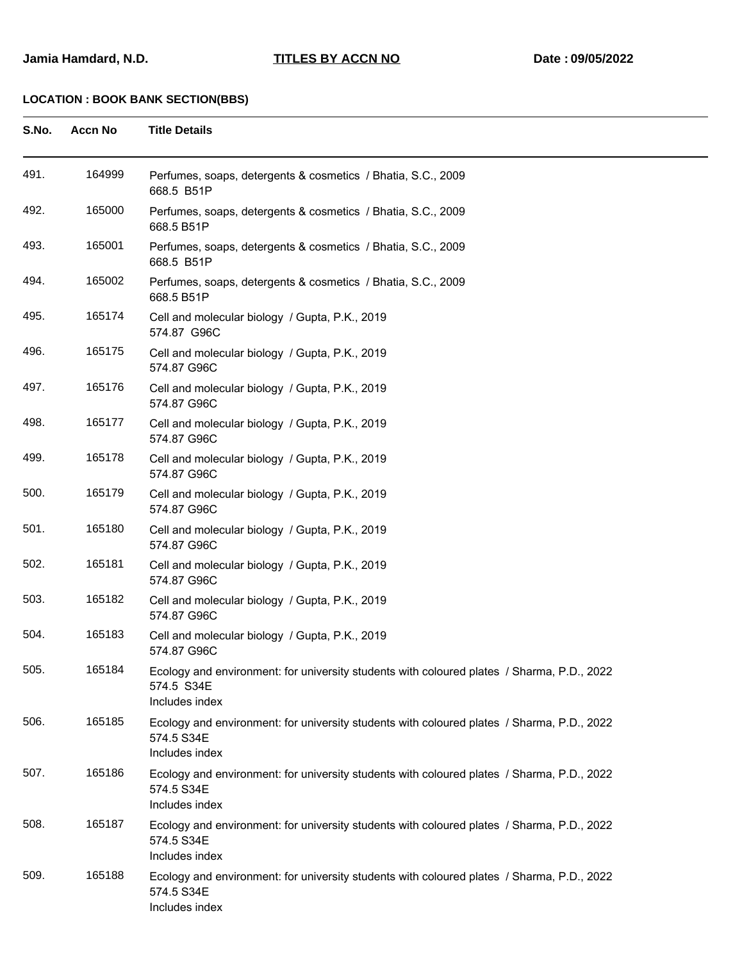| S.No. | <b>Accn No</b> | <b>Title Details</b>                                                                                                       |
|-------|----------------|----------------------------------------------------------------------------------------------------------------------------|
| 491.  | 164999         | Perfumes, soaps, detergents & cosmetics / Bhatia, S.C., 2009<br>668.5 B51P                                                 |
| 492.  | 165000         | Perfumes, soaps, detergents & cosmetics / Bhatia, S.C., 2009<br>668.5 B51P                                                 |
| 493.  | 165001         | Perfumes, soaps, detergents & cosmetics / Bhatia, S.C., 2009<br>668.5 B51P                                                 |
| 494.  | 165002         | Perfumes, soaps, detergents & cosmetics / Bhatia, S.C., 2009<br>668.5 B51P                                                 |
| 495.  | 165174         | Cell and molecular biology / Gupta, P.K., 2019<br>574.87 G96C                                                              |
| 496.  | 165175         | Cell and molecular biology / Gupta, P.K., 2019<br>574.87 G96C                                                              |
| 497.  | 165176         | Cell and molecular biology / Gupta, P.K., 2019<br>574.87 G96C                                                              |
| 498.  | 165177         | Cell and molecular biology / Gupta, P.K., 2019<br>574.87 G96C                                                              |
| 499.  | 165178         | Cell and molecular biology / Gupta, P.K., 2019<br>574.87 G96C                                                              |
| 500.  | 165179         | Cell and molecular biology / Gupta, P.K., 2019<br>574.87 G96C                                                              |
| 501.  | 165180         | Cell and molecular biology / Gupta, P.K., 2019<br>574.87 G96C                                                              |
| 502.  | 165181         | Cell and molecular biology / Gupta, P.K., 2019<br>574.87 G96C                                                              |
| 503.  | 165182         | Cell and molecular biology / Gupta, P.K., 2019<br>574.87 G96C                                                              |
| 504.  | 165183         | Cell and molecular biology / Gupta, P.K., 2019<br>574.87 G96C                                                              |
| 505.  | 165184         | Ecology and environment: for university students with coloured plates / Sharma, P.D., 2022<br>574.5 S34E<br>Includes index |
| 506.  | 165185         | Ecology and environment: for university students with coloured plates / Sharma, P.D., 2022<br>574.5 S34E<br>Includes index |
| 507.  | 165186         | Ecology and environment: for university students with coloured plates / Sharma, P.D., 2022<br>574.5 S34E<br>Includes index |
| 508.  | 165187         | Ecology and environment: for university students with coloured plates / Sharma, P.D., 2022<br>574.5 S34E<br>Includes index |
| 509.  | 165188         | Ecology and environment: for university students with coloured plates / Sharma, P.D., 2022<br>574.5 S34E<br>Includes index |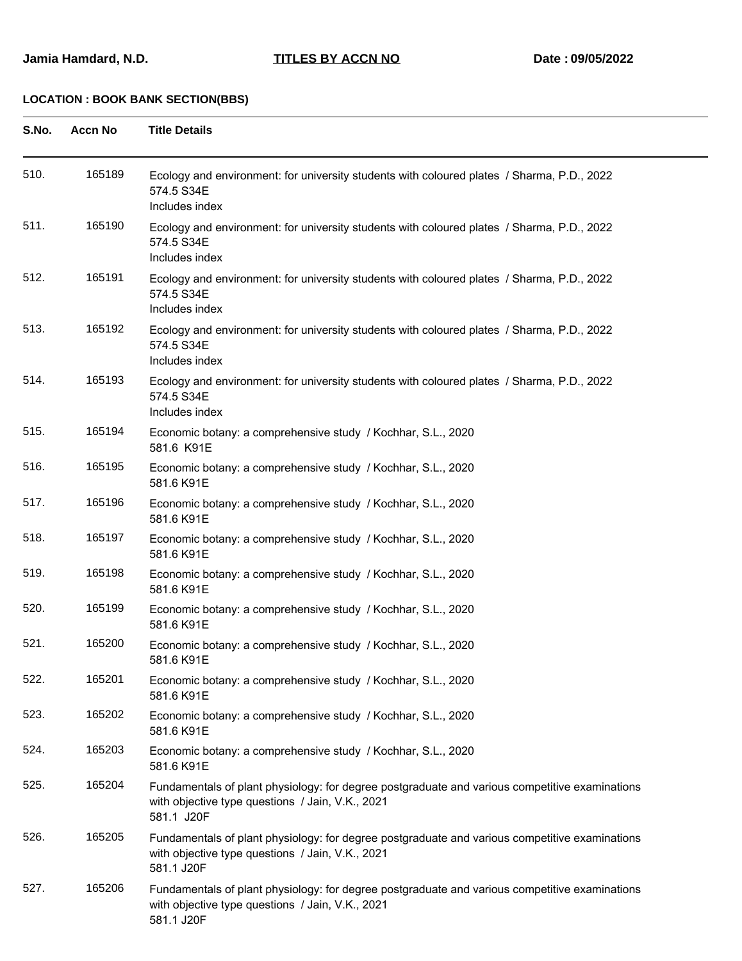| S.No. | <b>Accn No</b> | <b>Title Details</b>                                                                                                                                             |
|-------|----------------|------------------------------------------------------------------------------------------------------------------------------------------------------------------|
| 510.  | 165189         | Ecology and environment: for university students with coloured plates / Sharma, P.D., 2022<br>574.5 S34E<br>Includes index                                       |
| 511.  | 165190         | Ecology and environment: for university students with coloured plates / Sharma, P.D., 2022<br>574.5 S34E<br>Includes index                                       |
| 512.  | 165191         | Ecology and environment: for university students with coloured plates / Sharma, P.D., 2022<br>574.5 S34E<br>Includes index                                       |
| 513.  | 165192         | Ecology and environment: for university students with coloured plates / Sharma, P.D., 2022<br>574.5 S34E<br>Includes index                                       |
| 514.  | 165193         | Ecology and environment: for university students with coloured plates / Sharma, P.D., 2022<br>574.5 S34E<br>Includes index                                       |
| 515.  | 165194         | Economic botany: a comprehensive study / Kochhar, S.L., 2020<br>581.6 K91E                                                                                       |
| 516.  | 165195         | Economic botany: a comprehensive study / Kochhar, S.L., 2020<br>581.6 K91E                                                                                       |
| 517.  | 165196         | Economic botany: a comprehensive study / Kochhar, S.L., 2020<br>581.6 K91E                                                                                       |
| 518.  | 165197         | Economic botany: a comprehensive study / Kochhar, S.L., 2020<br>581.6 K91E                                                                                       |
| 519.  | 165198         | Economic botany: a comprehensive study / Kochhar, S.L., 2020<br>581.6 K91E                                                                                       |
| 520.  | 165199         | Economic botany: a comprehensive study / Kochhar, S.L., 2020<br>581.6 K91E                                                                                       |
| 521.  | 165200         | Economic botany: a comprehensive study / Kochhar, S.L., 2020<br>581.6 K91E                                                                                       |
| 522.  | 165201         | Economic botany: a comprehensive study / Kochhar, S.L., 2020<br>581.6 K91E                                                                                       |
| 523.  | 165202         | Economic botany: a comprehensive study / Kochhar, S.L., 2020<br>581.6 K91E                                                                                       |
| 524.  | 165203         | Economic botany: a comprehensive study / Kochhar, S.L., 2020<br>581.6 K91E                                                                                       |
| 525.  | 165204         | Fundamentals of plant physiology: for degree postgraduate and various competitive examinations<br>with objective type questions / Jain, V.K., 2021<br>581.1 J20F |
| 526.  | 165205         | Fundamentals of plant physiology: for degree postgraduate and various competitive examinations<br>with objective type questions / Jain, V.K., 2021<br>581.1 J20F |
| 527.  | 165206         | Fundamentals of plant physiology: for degree postgraduate and various competitive examinations<br>with objective type questions / Jain, V.K., 2021<br>581.1 J20F |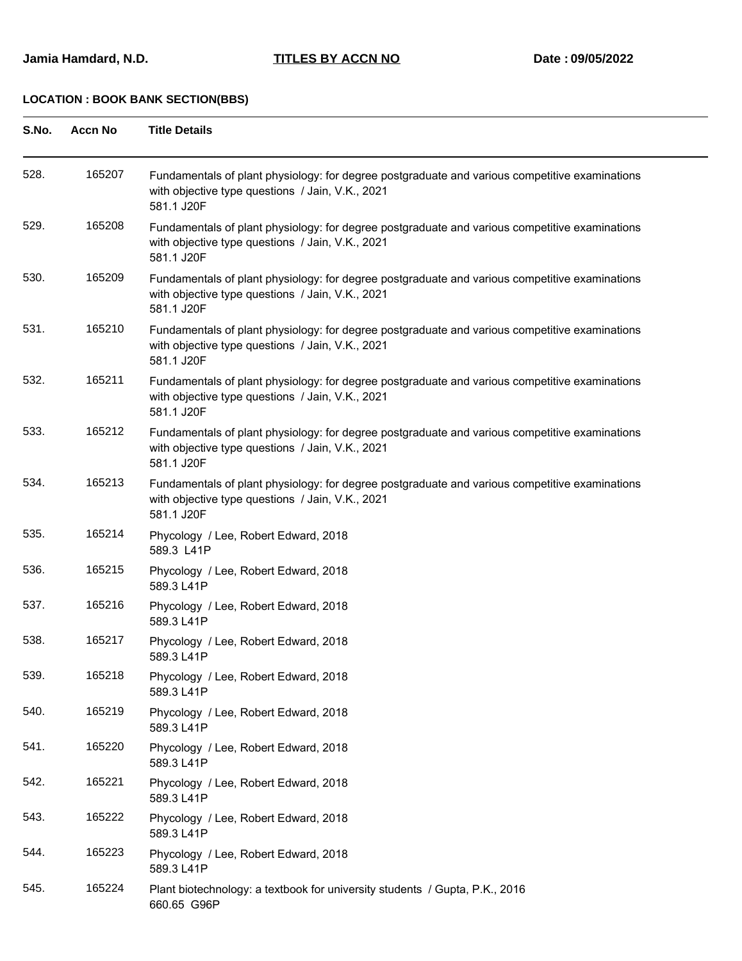#### **Jamia Hamdard, N.D. TITLES BY ACCN NO Date : 09/05/2022**

| S.No. | <b>Accn No</b> | <b>Title Details</b>                                                                                                                                             |
|-------|----------------|------------------------------------------------------------------------------------------------------------------------------------------------------------------|
| 528.  | 165207         | Fundamentals of plant physiology: for degree postgraduate and various competitive examinations<br>with objective type questions / Jain, V.K., 2021<br>581.1 J20F |
| 529.  | 165208         | Fundamentals of plant physiology: for degree postgraduate and various competitive examinations<br>with objective type questions / Jain, V.K., 2021<br>581.1 J20F |
| 530.  | 165209         | Fundamentals of plant physiology: for degree postgraduate and various competitive examinations<br>with objective type questions / Jain, V.K., 2021<br>581.1 J20F |
| 531.  | 165210         | Fundamentals of plant physiology: for degree postgraduate and various competitive examinations<br>with objective type questions / Jain, V.K., 2021<br>581.1 J20F |
| 532.  | 165211         | Fundamentals of plant physiology: for degree postgraduate and various competitive examinations<br>with objective type questions / Jain, V.K., 2021<br>581.1 J20F |
| 533.  | 165212         | Fundamentals of plant physiology: for degree postgraduate and various competitive examinations<br>with objective type questions / Jain, V.K., 2021<br>581.1 J20F |
| 534.  | 165213         | Fundamentals of plant physiology: for degree postgraduate and various competitive examinations<br>with objective type questions / Jain, V.K., 2021<br>581.1 J20F |
| 535.  | 165214         | Phycology / Lee, Robert Edward, 2018<br>589.3 L41P                                                                                                               |
| 536.  | 165215         | Phycology / Lee, Robert Edward, 2018<br>589.3 L41P                                                                                                               |
| 537.  | 165216         | Phycology / Lee, Robert Edward, 2018<br>589.3 L41P                                                                                                               |
| 538.  | 165217         | Phycology / Lee, Robert Edward, 2018<br>589.3 L41P                                                                                                               |
| 539.  | 165218         | Phycology / Lee, Robert Edward, 2018<br>589.3 L41P                                                                                                               |
| 540.  | 165219         | Phycology / Lee, Robert Edward, 2018<br>589.3 L41P                                                                                                               |
| 541.  | 165220         | Phycology / Lee, Robert Edward, 2018<br>589.3 L41P                                                                                                               |
| 542.  | 165221         | Phycology / Lee, Robert Edward, 2018<br>589.3 L41P                                                                                                               |
| 543.  | 165222         | Phycology / Lee, Robert Edward, 2018<br>589.3 L41P                                                                                                               |
| 544.  | 165223         | Phycology / Lee, Robert Edward, 2018<br>589.3 L41P                                                                                                               |
| 545.  | 165224         | Plant biotechnology: a textbook for university students / Gupta, P.K., 2016<br>660.65 G96P                                                                       |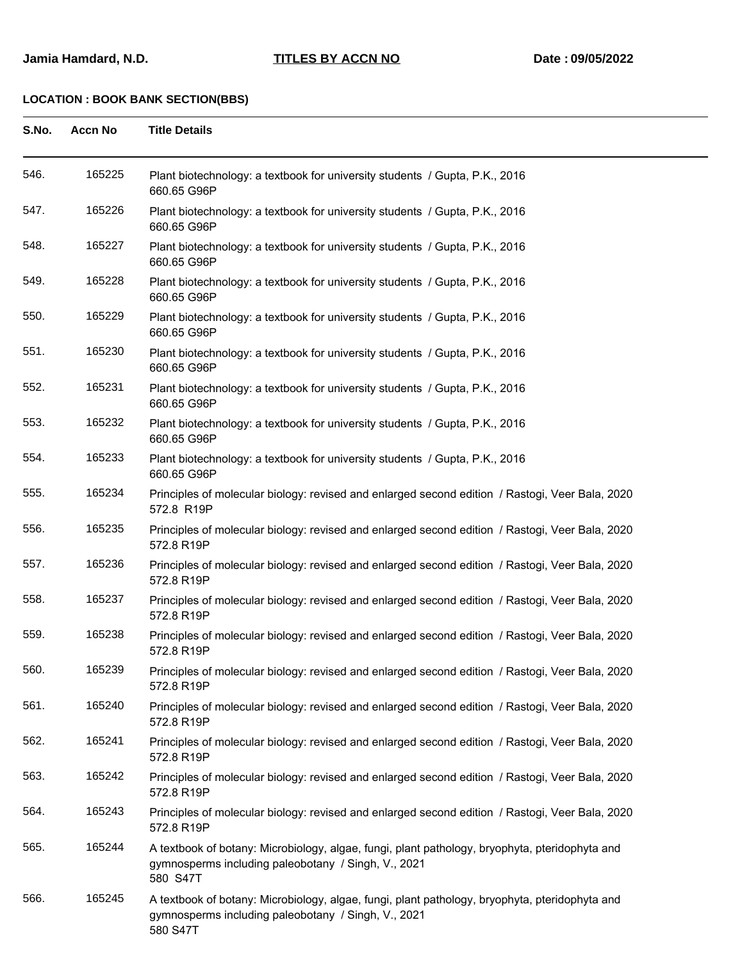| S.No. | <b>Accn No</b> | <b>Title Details</b>                                                                                                                                              |
|-------|----------------|-------------------------------------------------------------------------------------------------------------------------------------------------------------------|
| 546.  | 165225         | Plant biotechnology: a textbook for university students / Gupta, P.K., 2016<br>660.65 G96P                                                                        |
| 547.  | 165226         | Plant biotechnology: a textbook for university students / Gupta, P.K., 2016<br>660.65 G96P                                                                        |
| 548.  | 165227         | Plant biotechnology: a textbook for university students / Gupta, P.K., 2016<br>660.65 G96P                                                                        |
| 549.  | 165228         | Plant biotechnology: a textbook for university students / Gupta, P.K., 2016<br>660.65 G96P                                                                        |
| 550.  | 165229         | Plant biotechnology: a textbook for university students / Gupta, P.K., 2016<br>660.65 G96P                                                                        |
| 551.  | 165230         | Plant biotechnology: a textbook for university students / Gupta, P.K., 2016<br>660.65 G96P                                                                        |
| 552.  | 165231         | Plant biotechnology: a textbook for university students / Gupta, P.K., 2016<br>660.65 G96P                                                                        |
| 553.  | 165232         | Plant biotechnology: a textbook for university students / Gupta, P.K., 2016<br>660.65 G96P                                                                        |
| 554.  | 165233         | Plant biotechnology: a textbook for university students / Gupta, P.K., 2016<br>660.65 G96P                                                                        |
| 555.  | 165234         | Principles of molecular biology: revised and enlarged second edition / Rastogi, Veer Bala, 2020<br>572.8 R19P                                                     |
| 556.  | 165235         | Principles of molecular biology: revised and enlarged second edition / Rastogi, Veer Bala, 2020<br>572.8 R19P                                                     |
| 557.  | 165236         | Principles of molecular biology: revised and enlarged second edition / Rastogi, Veer Bala, 2020<br>572.8 R19P                                                     |
| 558.  | 165237         | Principles of molecular biology: revised and enlarged second edition / Rastogi, Veer Bala, 2020<br>572.8 R19P                                                     |
| 559   | 165238         | Principles of molecular biology: revised and enlarged second edition / Rastogi, Veer Bala, 2020<br>572.8 R19P                                                     |
| 560.  | 165239         | Principles of molecular biology: revised and enlarged second edition / Rastogi, Veer Bala, 2020<br>572.8 R19P                                                     |
| 561.  | 165240         | Principles of molecular biology: revised and enlarged second edition / Rastogi, Veer Bala, 2020<br>572.8 R19P                                                     |
| 562.  | 165241         | Principles of molecular biology: revised and enlarged second edition / Rastogi, Veer Bala, 2020<br>572.8 R19P                                                     |
| 563.  | 165242         | Principles of molecular biology: revised and enlarged second edition / Rastogi, Veer Bala, 2020<br>572.8 R19P                                                     |
| 564.  | 165243         | Principles of molecular biology: revised and enlarged second edition / Rastogi, Veer Bala, 2020<br>572.8 R19P                                                     |
| 565.  | 165244         | A textbook of botany: Microbiology, algae, fungi, plant pathology, bryophyta, pteridophyta and<br>gymnosperms including paleobotany / Singh, V., 2021<br>580 S47T |
| 566.  | 165245         | A textbook of botany: Microbiology, algae, fungi, plant pathology, bryophyta, pteridophyta and<br>gymnosperms including paleobotany / Singh, V., 2021<br>580 S47T |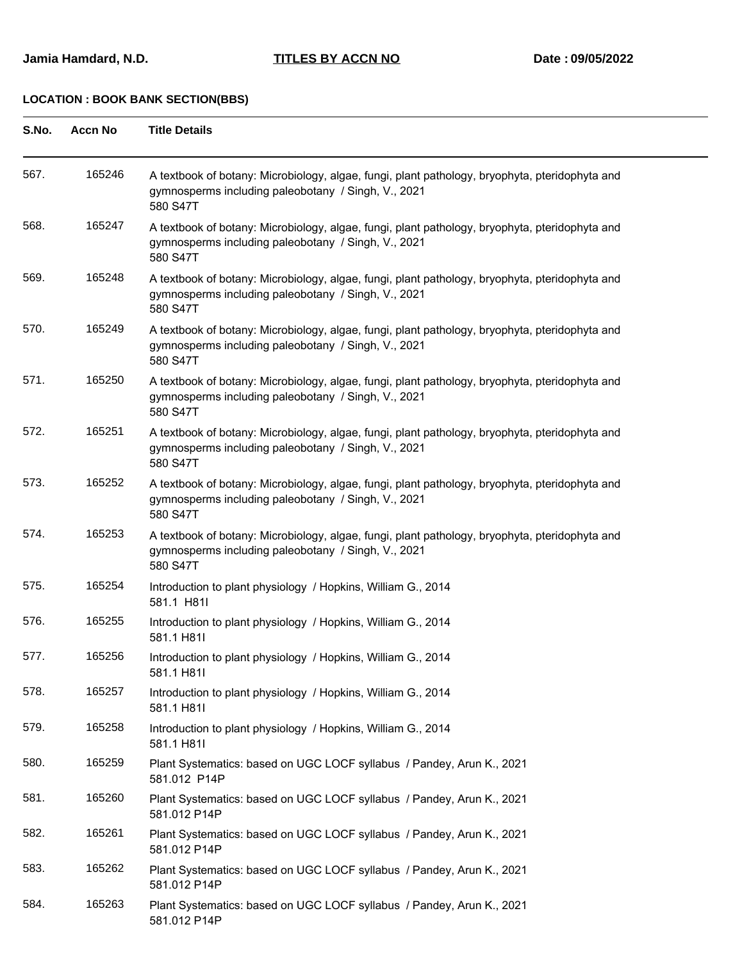#### **Jamia Hamdard, N.D. TITLES BY ACCN NO Date : 09/05/2022**

| S.No. | <b>Accn No</b> | <b>Title Details</b>                                                                                                                                              |
|-------|----------------|-------------------------------------------------------------------------------------------------------------------------------------------------------------------|
| 567.  | 165246         | A textbook of botany: Microbiology, algae, fungi, plant pathology, bryophyta, pteridophyta and<br>gymnosperms including paleobotany / Singh, V., 2021<br>580 S47T |
| 568.  | 165247         | A textbook of botany: Microbiology, algae, fungi, plant pathology, bryophyta, pteridophyta and<br>gymnosperms including paleobotany / Singh, V., 2021<br>580 S47T |
| 569.  | 165248         | A textbook of botany: Microbiology, algae, fungi, plant pathology, bryophyta, pteridophyta and<br>gymnosperms including paleobotany / Singh, V., 2021<br>580 S47T |
| 570.  | 165249         | A textbook of botany: Microbiology, algae, fungi, plant pathology, bryophyta, pteridophyta and<br>gymnosperms including paleobotany / Singh, V., 2021<br>580 S47T |
| 571.  | 165250         | A textbook of botany: Microbiology, algae, fungi, plant pathology, bryophyta, pteridophyta and<br>gymnosperms including paleobotany / Singh, V., 2021<br>580 S47T |
| 572.  | 165251         | A textbook of botany: Microbiology, algae, fungi, plant pathology, bryophyta, pteridophyta and<br>gymnosperms including paleobotany / Singh, V., 2021<br>580 S47T |
| 573.  | 165252         | A textbook of botany: Microbiology, algae, fungi, plant pathology, bryophyta, pteridophyta and<br>gymnosperms including paleobotany / Singh, V., 2021<br>580 S47T |
| 574.  | 165253         | A textbook of botany: Microbiology, algae, fungi, plant pathology, bryophyta, pteridophyta and<br>gymnosperms including paleobotany / Singh, V., 2021<br>580 S47T |
| 575.  | 165254         | Introduction to plant physiology / Hopkins, William G., 2014<br>581.1 H81I                                                                                        |
| 576.  | 165255         | Introduction to plant physiology / Hopkins, William G., 2014<br>581.1 H81I                                                                                        |
| 577.  | 165256         | Introduction to plant physiology / Hopkins, William G., 2014<br>581.1 H81I                                                                                        |
| 578.  | 165257         | Introduction to plant physiology / Hopkins, William G., 2014<br>581.1 H81I                                                                                        |
| 579.  | 165258         | Introduction to plant physiology / Hopkins, William G., 2014<br>581.1 H81I                                                                                        |
| 580.  | 165259         | Plant Systematics: based on UGC LOCF syllabus / Pandey, Arun K., 2021<br>581.012 P14P                                                                             |
| 581.  | 165260         | Plant Systematics: based on UGC LOCF syllabus / Pandey, Arun K., 2021<br>581.012 P14P                                                                             |
| 582.  | 165261         | Plant Systematics: based on UGC LOCF syllabus / Pandey, Arun K., 2021<br>581.012 P14P                                                                             |
| 583.  | 165262         | Plant Systematics: based on UGC LOCF syllabus / Pandey, Arun K., 2021<br>581.012 P14P                                                                             |
| 584.  | 165263         | Plant Systematics: based on UGC LOCF syllabus / Pandey, Arun K., 2021<br>581.012 P14P                                                                             |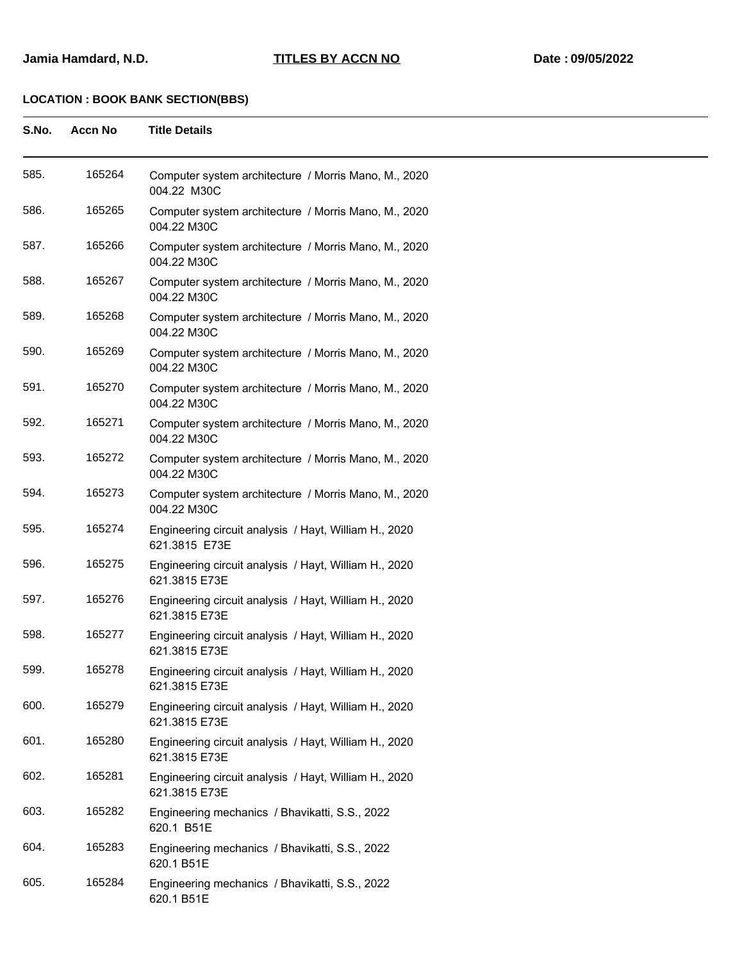| S.No. | <b>Accn No</b> | <b>Title Details</b>                                                   |
|-------|----------------|------------------------------------------------------------------------|
| 585.  | 165264         | Computer system architecture / Morris Mano, M., 2020<br>004.22 M30C    |
| 586.  | 165265         | Computer system architecture / Morris Mano, M., 2020<br>004.22 M30C    |
| 587.  | 165266         | Computer system architecture / Morris Mano, M., 2020<br>004.22 M30C    |
| 588.  | 165267         | Computer system architecture / Morris Mano, M., 2020<br>004.22 M30C    |
| 589.  | 165268         | Computer system architecture / Morris Mano, M., 2020<br>004.22 M30C    |
| 590.  | 165269         | Computer system architecture / Morris Mano, M., 2020<br>004.22 M30C    |
| 591.  | 165270         | Computer system architecture / Morris Mano, M., 2020<br>004.22 M30C    |
| 592.  | 165271         | Computer system architecture / Morris Mano, M., 2020<br>004.22 M30C    |
| 593.  | 165272         | Computer system architecture / Morris Mano, M., 2020<br>004.22 M30C    |
| 594.  | 165273         | Computer system architecture / Morris Mano, M., 2020<br>004.22 M30C    |
| 595.  | 165274         | Engineering circuit analysis / Hayt, William H., 2020<br>621.3815 E73E |
| 596.  | 165275         | Engineering circuit analysis / Hayt, William H., 2020<br>621.3815 E73E |
| 597.  | 165276         | Engineering circuit analysis / Hayt, William H., 2020<br>621.3815 E73E |
| 598.  | 165277         | Engineering circuit analysis / Hayt, William H., 2020<br>621.3815 E73E |
| 599.  | 165278         | Engineering circuit analysis / Hayt, William H., 2020<br>621.3815 E73E |
| 600.  | 165279         | Engineering circuit analysis / Hayt, William H., 2020<br>621.3815 E73E |
| 601.  | 165280         | Engineering circuit analysis / Hayt, William H., 2020<br>621.3815 E73E |
| 602.  | 165281         | Engineering circuit analysis / Hayt, William H., 2020<br>621.3815 E73E |
| 603.  | 165282         | Engineering mechanics / Bhavikatti, S.S., 2022<br>620.1 B51E           |
| 604.  | 165283         | Engineering mechanics / Bhavikatti, S.S., 2022<br>620.1 B51E           |
| 605.  | 165284         | Engineering mechanics / Bhavikatti, S.S., 2022<br>620.1 B51E           |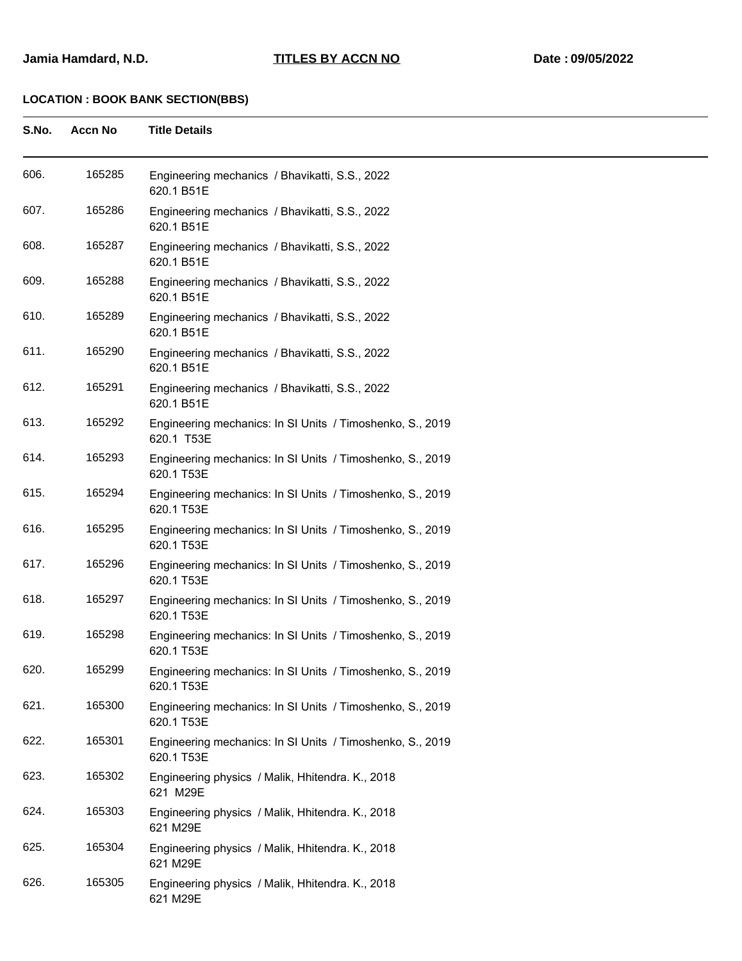| S.No. | <b>Accn No</b> | <b>Title Details</b>                                                    |
|-------|----------------|-------------------------------------------------------------------------|
| 606.  | 165285         | Engineering mechanics / Bhavikatti, S.S., 2022<br>620.1 B51E            |
| 607.  | 165286         | Engineering mechanics / Bhavikatti, S.S., 2022<br>620.1 B51E            |
| 608.  | 165287         | Engineering mechanics / Bhavikatti, S.S., 2022<br>620.1 B51E            |
| 609.  | 165288         | Engineering mechanics / Bhavikatti, S.S., 2022<br>620.1 B51E            |
| 610.  | 165289         | Engineering mechanics / Bhavikatti, S.S., 2022<br>620.1 B51E            |
| 611.  | 165290         | Engineering mechanics / Bhavikatti, S.S., 2022<br>620.1 B51E            |
| 612.  | 165291         | Engineering mechanics / Bhavikatti, S.S., 2022<br>620.1 B51E            |
| 613.  | 165292         | Engineering mechanics: In SI Units / Timoshenko, S., 2019<br>620.1 T53E |
| 614.  | 165293         | Engineering mechanics: In SI Units / Timoshenko, S., 2019<br>620.1 T53E |
| 615.  | 165294         | Engineering mechanics: In SI Units / Timoshenko, S., 2019<br>620.1 T53E |
| 616.  | 165295         | Engineering mechanics: In SI Units / Timoshenko, S., 2019<br>620.1 T53E |
| 617.  | 165296         | Engineering mechanics: In SI Units / Timoshenko, S., 2019<br>620.1 T53E |
| 618.  | 165297         | Engineering mechanics: In SI Units / Timoshenko, S., 2019<br>620.1 T53E |
| 619.  | 165298         | Engineering mechanics: In SI Units / Timoshenko, S., 2019<br>620.1 T53E |
| 620.  | 165299         | Engineering mechanics: In SI Units / Timoshenko, S., 2019<br>620.1 T53E |
| 621.  | 165300         | Engineering mechanics: In SI Units / Timoshenko, S., 2019<br>620.1 T53E |
| 622.  | 165301         | Engineering mechanics: In SI Units / Timoshenko, S., 2019<br>620.1 T53E |
| 623.  | 165302         | Engineering physics / Malik, Hhitendra. K., 2018<br>621 M29E            |
| 624.  | 165303         | Engineering physics / Malik, Hhitendra. K., 2018<br>621 M29E            |
| 625.  | 165304         | Engineering physics / Malik, Hhitendra. K., 2018<br>621 M29E            |
| 626.  | 165305         | Engineering physics / Malik, Hhitendra. K., 2018<br>621 M29E            |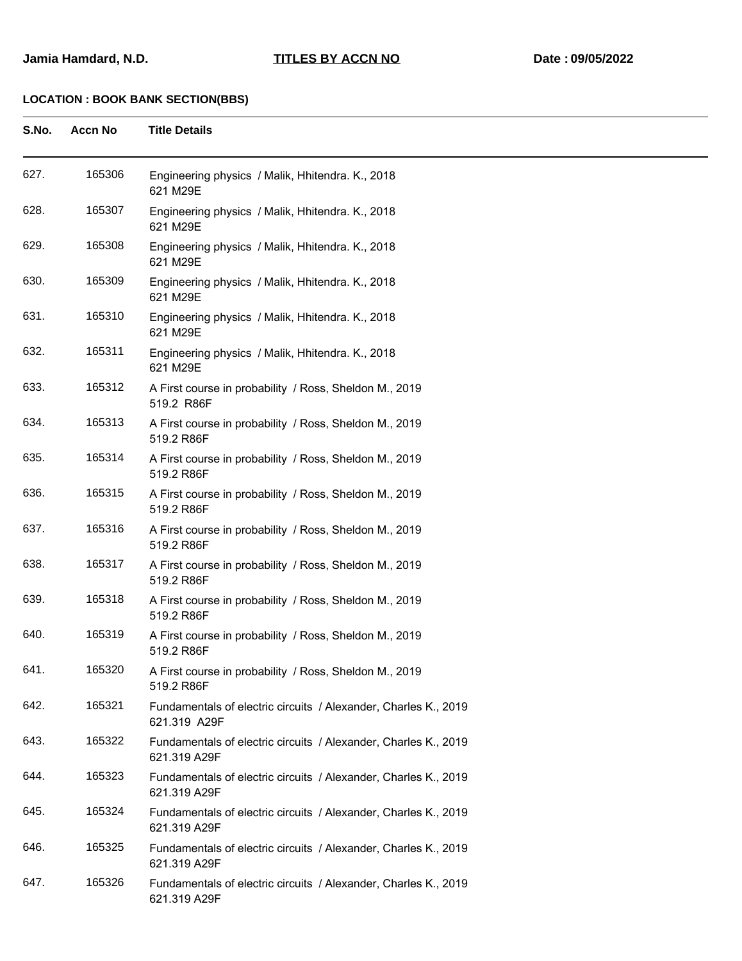| S.No. | <b>Accn No</b> | <b>Title Details</b>                                                            |
|-------|----------------|---------------------------------------------------------------------------------|
| 627.  | 165306         | Engineering physics / Malik, Hhitendra. K., 2018<br>621 M29E                    |
| 628.  | 165307         | Engineering physics / Malik, Hhitendra. K., 2018<br>621 M29E                    |
| 629.  | 165308         | Engineering physics / Malik, Hhitendra. K., 2018<br>621 M29E                    |
| 630.  | 165309         | Engineering physics / Malik, Hhitendra. K., 2018<br>621 M29E                    |
| 631.  | 165310         | Engineering physics / Malik, Hhitendra. K., 2018<br>621 M29E                    |
| 632.  | 165311         | Engineering physics / Malik, Hhitendra. K., 2018<br>621 M29E                    |
| 633.  | 165312         | A First course in probability / Ross, Sheldon M., 2019<br>519.2 R86F            |
| 634.  | 165313         | A First course in probability / Ross, Sheldon M., 2019<br>519.2 R86F            |
| 635.  | 165314         | A First course in probability / Ross, Sheldon M., 2019<br>519.2 R86F            |
| 636.  | 165315         | A First course in probability / Ross, Sheldon M., 2019<br>519.2 R86F            |
| 637.  | 165316         | A First course in probability / Ross, Sheldon M., 2019<br>519.2 R86F            |
| 638.  | 165317         | A First course in probability / Ross, Sheldon M., 2019<br>519.2 R86F            |
| 639.  | 165318         | A First course in probability / Ross, Sheldon M., 2019<br>519.2 R86F            |
| 640.  | 165319         | A First course in probability / Ross, Sheldon M., 2019<br>519.2 R86F            |
| 641.  | 165320         | A First course in probability / Ross, Sheldon M., 2019<br>519.2 R86F            |
| 642.  | 165321         | Fundamentals of electric circuits / Alexander, Charles K., 2019<br>621.319 A29F |
| 643.  | 165322         | Fundamentals of electric circuits / Alexander, Charles K., 2019<br>621.319 A29F |
| 644.  | 165323         | Fundamentals of electric circuits / Alexander, Charles K., 2019<br>621.319 A29F |
| 645.  | 165324         | Fundamentals of electric circuits / Alexander, Charles K., 2019<br>621.319 A29F |
| 646.  | 165325         | Fundamentals of electric circuits / Alexander, Charles K., 2019<br>621.319 A29F |
| 647.  | 165326         | Fundamentals of electric circuits / Alexander, Charles K., 2019<br>621.319 A29F |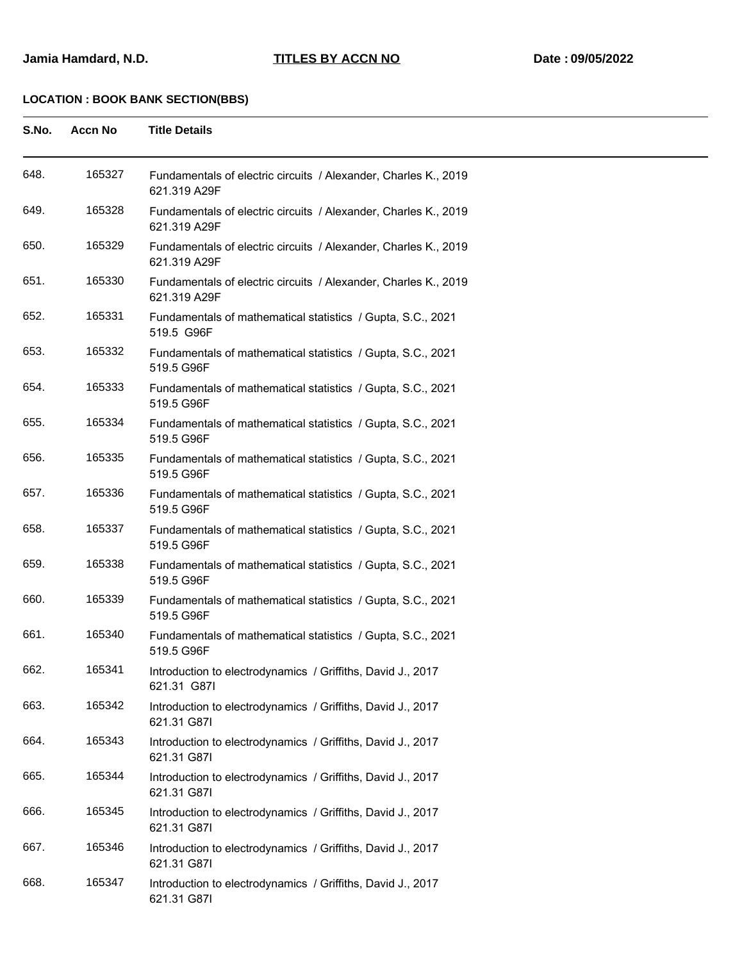| S.No. | <b>Accn No</b> | <b>Title Details</b>                                                            |
|-------|----------------|---------------------------------------------------------------------------------|
| 648.  | 165327         | Fundamentals of electric circuits / Alexander, Charles K., 2019<br>621.319 A29F |
| 649.  | 165328         | Fundamentals of electric circuits / Alexander, Charles K., 2019<br>621.319 A29F |
| 650.  | 165329         | Fundamentals of electric circuits / Alexander, Charles K., 2019<br>621.319 A29F |
| 651.  | 165330         | Fundamentals of electric circuits / Alexander, Charles K., 2019<br>621.319 A29F |
| 652.  | 165331         | Fundamentals of mathematical statistics / Gupta, S.C., 2021<br>519.5 G96F       |
| 653.  | 165332         | Fundamentals of mathematical statistics / Gupta, S.C., 2021<br>519.5 G96F       |
| 654.  | 165333         | Fundamentals of mathematical statistics / Gupta, S.C., 2021<br>519.5 G96F       |
| 655.  | 165334         | Fundamentals of mathematical statistics / Gupta, S.C., 2021<br>519.5 G96F       |
| 656.  | 165335         | Fundamentals of mathematical statistics / Gupta, S.C., 2021<br>519.5 G96F       |
| 657.  | 165336         | Fundamentals of mathematical statistics / Gupta, S.C., 2021<br>519.5 G96F       |
| 658.  | 165337         | Fundamentals of mathematical statistics / Gupta, S.C., 2021<br>519.5 G96F       |
| 659.  | 165338         | Fundamentals of mathematical statistics / Gupta, S.C., 2021<br>519.5 G96F       |
| 660.  | 165339         | Fundamentals of mathematical statistics / Gupta, S.C., 2021<br>519.5 G96F       |
| 661.  | 165340         | Fundamentals of mathematical statistics / Gupta, S.C., 2021<br>519.5 G96F       |
| 662.  | 165341         | Introduction to electrodynamics / Griffiths, David J., 2017<br>621.31 G87I      |
| 663.  | 165342         | Introduction to electrodynamics / Griffiths, David J., 2017<br>621.31 G87I      |
| 664.  | 165343         | Introduction to electrodynamics / Griffiths, David J., 2017<br>621.31 G87I      |
| 665.  | 165344         | Introduction to electrodynamics / Griffiths, David J., 2017<br>621.31 G87I      |
| 666.  | 165345         | Introduction to electrodynamics / Griffiths, David J., 2017<br>621.31 G87I      |
| 667.  | 165346         | Introduction to electrodynamics / Griffiths, David J., 2017<br>621.31 G87I      |
| 668.  | 165347         | Introduction to electrodynamics / Griffiths, David J., 2017<br>621.31 G87I      |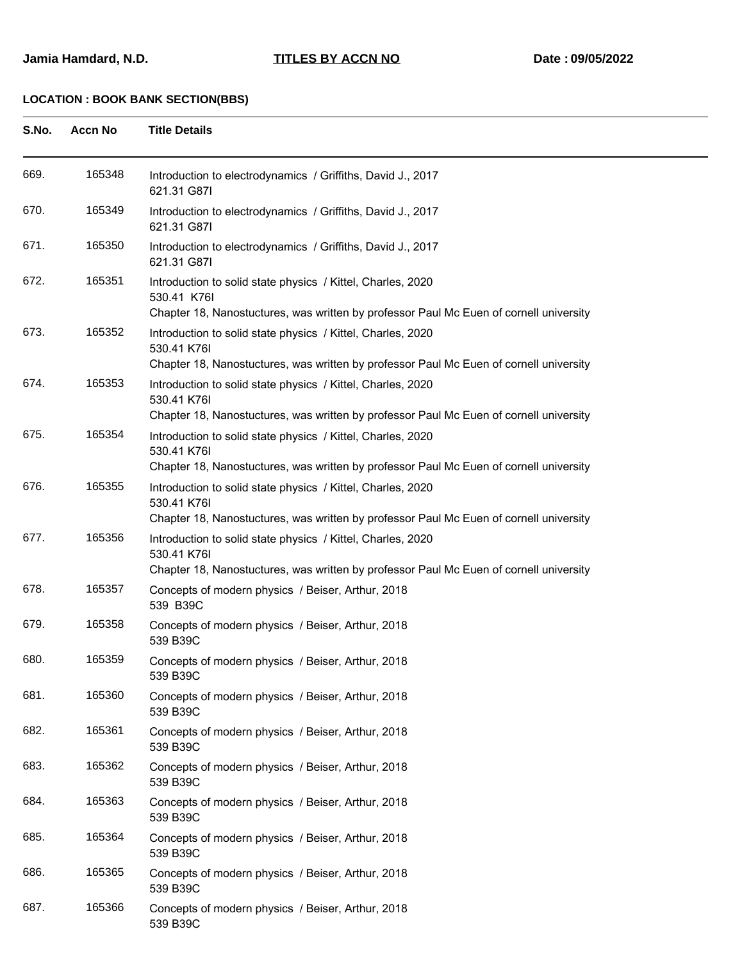| S.No. | <b>Accn No</b> | <b>Title Details</b> |
|-------|----------------|----------------------|
|       |                |                      |

| 669. | 165348 | Introduction to electrodynamics / Griffiths, David J., 2017<br>621.31 G87I                                                                                           |
|------|--------|----------------------------------------------------------------------------------------------------------------------------------------------------------------------|
| 670. | 165349 | Introduction to electrodynamics / Griffiths, David J., 2017<br>621.31 G87I                                                                                           |
| 671. | 165350 | Introduction to electrodynamics / Griffiths, David J., 2017<br>621.31 G87I                                                                                           |
| 672. | 165351 | Introduction to solid state physics / Kittel, Charles, 2020<br>530.41 K76I<br>Chapter 18, Nanostuctures, was written by professor Paul Mc Euen of cornell university |
| 673. | 165352 | Introduction to solid state physics / Kittel, Charles, 2020<br>530.41 K76I<br>Chapter 18, Nanostuctures, was written by professor Paul Mc Euen of cornell university |
| 674. | 165353 | Introduction to solid state physics / Kittel, Charles, 2020<br>530.41 K76I<br>Chapter 18, Nanostuctures, was written by professor Paul Mc Euen of cornell university |
| 675. | 165354 | Introduction to solid state physics / Kittel, Charles, 2020<br>530.41 K76I<br>Chapter 18, Nanostuctures, was written by professor Paul Mc Euen of cornell university |
| 676. | 165355 | Introduction to solid state physics / Kittel, Charles, 2020<br>530.41 K76I<br>Chapter 18, Nanostuctures, was written by professor Paul Mc Euen of cornell university |
| 677. | 165356 | Introduction to solid state physics / Kittel, Charles, 2020<br>530.41 K76I<br>Chapter 18, Nanostuctures, was written by professor Paul Mc Euen of cornell university |
| 678. | 165357 | Concepts of modern physics / Beiser, Arthur, 2018<br>539 B39C                                                                                                        |
| 679. | 165358 | Concepts of modern physics / Beiser, Arthur, 2018<br>539 B39C                                                                                                        |
| 680. | 165359 | Concepts of modern physics / Beiser, Arthur, 2018<br>539 B39C                                                                                                        |
| 681. | 165360 | Concepts of modern physics / Beiser, Arthur, 2018<br>539 B39C                                                                                                        |
| 682. | 165361 | Concepts of modern physics / Beiser, Arthur, 2018<br>539 B39C                                                                                                        |
| 683. | 165362 | Concepts of modern physics / Beiser, Arthur, 2018<br>539 B39C                                                                                                        |
| 684. | 165363 | Concepts of modern physics / Beiser, Arthur, 2018<br>539 B39C                                                                                                        |
| 685. | 165364 | Concepts of modern physics / Beiser, Arthur, 2018<br>539 B39C                                                                                                        |
| 686. | 165365 | Concepts of modern physics / Beiser, Arthur, 2018<br>539 B39C                                                                                                        |
| 687. | 165366 | Concepts of modern physics / Beiser, Arthur, 2018<br>539 B39C                                                                                                        |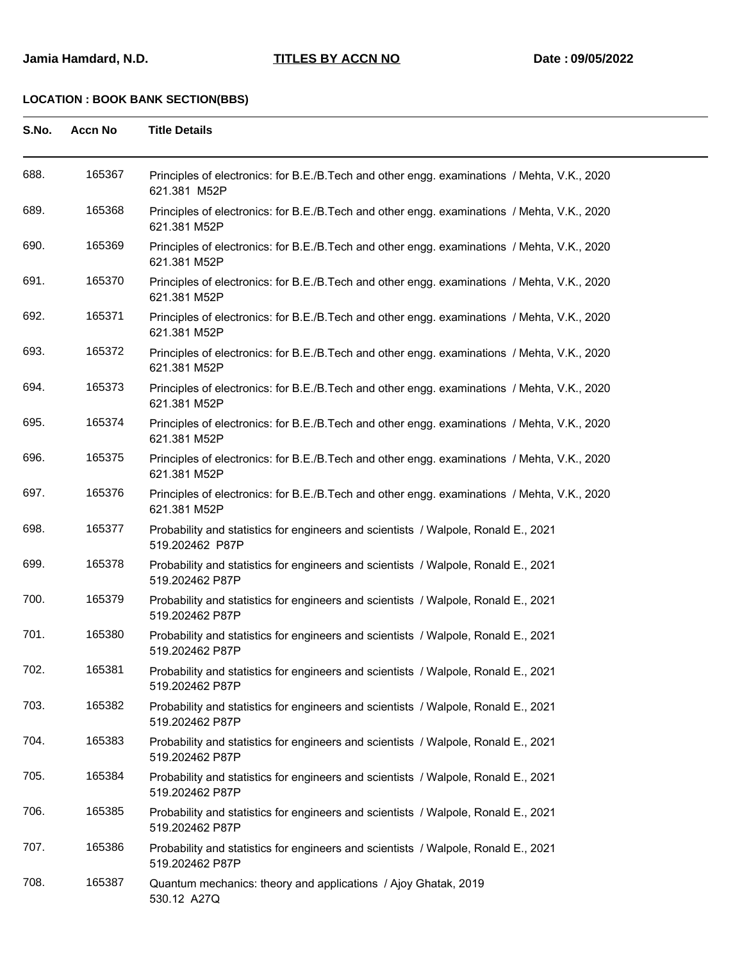| S.No. | <b>Accn No</b> | <b>Title Details</b>                                                                                        |
|-------|----------------|-------------------------------------------------------------------------------------------------------------|
| 688.  | 165367         | Principles of electronics: for B.E./B.Tech and other engg. examinations / Mehta, V.K., 2020<br>621.381 M52P |
| 689.  | 165368         | Principles of electronics: for B.E./B.Tech and other engg. examinations / Mehta, V.K., 2020<br>621.381 M52P |
| 690.  | 165369         | Principles of electronics: for B.E./B.Tech and other engg. examinations / Mehta, V.K., 2020<br>621.381 M52P |
| 691.  | 165370         | Principles of electronics: for B.E./B.Tech and other engg. examinations / Mehta, V.K., 2020<br>621.381 M52P |
| 692.  | 165371         | Principles of electronics: for B.E./B.Tech and other engg. examinations / Mehta, V.K., 2020<br>621.381 M52P |
| 693.  | 165372         | Principles of electronics: for B.E./B.Tech and other engg. examinations / Mehta, V.K., 2020<br>621.381 M52P |
| 694.  | 165373         | Principles of electronics: for B.E./B.Tech and other engg. examinations / Mehta, V.K., 2020<br>621.381 M52P |
| 695.  | 165374         | Principles of electronics: for B.E./B.Tech and other engg. examinations / Mehta, V.K., 2020<br>621.381 M52P |
| 696.  | 165375         | Principles of electronics: for B.E./B.Tech and other engg. examinations / Mehta, V.K., 2020<br>621.381 M52P |
| 697.  | 165376         | Principles of electronics: for B.E./B.Tech and other engg. examinations / Mehta, V.K., 2020<br>621.381 M52P |
| 698.  | 165377         | Probability and statistics for engineers and scientists / Walpole, Ronald E., 2021<br>519.202462 P87P       |
| 699.  | 165378         | Probability and statistics for engineers and scientists / Walpole, Ronald E., 2021<br>519.202462 P87P       |
| 700.  | 165379         | Probability and statistics for engineers and scientists / Walpole, Ronald E., 2021<br>519.202462 P87P       |
| 701.  | 165380         | Probability and statistics for engineers and scientists / Walpole, Ronald E., 2021<br>519.202462 P87P       |
| 702.  | 165381         | Probability and statistics for engineers and scientists / Walpole, Ronald E., 2021<br>519.202462 P87P       |
| 703.  | 165382         | Probability and statistics for engineers and scientists / Walpole, Ronald E., 2021<br>519.202462 P87P       |
| 704.  | 165383         | Probability and statistics for engineers and scientists / Walpole, Ronald E., 2021<br>519.202462 P87P       |
| 705.  | 165384         | Probability and statistics for engineers and scientists / Walpole, Ronald E., 2021<br>519.202462 P87P       |
| 706.  | 165385         | Probability and statistics for engineers and scientists / Walpole, Ronald E., 2021<br>519.202462 P87P       |
| 707.  | 165386         | Probability and statistics for engineers and scientists / Walpole, Ronald E., 2021<br>519.202462 P87P       |
| 708.  | 165387         | Quantum mechanics: theory and applications / Ajoy Ghatak, 2019<br>530.12 A27Q                               |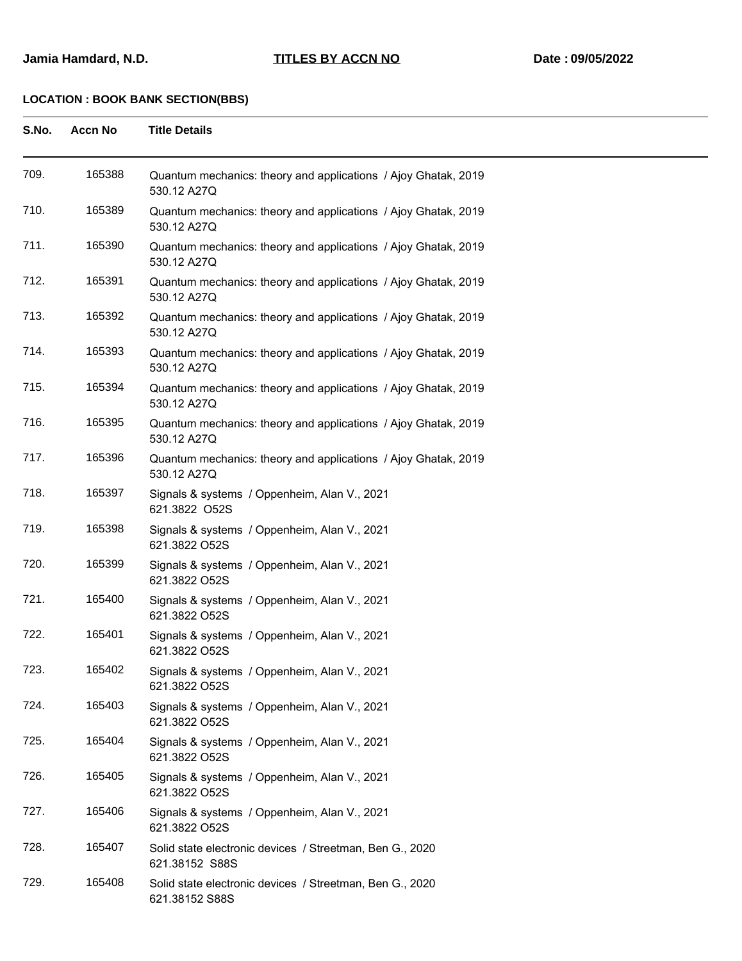| S.No. | <b>Accn No</b> | <b>Title Details</b>                                                          |
|-------|----------------|-------------------------------------------------------------------------------|
| 709.  | 165388         | Quantum mechanics: theory and applications / Ajoy Ghatak, 2019<br>530.12 A27Q |
| 710.  | 165389         | Quantum mechanics: theory and applications / Ajoy Ghatak, 2019<br>530.12 A27Q |
| 711.  | 165390         | Quantum mechanics: theory and applications / Ajoy Ghatak, 2019<br>530.12 A27Q |
| 712.  | 165391         | Quantum mechanics: theory and applications / Ajoy Ghatak, 2019<br>530.12 A27Q |
| 713.  | 165392         | Quantum mechanics: theory and applications / Ajoy Ghatak, 2019<br>530.12 A27Q |
| 714.  | 165393         | Quantum mechanics: theory and applications / Ajoy Ghatak, 2019<br>530.12 A27Q |
| 715.  | 165394         | Quantum mechanics: theory and applications / Ajoy Ghatak, 2019<br>530.12 A27Q |
| 716.  | 165395         | Quantum mechanics: theory and applications / Ajoy Ghatak, 2019<br>530.12 A27Q |
| 717.  | 165396         | Quantum mechanics: theory and applications / Ajoy Ghatak, 2019<br>530.12 A27Q |
| 718.  | 165397         | Signals & systems / Oppenheim, Alan V., 2021<br>621.3822 O52S                 |
| 719.  | 165398         | Signals & systems / Oppenheim, Alan V., 2021<br>621.3822 O52S                 |
| 720.  | 165399         | Signals & systems / Oppenheim, Alan V., 2021<br>621.3822 O52S                 |
| 721.  | 165400         | Signals & systems / Oppenheim, Alan V., 2021<br>621.3822 O52S                 |
| 722.  | 165401         | Signals & systems / Oppenheim, Alan V., 2021<br>621.3822 O52S                 |
| 723.  | 165402         | Signals & systems / Oppenheim, Alan V., 2021<br>621.3822 O52S                 |
| 724.  | 165403         | Signals & systems / Oppenheim, Alan V., 2021<br>621.3822 O52S                 |
| 725.  | 165404         | Signals & systems / Oppenheim, Alan V., 2021<br>621.3822 O52S                 |
| 726.  | 165405         | Signals & systems / Oppenheim, Alan V., 2021<br>621.3822 O52S                 |
| 727.  | 165406         | Signals & systems / Oppenheim, Alan V., 2021<br>621.3822 O52S                 |
| 728.  | 165407         | Solid state electronic devices / Streetman, Ben G., 2020<br>621.38152 S88S    |
| 729.  | 165408         | Solid state electronic devices / Streetman, Ben G., 2020<br>621.38152 S88S    |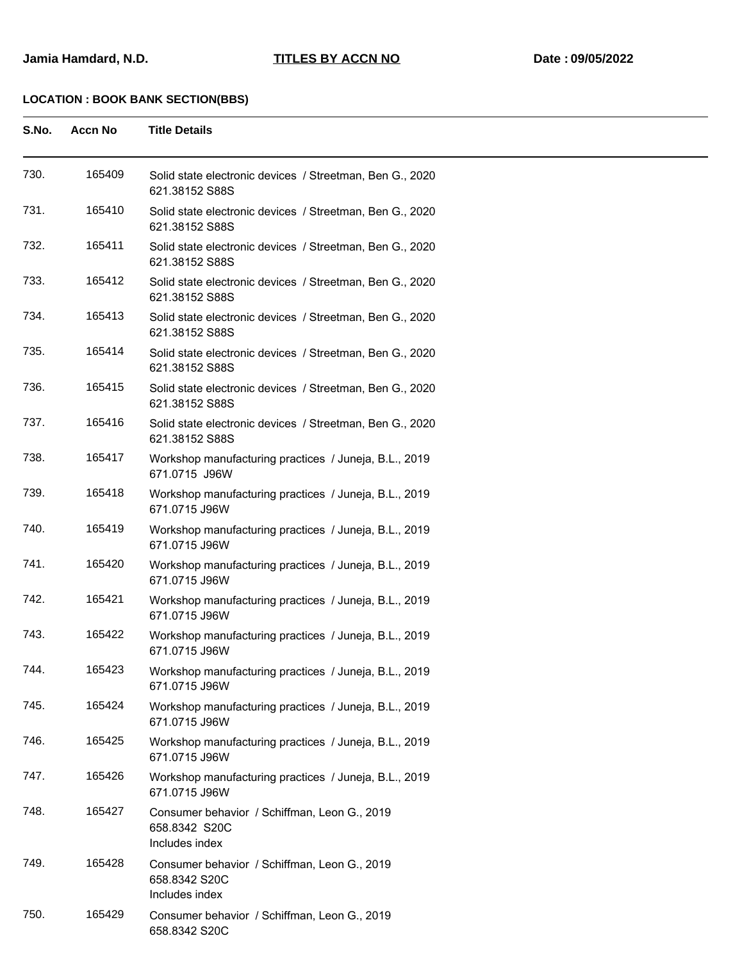| S.No. | <b>Accn No</b> | <b>Title Details</b>                                                            |
|-------|----------------|---------------------------------------------------------------------------------|
| 730.  | 165409         | Solid state electronic devices / Streetman, Ben G., 2020<br>621.38152 S88S      |
| 731.  | 165410         | Solid state electronic devices / Streetman, Ben G., 2020<br>621.38152 S88S      |
| 732.  | 165411         | Solid state electronic devices / Streetman, Ben G., 2020<br>621.38152 S88S      |
| 733.  | 165412         | Solid state electronic devices / Streetman, Ben G., 2020<br>621.38152 S88S      |
| 734.  | 165413         | Solid state electronic devices / Streetman, Ben G., 2020<br>621.38152 S88S      |
| 735.  | 165414         | Solid state electronic devices / Streetman, Ben G., 2020<br>621.38152 S88S      |
| 736.  | 165415         | Solid state electronic devices / Streetman, Ben G., 2020<br>621.38152 S88S      |
| 737.  | 165416         | Solid state electronic devices / Streetman, Ben G., 2020<br>621.38152 S88S      |
| 738.  | 165417         | Workshop manufacturing practices / Juneja, B.L., 2019<br>671.0715 J96W          |
| 739.  | 165418         | Workshop manufacturing practices / Juneja, B.L., 2019<br>671.0715 J96W          |
| 740.  | 165419         | Workshop manufacturing practices / Juneja, B.L., 2019<br>671.0715 J96W          |
| 741.  | 165420         | Workshop manufacturing practices / Juneja, B.L., 2019<br>671.0715 J96W          |
| 742.  | 165421         | Workshop manufacturing practices / Juneja, B.L., 2019<br>671.0715 J96W          |
| 743.  | 165422         | Workshop manufacturing practices / Juneja, B.L., 2019<br>671.0715 J96W          |
| 744.  | 165423         | Workshop manufacturing practices / Juneja, B.L., 2019<br>671.0715 J96W          |
| 745.  | 165424         | Workshop manufacturing practices / Juneja, B.L., 2019<br>671.0715 J96W          |
| 746.  | 165425         | Workshop manufacturing practices / Juneja, B.L., 2019<br>671.0715 J96W          |
| 747.  | 165426         | Workshop manufacturing practices / Juneja, B.L., 2019<br>671.0715 J96W          |
| 748.  | 165427         | Consumer behavior / Schiffman, Leon G., 2019<br>658.8342 S20C<br>Includes index |
| 749.  | 165428         | Consumer behavior / Schiffman, Leon G., 2019<br>658.8342 S20C<br>Includes index |
| 750.  | 165429         | Consumer behavior / Schiffman, Leon G., 2019<br>658.8342 S20C                   |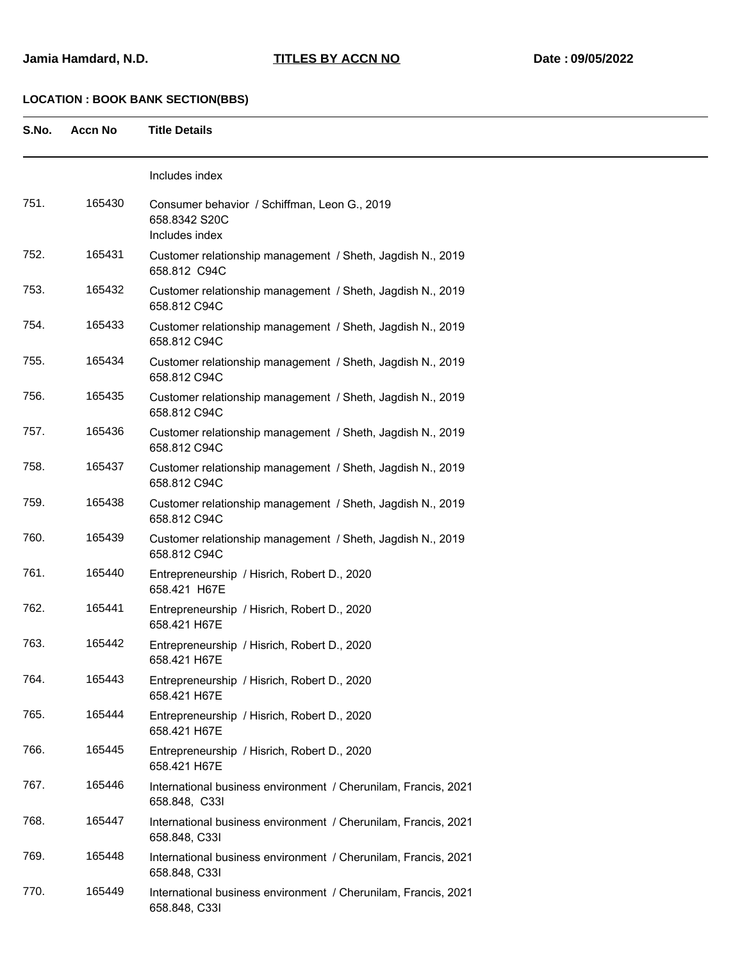| S.No. | <b>Accn No</b> |  | <b>Title Details</b> |
|-------|----------------|--|----------------------|
|       |                |  |                      |

|      |        | Includes index                                                                  |
|------|--------|---------------------------------------------------------------------------------|
| 751. | 165430 | Consumer behavior / Schiffman, Leon G., 2019<br>658.8342 S20C<br>Includes index |
| 752. | 165431 | Customer relationship management / Sheth, Jagdish N., 2019<br>658.812 C94C      |
| 753. | 165432 | Customer relationship management / Sheth, Jagdish N., 2019<br>658.812 C94C      |
| 754. | 165433 | Customer relationship management / Sheth, Jagdish N., 2019<br>658.812 C94C      |
| 755. | 165434 | Customer relationship management / Sheth, Jagdish N., 2019<br>658.812 C94C      |
| 756. | 165435 | Customer relationship management / Sheth, Jagdish N., 2019<br>658.812 C94C      |
| 757. | 165436 | Customer relationship management / Sheth, Jagdish N., 2019<br>658.812 C94C      |
| 758. | 165437 | Customer relationship management / Sheth, Jagdish N., 2019<br>658.812 C94C      |
| 759. | 165438 | Customer relationship management / Sheth, Jagdish N., 2019<br>658.812 C94C      |
| 760. | 165439 | Customer relationship management / Sheth, Jagdish N., 2019<br>658.812 C94C      |
| 761. | 165440 | Entrepreneurship / Hisrich, Robert D., 2020<br>658.421 H67E                     |
| 762. | 165441 | Entrepreneurship / Hisrich, Robert D., 2020<br>658.421 H67E                     |
| 763. | 165442 | Entrepreneurship / Hisrich, Robert D., 2020<br>658.421 H67E                     |
| 764. | 165443 | Entrepreneurship / Hisrich, Robert D., 2020<br>658.421 H67E                     |
| 765. | 165444 | Entrepreneurship / Hisrich, Robert D., 2020<br>658.421 H67E                     |
| 766. | 165445 | Entrepreneurship / Hisrich, Robert D., 2020<br>658.421 H67E                     |
| 767. | 165446 | International business environment / Cherunilam, Francis, 2021<br>658.848, C33I |
| 768. | 165447 | International business environment / Cherunilam, Francis, 2021<br>658.848, C33I |
| 769. | 165448 | International business environment / Cherunilam, Francis, 2021<br>658.848, C33I |
| 770. | 165449 | International business environment / Cherunilam, Francis, 2021<br>658.848, C33I |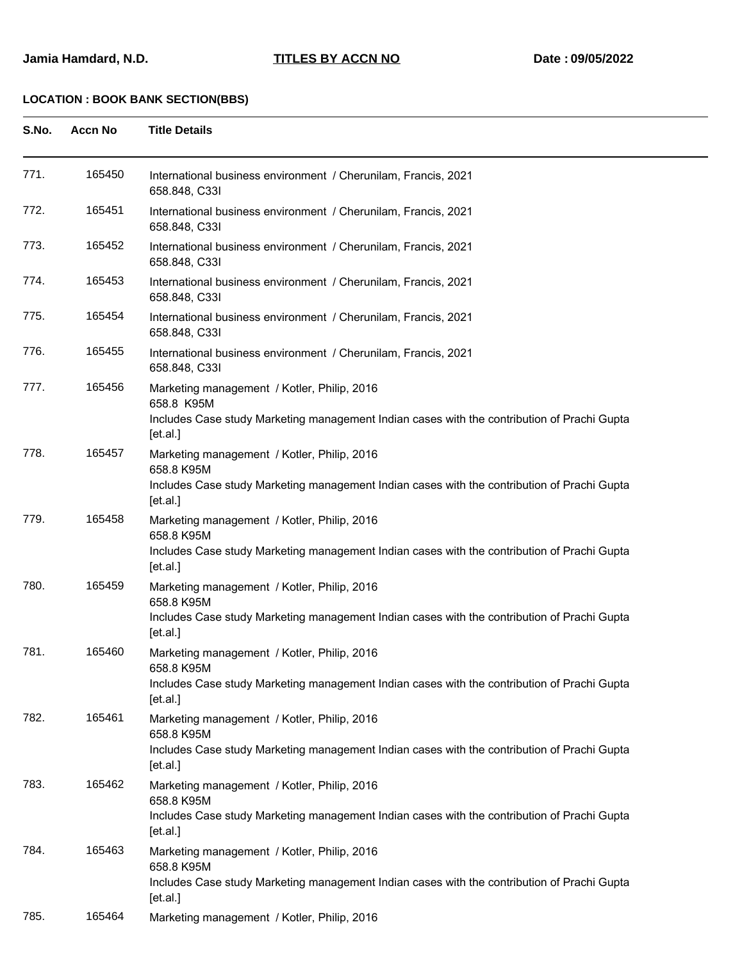| S.No. | Accn No | <b>Title Details</b> |
|-------|---------|----------------------|
|       |         |                      |

| 771. | 165450 | International business environment / Cherunilam, Francis, 2021<br>658.848, C33I                                                                                            |
|------|--------|----------------------------------------------------------------------------------------------------------------------------------------------------------------------------|
| 772. | 165451 | International business environment / Cherunilam, Francis, 2021<br>658.848, C33I                                                                                            |
| 773. | 165452 | International business environment / Cherunilam, Francis, 2021<br>658.848, C33I                                                                                            |
| 774. | 165453 | International business environment / Cherunilam, Francis, 2021<br>658.848, C33I                                                                                            |
| 775. | 165454 | International business environment / Cherunilam, Francis, 2021<br>658.848, C33I                                                                                            |
| 776. | 165455 | International business environment / Cherunilam, Francis, 2021<br>658.848, C33I                                                                                            |
| 777. | 165456 | Marketing management / Kotler, Philip, 2016<br>658.8 K95M<br>Includes Case study Marketing management Indian cases with the contribution of Prachi Gupta<br>$[$ et.al. $]$ |
| 778. | 165457 | Marketing management / Kotler, Philip, 2016<br>658.8 K95M<br>Includes Case study Marketing management Indian cases with the contribution of Prachi Gupta<br>$[$ et.al. $]$ |
| 779. | 165458 | Marketing management / Kotler, Philip, 2016<br>658.8 K95M<br>Includes Case study Marketing management Indian cases with the contribution of Prachi Gupta<br>[et.a.]        |
| 780. | 165459 | Marketing management / Kotler, Philip, 2016<br>658.8 K95M<br>Includes Case study Marketing management Indian cases with the contribution of Prachi Gupta<br>[et.a.]        |
| 781. | 165460 | Marketing management / Kotler, Philip, 2016<br>658.8 K95M<br>Includes Case study Marketing management Indian cases with the contribution of Prachi Gupta<br>[et.a.]        |
| 782. | 165461 | Marketing management / Kotler, Philip, 2016<br>658.8 K95M<br>Includes Case study Marketing management Indian cases with the contribution of Prachi Gupta<br>[et.a.]        |
| 783. | 165462 | Marketing management / Kotler, Philip, 2016<br>658.8 K95M<br>Includes Case study Marketing management Indian cases with the contribution of Prachi Gupta<br>$[$ et.al. $]$ |
| 784. | 165463 | Marketing management / Kotler, Philip, 2016<br>658.8 K95M<br>Includes Case study Marketing management Indian cases with the contribution of Prachi Gupta<br>[et.a.]        |
| 785. | 165464 | Marketing management / Kotler, Philip, 2016                                                                                                                                |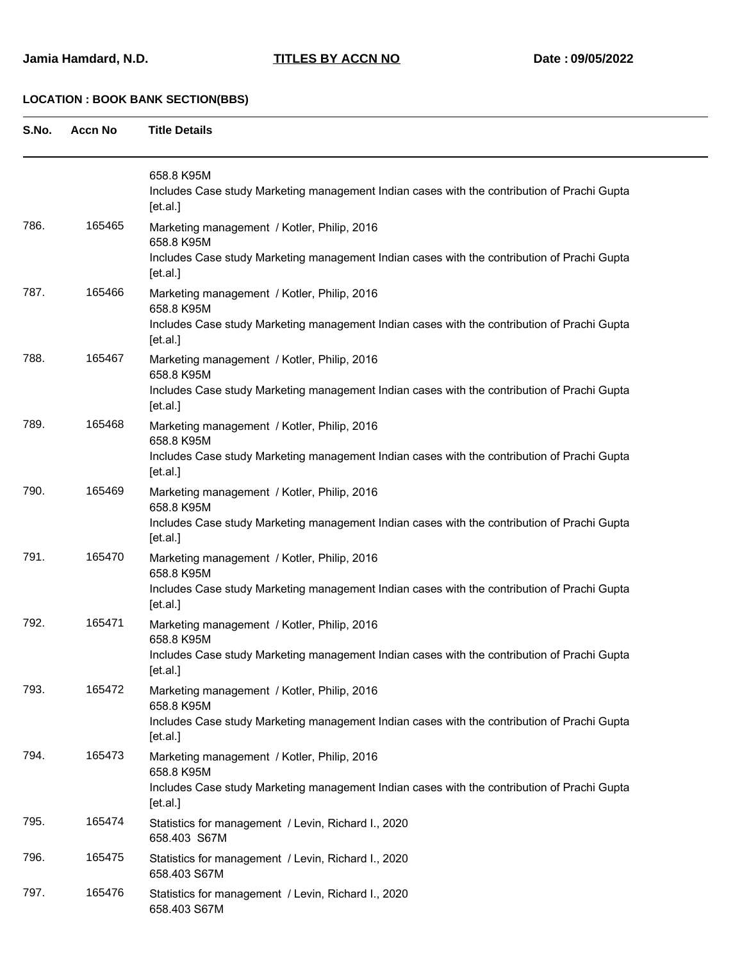**S.No. Accn No Title Details**

|      |        | 658.8 K95M<br>Includes Case study Marketing management Indian cases with the contribution of Prachi Gupta<br>[et.a.] |
|------|--------|----------------------------------------------------------------------------------------------------------------------|
| 786. | 165465 | Marketing management / Kotler, Philip, 2016<br>658.8 K95M                                                            |
|      |        | Includes Case study Marketing management Indian cases with the contribution of Prachi Gupta<br>[et.a.]               |
| 787. | 165466 | Marketing management / Kotler, Philip, 2016<br>658.8 K95M                                                            |
|      |        | Includes Case study Marketing management Indian cases with the contribution of Prachi Gupta<br>[et.a.]               |
| 788. | 165467 | Marketing management / Kotler, Philip, 2016<br>658.8 K95M                                                            |
|      |        | Includes Case study Marketing management Indian cases with the contribution of Prachi Gupta<br>[et.a.]               |
| 789. | 165468 | Marketing management / Kotler, Philip, 2016<br>658.8 K95M                                                            |
|      |        | Includes Case study Marketing management Indian cases with the contribution of Prachi Gupta<br>[et.a.]               |
| 790. | 165469 | Marketing management / Kotler, Philip, 2016<br>658.8 K95M                                                            |
|      |        | Includes Case study Marketing management Indian cases with the contribution of Prachi Gupta<br>[et.a.]               |
| 791. | 165470 | Marketing management / Kotler, Philip, 2016<br>658.8 K95M                                                            |
|      |        | Includes Case study Marketing management Indian cases with the contribution of Prachi Gupta<br>[et.a.]               |
| 792. | 165471 | Marketing management / Kotler, Philip, 2016<br>658.8 K95M                                                            |
|      |        | Includes Case study Marketing management Indian cases with the contribution of Prachi Gupta<br>[et.a.]               |
| 793. | 165472 | Marketing management / Kotler, Philip, 2016<br>658.8 K95M                                                            |
|      |        | Includes Case study Marketing management Indian cases with the contribution of Prachi Gupta<br>[et.a.]               |
| 794. | 165473 | Marketing management / Kotler, Philip, 2016<br>658.8 K95M                                                            |
|      |        | Includes Case study Marketing management Indian cases with the contribution of Prachi Gupta<br>[et.a.]               |
| 795. | 165474 | Statistics for management / Levin, Richard I., 2020<br>658.403 S67M                                                  |
| 796. | 165475 | Statistics for management / Levin, Richard I., 2020<br>658.403 S67M                                                  |
| 797. | 165476 | Statistics for management / Levin, Richard I., 2020<br>658.403 S67M                                                  |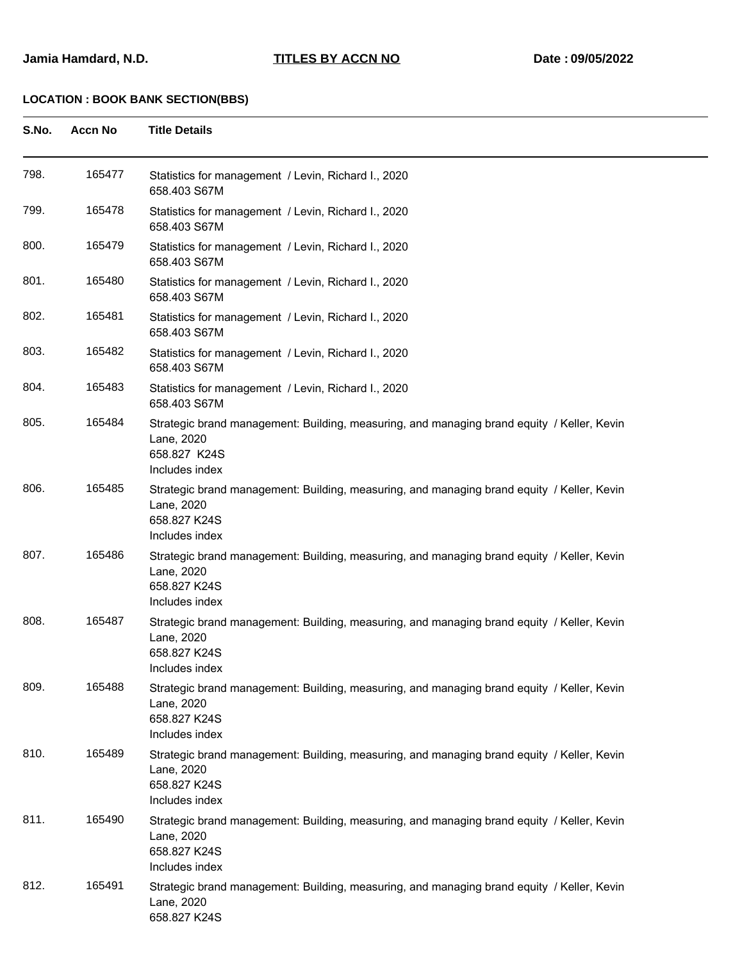| S.No. | <b>Accn No</b> | <b>Title Details</b>                                                                                                                       |
|-------|----------------|--------------------------------------------------------------------------------------------------------------------------------------------|
| 798.  | 165477         | Statistics for management / Levin, Richard I., 2020<br>658.403 S67M                                                                        |
| 799.  | 165478         | Statistics for management / Levin, Richard I., 2020<br>658.403 S67M                                                                        |
| 800.  | 165479         | Statistics for management / Levin, Richard I., 2020<br>658.403 S67M                                                                        |
| 801.  | 165480         | Statistics for management / Levin, Richard I., 2020<br>658.403 S67M                                                                        |
| 802.  | 165481         | Statistics for management / Levin, Richard I., 2020<br>658.403 S67M                                                                        |
| 803.  | 165482         | Statistics for management / Levin, Richard I., 2020<br>658.403 S67M                                                                        |
| 804.  | 165483         | Statistics for management / Levin, Richard I., 2020<br>658.403 S67M                                                                        |
| 805.  | 165484         | Strategic brand management: Building, measuring, and managing brand equity / Keller, Kevin<br>Lane, 2020<br>658.827 K24S<br>Includes index |
| 806.  | 165485         | Strategic brand management: Building, measuring, and managing brand equity / Keller, Kevin<br>Lane, 2020<br>658.827 K24S<br>Includes index |
| 807.  | 165486         | Strategic brand management: Building, measuring, and managing brand equity / Keller, Kevin<br>Lane, 2020<br>658.827 K24S<br>Includes index |
| 808.  | 165487         | Strategic brand management: Building, measuring, and managing brand equity / Keller, Kevin<br>Lane, 2020<br>658.827 K24S<br>Includes index |
| 809.  | 165488         | Strategic brand management: Building, measuring, and managing brand equity / Keller, Kevin<br>Lane, 2020<br>658.827 K24S<br>Includes index |
| 810.  | 165489         | Strategic brand management: Building, measuring, and managing brand equity / Keller, Kevin<br>Lane, 2020<br>658.827 K24S<br>Includes index |
| 811.  | 165490         | Strategic brand management: Building, measuring, and managing brand equity / Keller, Kevin<br>Lane, 2020<br>658.827 K24S<br>Includes index |
| 812.  | 165491         | Strategic brand management: Building, measuring, and managing brand equity / Keller, Kevin<br>Lane, 2020<br>658.827 K24S                   |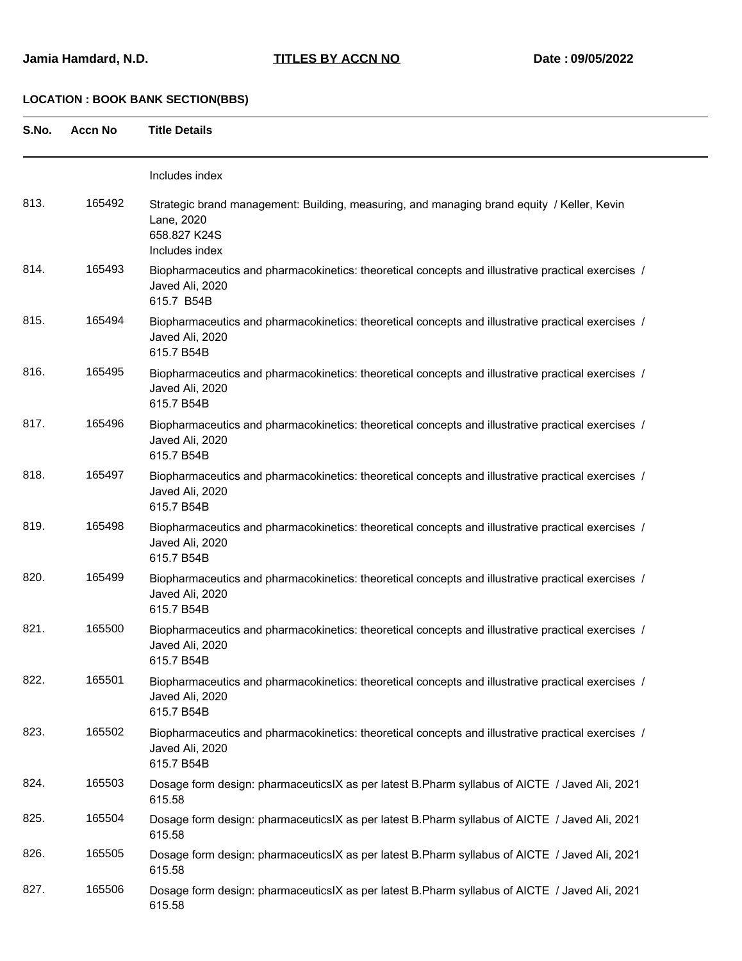| S.No. | <b>Accn No</b> | <b>Title Details</b>                                                                                                                       |
|-------|----------------|--------------------------------------------------------------------------------------------------------------------------------------------|
|       |                | Includes index                                                                                                                             |
| 813.  | 165492         | Strategic brand management: Building, measuring, and managing brand equity / Keller, Kevin<br>Lane, 2020<br>658.827 K24S<br>Includes index |
| 814.  | 165493         | Biopharmaceutics and pharmacokinetics: theoretical concepts and illustrative practical exercises /<br>Javed Ali, 2020<br>615.7 B54B        |
| 815.  | 165494         | Biopharmaceutics and pharmacokinetics: theoretical concepts and illustrative practical exercises /<br>Javed Ali, 2020<br>615.7 B54B        |
| 816.  | 165495         | Biopharmaceutics and pharmacokinetics: theoretical concepts and illustrative practical exercises /<br>Javed Ali, 2020<br>615.7 B54B        |
| 817.  | 165496         | Biopharmaceutics and pharmacokinetics: theoretical concepts and illustrative practical exercises /<br>Javed Ali, 2020<br>615.7 B54B        |
| 818.  | 165497         | Biopharmaceutics and pharmacokinetics: theoretical concepts and illustrative practical exercises /<br>Javed Ali, 2020<br>615.7 B54B        |
| 819.  | 165498         | Biopharmaceutics and pharmacokinetics: theoretical concepts and illustrative practical exercises /<br>Javed Ali, 2020<br>615.7 B54B        |
| 820.  | 165499         | Biopharmaceutics and pharmacokinetics: theoretical concepts and illustrative practical exercises /<br>Javed Ali, 2020<br>615.7 B54B        |
| 821.  | 165500         | Biopharmaceutics and pharmacokinetics: theoretical concepts and illustrative practical exercises /<br>Javed Ali, 2020<br>615.7 B54B        |
| 822.  | 165501         | Biopharmaceutics and pharmacokinetics: theoretical concepts and illustrative practical exercises /<br>Javed Ali, 2020<br>615.7 B54B        |
| 823.  | 165502         | Biopharmaceutics and pharmacokinetics: theoretical concepts and illustrative practical exercises /<br>Javed Ali, 2020<br>615.7 B54B        |
| 824.  | 165503         | Dosage form design: pharmaceuticsIX as per latest B.Pharm syllabus of AICTE / Javed Ali, 2021<br>615.58                                    |
| 825.  | 165504         | Dosage form design: pharmaceuticsIX as per latest B.Pharm syllabus of AICTE / Javed Ali, 2021<br>615.58                                    |
| 826.  | 165505         | Dosage form design: pharmaceuticsIX as per latest B.Pharm syllabus of AICTE / Javed Ali, 2021<br>615.58                                    |
| 827.  | 165506         | Dosage form design: pharmaceuticsIX as per latest B.Pharm syllabus of AICTE / Javed Ali, 2021<br>615.58                                    |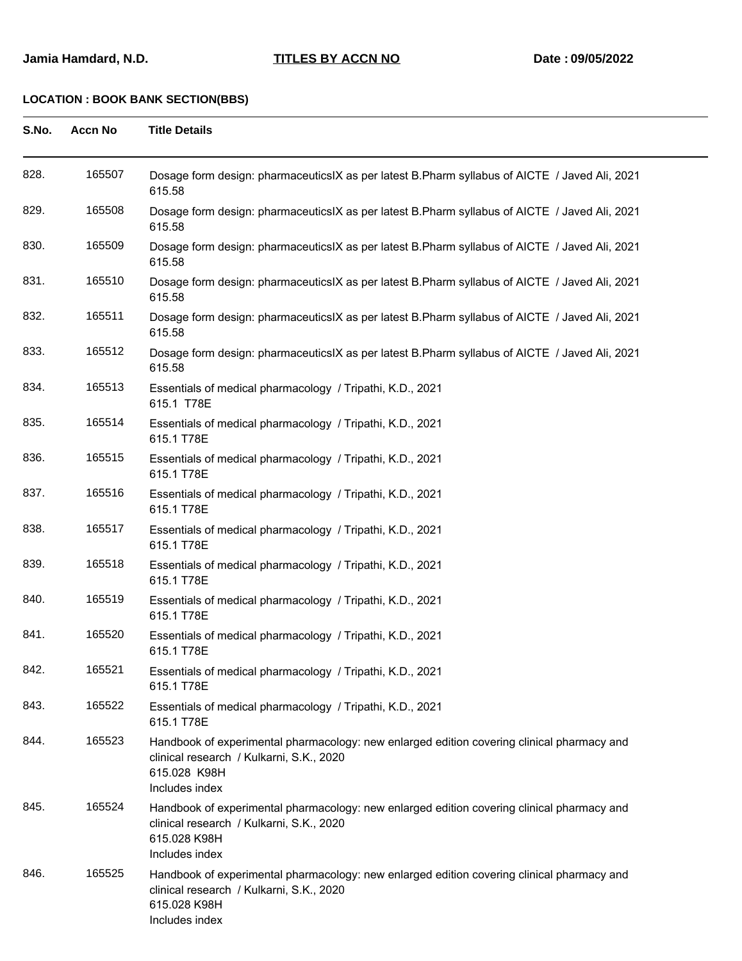| S.No. | <b>Accn No</b> | <b>Title Details</b>                                                                                                                                                     |
|-------|----------------|--------------------------------------------------------------------------------------------------------------------------------------------------------------------------|
| 828.  | 165507         | Dosage form design: pharmaceutics X as per latest B. Pharm syllabus of AICTE / Javed Ali, 2021<br>615.58                                                                 |
| 829.  | 165508         | Dosage form design: pharmaceutics X as per latest B. Pharm syllabus of AICTE / Javed Ali, 2021<br>615.58                                                                 |
| 830.  | 165509         | Dosage form design: pharmaceuticsIX as per latest B.Pharm syllabus of AICTE / Javed Ali, 2021<br>615.58                                                                  |
| 831.  | 165510         | Dosage form design: pharmaceuticsIX as per latest B.Pharm syllabus of AICTE / Javed Ali, 2021<br>615.58                                                                  |
| 832.  | 165511         | Dosage form design: pharmaceuticsIX as per latest B.Pharm syllabus of AICTE / Javed Ali, 2021<br>615.58                                                                  |
| 833.  | 165512         | Dosage form design: pharmaceuticsIX as per latest B.Pharm syllabus of AICTE / Javed Ali, 2021<br>615.58                                                                  |
| 834.  | 165513         | Essentials of medical pharmacology / Tripathi, K.D., 2021<br>615.1 T78E                                                                                                  |
| 835.  | 165514         | Essentials of medical pharmacology / Tripathi, K.D., 2021<br>615.1 T78E                                                                                                  |
| 836.  | 165515         | Essentials of medical pharmacology / Tripathi, K.D., 2021<br>615.1 T78E                                                                                                  |
| 837.  | 165516         | Essentials of medical pharmacology / Tripathi, K.D., 2021<br>615.1 T78E                                                                                                  |
| 838.  | 165517         | Essentials of medical pharmacology / Tripathi, K.D., 2021<br>615.1 T78E                                                                                                  |
| 839.  | 165518         | Essentials of medical pharmacology / Tripathi, K.D., 2021<br>615.1 T78E                                                                                                  |
| 840.  | 165519         | Essentials of medical pharmacology / Tripathi, K.D., 2021<br>615.1 T78E                                                                                                  |
| 841.  | 165520         | Essentials of medical pharmacology / Tripathi, K.D., 2021<br>615.1 T78E                                                                                                  |
| 842.  | 165521         | Essentials of medical pharmacology / Tripathi, K.D., 2021<br>615.1 T78E                                                                                                  |
| 843.  | 165522         | Essentials of medical pharmacology / Tripathi, K.D., 2021<br>615.1 T78E                                                                                                  |
| 844.  | 165523         | Handbook of experimental pharmacology: new enlarged edition covering clinical pharmacy and<br>clinical research / Kulkarni, S.K., 2020<br>615.028 K98H<br>Includes index |
| 845.  | 165524         | Handbook of experimental pharmacology: new enlarged edition covering clinical pharmacy and<br>clinical research / Kulkarni, S.K., 2020<br>615.028 K98H<br>Includes index |
| 846.  | 165525         | Handbook of experimental pharmacology: new enlarged edition covering clinical pharmacy and<br>clinical research / Kulkarni, S.K., 2020<br>615.028 K98H<br>Includes index |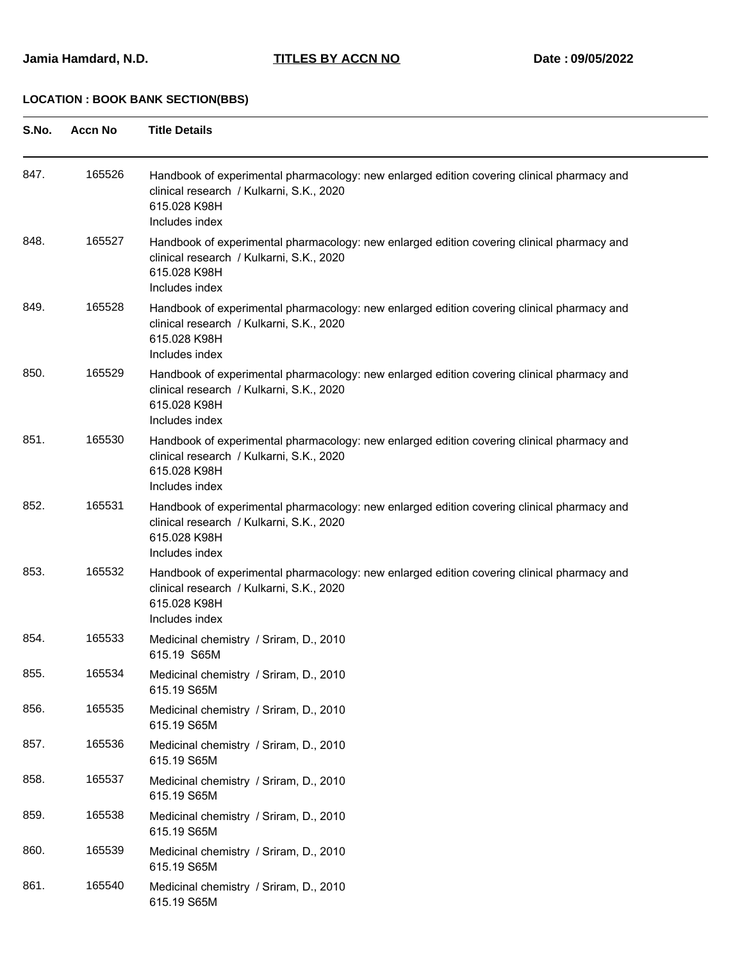| S.No. | <b>Accn No</b> | <b>Title Details</b>                                                                                                                                                     |
|-------|----------------|--------------------------------------------------------------------------------------------------------------------------------------------------------------------------|
| 847.  | 165526         | Handbook of experimental pharmacology: new enlarged edition covering clinical pharmacy and<br>clinical research / Kulkarni, S.K., 2020<br>615.028 K98H<br>Includes index |
| 848.  | 165527         | Handbook of experimental pharmacology: new enlarged edition covering clinical pharmacy and<br>clinical research / Kulkarni, S.K., 2020<br>615.028 K98H<br>Includes index |
| 849.  | 165528         | Handbook of experimental pharmacology: new enlarged edition covering clinical pharmacy and<br>clinical research / Kulkarni, S.K., 2020<br>615.028 K98H<br>Includes index |
| 850.  | 165529         | Handbook of experimental pharmacology: new enlarged edition covering clinical pharmacy and<br>clinical research / Kulkarni, S.K., 2020<br>615.028 K98H<br>Includes index |
| 851.  | 165530         | Handbook of experimental pharmacology: new enlarged edition covering clinical pharmacy and<br>clinical research / Kulkarni, S.K., 2020<br>615.028 K98H<br>Includes index |
| 852.  | 165531         | Handbook of experimental pharmacology: new enlarged edition covering clinical pharmacy and<br>clinical research / Kulkarni, S.K., 2020<br>615.028 K98H<br>Includes index |
| 853.  | 165532         | Handbook of experimental pharmacology: new enlarged edition covering clinical pharmacy and<br>clinical research / Kulkarni, S.K., 2020<br>615.028 K98H<br>Includes index |
| 854.  | 165533         | Medicinal chemistry / Sriram, D., 2010<br>615.19 S65M                                                                                                                    |
| 855.  | 165534         | Medicinal chemistry / Sriram, D., 2010<br>615.19 S65M                                                                                                                    |
| 856.  | 165535         | Medicinal chemistry / Sriram, D., 2010<br>615.19 S65M                                                                                                                    |
| 857.  | 165536         | Medicinal chemistry / Sriram, D., 2010<br>615.19 S65M                                                                                                                    |
| 858.  | 165537         | Medicinal chemistry / Sriram, D., 2010<br>615.19 S65M                                                                                                                    |
| 859.  | 165538         | Medicinal chemistry / Sriram, D., 2010<br>615.19 S65M                                                                                                                    |
| 860.  | 165539         | Medicinal chemistry / Sriram, D., 2010<br>615.19 S65M                                                                                                                    |
| 861.  | 165540         | Medicinal chemistry / Sriram, D., 2010<br>615.19 S65M                                                                                                                    |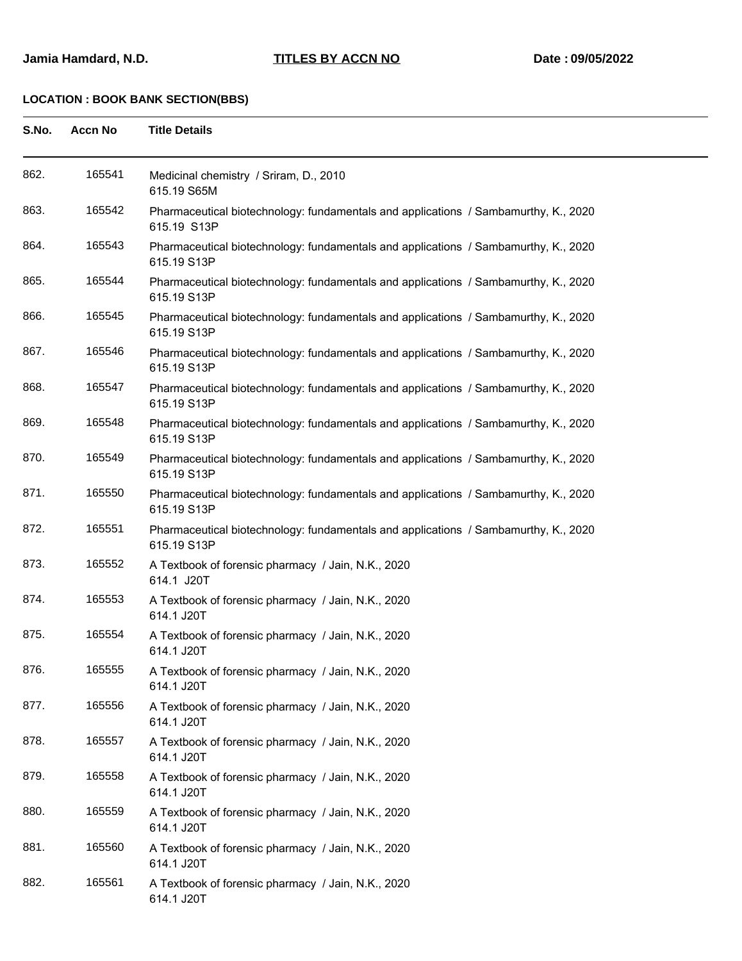| S.No. | <b>Accn No</b> | <b>Title Details</b>                                                                               |
|-------|----------------|----------------------------------------------------------------------------------------------------|
| 862.  | 165541         | Medicinal chemistry / Sriram, D., 2010<br>615.19 S65M                                              |
| 863.  | 165542         | Pharmaceutical biotechnology: fundamentals and applications / Sambamurthy, K., 2020<br>615.19 S13P |
| 864.  | 165543         | Pharmaceutical biotechnology: fundamentals and applications / Sambamurthy, K., 2020<br>615.19 S13P |
| 865.  | 165544         | Pharmaceutical biotechnology: fundamentals and applications / Sambamurthy, K., 2020<br>615.19 S13P |
| 866.  | 165545         | Pharmaceutical biotechnology: fundamentals and applications / Sambamurthy, K., 2020<br>615.19 S13P |
| 867.  | 165546         | Pharmaceutical biotechnology: fundamentals and applications / Sambamurthy, K., 2020<br>615.19 S13P |
| 868.  | 165547         | Pharmaceutical biotechnology: fundamentals and applications / Sambamurthy, K., 2020<br>615.19 S13P |
| 869.  | 165548         | Pharmaceutical biotechnology: fundamentals and applications / Sambamurthy, K., 2020<br>615.19 S13P |
| 870.  | 165549         | Pharmaceutical biotechnology: fundamentals and applications / Sambamurthy, K., 2020<br>615.19 S13P |
| 871.  | 165550         | Pharmaceutical biotechnology: fundamentals and applications / Sambamurthy, K., 2020<br>615.19 S13P |
| 872.  | 165551         | Pharmaceutical biotechnology: fundamentals and applications / Sambamurthy, K., 2020<br>615.19 S13P |
| 873.  | 165552         | A Textbook of forensic pharmacy / Jain, N.K., 2020<br>614.1 J20T                                   |
| 874.  | 165553         | A Textbook of forensic pharmacy / Jain, N.K., 2020<br>614.1 J20T                                   |
| 875.  | 165554         | A Textbook of forensic pharmacy / Jain, N.K., 2020<br>614.1 J20T                                   |
| 876.  | 165555         | A Textbook of forensic pharmacy / Jain, N.K., 2020<br>614.1 J20T                                   |
| 877.  | 165556         | A Textbook of forensic pharmacy / Jain, N.K., 2020<br>614.1 J20T                                   |
| 878.  | 165557         | A Textbook of forensic pharmacy / Jain, N.K., 2020<br>614.1 J20T                                   |
| 879.  | 165558         | A Textbook of forensic pharmacy / Jain, N.K., 2020<br>614.1 J20T                                   |
| 880.  | 165559         | A Textbook of forensic pharmacy / Jain, N.K., 2020<br>614.1 J20T                                   |
| 881.  | 165560         | A Textbook of forensic pharmacy / Jain, N.K., 2020<br>614.1 J20T                                   |
| 882.  | 165561         | A Textbook of forensic pharmacy / Jain, N.K., 2020<br>614.1 J20T                                   |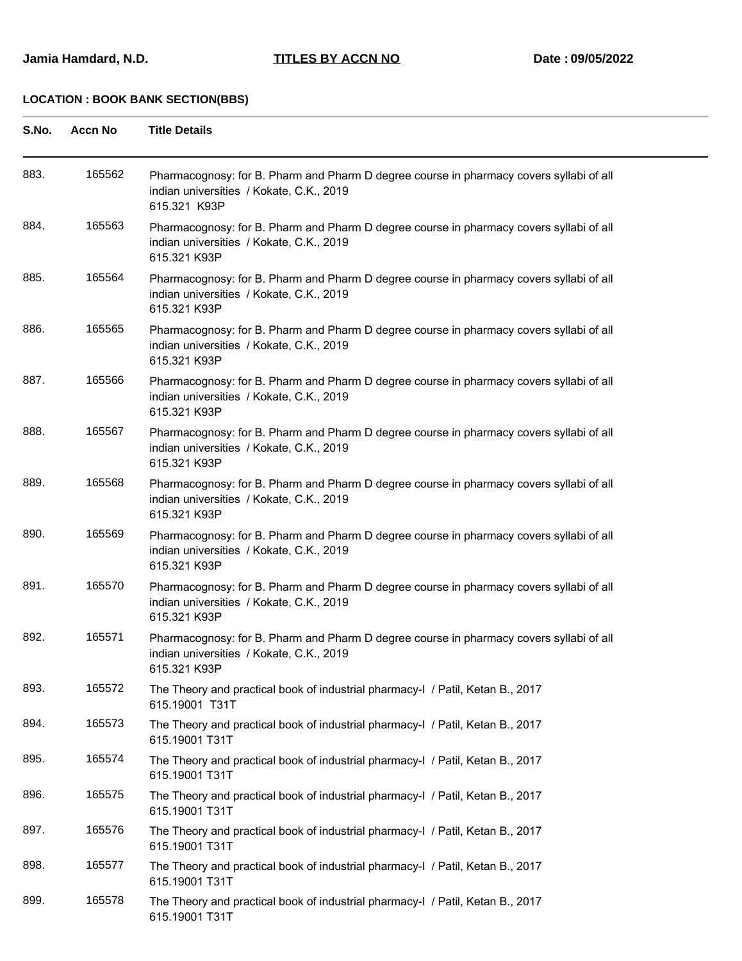| S.No. | <b>Accn No</b> | <b>Title Details</b>                                                                                                                                |
|-------|----------------|-----------------------------------------------------------------------------------------------------------------------------------------------------|
| 883.  | 165562         | Pharmacognosy: for B. Pharm and Pharm D degree course in pharmacy covers syllabi of all<br>indian universities / Kokate, C.K., 2019<br>615.321 K93P |
| 884.  | 165563         | Pharmacognosy: for B. Pharm and Pharm D degree course in pharmacy covers syllabi of all<br>indian universities / Kokate, C.K., 2019<br>615.321 K93P |
| 885.  | 165564         | Pharmacognosy: for B. Pharm and Pharm D degree course in pharmacy covers syllabi of all<br>indian universities / Kokate, C.K., 2019<br>615.321 K93P |
| 886.  | 165565         | Pharmacognosy: for B. Pharm and Pharm D degree course in pharmacy covers syllabi of all<br>indian universities / Kokate, C.K., 2019<br>615.321 K93P |
| 887.  | 165566         | Pharmacognosy: for B. Pharm and Pharm D degree course in pharmacy covers syllabi of all<br>indian universities / Kokate, C.K., 2019<br>615.321 K93P |
| 888.  | 165567         | Pharmacognosy: for B. Pharm and Pharm D degree course in pharmacy covers syllabi of all<br>indian universities / Kokate, C.K., 2019<br>615.321 K93P |
| 889.  | 165568         | Pharmacognosy: for B. Pharm and Pharm D degree course in pharmacy covers syllabi of all<br>indian universities / Kokate, C.K., 2019<br>615.321 K93P |
| 890.  | 165569         | Pharmacognosy: for B. Pharm and Pharm D degree course in pharmacy covers syllabi of all<br>indian universities / Kokate, C.K., 2019<br>615.321 K93P |
| 891.  | 165570         | Pharmacognosy: for B. Pharm and Pharm D degree course in pharmacy covers syllabi of all<br>indian universities / Kokate, C.K., 2019<br>615.321 K93P |
| 892.  | 165571         | Pharmacognosy: for B. Pharm and Pharm D degree course in pharmacy covers syllabi of all<br>indian universities / Kokate, C.K., 2019<br>615.321 K93P |
| 893.  | 165572         | The Theory and practical book of industrial pharmacy-I / Patil, Ketan B., 2017<br>615.19001 T31T                                                    |
| 894.  | 165573         | The Theory and practical book of industrial pharmacy-I / Patil, Ketan B., 2017<br>615.19001 T31T                                                    |
| 895.  | 165574         | The Theory and practical book of industrial pharmacy-I / Patil, Ketan B., 2017<br>615.19001 T31T                                                    |
| 896.  | 165575         | The Theory and practical book of industrial pharmacy-I / Patil, Ketan B., 2017<br>615.19001 T31T                                                    |
| 897.  | 165576         | The Theory and practical book of industrial pharmacy-I / Patil, Ketan B., 2017<br>615.19001 T31T                                                    |
| 898.  | 165577         | The Theory and practical book of industrial pharmacy-I / Patil, Ketan B., 2017<br>615.19001 T31T                                                    |
| 899.  | 165578         | The Theory and practical book of industrial pharmacy-I / Patil, Ketan B., 2017<br>615.19001 T31T                                                    |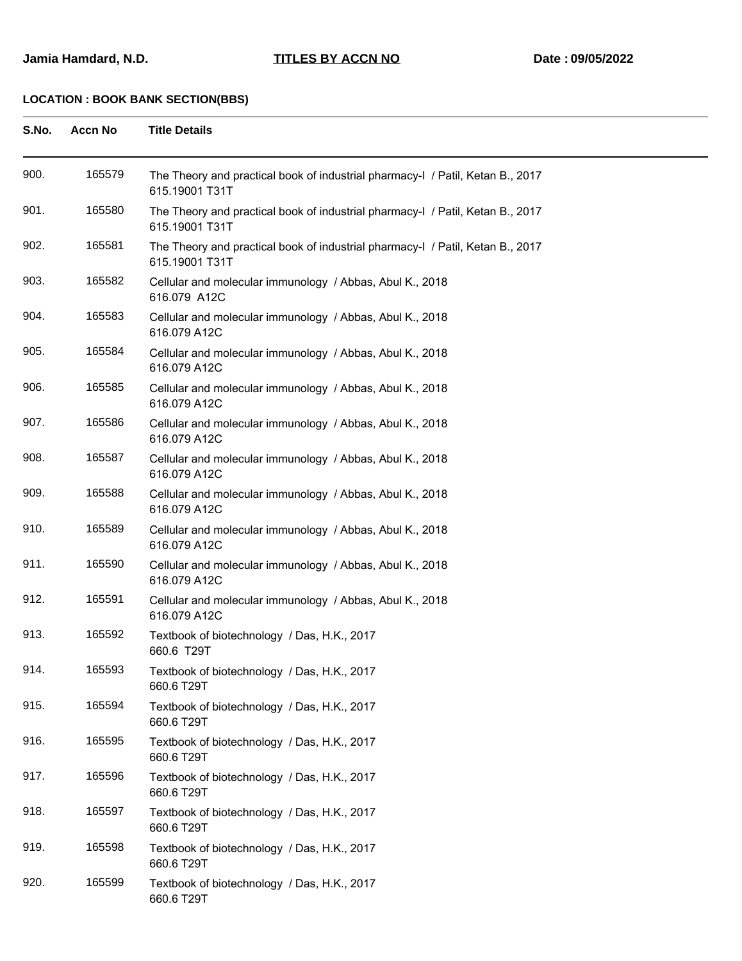| S.No. | <b>Accn No</b> | <b>Title Details</b>                                                                             |
|-------|----------------|--------------------------------------------------------------------------------------------------|
| 900.  | 165579         | The Theory and practical book of industrial pharmacy-I / Patil, Ketan B., 2017<br>615.19001 T31T |
| 901.  | 165580         | The Theory and practical book of industrial pharmacy-I / Patil, Ketan B., 2017<br>615.19001 T31T |
| 902.  | 165581         | The Theory and practical book of industrial pharmacy-I / Patil, Ketan B., 2017<br>615.19001 T31T |
| 903.  | 165582         | Cellular and molecular immunology / Abbas, Abul K., 2018<br>616.079 A12C                         |
| 904.  | 165583         | Cellular and molecular immunology / Abbas, Abul K., 2018<br>616.079 A12C                         |
| 905.  | 165584         | Cellular and molecular immunology / Abbas, Abul K., 2018<br>616.079 A12C                         |
| 906.  | 165585         | Cellular and molecular immunology / Abbas, Abul K., 2018<br>616.079 A12C                         |
| 907.  | 165586         | Cellular and molecular immunology / Abbas, Abul K., 2018<br>616.079 A12C                         |
| 908.  | 165587         | Cellular and molecular immunology / Abbas, Abul K., 2018<br>616.079 A12C                         |
| 909.  | 165588         | Cellular and molecular immunology / Abbas, Abul K., 2018<br>616.079 A12C                         |
| 910.  | 165589         | Cellular and molecular immunology / Abbas, Abul K., 2018<br>616.079 A12C                         |
| 911.  | 165590         | Cellular and molecular immunology / Abbas, Abul K., 2018<br>616.079 A12C                         |
| 912.  | 165591         | Cellular and molecular immunology / Abbas, Abul K., 2018<br>616.079 A12C                         |
| 913.  | 165592         | Textbook of biotechnology / Das, H.K., 2017<br>660.6 T29T                                        |
| 914.  | 165593         | Textbook of biotechnology / Das, H.K., 2017<br>660.6 T29T                                        |
| 915.  | 165594         | Textbook of biotechnology / Das, H.K., 2017<br>660.6 T29T                                        |
| 916.  | 165595         | Textbook of biotechnology / Das, H.K., 2017<br>660.6 T29T                                        |
| 917.  | 165596         | Textbook of biotechnology / Das, H.K., 2017<br>660.6 T29T                                        |
| 918.  | 165597         | Textbook of biotechnology / Das, H.K., 2017<br>660.6 T29T                                        |
| 919.  | 165598         | Textbook of biotechnology / Das, H.K., 2017<br>660.6 T29T                                        |
| 920.  | 165599         | Textbook of biotechnology / Das, H.K., 2017<br>660.6 T29T                                        |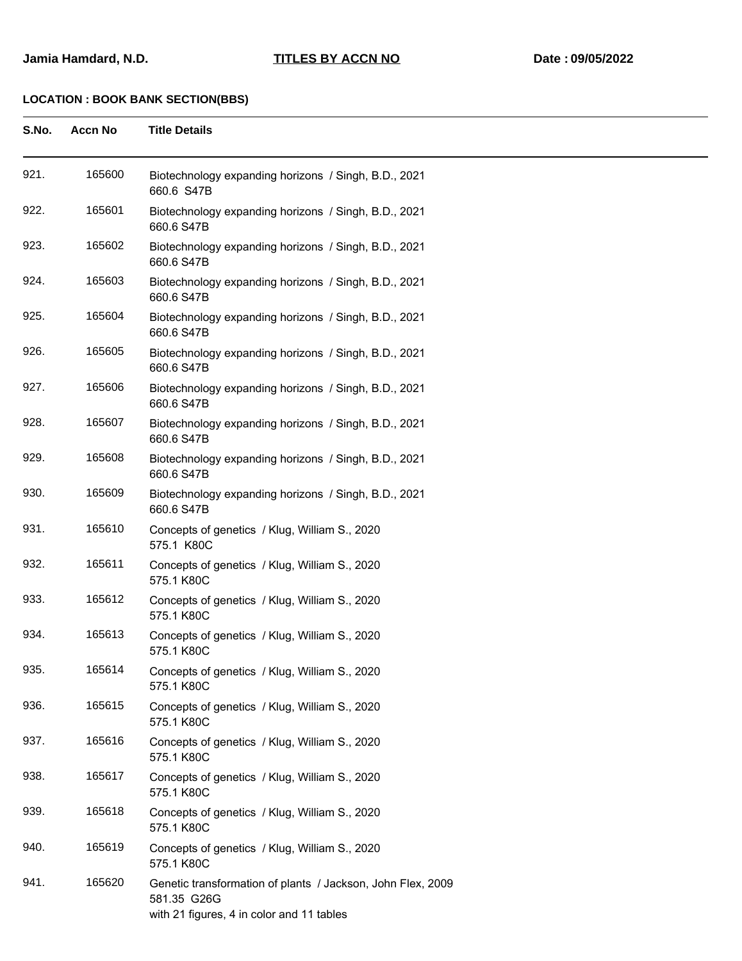| S.No. | <b>Accn No</b> | <b>Title Details</b>                                                                                                    |
|-------|----------------|-------------------------------------------------------------------------------------------------------------------------|
| 921.  | 165600         | Biotechnology expanding horizons / Singh, B.D., 2021<br>660.6 S47B                                                      |
| 922.  | 165601         | Biotechnology expanding horizons / Singh, B.D., 2021<br>660.6 S47B                                                      |
| 923.  | 165602         | Biotechnology expanding horizons / Singh, B.D., 2021<br>660.6 S47B                                                      |
| 924.  | 165603         | Biotechnology expanding horizons / Singh, B.D., 2021<br>660.6 S47B                                                      |
| 925.  | 165604         | Biotechnology expanding horizons / Singh, B.D., 2021<br>660.6 S47B                                                      |
| 926.  | 165605         | Biotechnology expanding horizons / Singh, B.D., 2021<br>660.6 S47B                                                      |
| 927.  | 165606         | Biotechnology expanding horizons / Singh, B.D., 2021<br>660.6 S47B                                                      |
| 928.  | 165607         | Biotechnology expanding horizons / Singh, B.D., 2021<br>660.6 S47B                                                      |
| 929.  | 165608         | Biotechnology expanding horizons / Singh, B.D., 2021<br>660.6 S47B                                                      |
| 930.  | 165609         | Biotechnology expanding horizons / Singh, B.D., 2021<br>660.6 S47B                                                      |
| 931.  | 165610         | Concepts of genetics / Klug, William S., 2020<br>575.1 K80C                                                             |
| 932.  | 165611         | Concepts of genetics / Klug, William S., 2020<br>575.1 K80C                                                             |
| 933.  | 165612         | Concepts of genetics / Klug, William S., 2020<br>575.1 K80C                                                             |
| 934.  | 165613         | Concepts of genetics / Klug, William S., 2020<br>575.1 K80C                                                             |
| 935.  | 165614         | Concepts of genetics / Klug, William S., 2020<br>575.1 K80C                                                             |
| 936.  | 165615         | Concepts of genetics / Klug, William S., 2020<br>575.1 K80C                                                             |
| 937.  | 165616         | Concepts of genetics / Klug, William S., 2020<br>575.1 K80C                                                             |
| 938.  | 165617         | Concepts of genetics / Klug, William S., 2020<br>575.1 K80C                                                             |
| 939.  | 165618         | Concepts of genetics / Klug, William S., 2020<br>575.1 K80C                                                             |
| 940.  | 165619         | Concepts of genetics / Klug, William S., 2020<br>575.1 K80C                                                             |
| 941.  | 165620         | Genetic transformation of plants / Jackson, John Flex, 2009<br>581.35 G26G<br>with 21 figures, 4 in color and 11 tables |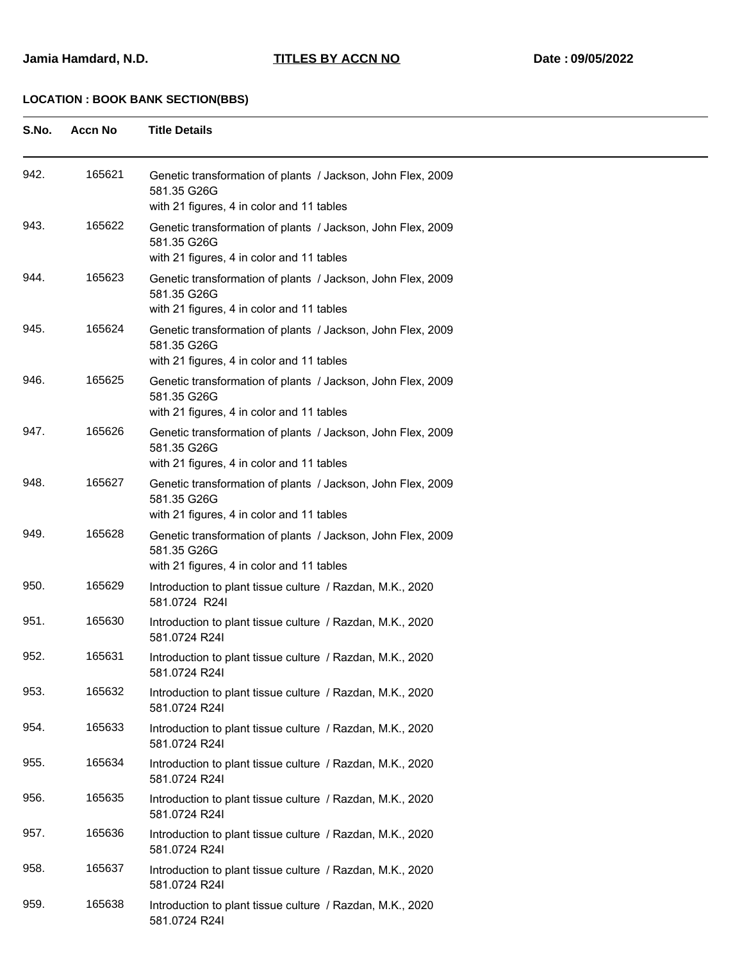**S.No. Accn No Title Details**

| 942. | 165621 | Genetic transformation of plants / Jackson, John Flex, 2009<br>581.35 G26G<br>with 21 figures, 4 in color and 11 tables |
|------|--------|-------------------------------------------------------------------------------------------------------------------------|
| 943. | 165622 | Genetic transformation of plants / Jackson, John Flex, 2009<br>581.35 G26G<br>with 21 figures, 4 in color and 11 tables |
| 944. | 165623 | Genetic transformation of plants / Jackson, John Flex, 2009<br>581.35 G26G<br>with 21 figures, 4 in color and 11 tables |
| 945. | 165624 | Genetic transformation of plants / Jackson, John Flex, 2009<br>581.35 G26G<br>with 21 figures, 4 in color and 11 tables |
| 946. | 165625 | Genetic transformation of plants / Jackson, John Flex, 2009<br>581.35 G26G<br>with 21 figures, 4 in color and 11 tables |
| 947. | 165626 | Genetic transformation of plants / Jackson, John Flex, 2009<br>581.35 G26G<br>with 21 figures, 4 in color and 11 tables |
| 948. | 165627 | Genetic transformation of plants / Jackson, John Flex, 2009<br>581.35 G26G<br>with 21 figures, 4 in color and 11 tables |
| 949. | 165628 | Genetic transformation of plants / Jackson, John Flex, 2009<br>581.35 G26G<br>with 21 figures, 4 in color and 11 tables |
| 950. | 165629 | Introduction to plant tissue culture / Razdan, M.K., 2020<br>581.0724 R24I                                              |
| 951. | 165630 | Introduction to plant tissue culture / Razdan, M.K., 2020<br>581.0724 R24I                                              |
| 952. | 165631 | Introduction to plant tissue culture / Razdan, M.K., 2020<br>581.0724 R24I                                              |
| 953. | 165632 | Introduction to plant tissue culture / Razdan, M.K., 2020<br>581.0724 R24I                                              |
| 954. | 165633 | Introduction to plant tissue culture / Razdan, M.K., 2020<br>581.0724 R24I                                              |
| 955. | 165634 | Introduction to plant tissue culture / Razdan, M.K., 2020<br>581.0724 R24I                                              |
| 956. | 165635 | Introduction to plant tissue culture / Razdan, M.K., 2020<br>581.0724 R24I                                              |
| 957. | 165636 | Introduction to plant tissue culture / Razdan, M.K., 2020<br>581.0724 R24I                                              |
| 958. | 165637 | Introduction to plant tissue culture / Razdan, M.K., 2020<br>581.0724 R24I                                              |
| 959. | 165638 | Introduction to plant tissue culture / Razdan, M.K., 2020<br>581.0724 R24I                                              |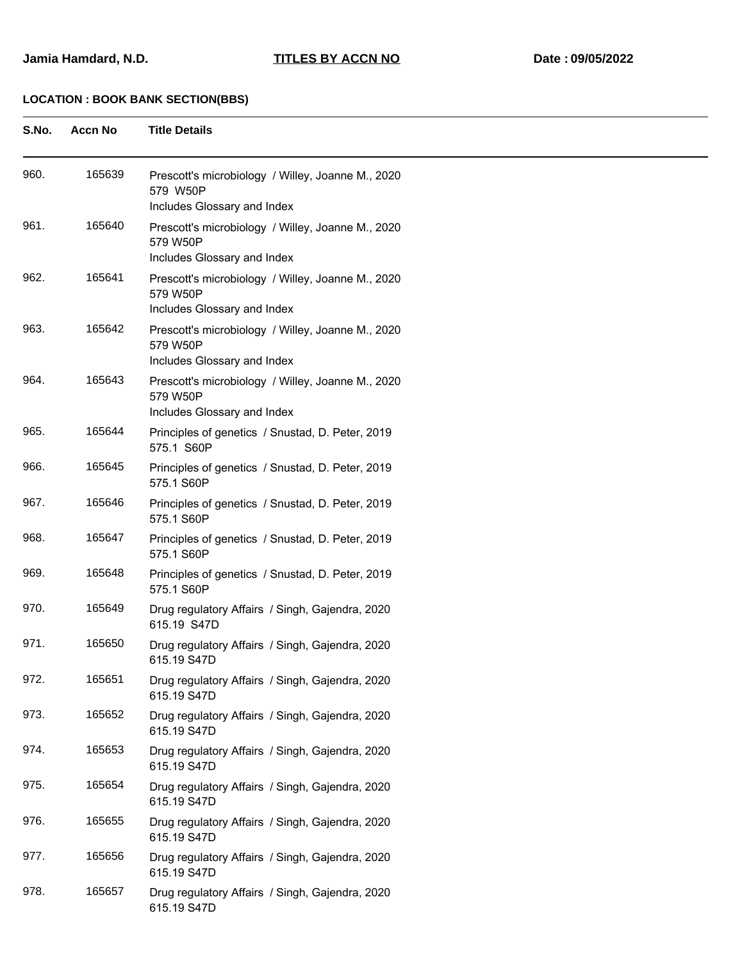| S.No. | <b>Accn No</b> | <b>Title Details</b>                                                                         |
|-------|----------------|----------------------------------------------------------------------------------------------|
| 960.  | 165639         | Prescott's microbiology / Willey, Joanne M., 2020<br>579 W50P<br>Includes Glossary and Index |
| 961.  | 165640         | Prescott's microbiology / Willey, Joanne M., 2020<br>579 W50P<br>Includes Glossary and Index |
| 962.  | 165641         | Prescott's microbiology / Willey, Joanne M., 2020<br>579 W50P<br>Includes Glossary and Index |
| 963.  | 165642         | Prescott's microbiology / Willey, Joanne M., 2020<br>579 W50P<br>Includes Glossary and Index |
| 964.  | 165643         | Prescott's microbiology / Willey, Joanne M., 2020<br>579 W50P<br>Includes Glossary and Index |
| 965.  | 165644         | Principles of genetics / Snustad, D. Peter, 2019<br>575.1 S60P                               |
| 966.  | 165645         | Principles of genetics / Snustad, D. Peter, 2019<br>575.1 S60P                               |
| 967.  | 165646         | Principles of genetics / Snustad, D. Peter, 2019<br>575.1 S60P                               |
| 968.  | 165647         | Principles of genetics / Snustad, D. Peter, 2019<br>575.1 S60P                               |
| 969.  | 165648         | Principles of genetics / Snustad, D. Peter, 2019<br>575.1 S60P                               |
| 970.  | 165649         | Drug regulatory Affairs / Singh, Gajendra, 2020<br>615.19 S47D                               |
| 971.  | 165650         | Drug regulatory Affairs / Singh, Gajendra, 2020<br>615.19 S47D                               |
| 972.  | 165651         | Drug regulatory Affairs / Singh, Gajendra, 2020<br>615.19 S47D                               |
| 973.  | 165652         | Drug regulatory Affairs / Singh, Gajendra, 2020<br>615.19 S47D                               |
| 974.  | 165653         | Drug regulatory Affairs / Singh, Gajendra, 2020<br>615.19 S47D                               |
| 975.  | 165654         | Drug regulatory Affairs / Singh, Gajendra, 2020<br>615.19 S47D                               |
| 976.  | 165655         | Drug regulatory Affairs / Singh, Gajendra, 2020<br>615.19 S47D                               |
| 977.  | 165656         | Drug regulatory Affairs / Singh, Gajendra, 2020<br>615.19 S47D                               |
| 978.  | 165657         | Drug regulatory Affairs / Singh, Gajendra, 2020<br>615.19 S47D                               |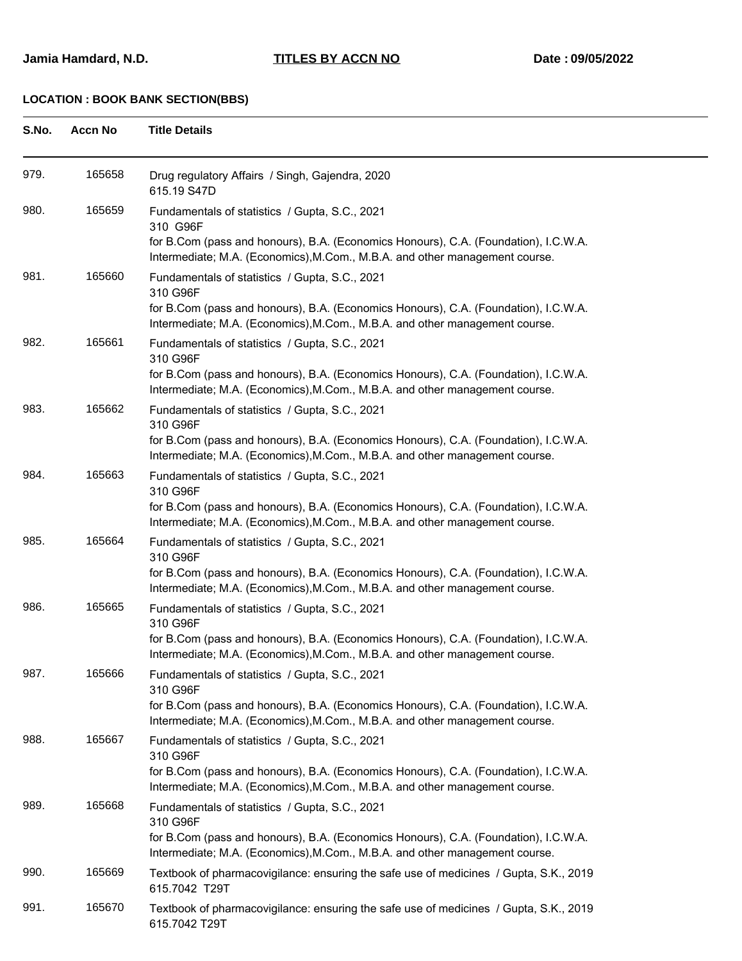615.7042 T29T

**S.No. Accn No Title Details** 979. 165658 Drug regulatory Affairs / Singh, Gajendra, 2020 615.19 S47D 980. 165659 Fundamentals of statistics / Gupta, S.C., 2021 310 G96F for B.Com (pass and honours), B.A. (Economics Honours), C.A. (Foundation), I.C.W.A. Intermediate; M.A. (Economics),M.Com., M.B.A. and other management course. 981. 165660 Fundamentals of statistics / Gupta, S.C., 2021 310 G96F for B.Com (pass and honours), B.A. (Economics Honours), C.A. (Foundation), I.C.W.A. Intermediate; M.A. (Economics),M.Com., M.B.A. and other management course. 982. 165661 Fundamentals of statistics / Gupta, S.C., 2021 310 G96F for B.Com (pass and honours), B.A. (Economics Honours), C.A. (Foundation), I.C.W.A. Intermediate; M.A. (Economics),M.Com., M.B.A. and other management course. 983. 165662 Fundamentals of statistics / Gupta, S.C., 2021 310 G96F for B.Com (pass and honours), B.A. (Economics Honours), C.A. (Foundation), I.C.W.A. Intermediate; M.A. (Economics),M.Com., M.B.A. and other management course. 984. 165663 Fundamentals of statistics / Gupta, S.C., 2021 310 G96F for B.Com (pass and honours), B.A. (Economics Honours), C.A. (Foundation), I.C.W.A. Intermediate; M.A. (Economics),M.Com., M.B.A. and other management course. 985. 165664 Fundamentals of statistics / Gupta, S.C., 2021 310 G96F for B.Com (pass and honours), B.A. (Economics Honours), C.A. (Foundation), I.C.W.A. Intermediate; M.A. (Economics),M.Com., M.B.A. and other management course. 986. 165665 Fundamentals of statistics / Gupta, S.C., 2021 310 G96F for B.Com (pass and honours), B.A. (Economics Honours), C.A. (Foundation), I.C.W.A. Intermediate; M.A. (Economics),M.Com., M.B.A. and other management course. 987. 165666 Fundamentals of statistics / Gupta, S.C., 2021 310 G96F for B.Com (pass and honours), B.A. (Economics Honours), C.A. (Foundation), I.C.W.A. Intermediate; M.A. (Economics),M.Com., M.B.A. and other management course. 988. 165667 Fundamentals of statistics / Gupta, S.C., 2021 310 G96F for B.Com (pass and honours), B.A. (Economics Honours), C.A. (Foundation), I.C.W.A. Intermediate; M.A. (Economics),M.Com., M.B.A. and other management course. 989. 165668 Fundamentals of statistics / Gupta, S.C., 2021 310 G96F for B.Com (pass and honours), B.A. (Economics Honours), C.A. (Foundation), I.C.W.A. Intermediate; M.A. (Economics),M.Com., M.B.A. and other management course. 990. 165669 Textbook of pharmacovigilance: ensuring the safe use of medicines / Gupta, S.K., 2019 615.7042 T29T 991. 165670 Textbook of pharmacovigilance: ensuring the safe use of medicines / Gupta, S.K., 2019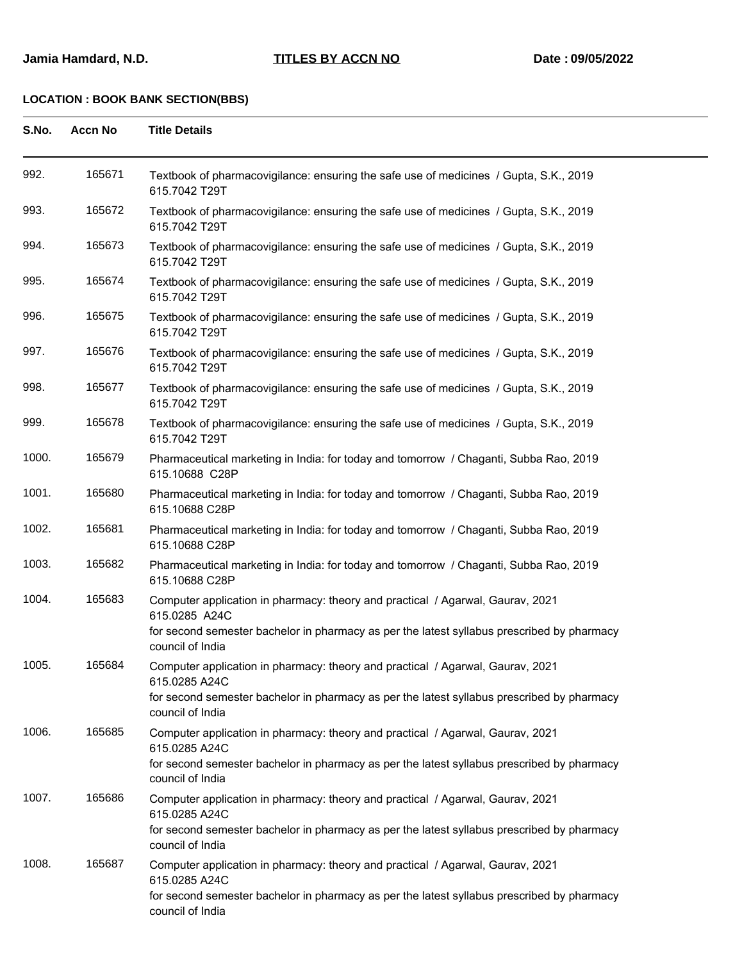| S.No. | <b>Accn No</b> | <b>Title Details</b>                                                                                                                                                                                              |
|-------|----------------|-------------------------------------------------------------------------------------------------------------------------------------------------------------------------------------------------------------------|
| 992.  | 165671         | Textbook of pharmacovigilance: ensuring the safe use of medicines / Gupta, S.K., 2019<br>615.7042 T29T                                                                                                            |
| 993.  | 165672         | Textbook of pharmacovigilance: ensuring the safe use of medicines / Gupta, S.K., 2019<br>615.7042 T29T                                                                                                            |
| 994.  | 165673         | Textbook of pharmacovigilance: ensuring the safe use of medicines / Gupta, S.K., 2019<br>615.7042 T29T                                                                                                            |
| 995.  | 165674         | Textbook of pharmacovigilance: ensuring the safe use of medicines / Gupta, S.K., 2019<br>615.7042 T29T                                                                                                            |
| 996.  | 165675         | Textbook of pharmacovigilance: ensuring the safe use of medicines / Gupta, S.K., 2019<br>615.7042 T29T                                                                                                            |
| 997.  | 165676         | Textbook of pharmacovigilance: ensuring the safe use of medicines / Gupta, S.K., 2019<br>615.7042 T29T                                                                                                            |
| 998.  | 165677         | Textbook of pharmacovigilance: ensuring the safe use of medicines / Gupta, S.K., 2019<br>615.7042 T29T                                                                                                            |
| 999.  | 165678         | Textbook of pharmacovigilance: ensuring the safe use of medicines / Gupta, S.K., 2019<br>615.7042 T29T                                                                                                            |
| 1000. | 165679         | Pharmaceutical marketing in India: for today and tomorrow / Chaganti, Subba Rao, 2019<br>615.10688 C28P                                                                                                           |
| 1001. | 165680         | Pharmaceutical marketing in India: for today and tomorrow / Chaganti, Subba Rao, 2019<br>615.10688 C28P                                                                                                           |
| 1002. | 165681         | Pharmaceutical marketing in India: for today and tomorrow / Chaganti, Subba Rao, 2019<br>615.10688 C28P                                                                                                           |
| 1003. | 165682         | Pharmaceutical marketing in India: for today and tomorrow / Chaganti, Subba Rao, 2019<br>615.10688 C28P                                                                                                           |
| 1004. | 165683         | Computer application in pharmacy: theory and practical / Agarwal, Gaurav, 2021<br>615.0285 A24C<br>for second semester bachelor in pharmacy as per the latest syllabus prescribed by pharmacy<br>council of India |
| 1005. | 165684         | Computer application in pharmacy: theory and practical / Agarwal, Gaurav, 2021<br>615.0285 A24C<br>for second semester bachelor in pharmacy as per the latest syllabus prescribed by pharmacy<br>council of India |
| 1006. | 165685         | Computer application in pharmacy: theory and practical / Agarwal, Gaurav, 2021<br>615.0285 A24C<br>for second semester bachelor in pharmacy as per the latest syllabus prescribed by pharmacy<br>council of India |
| 1007. | 165686         | Computer application in pharmacy: theory and practical / Agarwal, Gaurav, 2021<br>615.0285 A24C<br>for second semester bachelor in pharmacy as per the latest syllabus prescribed by pharmacy<br>council of India |
| 1008. | 165687         | Computer application in pharmacy: theory and practical / Agarwal, Gaurav, 2021<br>615.0285 A24C<br>for second semester bachelor in pharmacy as per the latest syllabus prescribed by pharmacy<br>council of India |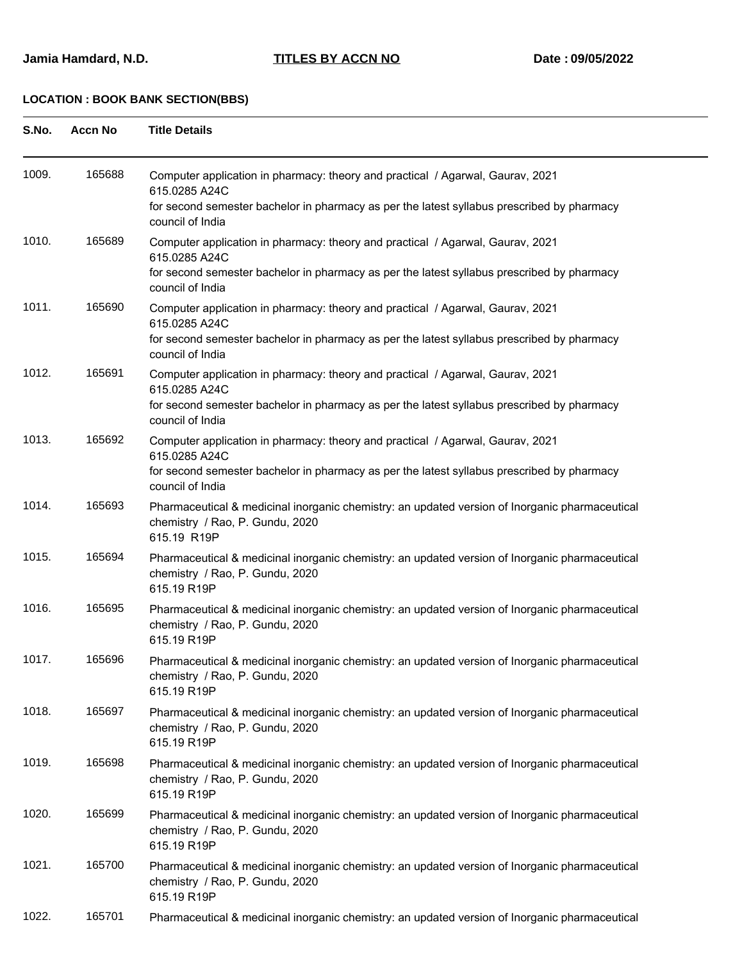| S.No. | <b>Accn No</b> | <b>Title Details</b>                                                                                                                                                                                              |
|-------|----------------|-------------------------------------------------------------------------------------------------------------------------------------------------------------------------------------------------------------------|
| 1009. | 165688         | Computer application in pharmacy: theory and practical / Agarwal, Gaurav, 2021<br>615.0285 A24C<br>for second semester bachelor in pharmacy as per the latest syllabus prescribed by pharmacy<br>council of India |
| 1010. | 165689         | Computer application in pharmacy: theory and practical / Agarwal, Gaurav, 2021<br>615.0285 A24C<br>for second semester bachelor in pharmacy as per the latest syllabus prescribed by pharmacy<br>council of India |
| 1011. | 165690         | Computer application in pharmacy: theory and practical / Agarwal, Gaurav, 2021<br>615.0285 A24C<br>for second semester bachelor in pharmacy as per the latest syllabus prescribed by pharmacy<br>council of India |
| 1012. | 165691         | Computer application in pharmacy: theory and practical / Agarwal, Gaurav, 2021<br>615.0285 A24C<br>for second semester bachelor in pharmacy as per the latest syllabus prescribed by pharmacy<br>council of India |
| 1013. | 165692         | Computer application in pharmacy: theory and practical / Agarwal, Gaurav, 2021<br>615.0285 A24C<br>for second semester bachelor in pharmacy as per the latest syllabus prescribed by pharmacy<br>council of India |
| 1014. | 165693         | Pharmaceutical & medicinal inorganic chemistry: an updated version of Inorganic pharmaceutical<br>chemistry / Rao, P. Gundu, 2020<br>615.19 R19P                                                                  |
| 1015. | 165694         | Pharmaceutical & medicinal inorganic chemistry: an updated version of Inorganic pharmaceutical<br>chemistry / Rao, P. Gundu, 2020<br>615.19 R19P                                                                  |
| 1016. | 165695         | Pharmaceutical & medicinal inorganic chemistry: an updated version of Inorganic pharmaceutical<br>chemistry / Rao, P. Gundu, 2020<br>615.19 R19P                                                                  |
| 1017. | 165696         | Pharmaceutical & medicinal inorganic chemistry: an updated version of Inorganic pharmaceutical<br>chemistry / Rao, P. Gundu, 2020<br>615.19 R19P                                                                  |
| 1018. | 165697         | Pharmaceutical & medicinal inorganic chemistry: an updated version of Inorganic pharmaceutical<br>chemistry / Rao, P. Gundu, 2020<br>615.19 R19P                                                                  |
| 1019. | 165698         | Pharmaceutical & medicinal inorganic chemistry: an updated version of Inorganic pharmaceutical<br>chemistry / Rao, P. Gundu, 2020<br>615.19 R19P                                                                  |
| 1020. | 165699         | Pharmaceutical & medicinal inorganic chemistry: an updated version of Inorganic pharmaceutical<br>chemistry / Rao, P. Gundu, 2020<br>615.19 R19P                                                                  |
| 1021. | 165700         | Pharmaceutical & medicinal inorganic chemistry: an updated version of Inorganic pharmaceutical<br>chemistry / Rao, P. Gundu, 2020<br>615.19 R19P                                                                  |
| 1022. | 165701         | Pharmaceutical & medicinal inorganic chemistry: an updated version of Inorganic pharmaceutical                                                                                                                    |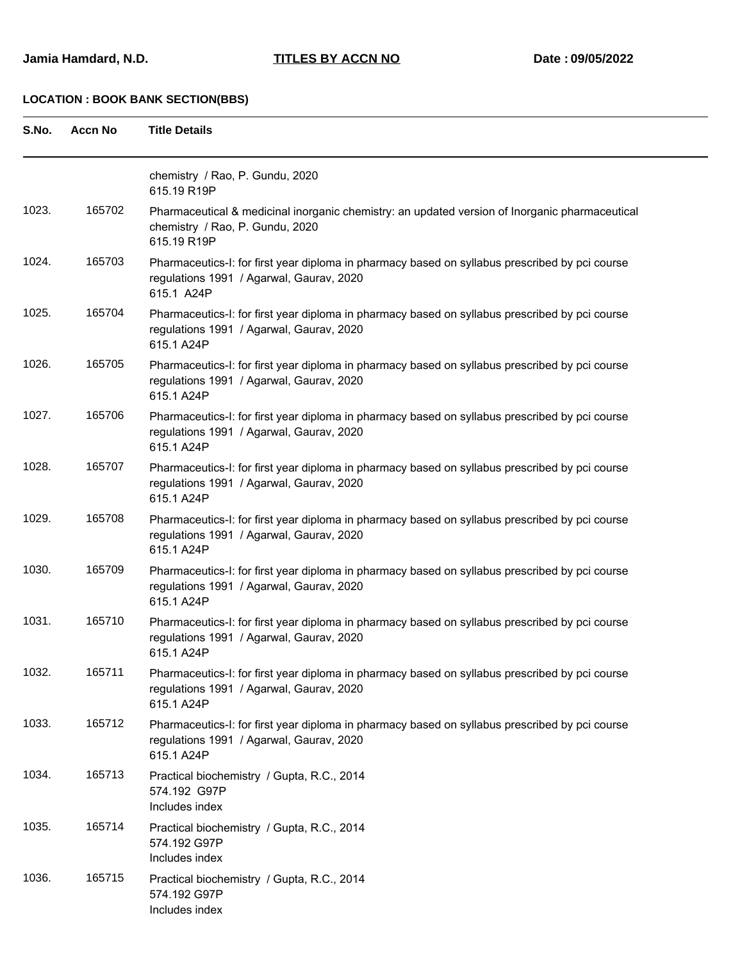| S.No. | <b>Accn No</b> | <b>Title Details</b>                                                                                                                                     |
|-------|----------------|----------------------------------------------------------------------------------------------------------------------------------------------------------|
|       |                | chemistry / Rao, P. Gundu, 2020<br>615.19 R19P                                                                                                           |
| 1023. | 165702         | Pharmaceutical & medicinal inorganic chemistry: an updated version of Inorganic pharmaceutical<br>chemistry / Rao, P. Gundu, 2020<br>615.19 R19P         |
| 1024. | 165703         | Pharmaceutics-I: for first year diploma in pharmacy based on syllabus prescribed by pci course<br>regulations 1991 / Agarwal, Gaurav, 2020<br>615.1 A24P |
| 1025. | 165704         | Pharmaceutics-I: for first year diploma in pharmacy based on syllabus prescribed by pci course<br>regulations 1991 / Agarwal, Gaurav, 2020<br>615.1 A24P |
| 1026. | 165705         | Pharmaceutics-I: for first year diploma in pharmacy based on syllabus prescribed by pci course<br>regulations 1991 / Agarwal, Gaurav, 2020<br>615.1 A24P |
| 1027. | 165706         | Pharmaceutics-I: for first year diploma in pharmacy based on syllabus prescribed by pci course<br>regulations 1991 / Agarwal, Gaurav, 2020<br>615.1 A24P |
| 1028. | 165707         | Pharmaceutics-I: for first year diploma in pharmacy based on syllabus prescribed by pci course<br>regulations 1991 / Agarwal, Gaurav, 2020<br>615.1 A24P |
| 1029. | 165708         | Pharmaceutics-I: for first year diploma in pharmacy based on syllabus prescribed by pci course<br>regulations 1991 / Agarwal, Gaurav, 2020<br>615.1 A24P |
| 1030. | 165709         | Pharmaceutics-I: for first year diploma in pharmacy based on syllabus prescribed by pci course<br>regulations 1991 / Agarwal, Gaurav, 2020<br>615.1 A24P |
| 1031. | 165710         | Pharmaceutics-I: for first year diploma in pharmacy based on syllabus prescribed by pci course<br>regulations 1991 / Agarwal, Gaurav, 2020<br>615.1 A24P |
| 1032. | 165711         | Pharmaceutics-I: for first year diploma in pharmacy based on syllabus prescribed by pci course<br>regulations 1991 / Agarwal, Gaurav, 2020<br>615.1 A24P |
| 1033. | 165712         | Pharmaceutics-I: for first year diploma in pharmacy based on syllabus prescribed by pci course<br>regulations 1991 / Agarwal, Gaurav, 2020<br>615.1 A24P |
| 1034. | 165713         | Practical biochemistry / Gupta, R.C., 2014<br>574.192 G97P<br>Includes index                                                                             |
| 1035. | 165714         | Practical biochemistry / Gupta, R.C., 2014<br>574.192 G97P<br>Includes index                                                                             |
| 1036. | 165715         | Practical biochemistry / Gupta, R.C., 2014<br>574.192 G97P<br>Includes index                                                                             |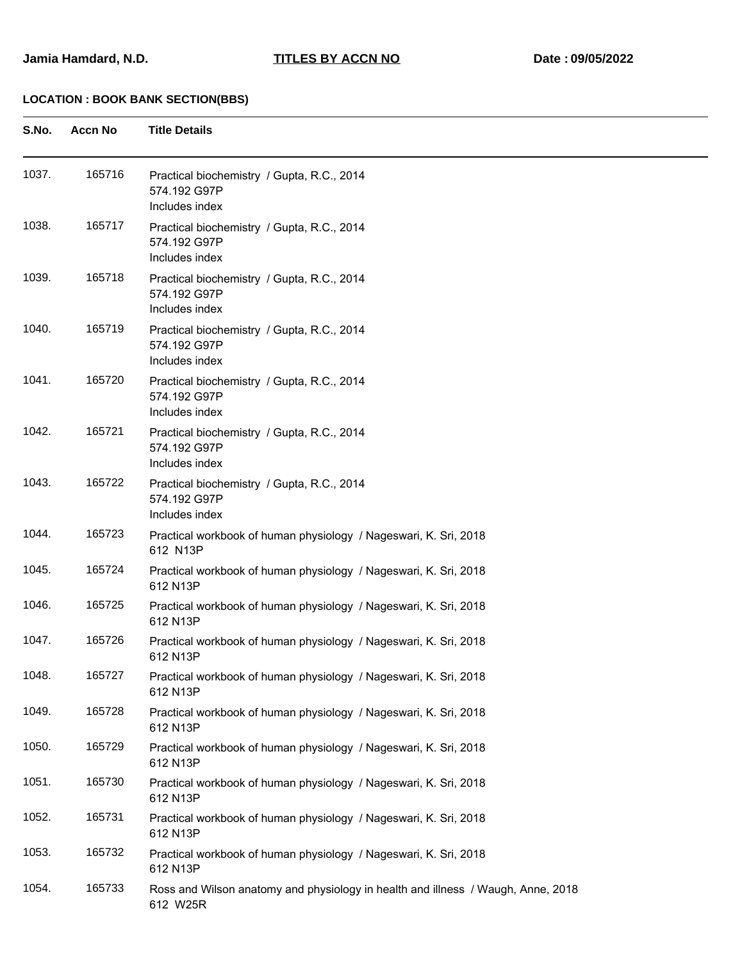| S.No. | <b>Accn No</b> | <b>Title Details</b>                                                                         |
|-------|----------------|----------------------------------------------------------------------------------------------|
| 1037. | 165716         | Practical biochemistry / Gupta, R.C., 2014<br>574.192 G97P<br>Includes index                 |
| 1038. | 165717         | Practical biochemistry / Gupta, R.C., 2014<br>574.192 G97P<br>Includes index                 |
| 1039. | 165718         | Practical biochemistry / Gupta, R.C., 2014<br>574.192 G97P<br>Includes index                 |
| 1040. | 165719         | Practical biochemistry / Gupta, R.C., 2014<br>574.192 G97P<br>Includes index                 |
| 1041. | 165720         | Practical biochemistry / Gupta, R.C., 2014<br>574.192 G97P<br>Includes index                 |
| 1042. | 165721         | Practical biochemistry / Gupta, R.C., 2014<br>574.192 G97P<br>Includes index                 |
| 1043. | 165722         | Practical biochemistry / Gupta, R.C., 2014<br>574.192 G97P<br>Includes index                 |
| 1044. | 165723         | Practical workbook of human physiology / Nageswari, K. Sri, 2018<br>612 N13P                 |
| 1045. | 165724         | Practical workbook of human physiology / Nageswari, K. Sri, 2018<br>612 N13P                 |
| 1046. | 165725         | Practical workbook of human physiology / Nageswari, K. Sri, 2018<br>612 N13P                 |
| 1047. | 165726         | Practical workbook of human physiology / Nageswari, K. Sri, 2018<br>612 N13P                 |
| 1048. | 165727         | Practical workbook of human physiology / Nageswari, K. Sri, 2018<br>612 N13P                 |
| 1049. | 165728         | Practical workbook of human physiology / Nageswari, K. Sri, 2018<br>612 N13P                 |
| 1050. | 165729         | Practical workbook of human physiology / Nageswari, K. Sri, 2018<br>612 N13P                 |
| 1051. | 165730         | Practical workbook of human physiology / Nageswari, K. Sri, 2018<br>612 N13P                 |
| 1052. | 165731         | Practical workbook of human physiology / Nageswari, K. Sri, 2018<br>612 N13P                 |
| 1053. | 165732         | Practical workbook of human physiology / Nageswari, K. Sri, 2018<br>612 N13P                 |
| 1054. | 165733         | Ross and Wilson anatomy and physiology in health and illness / Waugh, Anne, 2018<br>612 W25R |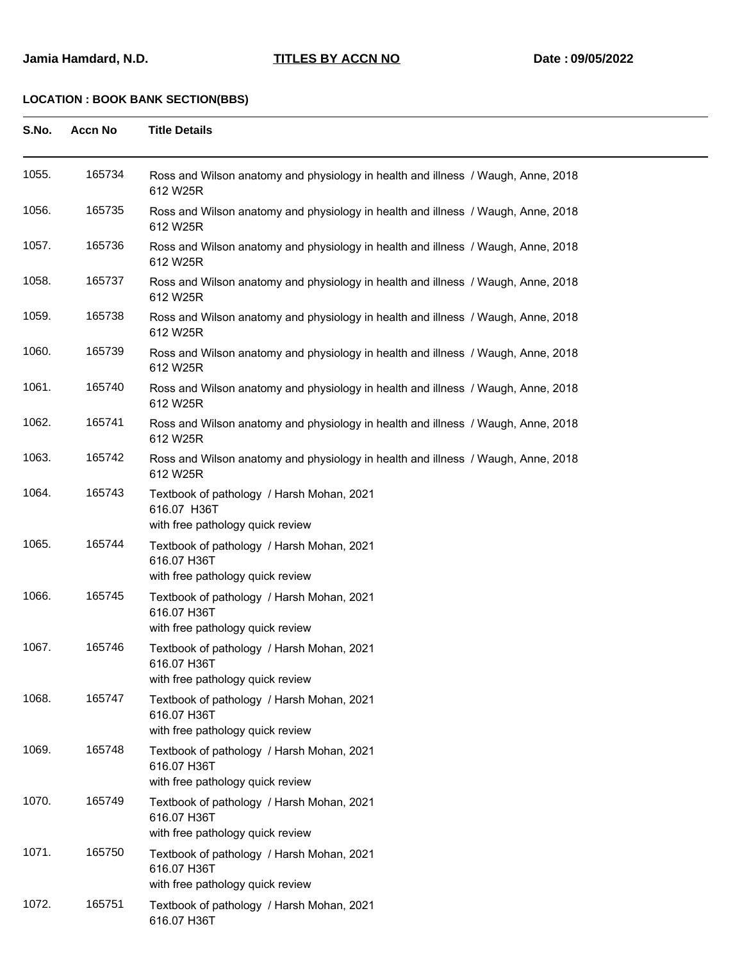| S.No. | <b>Accn No</b> | <b>Title Details</b>                                                                         |
|-------|----------------|----------------------------------------------------------------------------------------------|
| 1055. | 165734         | Ross and Wilson anatomy and physiology in health and illness / Waugh, Anne, 2018<br>612 W25R |
| 1056. | 165735         | Ross and Wilson anatomy and physiology in health and illness / Waugh, Anne, 2018<br>612 W25R |
| 1057. | 165736         | Ross and Wilson anatomy and physiology in health and illness / Waugh, Anne, 2018<br>612 W25R |
| 1058. | 165737         | Ross and Wilson anatomy and physiology in health and illness / Waugh, Anne, 2018<br>612 W25R |
| 1059. | 165738         | Ross and Wilson anatomy and physiology in health and illness / Waugh, Anne, 2018<br>612 W25R |
| 1060. | 165739         | Ross and Wilson anatomy and physiology in health and illness / Waugh, Anne, 2018<br>612 W25R |
| 1061. | 165740         | Ross and Wilson anatomy and physiology in health and illness / Waugh, Anne, 2018<br>612 W25R |
| 1062. | 165741         | Ross and Wilson anatomy and physiology in health and illness / Waugh, Anne, 2018<br>612 W25R |
| 1063. | 165742         | Ross and Wilson anatomy and physiology in health and illness / Waugh, Anne, 2018<br>612 W25R |
| 1064. | 165743         | Textbook of pathology / Harsh Mohan, 2021<br>616.07 H36T<br>with free pathology quick review |
| 1065. | 165744         | Textbook of pathology / Harsh Mohan, 2021<br>616.07 H36T<br>with free pathology quick review |
| 1066. | 165745         | Textbook of pathology / Harsh Mohan, 2021<br>616.07 H36T<br>with free pathology quick review |
| 1067. | 165746         | Textbook of pathology / Harsh Mohan, 2021<br>616.07 H36T<br>with free pathology quick review |
| 1068. | 165747         | Textbook of pathology / Harsh Mohan, 2021<br>616.07 H36T<br>with free pathology quick review |
| 1069. | 165748         | Textbook of pathology / Harsh Mohan, 2021<br>616.07 H36T<br>with free pathology quick review |
| 1070. | 165749         | Textbook of pathology / Harsh Mohan, 2021<br>616.07 H36T<br>with free pathology quick review |
| 1071. | 165750         | Textbook of pathology / Harsh Mohan, 2021<br>616.07 H36T<br>with free pathology quick review |
| 1072. | 165751         | Textbook of pathology / Harsh Mohan, 2021<br>616.07 H36T                                     |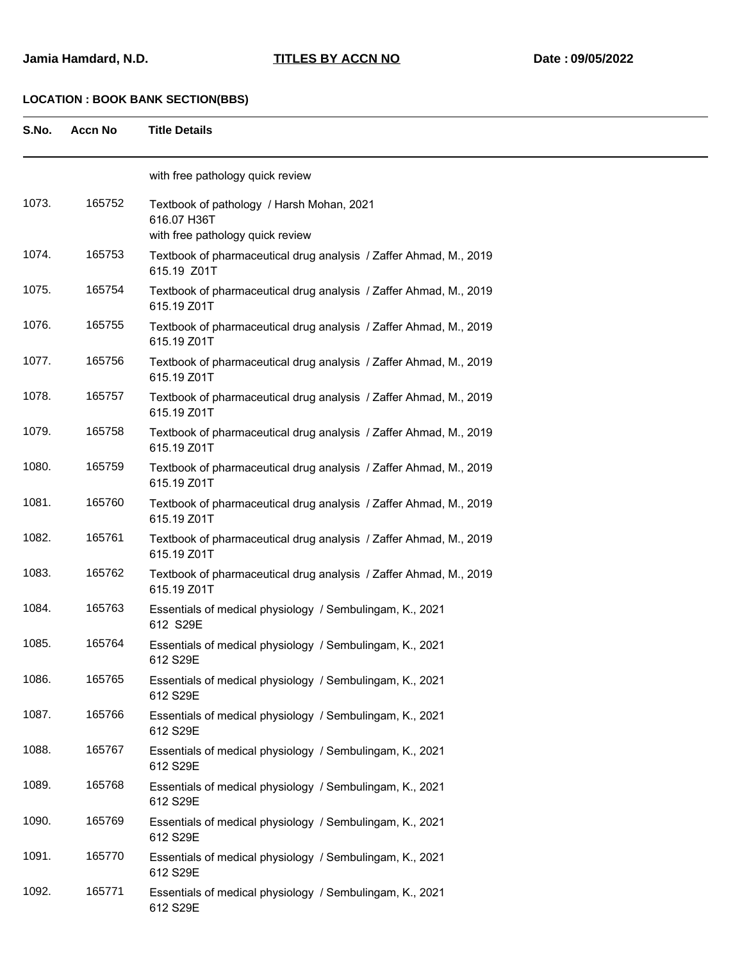| S.No. | <b>Accn No</b> | <b>Title Details</b>                                                                         |
|-------|----------------|----------------------------------------------------------------------------------------------|
|       |                | with free pathology quick review                                                             |
| 1073. | 165752         | Textbook of pathology / Harsh Mohan, 2021<br>616.07 H36T<br>with free pathology quick review |
| 1074. | 165753         | Textbook of pharmaceutical drug analysis / Zaffer Ahmad, M., 2019<br>615.19 Z01T             |
| 1075. | 165754         | Textbook of pharmaceutical drug analysis / Zaffer Ahmad, M., 2019<br>615.19 Z01T             |
| 1076. | 165755         | Textbook of pharmaceutical drug analysis / Zaffer Ahmad, M., 2019<br>615.19 Z01T             |
| 1077. | 165756         | Textbook of pharmaceutical drug analysis / Zaffer Ahmad, M., 2019<br>615.19 Z01T             |
| 1078. | 165757         | Textbook of pharmaceutical drug analysis / Zaffer Ahmad, M., 2019<br>615.19 Z01T             |
| 1079. | 165758         | Textbook of pharmaceutical drug analysis / Zaffer Ahmad, M., 2019<br>615.19 Z01T             |
| 1080. | 165759         | Textbook of pharmaceutical drug analysis / Zaffer Ahmad, M., 2019<br>615.19 Z01T             |
| 1081. | 165760         | Textbook of pharmaceutical drug analysis / Zaffer Ahmad, M., 2019<br>615.19 Z01T             |
| 1082. | 165761         | Textbook of pharmaceutical drug analysis / Zaffer Ahmad, M., 2019<br>615.19 Z01T             |
| 1083. | 165762         | Textbook of pharmaceutical drug analysis / Zaffer Ahmad, M., 2019<br>615.19 Z01T             |
| 1084. | 165763         | Essentials of medical physiology / Sembulingam, K., 2021<br>612 S29E                         |
| 1085. | 165764         | Essentials of medical physiology / Sembulingam, K., 2021<br>612 S29E                         |
| 1086. | 165765         | Essentials of medical physiology / Sembulingam, K., 2021<br>612 S29E                         |
| 1087. | 165766         | Essentials of medical physiology / Sembulingam, K., 2021<br>612 S29E                         |
| 1088. | 165767         | Essentials of medical physiology / Sembulingam, K., 2021<br>612 S29E                         |
| 1089. | 165768         | Essentials of medical physiology / Sembulingam, K., 2021<br>612 S29E                         |
| 1090. | 165769         | Essentials of medical physiology / Sembulingam, K., 2021<br>612 S29E                         |
| 1091. | 165770         | Essentials of medical physiology / Sembulingam, K., 2021<br>612 S29E                         |
| 1092. | 165771         | Essentials of medical physiology / Sembulingam, K., 2021<br>612 S29E                         |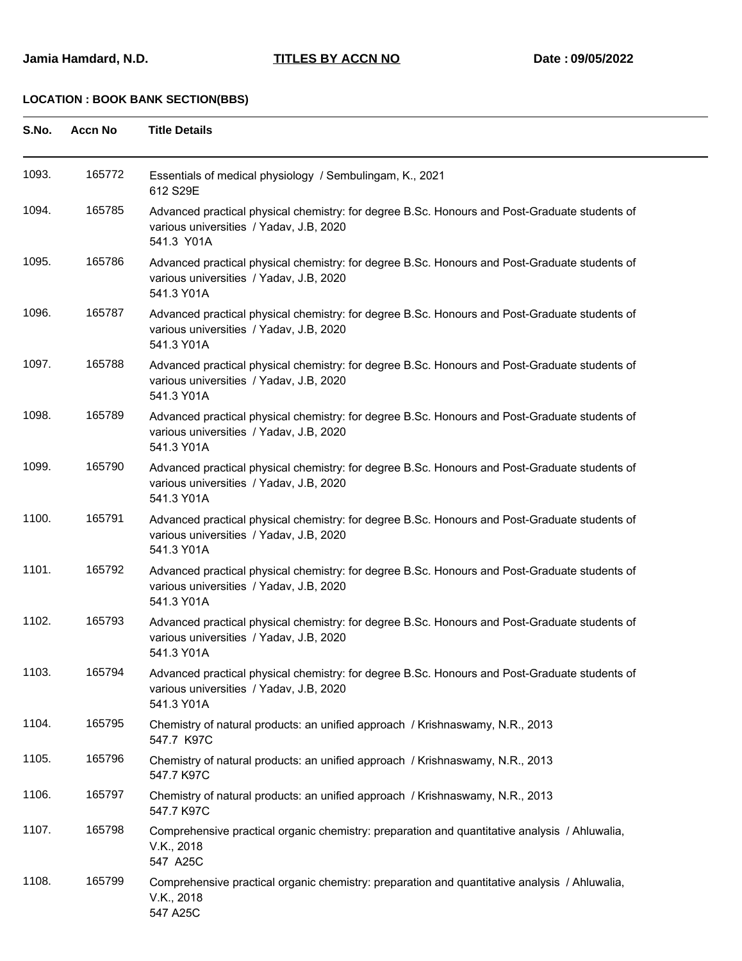| S.No. | <b>Accn No</b> | <b>Title Details</b>                                                                                                                                   |  |
|-------|----------------|--------------------------------------------------------------------------------------------------------------------------------------------------------|--|
| 1093. | 165772         | Essentials of medical physiology / Sembulingam, K., 2021<br>612 S29E                                                                                   |  |
| 1094. | 165785         | Advanced practical physical chemistry: for degree B.Sc. Honours and Post-Graduate students of<br>various universities / Yadav, J.B, 2020<br>541.3 Y01A |  |
| 1095. | 165786         | Advanced practical physical chemistry: for degree B.Sc. Honours and Post-Graduate students of<br>various universities / Yadav, J.B, 2020<br>541.3 Y01A |  |
| 1096. | 165787         | Advanced practical physical chemistry: for degree B.Sc. Honours and Post-Graduate students of<br>various universities / Yadav, J.B, 2020<br>541.3 Y01A |  |
| 1097. | 165788         | Advanced practical physical chemistry: for degree B.Sc. Honours and Post-Graduate students of<br>various universities / Yadav, J.B, 2020<br>541.3 Y01A |  |
| 1098. | 165789         | Advanced practical physical chemistry: for degree B.Sc. Honours and Post-Graduate students of<br>various universities / Yadav, J.B, 2020<br>541.3 Y01A |  |
| 1099. | 165790         | Advanced practical physical chemistry: for degree B.Sc. Honours and Post-Graduate students of<br>various universities / Yadav, J.B, 2020<br>541.3 Y01A |  |
| 1100. | 165791         | Advanced practical physical chemistry: for degree B.Sc. Honours and Post-Graduate students of<br>various universities / Yadav, J.B, 2020<br>541.3 Y01A |  |
| 1101. | 165792         | Advanced practical physical chemistry: for degree B.Sc. Honours and Post-Graduate students of<br>various universities / Yadav, J.B, 2020<br>541.3 Y01A |  |
| 1102. | 165793         | Advanced practical physical chemistry: for degree B.Sc. Honours and Post-Graduate students of<br>various universities / Yadav, J.B, 2020<br>541.3 Y01A |  |
| 1103. | 165794         | Advanced practical physical chemistry: for degree B.Sc. Honours and Post-Graduate students of<br>various universities / Yadav, J.B, 2020<br>541.3 Y01A |  |
| 1104. | 165795         | Chemistry of natural products: an unified approach / Krishnaswamy, N.R., 2013<br>547.7 K97C                                                            |  |
| 1105. | 165796         | Chemistry of natural products: an unified approach / Krishnaswamy, N.R., 2013<br>547.7 K97C                                                            |  |
| 1106. | 165797         | Chemistry of natural products: an unified approach / Krishnaswamy, N.R., 2013<br>547.7 K97C                                                            |  |
| 1107. | 165798         | Comprehensive practical organic chemistry: preparation and quantitative analysis / Ahluwalia,<br>V.K., 2018<br>547 A25C                                |  |
| 1108. | 165799         | Comprehensive practical organic chemistry: preparation and quantitative analysis / Ahluwalia,<br>V.K., 2018<br>547 A25C                                |  |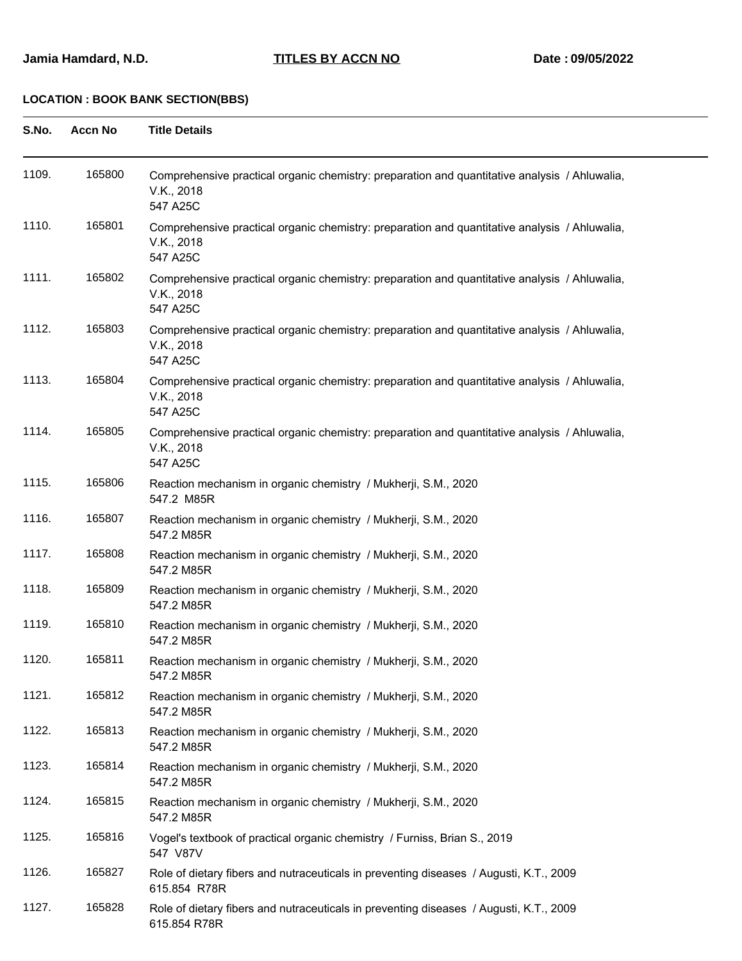| S.No. | <b>Accn No</b> | <b>Title Details</b>                                                                                                    |  |
|-------|----------------|-------------------------------------------------------------------------------------------------------------------------|--|
| 1109. | 165800         | Comprehensive practical organic chemistry: preparation and quantitative analysis / Ahluwalia,<br>V.K., 2018<br>547 A25C |  |
| 1110. | 165801         | Comprehensive practical organic chemistry: preparation and quantitative analysis / Ahluwalia,<br>V.K., 2018<br>547 A25C |  |
| 1111. | 165802         | Comprehensive practical organic chemistry: preparation and quantitative analysis / Ahluwalia,<br>V.K., 2018<br>547 A25C |  |
| 1112. | 165803         | Comprehensive practical organic chemistry: preparation and quantitative analysis / Ahluwalia,<br>V.K., 2018<br>547 A25C |  |
| 1113. | 165804         | Comprehensive practical organic chemistry: preparation and quantitative analysis / Ahluwalia,<br>V.K., 2018<br>547 A25C |  |
| 1114. | 165805         | Comprehensive practical organic chemistry: preparation and quantitative analysis / Ahluwalia,<br>V.K., 2018<br>547 A25C |  |
| 1115. | 165806         | Reaction mechanism in organic chemistry / Mukherji, S.M., 2020<br>547.2 M85R                                            |  |
| 1116. | 165807         | Reaction mechanism in organic chemistry / Mukherji, S.M., 2020<br>547.2 M85R                                            |  |
| 1117. | 165808         | Reaction mechanism in organic chemistry / Mukherji, S.M., 2020<br>547.2 M85R                                            |  |
| 1118. | 165809         | Reaction mechanism in organic chemistry / Mukherji, S.M., 2020<br>547.2 M85R                                            |  |
| 1119. | 165810         | Reaction mechanism in organic chemistry / Mukherji, S.M., 2020<br>547.2 M85R                                            |  |
| 1120. | 165811         | Reaction mechanism in organic chemistry / Mukherji, S.M., 2020<br>547.2 M85R                                            |  |
| 1121. | 165812         | Reaction mechanism in organic chemistry / Mukherji, S.M., 2020<br>547.2 M85R                                            |  |
| 1122. | 165813         | Reaction mechanism in organic chemistry / Mukherji, S.M., 2020<br>547.2 M85R                                            |  |
| 1123. | 165814         | Reaction mechanism in organic chemistry / Mukherji, S.M., 2020<br>547.2 M85R                                            |  |
| 1124. | 165815         | Reaction mechanism in organic chemistry / Mukherji, S.M., 2020<br>547.2 M85R                                            |  |
| 1125. | 165816         | Vogel's textbook of practical organic chemistry / Furniss, Brian S., 2019<br>547 V87V                                   |  |
| 1126. | 165827         | Role of dietary fibers and nutraceuticals in preventing diseases / Augusti, K.T., 2009<br>615.854 R78R                  |  |
| 1127. | 165828         | Role of dietary fibers and nutraceuticals in preventing diseases / Augusti, K.T., 2009<br>615.854 R78R                  |  |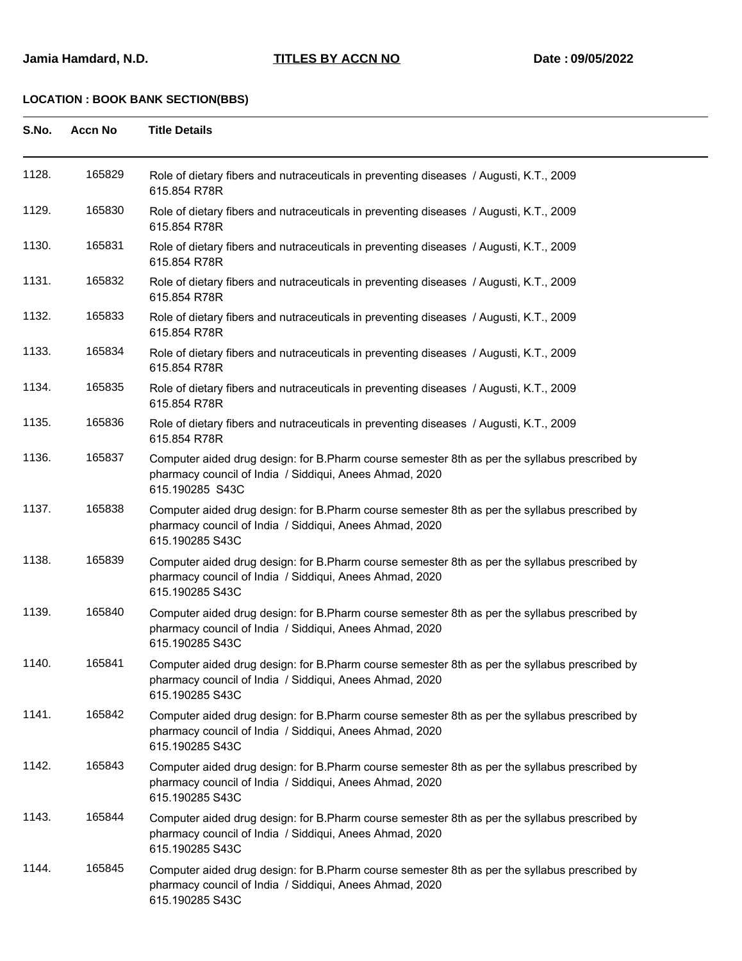| S.No. | <b>Accn No</b> | <b>Title Details</b>                                                                                                                                                        |
|-------|----------------|-----------------------------------------------------------------------------------------------------------------------------------------------------------------------------|
| 1128. | 165829         | Role of dietary fibers and nutraceuticals in preventing diseases / Augusti, K.T., 2009<br>615.854 R78R                                                                      |
| 1129. | 165830         | Role of dietary fibers and nutraceuticals in preventing diseases / Augusti, K.T., 2009<br>615.854 R78R                                                                      |
| 1130. | 165831         | Role of dietary fibers and nutraceuticals in preventing diseases / Augusti, K.T., 2009<br>615.854 R78R                                                                      |
| 1131. | 165832         | Role of dietary fibers and nutraceuticals in preventing diseases / Augusti, K.T., 2009<br>615.854 R78R                                                                      |
| 1132. | 165833         | Role of dietary fibers and nutraceuticals in preventing diseases / Augusti, K.T., 2009<br>615.854 R78R                                                                      |
| 1133. | 165834         | Role of dietary fibers and nutraceuticals in preventing diseases / Augusti, K.T., 2009<br>615.854 R78R                                                                      |
| 1134. | 165835         | Role of dietary fibers and nutraceuticals in preventing diseases / Augusti, K.T., 2009<br>615.854 R78R                                                                      |
| 1135. | 165836         | Role of dietary fibers and nutraceuticals in preventing diseases / Augusti, K.T., 2009<br>615.854 R78R                                                                      |
| 1136. | 165837         | Computer aided drug design: for B.Pharm course semester 8th as per the syllabus prescribed by<br>pharmacy council of India / Siddiqui, Anees Ahmad, 2020<br>615.190285 S43C |
| 1137. | 165838         | Computer aided drug design: for B.Pharm course semester 8th as per the syllabus prescribed by<br>pharmacy council of India / Siddiqui, Anees Ahmad, 2020<br>615.190285 S43C |
| 1138. | 165839         | Computer aided drug design: for B.Pharm course semester 8th as per the syllabus prescribed by<br>pharmacy council of India / Siddiqui, Anees Ahmad, 2020<br>615.190285 S43C |
| 1139. | 165840         | Computer aided drug design: for B.Pharm course semester 8th as per the syllabus prescribed by<br>pharmacy council of India / Siddiqui, Anees Ahmad, 2020<br>615.190285 S43C |
| 1140. | 165841         | Computer aided drug design: for B.Pharm course semester 8th as per the syllabus prescribed by<br>pharmacy council of India / Siddiqui, Anees Ahmad, 2020<br>615.190285 S43C |
| 1141. | 165842         | Computer aided drug design: for B.Pharm course semester 8th as per the syllabus prescribed by<br>pharmacy council of India / Siddiqui, Anees Ahmad, 2020<br>615.190285 S43C |
| 1142. | 165843         | Computer aided drug design: for B.Pharm course semester 8th as per the syllabus prescribed by<br>pharmacy council of India / Siddiqui, Anees Ahmad, 2020<br>615.190285 S43C |
| 1143. | 165844         | Computer aided drug design: for B.Pharm course semester 8th as per the syllabus prescribed by<br>pharmacy council of India / Siddiqui, Anees Ahmad, 2020<br>615.190285 S43C |
| 1144. | 165845         | Computer aided drug design: for B.Pharm course semester 8th as per the syllabus prescribed by<br>pharmacy council of India / Siddiqui, Anees Ahmad, 2020<br>615.190285 S43C |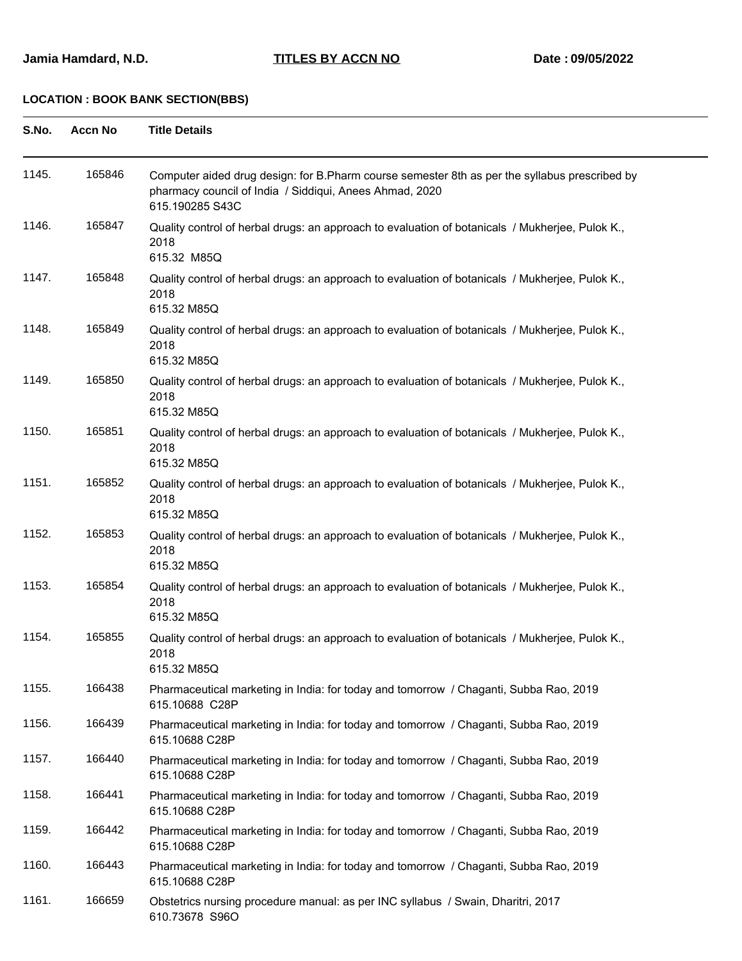| S.No. | <b>Accn No</b> | <b>Title Details</b>                                                                                                                                                        |
|-------|----------------|-----------------------------------------------------------------------------------------------------------------------------------------------------------------------------|
| 1145. | 165846         | Computer aided drug design: for B.Pharm course semester 8th as per the syllabus prescribed by<br>pharmacy council of India / Siddiqui, Anees Ahmad, 2020<br>615.190285 S43C |
| 1146. | 165847         | Quality control of herbal drugs: an approach to evaluation of botanicals / Mukherjee, Pulok K.,<br>2018<br>615.32 M85Q                                                      |
| 1147. | 165848         | Quality control of herbal drugs: an approach to evaluation of botanicals / Mukherjee, Pulok K.,<br>2018<br>615.32 M85Q                                                      |
| 1148. | 165849         | Quality control of herbal drugs: an approach to evaluation of botanicals / Mukherjee, Pulok K.,<br>2018<br>615.32 M85Q                                                      |
| 1149. | 165850         | Quality control of herbal drugs: an approach to evaluation of botanicals / Mukherjee, Pulok K.,<br>2018<br>615.32 M85Q                                                      |
| 1150. | 165851         | Quality control of herbal drugs: an approach to evaluation of botanicals / Mukherjee, Pulok K.,<br>2018<br>615.32 M85Q                                                      |
| 1151. | 165852         | Quality control of herbal drugs: an approach to evaluation of botanicals / Mukherjee, Pulok K.,<br>2018<br>615.32 M85Q                                                      |
| 1152. | 165853         | Quality control of herbal drugs: an approach to evaluation of botanicals / Mukherjee, Pulok K.,<br>2018<br>615.32 M85Q                                                      |
| 1153. | 165854         | Quality control of herbal drugs: an approach to evaluation of botanicals / Mukherjee, Pulok K.,<br>2018<br>615.32 M85Q                                                      |
| 1154. | 165855         | Quality control of herbal drugs: an approach to evaluation of botanicals / Mukherjee, Pulok K.,<br>2018<br>615.32 M85Q                                                      |
| 1155. | 166438         | Pharmaceutical marketing in India: for today and tomorrow / Chaganti, Subba Rao, 2019<br>615.10688 C28P                                                                     |
| 1156. | 166439         | Pharmaceutical marketing in India: for today and tomorrow / Chaganti, Subba Rao, 2019<br>615.10688 C28P                                                                     |
| 1157. | 166440         | Pharmaceutical marketing in India: for today and tomorrow / Chaganti, Subba Rao, 2019<br>615.10688 C28P                                                                     |
| 1158. | 166441         | Pharmaceutical marketing in India: for today and tomorrow / Chaganti, Subba Rao, 2019<br>615.10688 C28P                                                                     |
| 1159. | 166442         | Pharmaceutical marketing in India: for today and tomorrow / Chaganti, Subba Rao, 2019<br>615.10688 C28P                                                                     |
| 1160. | 166443         | Pharmaceutical marketing in India: for today and tomorrow / Chaganti, Subba Rao, 2019<br>615.10688 C28P                                                                     |
| 1161. | 166659         | Obstetrics nursing procedure manual: as per INC syllabus / Swain, Dharitri, 2017<br>610.73678 S96O                                                                          |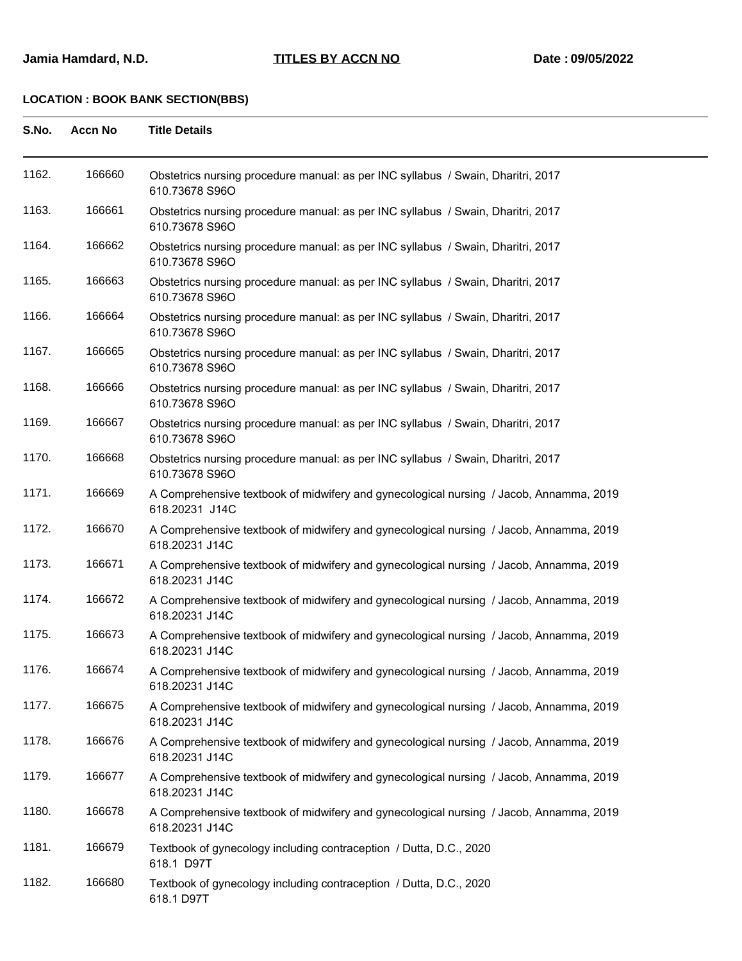| S.No. | <b>Accn No</b> | <b>Title Details</b>                                                                                     |  |
|-------|----------------|----------------------------------------------------------------------------------------------------------|--|
| 1162. | 166660         | Obstetrics nursing procedure manual: as per INC syllabus / Swain, Dharitri, 2017<br>610.73678 S96O       |  |
| 1163. | 166661         | Obstetrics nursing procedure manual: as per INC syllabus / Swain, Dharitri, 2017<br>610.73678 S96O       |  |
| 1164. | 166662         | Obstetrics nursing procedure manual: as per INC syllabus / Swain, Dharitri, 2017<br>610.73678 S96O       |  |
| 1165. | 166663         | Obstetrics nursing procedure manual: as per INC syllabus / Swain, Dharitri, 2017<br>610.73678 S96O       |  |
| 1166. | 166664         | Obstetrics nursing procedure manual: as per INC syllabus / Swain, Dharitri, 2017<br>610.73678 S96O       |  |
| 1167. | 166665         | Obstetrics nursing procedure manual: as per INC syllabus / Swain, Dharitri, 2017<br>610.73678 S96O       |  |
| 1168. | 166666         | Obstetrics nursing procedure manual: as per INC syllabus / Swain, Dharitri, 2017<br>610.73678 S96O       |  |
| 1169. | 166667         | Obstetrics nursing procedure manual: as per INC syllabus / Swain, Dharitri, 2017<br>610.73678 S96O       |  |
| 1170. | 166668         | Obstetrics nursing procedure manual: as per INC syllabus / Swain, Dharitri, 2017<br>610.73678 S96O       |  |
| 1171. | 166669         | A Comprehensive textbook of midwifery and gynecological nursing / Jacob, Annamma, 2019<br>618.20231 J14C |  |
| 1172. | 166670         | A Comprehensive textbook of midwifery and gynecological nursing / Jacob, Annamma, 2019<br>618.20231 J14C |  |
| 1173. | 166671         | A Comprehensive textbook of midwifery and gynecological nursing / Jacob, Annamma, 2019<br>618.20231 J14C |  |
| 1174. | 166672         | A Comprehensive textbook of midwifery and gynecological nursing / Jacob, Annamma, 2019<br>618.20231 J14C |  |
| 1175. | 166673         | A Comprehensive textbook of midwifery and gynecological nursing / Jacob, Annamma, 2019<br>618.20231 J14C |  |
| 1176. | 166674         | A Comprehensive textbook of midwifery and gynecological nursing / Jacob, Annamma, 2019<br>618.20231 J14C |  |
| 1177. | 166675         | A Comprehensive textbook of midwifery and gynecological nursing / Jacob, Annamma, 2019<br>618.20231 J14C |  |
| 1178. | 166676         | A Comprehensive textbook of midwifery and gynecological nursing / Jacob, Annamma, 2019<br>618.20231 J14C |  |
| 1179. | 166677         | A Comprehensive textbook of midwifery and gynecological nursing / Jacob, Annamma, 2019<br>618.20231 J14C |  |
| 1180. | 166678         | A Comprehensive textbook of midwifery and gynecological nursing / Jacob, Annamma, 2019<br>618.20231 J14C |  |
| 1181. | 166679         | Textbook of gynecology including contraception / Dutta, D.C., 2020<br>618.1 D97T                         |  |
| 1182. | 166680         | Textbook of gynecology including contraception / Dutta, D.C., 2020<br>618.1 D97T                         |  |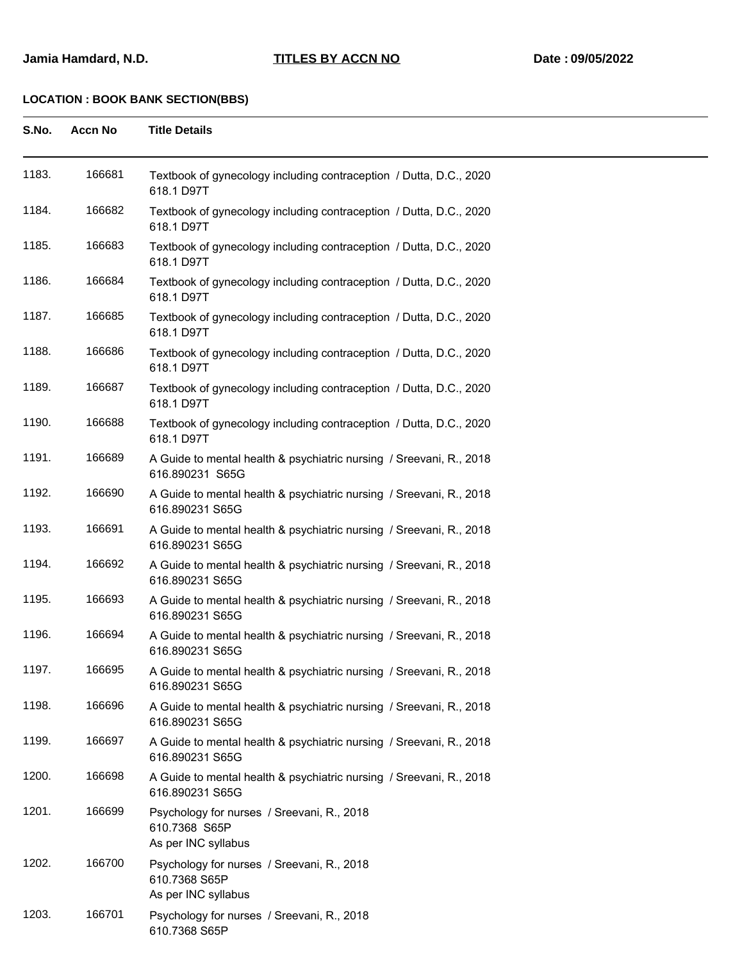| S.No. | <b>Accn No</b> | <b>Title Details</b>                                                                   |
|-------|----------------|----------------------------------------------------------------------------------------|
| 1183. | 166681         | Textbook of gynecology including contraception / Dutta, D.C., 2020<br>618.1 D97T       |
| 1184. | 166682         | Textbook of gynecology including contraception / Dutta, D.C., 2020<br>618.1 D97T       |
| 1185. | 166683         | Textbook of gynecology including contraception / Dutta, D.C., 2020<br>618.1 D97T       |
| 1186. | 166684         | Textbook of gynecology including contraception / Dutta, D.C., 2020<br>618.1 D97T       |
| 1187. | 166685         | Textbook of gynecology including contraception / Dutta, D.C., 2020<br>618.1 D97T       |
| 1188. | 166686         | Textbook of gynecology including contraception / Dutta, D.C., 2020<br>618.1 D97T       |
| 1189. | 166687         | Textbook of gynecology including contraception / Dutta, D.C., 2020<br>618.1 D97T       |
| 1190. | 166688         | Textbook of gynecology including contraception / Dutta, D.C., 2020<br>618.1 D97T       |
| 1191. | 166689         | A Guide to mental health & psychiatric nursing / Sreevani, R., 2018<br>616.890231 S65G |
| 1192. | 166690         | A Guide to mental health & psychiatric nursing / Sreevani, R., 2018<br>616.890231 S65G |
| 1193. | 166691         | A Guide to mental health & psychiatric nursing / Sreevani, R., 2018<br>616.890231 S65G |
| 1194. | 166692         | A Guide to mental health & psychiatric nursing / Sreevani, R., 2018<br>616.890231 S65G |
| 1195. | 166693         | A Guide to mental health & psychiatric nursing / Sreevani, R., 2018<br>616.890231 S65G |
| 1196. | 166694         | A Guide to mental health & psychiatric nursing / Sreevani, R., 2018<br>616.890231 S65G |
| 1197. | 166695         | A Guide to mental health & psychiatric nursing / Sreevani, R., 2018<br>616.890231 S65G |
| 1198. | 166696         | A Guide to mental health & psychiatric nursing / Sreevani, R., 2018<br>616.890231 S65G |
| 1199. | 166697         | A Guide to mental health & psychiatric nursing / Sreevani, R., 2018<br>616.890231 S65G |
| 1200. | 166698         | A Guide to mental health & psychiatric nursing / Sreevani, R., 2018<br>616.890231 S65G |
| 1201. | 166699         | Psychology for nurses / Sreevani, R., 2018<br>610.7368 S65P<br>As per INC syllabus     |
| 1202. | 166700         | Psychology for nurses / Sreevani, R., 2018<br>610.7368 S65P<br>As per INC syllabus     |
| 1203. | 166701         | Psychology for nurses / Sreevani, R., 2018<br>610.7368 S65P                            |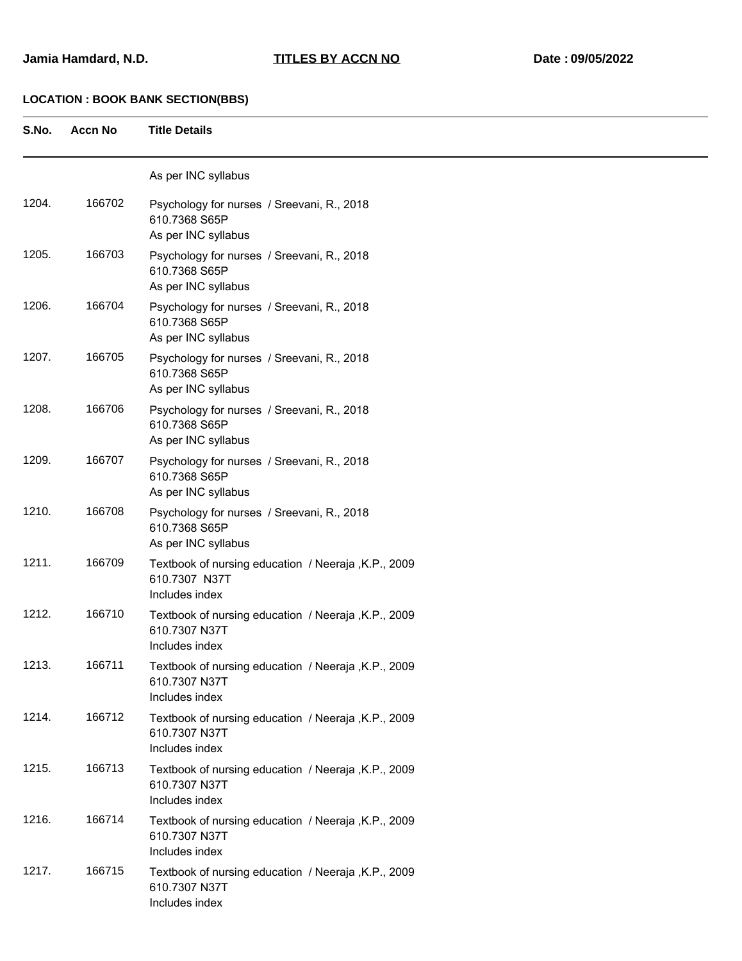| S.No. | <b>Accn No</b> | <b>Title Details</b>                                                                   |
|-------|----------------|----------------------------------------------------------------------------------------|
|       |                | As per INC syllabus                                                                    |
| 1204. | 166702         | Psychology for nurses / Sreevani, R., 2018<br>610.7368 S65P<br>As per INC syllabus     |
| 1205. | 166703         | Psychology for nurses / Sreevani, R., 2018<br>610.7368 S65P<br>As per INC syllabus     |
| 1206. | 166704         | Psychology for nurses / Sreevani, R., 2018<br>610.7368 S65P<br>As per INC syllabus     |
| 1207. | 166705         | Psychology for nurses / Sreevani, R., 2018<br>610.7368 S65P<br>As per INC syllabus     |
| 1208. | 166706         | Psychology for nurses / Sreevani, R., 2018<br>610.7368 S65P<br>As per INC syllabus     |
| 1209. | 166707         | Psychology for nurses / Sreevani, R., 2018<br>610.7368 S65P<br>As per INC syllabus     |
| 1210. | 166708         | Psychology for nurses / Sreevani, R., 2018<br>610.7368 S65P<br>As per INC syllabus     |
| 1211. | 166709         | Textbook of nursing education / Neeraja, K.P., 2009<br>610.7307 N37T<br>Includes index |
| 1212. | 166710         | Textbook of nursing education / Neeraja, K.P., 2009<br>610.7307 N37T<br>Includes index |
| 1213. | 166711         | Textbook of nursing education / Neeraja, K.P., 2009<br>610.7307 N37T<br>Includes index |
| 1214. | 166712         | Textbook of nursing education / Neeraja, K.P., 2009<br>610.7307 N37T<br>Includes index |
| 1215. | 166713         | Textbook of nursing education / Neeraja, K.P., 2009<br>610.7307 N37T<br>Includes index |
| 1216. | 166714         | Textbook of nursing education / Neeraja, K.P., 2009<br>610.7307 N37T<br>Includes index |
| 1217. | 166715         | Textbook of nursing education / Neeraja, K.P., 2009<br>610.7307 N37T<br>Includes index |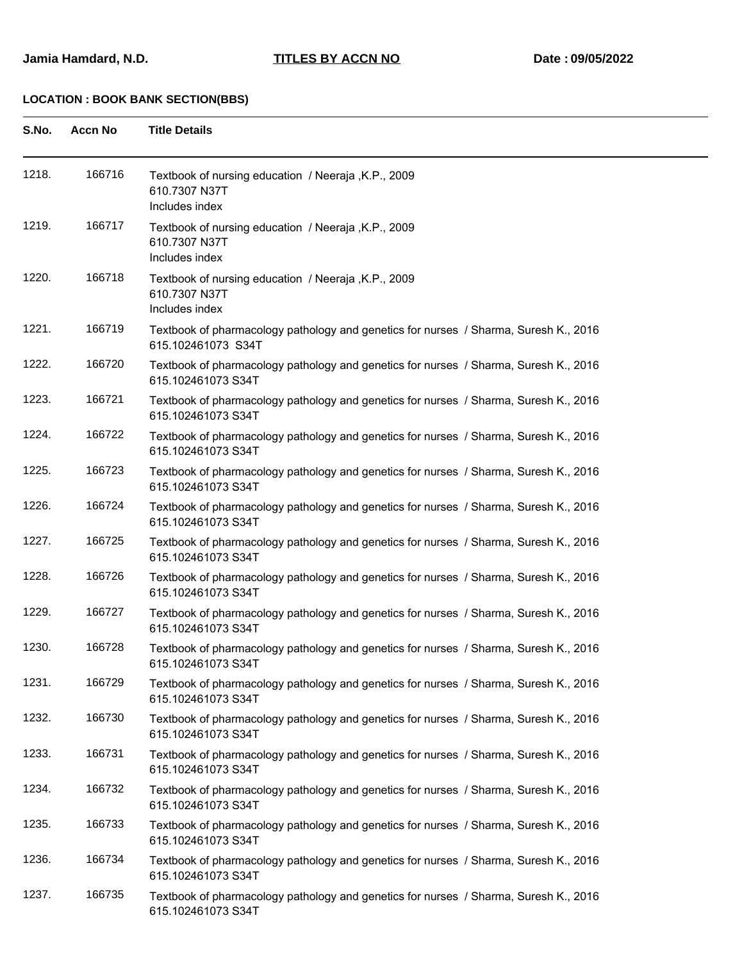| S.No. | Accn No |  | <b>Title Details</b> |
|-------|---------|--|----------------------|
|       |         |  |                      |

| 1218. | 166716 | Textbook of nursing education / Neeraja, K.P., 2009<br>610.7307 N37T<br>Includes index                     |
|-------|--------|------------------------------------------------------------------------------------------------------------|
| 1219. | 166717 | Textbook of nursing education / Neeraja, K.P., 2009<br>610.7307 N37T<br>Includes index                     |
| 1220. | 166718 | Textbook of nursing education / Neeraja, K.P., 2009<br>610.7307 N37T<br>Includes index                     |
| 1221. | 166719 | Textbook of pharmacology pathology and genetics for nurses / Sharma, Suresh K., 2016<br>615.102461073 S34T |
| 1222. | 166720 | Textbook of pharmacology pathology and genetics for nurses / Sharma, Suresh K., 2016<br>615.102461073 S34T |
| 1223. | 166721 | Textbook of pharmacology pathology and genetics for nurses / Sharma, Suresh K., 2016<br>615.102461073 S34T |
| 1224. | 166722 | Textbook of pharmacology pathology and genetics for nurses / Sharma, Suresh K., 2016<br>615.102461073 S34T |
| 1225. | 166723 | Textbook of pharmacology pathology and genetics for nurses / Sharma, Suresh K., 2016<br>615.102461073 S34T |
| 1226. | 166724 | Textbook of pharmacology pathology and genetics for nurses / Sharma, Suresh K., 2016<br>615.102461073 S34T |
| 1227. | 166725 | Textbook of pharmacology pathology and genetics for nurses / Sharma, Suresh K., 2016<br>615.102461073 S34T |
| 1228. | 166726 | Textbook of pharmacology pathology and genetics for nurses / Sharma, Suresh K., 2016<br>615.102461073 S34T |
| 1229. | 166727 | Textbook of pharmacology pathology and genetics for nurses / Sharma, Suresh K., 2016<br>615.102461073 S34T |
| 1230. | 166728 | Textbook of pharmacology pathology and genetics for nurses / Sharma, Suresh K., 2016<br>615.102461073 S34T |
| 1231. | 166729 | Textbook of pharmacology pathology and genetics for nurses / Sharma, Suresh K., 2016<br>615.102461073 S34T |
| 1232. | 166730 | Textbook of pharmacology pathology and genetics for nurses / Sharma, Suresh K., 2016<br>615.102461073 S34T |
| 1233. | 166731 | Textbook of pharmacology pathology and genetics for nurses / Sharma, Suresh K., 2016<br>615.102461073 S34T |
| 1234. | 166732 | Textbook of pharmacology pathology and genetics for nurses / Sharma, Suresh K., 2016<br>615.102461073 S34T |
| 1235. | 166733 | Textbook of pharmacology pathology and genetics for nurses / Sharma, Suresh K., 2016<br>615.102461073 S34T |
| 1236. | 166734 | Textbook of pharmacology pathology and genetics for nurses / Sharma, Suresh K., 2016<br>615.102461073 S34T |
| 1237. | 166735 | Textbook of pharmacology pathology and genetics for nurses / Sharma, Suresh K., 2016<br>615.102461073 S34T |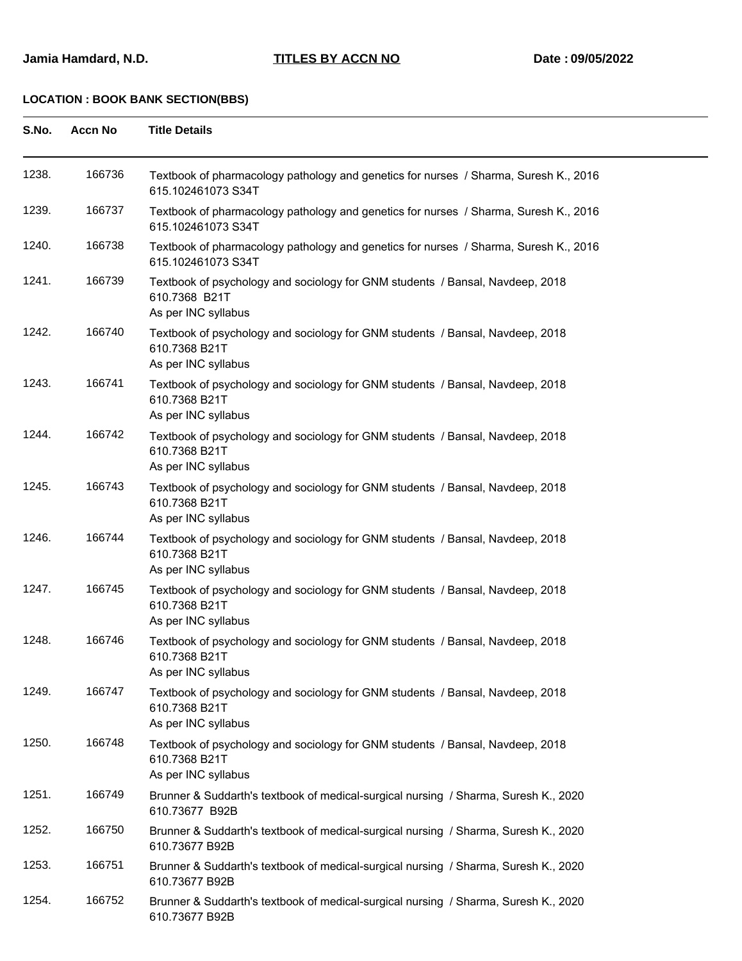| S.No. | <b>Accn No</b> | <b>Title Details</b>                                                                                                  |  |
|-------|----------------|-----------------------------------------------------------------------------------------------------------------------|--|
| 1238. | 166736         | Textbook of pharmacology pathology and genetics for nurses / Sharma, Suresh K., 2016<br>615.102461073 S34T            |  |
| 1239. | 166737         | Textbook of pharmacology pathology and genetics for nurses / Sharma, Suresh K., 2016<br>615.102461073 S34T            |  |
| 1240. | 166738         | Textbook of pharmacology pathology and genetics for nurses / Sharma, Suresh K., 2016<br>615.102461073 S34T            |  |
| 1241. | 166739         | Textbook of psychology and sociology for GNM students / Bansal, Navdeep, 2018<br>610.7368 B21T<br>As per INC syllabus |  |
| 1242. | 166740         | Textbook of psychology and sociology for GNM students / Bansal, Navdeep, 2018<br>610.7368 B21T<br>As per INC syllabus |  |
| 1243. | 166741         | Textbook of psychology and sociology for GNM students / Bansal, Navdeep, 2018<br>610.7368 B21T<br>As per INC syllabus |  |
| 1244. | 166742         | Textbook of psychology and sociology for GNM students / Bansal, Navdeep, 2018<br>610.7368 B21T<br>As per INC syllabus |  |
| 1245. | 166743         | Textbook of psychology and sociology for GNM students / Bansal, Navdeep, 2018<br>610.7368 B21T<br>As per INC syllabus |  |
| 1246. | 166744         | Textbook of psychology and sociology for GNM students / Bansal, Navdeep, 2018<br>610.7368 B21T<br>As per INC syllabus |  |
| 1247. | 166745         | Textbook of psychology and sociology for GNM students / Bansal, Navdeep, 2018<br>610.7368 B21T<br>As per INC syllabus |  |
| 1248. | 166746         | Textbook of psychology and sociology for GNM students / Bansal, Navdeep, 2018<br>610.7368 B21T<br>As per INC syllabus |  |
| 1249. | 166747         | Textbook of psychology and sociology for GNM students / Bansal, Navdeep, 2018<br>610.7368 B21T<br>As per INC syllabus |  |
| 1250. | 166748         | Textbook of psychology and sociology for GNM students / Bansal, Navdeep, 2018<br>610.7368 B21T<br>As per INC syllabus |  |
| 1251. | 166749         | Brunner & Suddarth's textbook of medical-surgical nursing / Sharma, Suresh K., 2020<br>610.73677 B92B                 |  |
| 1252. | 166750         | Brunner & Suddarth's textbook of medical-surgical nursing / Sharma, Suresh K., 2020<br>610.73677 B92B                 |  |
| 1253. | 166751         | Brunner & Suddarth's textbook of medical-surgical nursing / Sharma, Suresh K., 2020<br>610.73677 B92B                 |  |
| 1254. | 166752         | Brunner & Suddarth's textbook of medical-surgical nursing / Sharma, Suresh K., 2020<br>610.73677 B92B                 |  |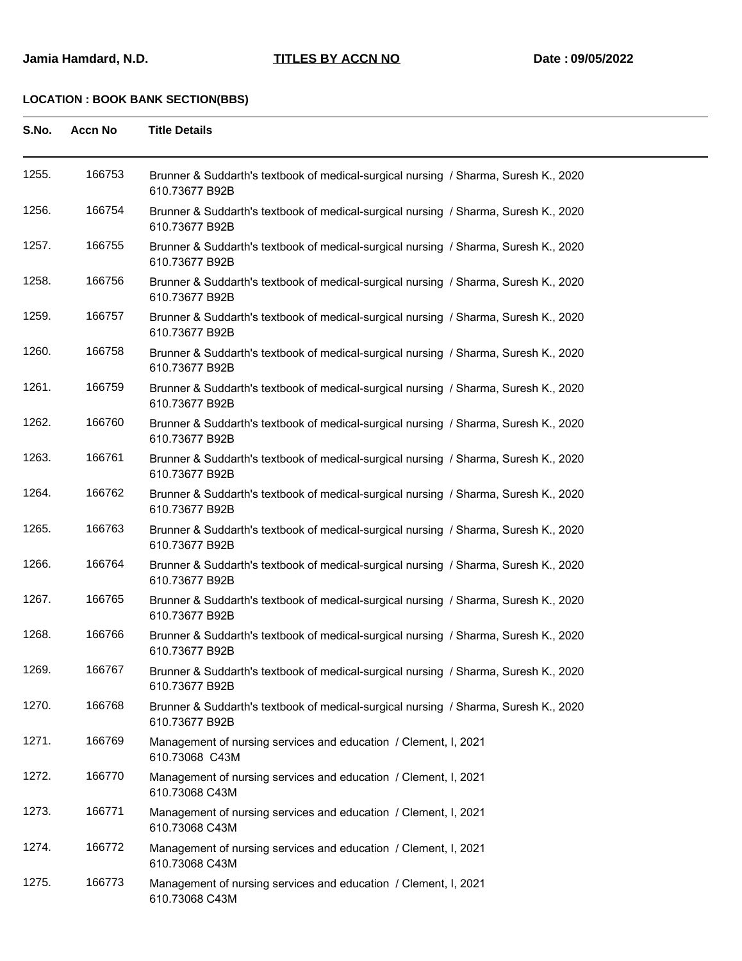| S.No. | <b>Accn No</b> | <b>Title Details</b>                                                                                  |
|-------|----------------|-------------------------------------------------------------------------------------------------------|
| 1255. | 166753         | Brunner & Suddarth's textbook of medical-surgical nursing / Sharma, Suresh K., 2020<br>610.73677 B92B |
| 1256. | 166754         | Brunner & Suddarth's textbook of medical-surgical nursing / Sharma, Suresh K., 2020<br>610.73677 B92B |
| 1257. | 166755         | Brunner & Suddarth's textbook of medical-surgical nursing / Sharma, Suresh K., 2020<br>610.73677 B92B |
| 1258. | 166756         | Brunner & Suddarth's textbook of medical-surgical nursing / Sharma, Suresh K., 2020<br>610.73677 B92B |
| 1259. | 166757         | Brunner & Suddarth's textbook of medical-surgical nursing / Sharma, Suresh K., 2020<br>610.73677 B92B |
| 1260. | 166758         | Brunner & Suddarth's textbook of medical-surgical nursing / Sharma, Suresh K., 2020<br>610.73677 B92B |
| 1261. | 166759         | Brunner & Suddarth's textbook of medical-surgical nursing / Sharma, Suresh K., 2020<br>610.73677 B92B |
| 1262. | 166760         | Brunner & Suddarth's textbook of medical-surgical nursing / Sharma, Suresh K., 2020<br>610.73677 B92B |
| 1263. | 166761         | Brunner & Suddarth's textbook of medical-surgical nursing / Sharma, Suresh K., 2020<br>610.73677 B92B |
| 1264. | 166762         | Brunner & Suddarth's textbook of medical-surgical nursing / Sharma, Suresh K., 2020<br>610.73677 B92B |
| 1265. | 166763         | Brunner & Suddarth's textbook of medical-surgical nursing / Sharma, Suresh K., 2020<br>610.73677 B92B |
| 1266. | 166764         | Brunner & Suddarth's textbook of medical-surgical nursing / Sharma, Suresh K., 2020<br>610.73677 B92B |
| 1267. | 166765         | Brunner & Suddarth's textbook of medical-surgical nursing / Sharma, Suresh K., 2020<br>610.73677 B92B |
| 1268. | 166766         | Brunner & Suddarth's textbook of medical-surgical nursing / Sharma, Suresh K., 2020<br>610.73677 B92B |
| 1269. | 166767         | Brunner & Suddarth's textbook of medical-surgical nursing / Sharma, Suresh K., 2020<br>610.73677 B92B |
| 1270. | 166768         | Brunner & Suddarth's textbook of medical-surgical nursing / Sharma, Suresh K., 2020<br>610.73677 B92B |
| 1271. | 166769         | Management of nursing services and education / Clement, I, 2021<br>610.73068 C43M                     |
| 1272. | 166770         | Management of nursing services and education / Clement, I, 2021<br>610.73068 C43M                     |
| 1273. | 166771         | Management of nursing services and education / Clement, I, 2021<br>610.73068 C43M                     |
| 1274. | 166772         | Management of nursing services and education / Clement, I, 2021<br>610.73068 C43M                     |
| 1275. | 166773         | Management of nursing services and education / Clement, I, 2021<br>610.73068 C43M                     |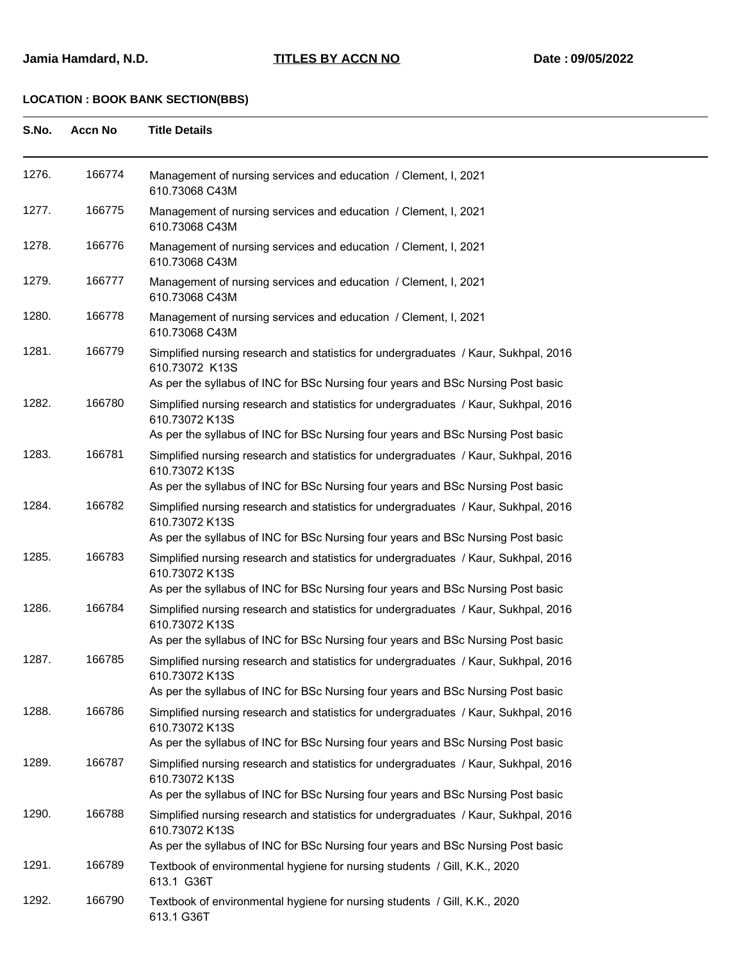| S.No. | <b>Accn No</b> | <b>Title Details</b>                                                                                                                                                                      |  |
|-------|----------------|-------------------------------------------------------------------------------------------------------------------------------------------------------------------------------------------|--|
| 1276. | 166774         | Management of nursing services and education / Clement, I, 2021<br>610.73068 C43M                                                                                                         |  |
| 1277. | 166775         | Management of nursing services and education / Clement, I, 2021<br>610.73068 C43M                                                                                                         |  |
| 1278. | 166776         | Management of nursing services and education / Clement, I, 2021<br>610.73068 C43M                                                                                                         |  |
| 1279. | 166777         | Management of nursing services and education / Clement, I, 2021<br>610.73068 C43M                                                                                                         |  |
| 1280. | 166778         | Management of nursing services and education / Clement, I, 2021<br>610.73068 C43M                                                                                                         |  |
| 1281. | 166779         | Simplified nursing research and statistics for undergraduates / Kaur, Sukhpal, 2016<br>610.73072 K13S<br>As per the syllabus of INC for BSc Nursing four years and BSc Nursing Post basic |  |
| 1282. | 166780         | Simplified nursing research and statistics for undergraduates / Kaur, Sukhpal, 2016                                                                                                       |  |
|       |                | 610.73072 K13S                                                                                                                                                                            |  |
|       |                | As per the syllabus of INC for BSc Nursing four years and BSc Nursing Post basic                                                                                                          |  |
| 1283. | 166781         | Simplified nursing research and statistics for undergraduates / Kaur, Sukhpal, 2016<br>610.73072 K13S                                                                                     |  |
|       |                | As per the syllabus of INC for BSc Nursing four years and BSc Nursing Post basic                                                                                                          |  |
| 1284. | 166782         | Simplified nursing research and statistics for undergraduates / Kaur, Sukhpal, 2016<br>610.73072 K13S                                                                                     |  |
|       |                | As per the syllabus of INC for BSc Nursing four years and BSc Nursing Post basic                                                                                                          |  |
| 1285. | 166783         | Simplified nursing research and statistics for undergraduates / Kaur, Sukhpal, 2016<br>610.73072 K13S                                                                                     |  |
| 1286. | 166784         | As per the syllabus of INC for BSc Nursing four years and BSc Nursing Post basic                                                                                                          |  |
|       |                | Simplified nursing research and statistics for undergraduates / Kaur, Sukhpal, 2016<br>610.73072 K13S<br>As per the syllabus of INC for BSc Nursing four years and BSc Nursing Post basic |  |
| 1287. | 166785         | Simplified nursing research and statistics for undergraduates / Kaur, Sukhpal, 2016                                                                                                       |  |
|       |                | 610.73072 K13S                                                                                                                                                                            |  |
|       |                | As per the syllabus of INC for BSc Nursing four years and BSc Nursing Post basic                                                                                                          |  |
| 1288. | 166786         | Simplified nursing research and statistics for undergraduates / Kaur, Sukhpal, 2016<br>610.73072 K13S<br>As per the syllabus of INC for BSc Nursing four years and BSc Nursing Post basic |  |
| 1289. | 166787         | Simplified nursing research and statistics for undergraduates / Kaur, Sukhpal, 2016                                                                                                       |  |
|       |                | 610.73072 K13S<br>As per the syllabus of INC for BSc Nursing four years and BSc Nursing Post basic                                                                                        |  |
| 1290. | 166788         | Simplified nursing research and statistics for undergraduates / Kaur, Sukhpal, 2016<br>610.73072 K13S<br>As per the syllabus of INC for BSc Nursing four years and BSc Nursing Post basic |  |
| 1291. | 166789         | Textbook of environmental hygiene for nursing students / Gill, K.K., 2020                                                                                                                 |  |
|       |                | 613.1 G36T                                                                                                                                                                                |  |
| 1292. | 166790         | Textbook of environmental hygiene for nursing students / Gill, K.K., 2020<br>613.1 G36T                                                                                                   |  |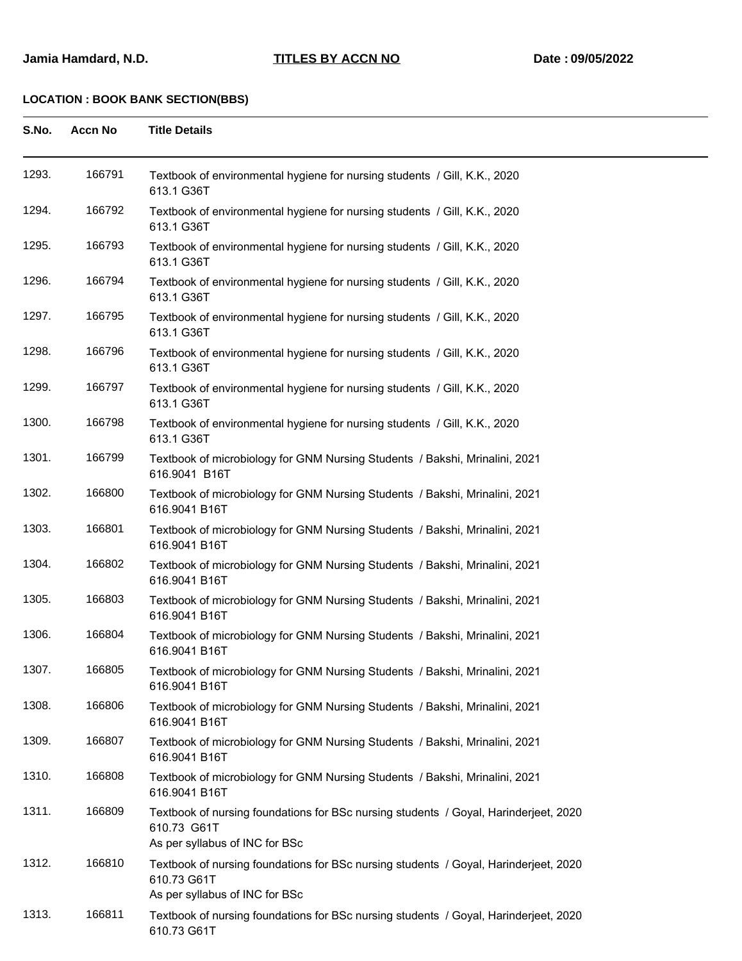| S.No. | <b>Accn No</b> | <b>Title Details</b>                                                                                                                  |
|-------|----------------|---------------------------------------------------------------------------------------------------------------------------------------|
| 1293. | 166791         | Textbook of environmental hygiene for nursing students / Gill, K.K., 2020<br>613.1 G36T                                               |
| 1294. | 166792         | Textbook of environmental hygiene for nursing students / Gill, K.K., 2020<br>613.1 G36T                                               |
| 1295. | 166793         | Textbook of environmental hygiene for nursing students / Gill, K.K., 2020<br>613.1 G36T                                               |
| 1296. | 166794         | Textbook of environmental hygiene for nursing students / Gill, K.K., 2020<br>613.1 G36T                                               |
| 1297. | 166795         | Textbook of environmental hygiene for nursing students / Gill, K.K., 2020<br>613.1 G36T                                               |
| 1298. | 166796         | Textbook of environmental hygiene for nursing students / Gill, K.K., 2020<br>613.1 G36T                                               |
| 1299. | 166797         | Textbook of environmental hygiene for nursing students / Gill, K.K., 2020<br>613.1 G36T                                               |
| 1300. | 166798         | Textbook of environmental hygiene for nursing students / Gill, K.K., 2020<br>613.1 G36T                                               |
| 1301. | 166799         | Textbook of microbiology for GNM Nursing Students / Bakshi, Mrinalini, 2021<br>616.9041 B16T                                          |
| 1302. | 166800         | Textbook of microbiology for GNM Nursing Students / Bakshi, Mrinalini, 2021<br>616.9041 B16T                                          |
| 1303. | 166801         | Textbook of microbiology for GNM Nursing Students / Bakshi, Mrinalini, 2021<br>616.9041 B16T                                          |
| 1304. | 166802         | Textbook of microbiology for GNM Nursing Students / Bakshi, Mrinalini, 2021<br>616.9041 B16T                                          |
| 1305. | 166803         | Textbook of microbiology for GNM Nursing Students / Bakshi, Mrinalini, 2021<br>616.9041 B16T                                          |
| 1306. | 166804         | Textbook of microbiology for GNM Nursing Students / Bakshi, Mrinalini, 2021<br>616.9041 B16T                                          |
| 1307. | 166805         | Textbook of microbiology for GNM Nursing Students / Bakshi, Mrinalini, 2021<br>616.9041 B16T                                          |
| 1308. | 166806         | Textbook of microbiology for GNM Nursing Students / Bakshi, Mrinalini, 2021<br>616.9041 B16T                                          |
| 1309. | 166807         | Textbook of microbiology for GNM Nursing Students / Bakshi, Mrinalini, 2021<br>616.9041 B16T                                          |
| 1310. | 166808         | Textbook of microbiology for GNM Nursing Students / Bakshi, Mrinalini, 2021<br>616.9041 B16T                                          |
| 1311. | 166809         | Textbook of nursing foundations for BSc nursing students / Goyal, Harinderjeet, 2020<br>610.73 G61T<br>As per syllabus of INC for BSc |
| 1312. | 166810         | Textbook of nursing foundations for BSc nursing students / Goyal, Harinderjeet, 2020<br>610.73 G61T<br>As per syllabus of INC for BSc |
| 1313. | 166811         | Textbook of nursing foundations for BSc nursing students / Goyal, Harinderjeet, 2020<br>610.73 G61T                                   |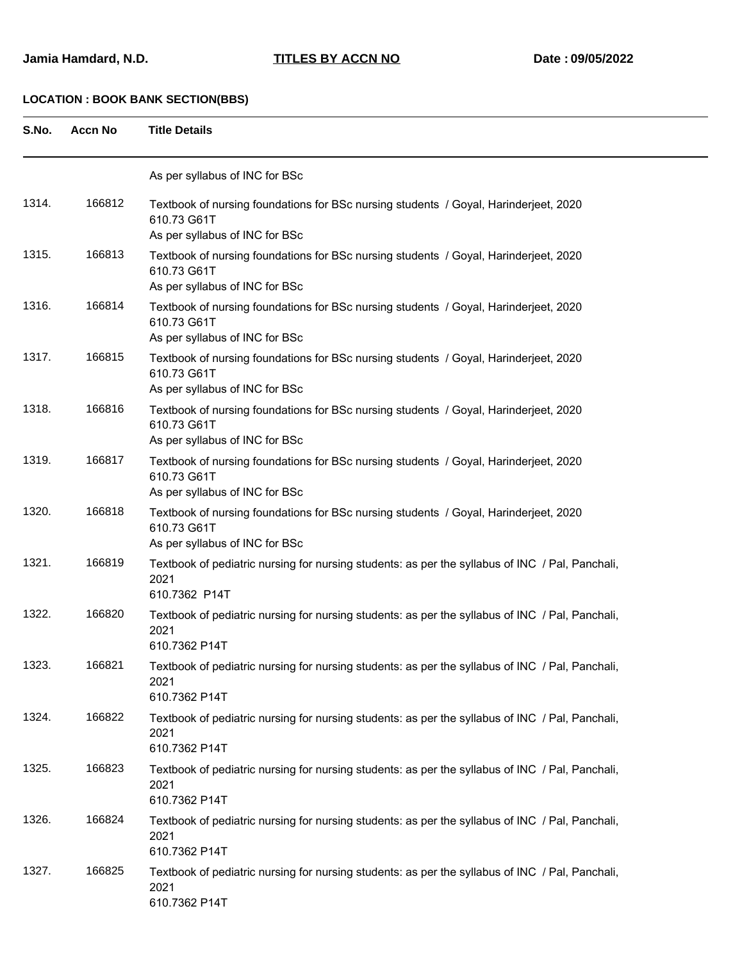| S.No. | <b>Accn No</b> | <b>Title Details</b>                                                                                                                  |
|-------|----------------|---------------------------------------------------------------------------------------------------------------------------------------|
|       |                | As per syllabus of INC for BSc                                                                                                        |
| 1314. | 166812         | Textbook of nursing foundations for BSc nursing students / Goyal, Harinderjeet, 2020<br>610.73 G61T<br>As per syllabus of INC for BSc |
| 1315. | 166813         | Textbook of nursing foundations for BSc nursing students / Goyal, Harinderjeet, 2020<br>610.73 G61T<br>As per syllabus of INC for BSc |
| 1316. | 166814         | Textbook of nursing foundations for BSc nursing students / Goyal, Harinderjeet, 2020<br>610.73 G61T<br>As per syllabus of INC for BSc |
| 1317. | 166815         | Textbook of nursing foundations for BSc nursing students / Goyal, Harinderjeet, 2020<br>610.73 G61T<br>As per syllabus of INC for BSc |
| 1318. | 166816         | Textbook of nursing foundations for BSc nursing students / Goyal, Harinderjeet, 2020<br>610.73 G61T<br>As per syllabus of INC for BSc |
| 1319. | 166817         | Textbook of nursing foundations for BSc nursing students / Goyal, Harinderjeet, 2020<br>610.73 G61T<br>As per syllabus of INC for BSc |
| 1320. | 166818         | Textbook of nursing foundations for BSc nursing students / Goyal, Harinderjeet, 2020<br>610.73 G61T<br>As per syllabus of INC for BSc |
| 1321. | 166819         | Textbook of pediatric nursing for nursing students: as per the syllabus of INC / Pal, Panchali,<br>2021<br>610.7362 P14T              |
| 1322. | 166820         | Textbook of pediatric nursing for nursing students: as per the syllabus of INC / Pal, Panchali,<br>2021<br>610.7362 P14T              |
| 1323. | 166821         | Textbook of pediatric nursing for nursing students: as per the syllabus of INC / Pal, Panchali,<br>2021<br>610.7362 P14T              |
| 1324. | 166822         | Textbook of pediatric nursing for nursing students: as per the syllabus of INC / Pal, Panchali,<br>2021<br>610.7362 P14T              |
| 1325. | 166823         | Textbook of pediatric nursing for nursing students: as per the syllabus of INC / Pal, Panchali,<br>2021<br>610.7362 P14T              |
| 1326. | 166824         | Textbook of pediatric nursing for nursing students: as per the syllabus of INC / Pal, Panchali,<br>2021<br>610.7362 P14T              |
| 1327. | 166825         | Textbook of pediatric nursing for nursing students: as per the syllabus of INC / Pal, Panchali,<br>2021<br>610.7362 P14T              |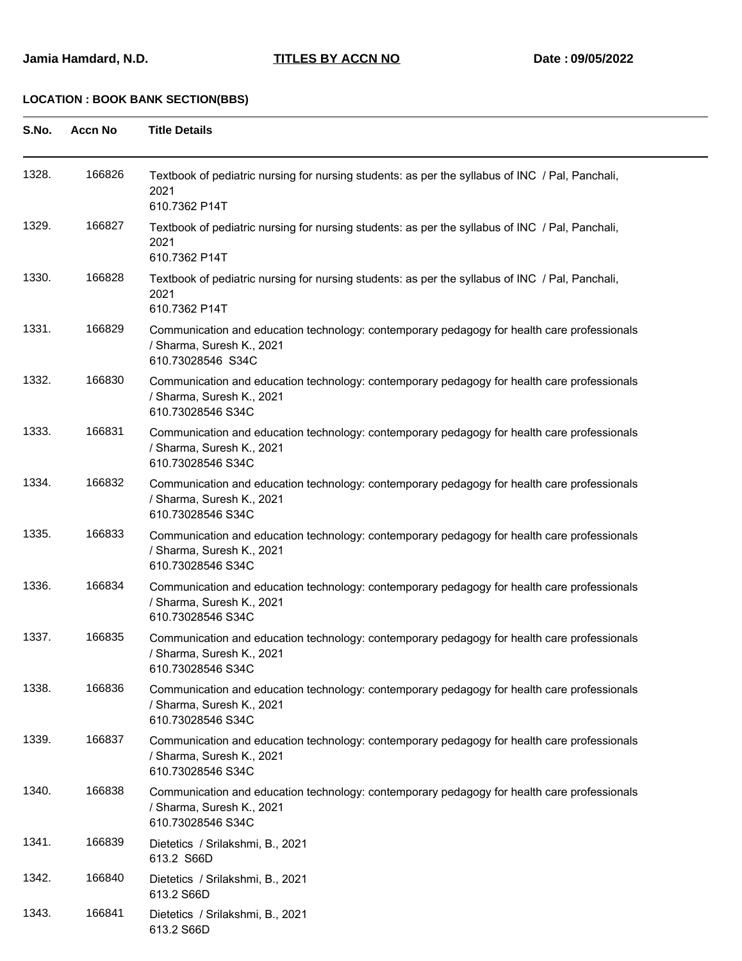| S.No. | <b>Accn No</b> | <b>Title Details</b>                                                                                                                          |
|-------|----------------|-----------------------------------------------------------------------------------------------------------------------------------------------|
| 1328. | 166826         | Textbook of pediatric nursing for nursing students: as per the syllabus of INC / Pal, Panchali,<br>2021<br>610.7362 P14T                      |
| 1329. | 166827         | Textbook of pediatric nursing for nursing students: as per the syllabus of INC / Pal, Panchali,<br>2021<br>610.7362 P14T                      |
| 1330. | 166828         | Textbook of pediatric nursing for nursing students: as per the syllabus of INC / Pal, Panchali,<br>2021<br>610.7362 P14T                      |
| 1331. | 166829         | Communication and education technology: contemporary pedagogy for health care professionals<br>/ Sharma, Suresh K., 2021<br>610.73028546 S34C |
| 1332. | 166830         | Communication and education technology: contemporary pedagogy for health care professionals<br>/ Sharma, Suresh K., 2021<br>610.73028546 S34C |
| 1333. | 166831         | Communication and education technology: contemporary pedagogy for health care professionals<br>/ Sharma, Suresh K., 2021<br>610.73028546 S34C |
| 1334. | 166832         | Communication and education technology: contemporary pedagogy for health care professionals<br>/ Sharma, Suresh K., 2021<br>610.73028546 S34C |
| 1335. | 166833         | Communication and education technology: contemporary pedagogy for health care professionals<br>/ Sharma, Suresh K., 2021<br>610.73028546 S34C |
| 1336. | 166834         | Communication and education technology: contemporary pedagogy for health care professionals<br>/ Sharma, Suresh K., 2021<br>610.73028546 S34C |
| 1337. | 166835         | Communication and education technology: contemporary pedagogy for health care professionals<br>/ Sharma, Suresh K., 2021<br>610.73028546 S34C |
| 1338. | 166836         | Communication and education technology: contemporary pedagogy for health care professionals<br>/ Sharma, Suresh K., 2021<br>610.73028546 S34C |
| 1339. | 166837         | Communication and education technology: contemporary pedagogy for health care professionals<br>/ Sharma, Suresh K., 2021<br>610.73028546 S34C |
| 1340. | 166838         | Communication and education technology: contemporary pedagogy for health care professionals<br>/ Sharma, Suresh K., 2021<br>610.73028546 S34C |
| 1341. | 166839         | Dietetics / Srilakshmi, B., 2021<br>613.2 S66D                                                                                                |
| 1342. | 166840         | Dietetics / Srilakshmi, B., 2021<br>613.2 S66D                                                                                                |
| 1343. | 166841         | Dietetics / Srilakshmi, B., 2021<br>613.2 S66D                                                                                                |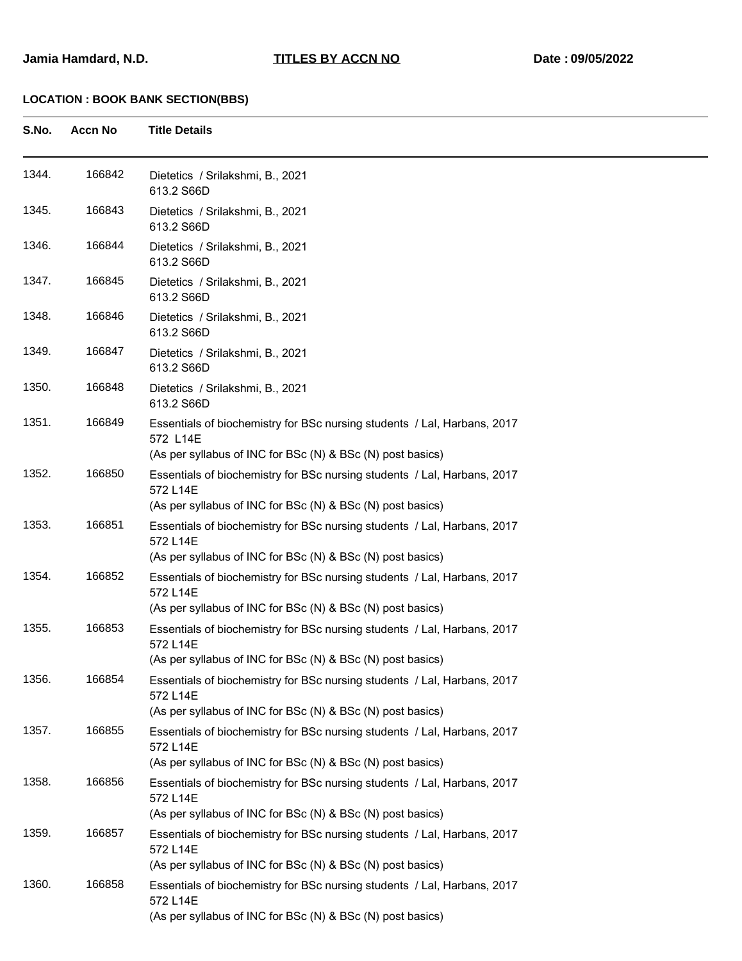| S.No. | <b>Accn No</b> | <b>Title Details</b>                                                                                                                                                                                             |
|-------|----------------|------------------------------------------------------------------------------------------------------------------------------------------------------------------------------------------------------------------|
| 1344. | 166842         | Dietetics / Srilakshmi, B., 2021<br>613.2 S66D                                                                                                                                                                   |
| 1345. | 166843         | Dietetics / Srilakshmi, B., 2021<br>613.2 S66D                                                                                                                                                                   |
| 1346. | 166844         | Dietetics / Srilakshmi, B., 2021<br>613.2 S66D                                                                                                                                                                   |
| 1347. | 166845         | Dietetics / Srilakshmi, B., 2021<br>613.2 S66D                                                                                                                                                                   |
| 1348. | 166846         | Dietetics / Srilakshmi, B., 2021<br>613.2 S66D                                                                                                                                                                   |
| 1349. | 166847         | Dietetics / Srilakshmi, B., 2021<br>613.2 S66D                                                                                                                                                                   |
| 1350. | 166848         | Dietetics / Srilakshmi, B., 2021<br>613.2 S66D                                                                                                                                                                   |
| 1351. | 166849         | Essentials of biochemistry for BSc nursing students / Lal, Harbans, 2017<br>572 L14E<br>(As per syllabus of INC for BSc (N) & BSc (N) post basics)                                                               |
| 1352. | 166850         | Essentials of biochemistry for BSc nursing students / Lal, Harbans, 2017<br>572 L14E<br>(As per syllabus of INC for BSc (N) & BSc (N) post basics)                                                               |
| 1353. | 166851         | Essentials of biochemistry for BSc nursing students / Lal, Harbans, 2017<br>572 L14E                                                                                                                             |
| 1354. | 166852         | (As per syllabus of INC for BSc (N) & BSc (N) post basics)<br>Essentials of biochemistry for BSc nursing students / Lal, Harbans, 2017<br>572 L14E<br>(As per syllabus of INC for BSc (N) & BSc (N) post basics) |
| 1355. | 166853         | Essentials of biochemistry for BSc nursing students / Lal, Harbans, 2017<br>572 L14E<br>(As per syllabus of INC for BSc (N) & BSc (N) post basics)                                                               |
| 1356. | 166854         | Essentials of biochemistry for BSc nursing students / Lal, Harbans, 2017<br>572 L14E<br>(As per syllabus of INC for BSc (N) & BSc (N) post basics)                                                               |
| 1357. | 166855         | Essentials of biochemistry for BSc nursing students / Lal, Harbans, 2017<br>572 L14E<br>(As per syllabus of INC for BSc (N) & BSc (N) post basics)                                                               |
| 1358. | 166856         | Essentials of biochemistry for BSc nursing students / Lal, Harbans, 2017<br>572 L14E<br>(As per syllabus of INC for BSc (N) & BSc (N) post basics)                                                               |
| 1359. | 166857         | Essentials of biochemistry for BSc nursing students / Lal, Harbans, 2017<br>572 L14E<br>(As per syllabus of INC for BSc (N) & BSc (N) post basics)                                                               |
| 1360. | 166858         | Essentials of biochemistry for BSc nursing students / Lal, Harbans, 2017<br>572 L14E<br>(As per syllabus of INC for BSc (N) & BSc (N) post basics)                                                               |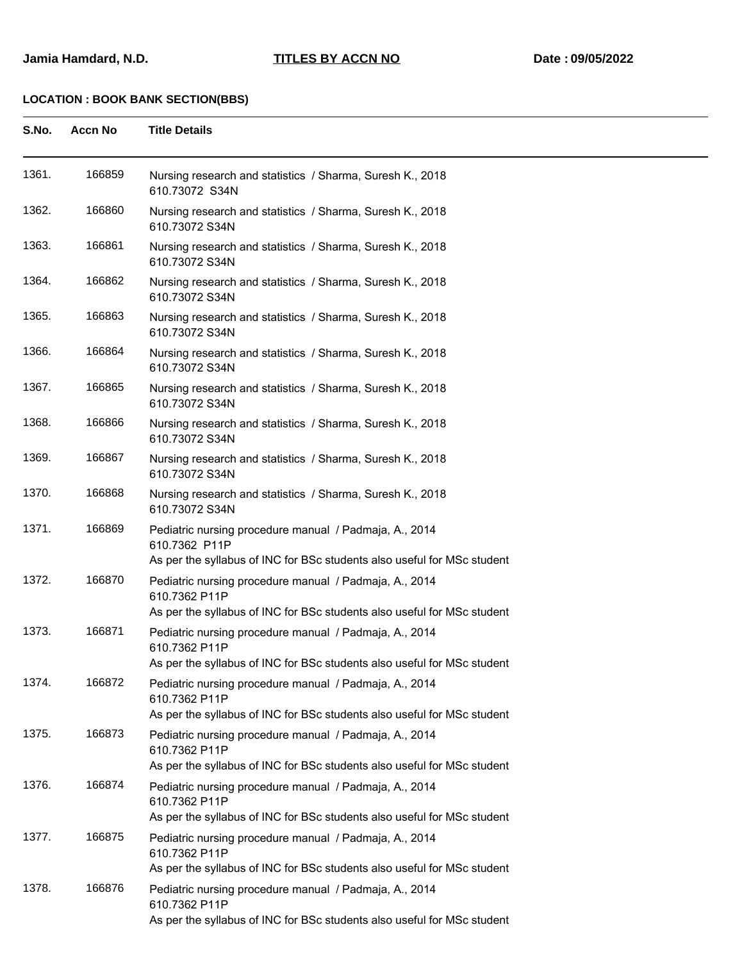| S.No. | <b>Accn No</b> | <b>Title Details</b>                                                                                                                                                                                                          |
|-------|----------------|-------------------------------------------------------------------------------------------------------------------------------------------------------------------------------------------------------------------------------|
| 1361. | 166859         | Nursing research and statistics / Sharma, Suresh K., 2018<br>610.73072 S34N                                                                                                                                                   |
| 1362. | 166860         | Nursing research and statistics / Sharma, Suresh K., 2018<br>610.73072 S34N                                                                                                                                                   |
| 1363. | 166861         | Nursing research and statistics / Sharma, Suresh K., 2018<br>610.73072 S34N                                                                                                                                                   |
| 1364. | 166862         | Nursing research and statistics / Sharma, Suresh K., 2018<br>610.73072 S34N                                                                                                                                                   |
| 1365. | 166863         | Nursing research and statistics / Sharma, Suresh K., 2018<br>610.73072 S34N                                                                                                                                                   |
| 1366. | 166864         | Nursing research and statistics / Sharma, Suresh K., 2018<br>610.73072 S34N                                                                                                                                                   |
| 1367. | 166865         | Nursing research and statistics / Sharma, Suresh K., 2018<br>610.73072 S34N                                                                                                                                                   |
| 1368. | 166866         | Nursing research and statistics / Sharma, Suresh K., 2018<br>610.73072 S34N                                                                                                                                                   |
| 1369. | 166867         | Nursing research and statistics / Sharma, Suresh K., 2018<br>610.73072 S34N                                                                                                                                                   |
| 1370. | 166868         | Nursing research and statistics / Sharma, Suresh K., 2018<br>610.73072 S34N                                                                                                                                                   |
| 1371. | 166869         | Pediatric nursing procedure manual / Padmaja, A., 2014<br>610.7362 P11P<br>As per the syllabus of INC for BSc students also useful for MSc student                                                                            |
| 1372. | 166870         | Pediatric nursing procedure manual / Padmaja, A., 2014<br>610.7362 P11P<br>As per the syllabus of INC for BSc students also useful for MSc student                                                                            |
| 1373. | 166871         | Pediatric nursing procedure manual / Padmaja, A., 2014<br>610.7362 P11P<br>As per the syllabus of INC for BSc students also useful for MSc student                                                                            |
| 1374. | 166872         | Pediatric nursing procedure manual / Padmaja, A., 2014<br>610.7362 P11P<br>As per the syllabus of INC for BSc students also useful for MSc student                                                                            |
| 1375. | 166873         | Pediatric nursing procedure manual / Padmaja, A., 2014<br>610.7362 P11P<br>As per the syllabus of INC for BSc students also useful for MSc student                                                                            |
| 1376. | 166874         | Pediatric nursing procedure manual / Padmaja, A., 2014<br>610.7362 P11P                                                                                                                                                       |
| 1377. | 166875         | As per the syllabus of INC for BSc students also useful for MSc student<br>Pediatric nursing procedure manual / Padmaja, A., 2014<br>610.7362 P11P<br>As per the syllabus of INC for BSc students also useful for MSc student |
| 1378. | 166876         | Pediatric nursing procedure manual / Padmaja, A., 2014<br>610.7362 P11P<br>As per the syllabus of INC for BSc students also useful for MSc student                                                                            |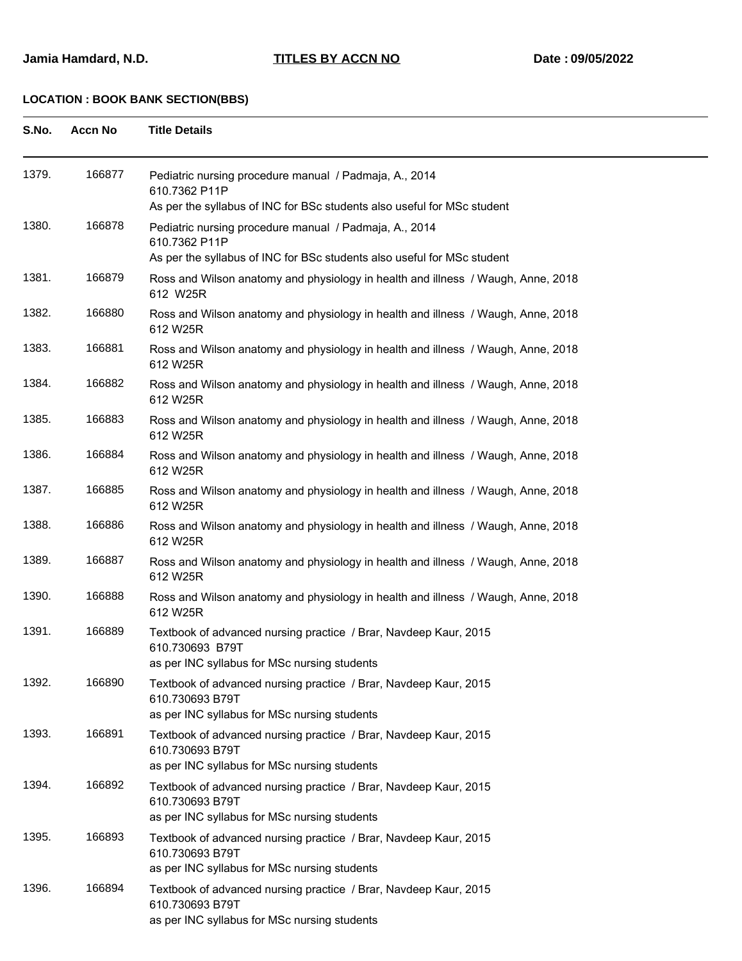| S.No. | <b>Accn No</b> | <b>Title Details</b>                                                                                                                               |
|-------|----------------|----------------------------------------------------------------------------------------------------------------------------------------------------|
| 1379. | 166877         | Pediatric nursing procedure manual / Padmaja, A., 2014<br>610.7362 P11P<br>As per the syllabus of INC for BSc students also useful for MSc student |
| 1380. | 166878         | Pediatric nursing procedure manual / Padmaja, A., 2014<br>610.7362 P11P<br>As per the syllabus of INC for BSc students also useful for MSc student |
| 1381. | 166879         | Ross and Wilson anatomy and physiology in health and illness / Waugh, Anne, 2018<br>612 W25R                                                       |
| 1382. | 166880         | Ross and Wilson anatomy and physiology in health and illness / Waugh, Anne, 2018<br>612 W25R                                                       |
| 1383. | 166881         | Ross and Wilson anatomy and physiology in health and illness / Waugh, Anne, 2018<br>612 W25R                                                       |
| 1384. | 166882         | Ross and Wilson anatomy and physiology in health and illness / Waugh, Anne, 2018<br>612 W25R                                                       |
| 1385. | 166883         | Ross and Wilson anatomy and physiology in health and illness / Waugh, Anne, 2018<br>612 W25R                                                       |
| 1386. | 166884         | Ross and Wilson anatomy and physiology in health and illness / Waugh, Anne, 2018<br>612 W25R                                                       |
| 1387. | 166885         | Ross and Wilson anatomy and physiology in health and illness / Waugh, Anne, 2018<br>612 W25R                                                       |
| 1388. | 166886         | Ross and Wilson anatomy and physiology in health and illness / Waugh, Anne, 2018<br>612 W25R                                                       |
| 1389. | 166887         | Ross and Wilson anatomy and physiology in health and illness / Waugh, Anne, 2018<br>612 W25R                                                       |
| 1390. | 166888         | Ross and Wilson anatomy and physiology in health and illness / Waugh, Anne, 2018<br>612 W25R                                                       |
| 1391. | 166889         | Textbook of advanced nursing practice / Brar, Navdeep Kaur, 2015<br>610.730693 B79T<br>as per INC syllabus for MSc nursing students                |
| 1392. | 166890         | Textbook of advanced nursing practice / Brar, Navdeep Kaur, 2015<br>610.730693 B79T<br>as per INC syllabus for MSc nursing students                |

|       |        | as per INC syllabus for MSc nursing students                                                                                        |
|-------|--------|-------------------------------------------------------------------------------------------------------------------------------------|
| 1395. | 166893 | Textbook of advanced nursing practice / Brar, Navdeep Kaur, 2015<br>610.730693 B79T<br>as per INC syllabus for MSc nursing students |
| 1396. | 166894 | Textbook of advanced nursing practice / Brar, Navdeep Kaur, 2015<br>610.730693 B79T<br>as per INC syllabus for MSc nursing students |

1393. 166891 Textbook of advanced nursing practice / Brar, Navdeep Kaur, 2015

as per INC syllabus for MSc nursing students 1394. 166892 Textbook of advanced nursing practice / Brar, Navdeep Kaur, 2015

610.730693 B79T

610.730693 B79T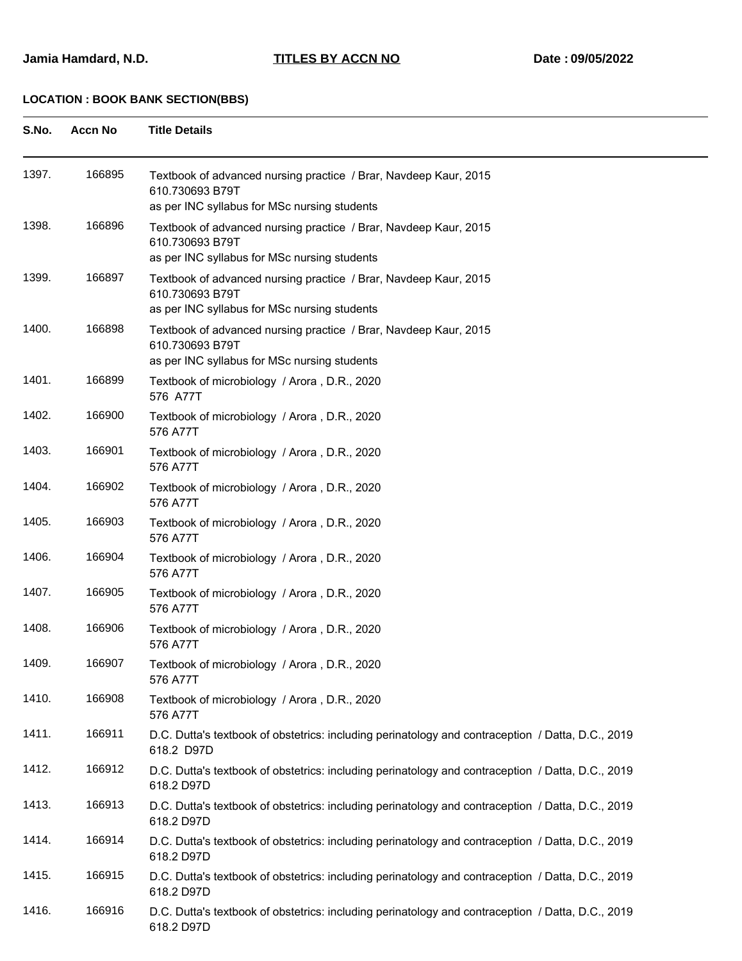| S.No. | <b>Accn No</b> | <b>Title Details</b> |
|-------|----------------|----------------------|
|       |                |                      |

| 1397. | 166895 | Textbook of advanced nursing practice / Brar, Navdeep Kaur, 2015<br>610.730693 B79T<br>as per INC syllabus for MSc nursing students |
|-------|--------|-------------------------------------------------------------------------------------------------------------------------------------|
| 1398. | 166896 | Textbook of advanced nursing practice / Brar, Navdeep Kaur, 2015<br>610.730693 B79T<br>as per INC syllabus for MSc nursing students |
| 1399. | 166897 | Textbook of advanced nursing practice / Brar, Navdeep Kaur, 2015<br>610.730693 B79T<br>as per INC syllabus for MSc nursing students |
| 1400. | 166898 | Textbook of advanced nursing practice / Brar, Navdeep Kaur, 2015<br>610.730693 B79T<br>as per INC syllabus for MSc nursing students |
| 1401. | 166899 | Textbook of microbiology / Arora, D.R., 2020<br>576 A77T                                                                            |
| 1402. | 166900 | Textbook of microbiology / Arora, D.R., 2020<br>576 A77T                                                                            |
| 1403. | 166901 | Textbook of microbiology / Arora, D.R., 2020<br>576 A77T                                                                            |
| 1404. | 166902 | Textbook of microbiology / Arora, D.R., 2020<br>576 A77T                                                                            |
| 1405. | 166903 | Textbook of microbiology / Arora, D.R., 2020<br>576 A77T                                                                            |
| 1406. | 166904 | Textbook of microbiology / Arora, D.R., 2020<br>576 A77T                                                                            |
| 1407. | 166905 | Textbook of microbiology / Arora, D.R., 2020<br>576 A77T                                                                            |
| 1408. | 166906 | Textbook of microbiology / Arora, D.R., 2020<br>576 A77T                                                                            |
| 1409. | 166907 | Textbook of microbiology / Arora, D.R., 2020<br>576 A77T                                                                            |
| 1410. | 166908 | Textbook of microbiology / Arora, D.R., 2020<br>576 A77T                                                                            |
| 1411. | 166911 | D.C. Dutta's textbook of obstetrics: including perinatology and contraception / Datta, D.C., 2019<br>618.2 D97D                     |
| 1412. | 166912 | D.C. Dutta's textbook of obstetrics: including perinatology and contraception / Datta, D.C., 2019<br>618.2 D97D                     |
| 1413. | 166913 | D.C. Dutta's textbook of obstetrics: including perinatology and contraception / Datta, D.C., 2019<br>618.2 D97D                     |
| 1414. | 166914 | D.C. Dutta's textbook of obstetrics: including perinatology and contraception / Datta, D.C., 2019<br>618.2 D97D                     |
| 1415. | 166915 | D.C. Dutta's textbook of obstetrics: including perinatology and contraception / Datta, D.C., 2019<br>618.2 D97D                     |
| 1416. | 166916 | D.C. Dutta's textbook of obstetrics: including perinatology and contraception / Datta, D.C., 2019<br>618.2 D97D                     |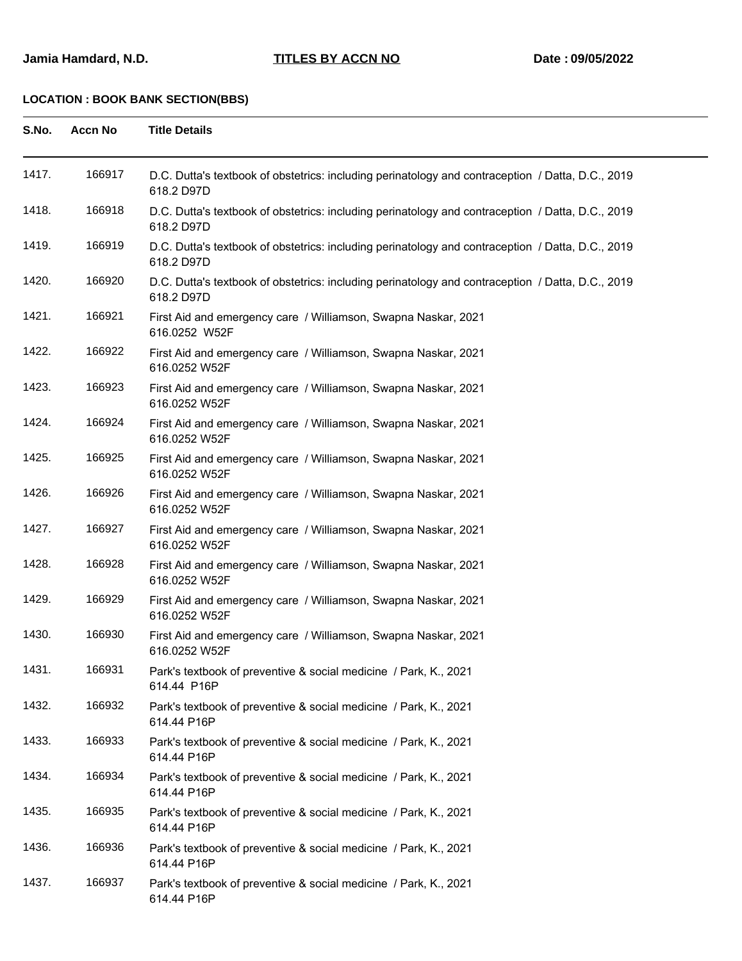| S.No. | <b>Accn No</b> | <b>Title Details</b>                                                                                            |
|-------|----------------|-----------------------------------------------------------------------------------------------------------------|
| 1417. | 166917         | D.C. Dutta's textbook of obstetrics: including perinatology and contraception / Datta, D.C., 2019<br>618.2 D97D |
| 1418. | 166918         | D.C. Dutta's textbook of obstetrics: including perinatology and contraception / Datta, D.C., 2019<br>618.2 D97D |
| 1419. | 166919         | D.C. Dutta's textbook of obstetrics: including perinatology and contraception / Datta, D.C., 2019<br>618.2 D97D |
| 1420. | 166920         | D.C. Dutta's textbook of obstetrics: including perinatology and contraception / Datta, D.C., 2019<br>618.2 D97D |
| 1421. | 166921         | First Aid and emergency care / Williamson, Swapna Naskar, 2021<br>616.0252 W52F                                 |
| 1422. | 166922         | First Aid and emergency care / Williamson, Swapna Naskar, 2021<br>616.0252 W52F                                 |
| 1423. | 166923         | First Aid and emergency care / Williamson, Swapna Naskar, 2021<br>616.0252 W52F                                 |
| 1424. | 166924         | First Aid and emergency care / Williamson, Swapna Naskar, 2021<br>616.0252 W52F                                 |
| 1425. | 166925         | First Aid and emergency care / Williamson, Swapna Naskar, 2021<br>616.0252 W52F                                 |
| 1426. | 166926         | First Aid and emergency care / Williamson, Swapna Naskar, 2021<br>616.0252 W52F                                 |
| 1427. | 166927         | First Aid and emergency care / Williamson, Swapna Naskar, 2021<br>616.0252 W52F                                 |
| 1428. | 166928         | First Aid and emergency care / Williamson, Swapna Naskar, 2021<br>616.0252 W52F                                 |
| 1429. | 166929         | First Aid and emergency care / Williamson, Swapna Naskar, 2021<br>616.0252 W52F                                 |
| 1430. | 166930         | First Aid and emergency care / Williamson, Swapna Naskar, 2021<br>616.0252 W52F                                 |
| 1431. | 166931         | Park's textbook of preventive & social medicine / Park, K., 2021<br>614.44 P16P                                 |
| 1432. | 166932         | Park's textbook of preventive & social medicine / Park, K., 2021<br>614.44 P16P                                 |
| 1433. | 166933         | Park's textbook of preventive & social medicine / Park, K., 2021<br>614.44 P16P                                 |
| 1434. | 166934         | Park's textbook of preventive & social medicine / Park, K., 2021<br>614.44 P16P                                 |
| 1435. | 166935         | Park's textbook of preventive & social medicine / Park, K., 2021<br>614.44 P16P                                 |
| 1436. | 166936         | Park's textbook of preventive & social medicine / Park, K., 2021<br>614.44 P16P                                 |
| 1437. | 166937         | Park's textbook of preventive & social medicine / Park, K., 2021<br>614.44 P16P                                 |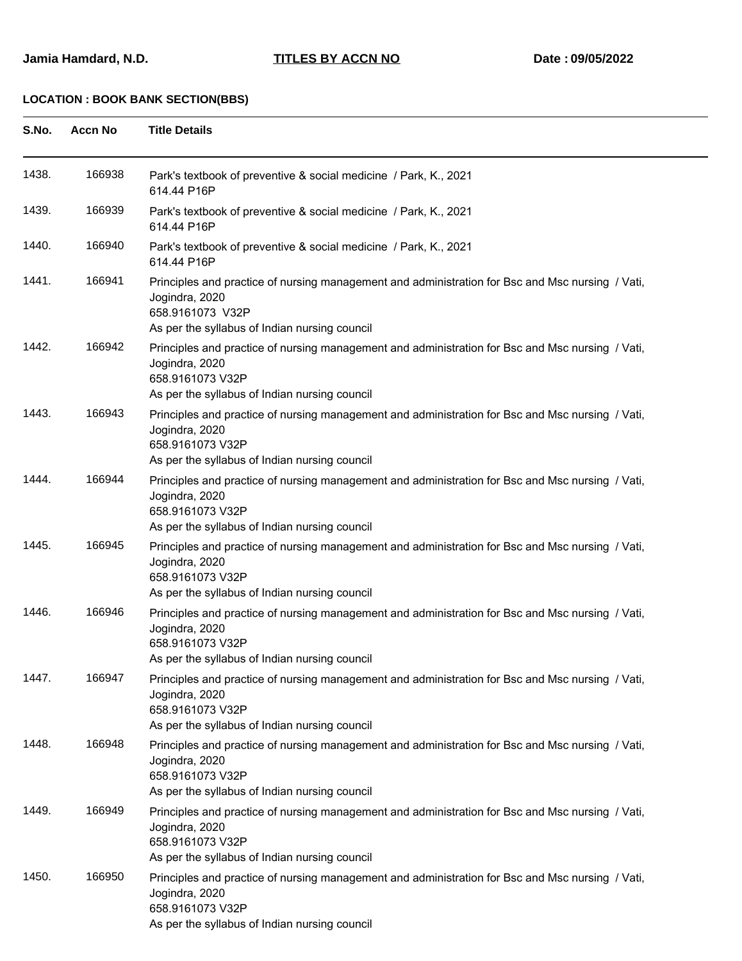| S.No. | <b>Accn No</b> | <b>Title Details</b>                                                                                                                                                                    |
|-------|----------------|-----------------------------------------------------------------------------------------------------------------------------------------------------------------------------------------|
| 1438. | 166938         | Park's textbook of preventive & social medicine / Park, K., 2021<br>614.44 P16P                                                                                                         |
| 1439. | 166939         | Park's textbook of preventive & social medicine / Park, K., 2021<br>614.44 P16P                                                                                                         |
| 1440. | 166940         | Park's textbook of preventive & social medicine / Park, K., 2021<br>614.44 P16P                                                                                                         |
| 1441. | 166941         | Principles and practice of nursing management and administration for Bsc and Msc nursing / Vati,<br>Jogindra, 2020<br>658.9161073 V32P<br>As per the syllabus of Indian nursing council |
| 1442. | 166942         | Principles and practice of nursing management and administration for Bsc and Msc nursing / Vati,<br>Jogindra, 2020<br>658.9161073 V32P<br>As per the syllabus of Indian nursing council |
| 1443. | 166943         | Principles and practice of nursing management and administration for Bsc and Msc nursing / Vati,<br>Jogindra, 2020<br>658.9161073 V32P<br>As per the syllabus of Indian nursing council |
| 1444. | 166944         | Principles and practice of nursing management and administration for Bsc and Msc nursing / Vati,<br>Jogindra, 2020<br>658.9161073 V32P<br>As per the syllabus of Indian nursing council |
| 1445. | 166945         | Principles and practice of nursing management and administration for Bsc and Msc nursing / Vati,<br>Jogindra, 2020<br>658.9161073 V32P<br>As per the syllabus of Indian nursing council |
| 1446. | 166946         | Principles and practice of nursing management and administration for Bsc and Msc nursing / Vati,<br>Jogindra, 2020<br>658.9161073 V32P<br>As per the syllabus of Indian nursing council |
| 1447. | 166947         | Principles and practice of nursing management and administration for Bsc and Msc nursing / Vati,<br>Jogindra, 2020<br>658.9161073 V32P<br>As per the syllabus of Indian nursing council |
| 1448. | 166948         | Principles and practice of nursing management and administration for Bsc and Msc nursing / Vati,<br>Jogindra, 2020<br>658.9161073 V32P<br>As per the syllabus of Indian nursing council |
| 1449. | 166949         | Principles and practice of nursing management and administration for Bsc and Msc nursing / Vati,<br>Jogindra, 2020<br>658.9161073 V32P<br>As per the syllabus of Indian nursing council |
| 1450. | 166950         | Principles and practice of nursing management and administration for Bsc and Msc nursing / Vati,<br>Jogindra, 2020<br>658.9161073 V32P                                                  |

As per the syllabus of Indian nursing council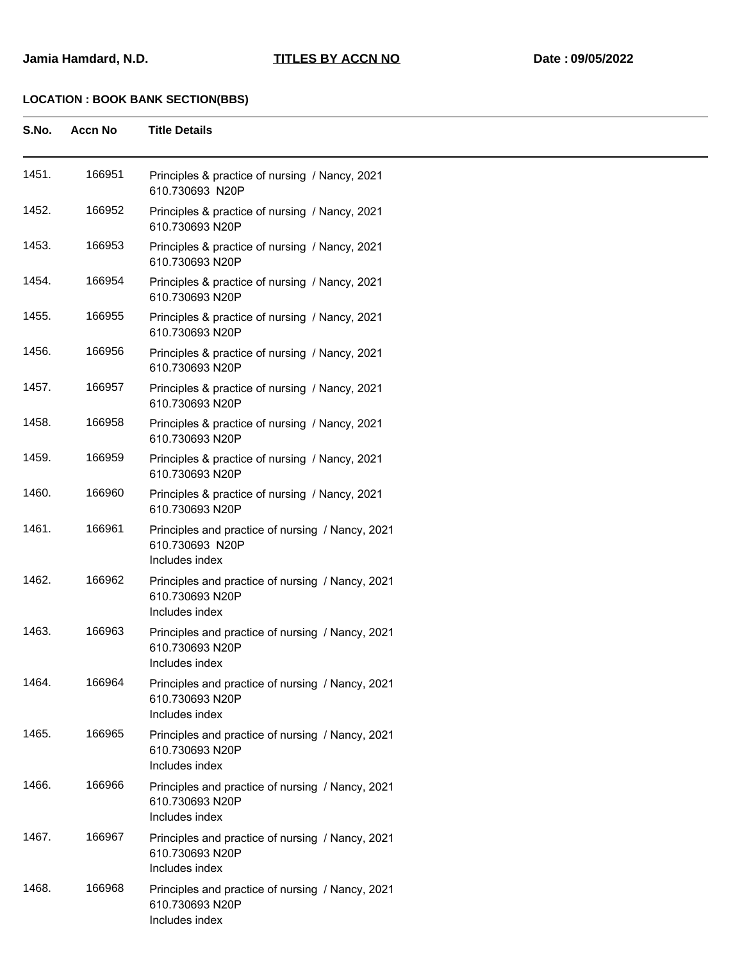| S.No. | <b>Accn No</b> | <b>Title Details</b>                                                                  |
|-------|----------------|---------------------------------------------------------------------------------------|
| 1451. | 166951         | Principles & practice of nursing / Nancy, 2021<br>610.730693 N20P                     |
| 1452. | 166952         | Principles & practice of nursing / Nancy, 2021<br>610.730693 N20P                     |
| 1453. | 166953         | Principles & practice of nursing / Nancy, 2021<br>610.730693 N20P                     |
| 1454. | 166954         | Principles & practice of nursing / Nancy, 2021<br>610.730693 N20P                     |
| 1455. | 166955         | Principles & practice of nursing / Nancy, 2021<br>610.730693 N20P                     |
| 1456. | 166956         | Principles & practice of nursing / Nancy, 2021<br>610.730693 N20P                     |
| 1457. | 166957         | Principles & practice of nursing / Nancy, 2021<br>610.730693 N20P                     |
| 1458. | 166958         | Principles & practice of nursing / Nancy, 2021<br>610.730693 N20P                     |
| 1459. | 166959         | Principles & practice of nursing / Nancy, 2021<br>610.730693 N20P                     |
| 1460. | 166960         | Principles & practice of nursing / Nancy, 2021<br>610.730693 N20P                     |
| 1461. | 166961         | Principles and practice of nursing / Nancy, 2021<br>610.730693 N20P<br>Includes index |
| 1462. | 166962         | Principles and practice of nursing / Nancy, 2021<br>610.730693 N20P<br>Includes index |
| 1463. | 166963         | Principles and practice of nursing / Nancy, 2021<br>610.730693 N20P<br>Includes index |
| 1464. | 166964         | Principles and practice of nursing / Nancy, 2021<br>610.730693 N20P<br>Includes index |
| 1465. | 166965         | Principles and practice of nursing / Nancy, 2021<br>610.730693 N20P<br>Includes index |
| 1466. | 166966         | Principles and practice of nursing / Nancy, 2021<br>610.730693 N20P<br>Includes index |
| 1467. | 166967         | Principles and practice of nursing / Nancy, 2021<br>610.730693 N20P<br>Includes index |
| 1468. | 166968         | Principles and practice of nursing / Nancy, 2021<br>610.730693 N20P<br>Includes index |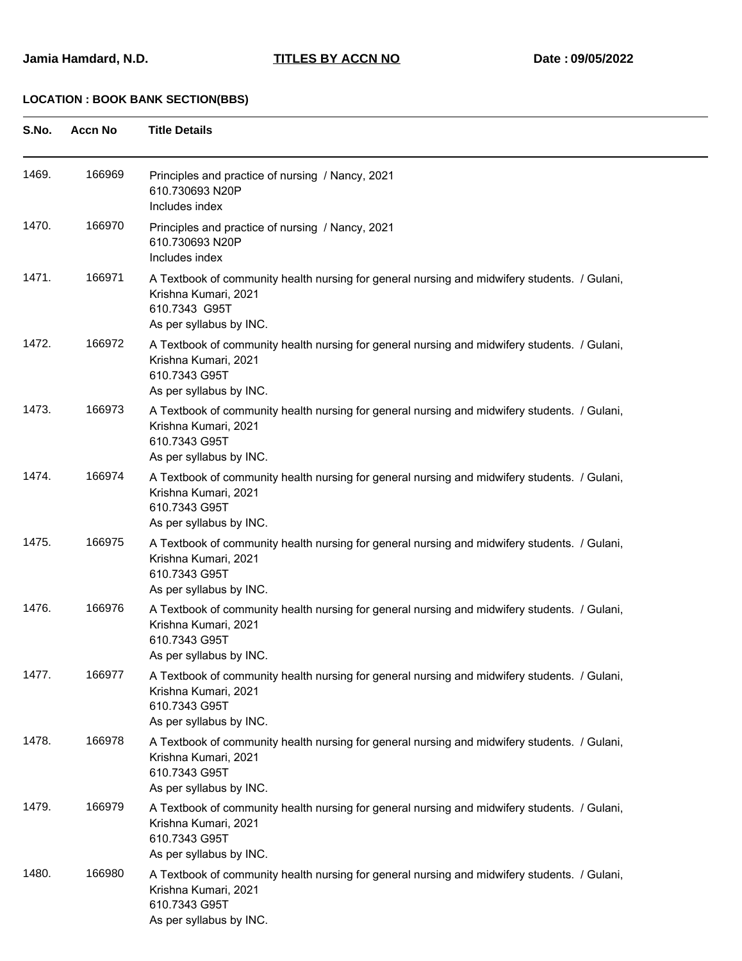| S.No. | <b>Accn No</b> | <b>Title Details</b>                                                                                                                                             |
|-------|----------------|------------------------------------------------------------------------------------------------------------------------------------------------------------------|
| 1469. | 166969         | Principles and practice of nursing / Nancy, 2021<br>610.730693 N20P<br>Includes index                                                                            |
| 1470. | 166970         | Principles and practice of nursing / Nancy, 2021<br>610.730693 N20P<br>Includes index                                                                            |
| 1471. | 166971         | A Textbook of community health nursing for general nursing and midwifery students. / Gulani,<br>Krishna Kumari, 2021<br>610.7343 G95T<br>As per syllabus by INC. |
| 1472. | 166972         | A Textbook of community health nursing for general nursing and midwifery students. / Gulani,<br>Krishna Kumari, 2021<br>610.7343 G95T<br>As per syllabus by INC. |
| 1473. | 166973         | A Textbook of community health nursing for general nursing and midwifery students. / Gulani,<br>Krishna Kumari, 2021<br>610.7343 G95T<br>As per syllabus by INC. |
| 1474. | 166974         | A Textbook of community health nursing for general nursing and midwifery students. / Gulani,<br>Krishna Kumari, 2021<br>610.7343 G95T<br>As per syllabus by INC. |
| 1475. | 166975         | A Textbook of community health nursing for general nursing and midwifery students. / Gulani,<br>Krishna Kumari, 2021<br>610.7343 G95T<br>As per syllabus by INC. |
| 1476. | 166976         | A Textbook of community health nursing for general nursing and midwifery students. / Gulani,<br>Krishna Kumari, 2021<br>610.7343 G95T<br>As per syllabus by INC. |
| 1477. | 166977         | A Textbook of community health nursing for general nursing and midwifery students. / Gulani,<br>Krishna Kumari, 2021<br>610.7343 G95T<br>As per syllabus by INC. |
| 1478. | 166978         | A Textbook of community health nursing for general nursing and midwifery students. / Gulani,<br>Krishna Kumari, 2021<br>610.7343 G95T<br>As per syllabus by INC. |
| 1479. | 166979         | A Textbook of community health nursing for general nursing and midwifery students. / Gulani,<br>Krishna Kumari, 2021<br>610.7343 G95T<br>As per syllabus by INC. |
| 1480. | 166980         | A Textbook of community health nursing for general nursing and midwifery students. / Gulani,<br>Krishna Kumari, 2021<br>610.7343 G95T<br>As per syllabus by INC. |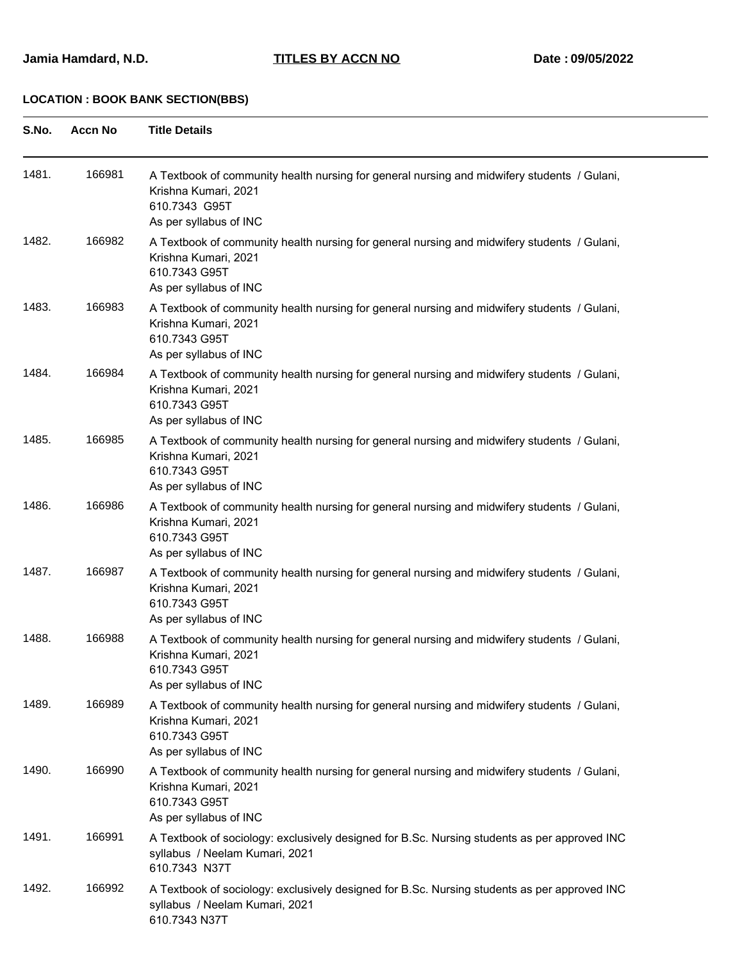| S.No. | <b>Accn No</b> | <b>Title Details</b>                                                                                                                                           |
|-------|----------------|----------------------------------------------------------------------------------------------------------------------------------------------------------------|
| 1481. | 166981         | A Textbook of community health nursing for general nursing and midwifery students / Gulani,<br>Krishna Kumari, 2021<br>610.7343 G95T<br>As per syllabus of INC |
| 1482. | 166982         | A Textbook of community health nursing for general nursing and midwifery students / Gulani,<br>Krishna Kumari, 2021<br>610.7343 G95T<br>As per syllabus of INC |
| 1483. | 166983         | A Textbook of community health nursing for general nursing and midwifery students / Gulani,<br>Krishna Kumari, 2021<br>610.7343 G95T<br>As per syllabus of INC |
| 1484. | 166984         | A Textbook of community health nursing for general nursing and midwifery students / Gulani,<br>Krishna Kumari, 2021<br>610.7343 G95T<br>As per syllabus of INC |
| 1485. | 166985         | A Textbook of community health nursing for general nursing and midwifery students / Gulani,<br>Krishna Kumari, 2021<br>610.7343 G95T<br>As per syllabus of INC |
| 1486. | 166986         | A Textbook of community health nursing for general nursing and midwifery students / Gulani,<br>Krishna Kumari, 2021<br>610.7343 G95T<br>As per syllabus of INC |
| 1487. | 166987         | A Textbook of community health nursing for general nursing and midwifery students / Gulani,<br>Krishna Kumari, 2021<br>610.7343 G95T<br>As per syllabus of INC |
| 1488. | 166988         | A Textbook of community health nursing for general nursing and midwifery students / Gulani,<br>Krishna Kumari, 2021<br>610.7343 G95T<br>As per syllabus of INC |
| 1489. | 166989         | A Textbook of community health nursing for general nursing and midwifery students / Gulani,<br>Krishna Kumari, 2021<br>610.7343 G95T<br>As per syllabus of INC |
| 1490. | 166990         | A Textbook of community health nursing for general nursing and midwifery students / Gulani,<br>Krishna Kumari, 2021<br>610.7343 G95T<br>As per syllabus of INC |
| 1491. | 166991         | A Textbook of sociology: exclusively designed for B.Sc. Nursing students as per approved INC<br>syllabus / Neelam Kumari, 2021<br>610.7343 N37T                |
| 1492. | 166992         | A Textbook of sociology: exclusively designed for B.Sc. Nursing students as per approved INC<br>syllabus / Neelam Kumari, 2021<br>610.7343 N37T                |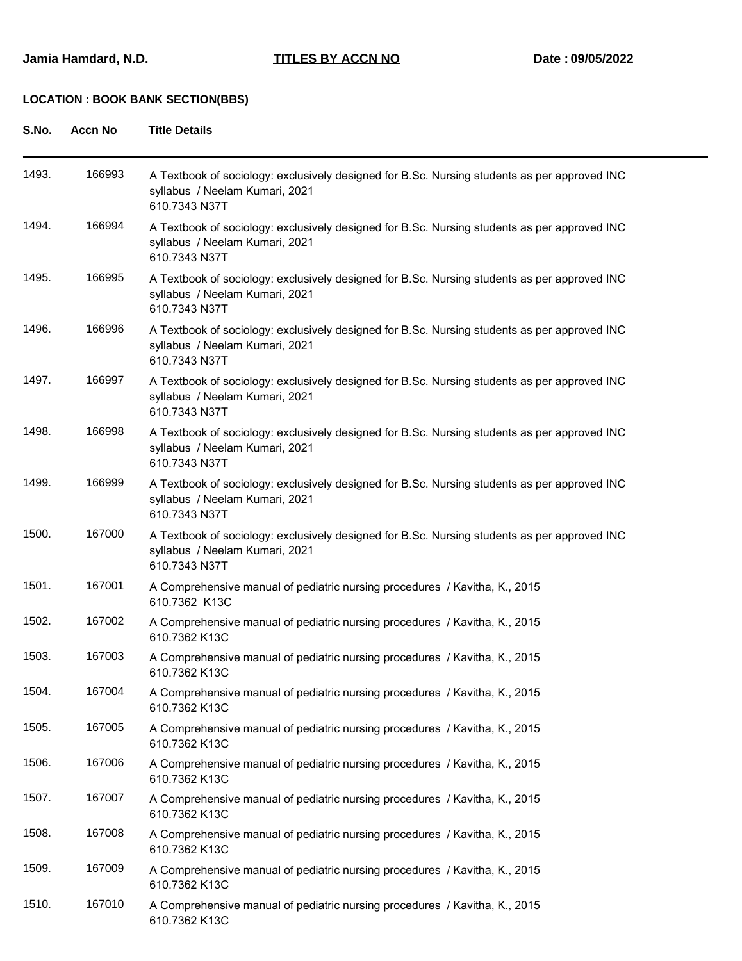| S.No. | <b>Accn No</b> | <b>Title Details</b>                                                                                                                            |
|-------|----------------|-------------------------------------------------------------------------------------------------------------------------------------------------|
| 1493. | 166993         | A Textbook of sociology: exclusively designed for B.Sc. Nursing students as per approved INC<br>syllabus / Neelam Kumari, 2021<br>610.7343 N37T |
| 1494. | 166994         | A Textbook of sociology: exclusively designed for B.Sc. Nursing students as per approved INC<br>syllabus / Neelam Kumari, 2021<br>610.7343 N37T |
| 1495. | 166995         | A Textbook of sociology: exclusively designed for B.Sc. Nursing students as per approved INC<br>syllabus / Neelam Kumari, 2021<br>610.7343 N37T |
| 1496. | 166996         | A Textbook of sociology: exclusively designed for B.Sc. Nursing students as per approved INC<br>syllabus / Neelam Kumari, 2021<br>610.7343 N37T |
| 1497. | 166997         | A Textbook of sociology: exclusively designed for B.Sc. Nursing students as per approved INC<br>syllabus / Neelam Kumari, 2021<br>610.7343 N37T |
| 1498. | 166998         | A Textbook of sociology: exclusively designed for B.Sc. Nursing students as per approved INC<br>syllabus / Neelam Kumari, 2021<br>610.7343 N37T |
| 1499. | 166999         | A Textbook of sociology: exclusively designed for B.Sc. Nursing students as per approved INC<br>syllabus / Neelam Kumari, 2021<br>610.7343 N37T |
| 1500. | 167000         | A Textbook of sociology: exclusively designed for B.Sc. Nursing students as per approved INC<br>syllabus / Neelam Kumari, 2021<br>610.7343 N37T |
| 1501. | 167001         | A Comprehensive manual of pediatric nursing procedures / Kavitha, K., 2015<br>610.7362 K13C                                                     |
| 1502. | 167002         | A Comprehensive manual of pediatric nursing procedures / Kavitha, K., 2015<br>610.7362 K13C                                                     |
| 1503. | 167003         | A Comprehensive manual of pediatric nursing procedures / Kavitha, K., 2015<br>610.7362 K13C                                                     |
| 1504. | 167004         | A Comprehensive manual of pediatric nursing procedures / Kavitha, K., 2015<br>610.7362 K13C                                                     |
| 1505. | 167005         | A Comprehensive manual of pediatric nursing procedures / Kavitha, K., 2015<br>610.7362 K13C                                                     |
| 1506. | 167006         | A Comprehensive manual of pediatric nursing procedures / Kavitha, K., 2015<br>610.7362 K13C                                                     |
| 1507. | 167007         | A Comprehensive manual of pediatric nursing procedures / Kavitha, K., 2015<br>610.7362 K13C                                                     |
| 1508. | 167008         | A Comprehensive manual of pediatric nursing procedures / Kavitha, K., 2015<br>610.7362 K13C                                                     |
| 1509. | 167009         | A Comprehensive manual of pediatric nursing procedures / Kavitha, K., 2015<br>610.7362 K13C                                                     |
| 1510. | 167010         | A Comprehensive manual of pediatric nursing procedures / Kavitha, K., 2015<br>610.7362 K13C                                                     |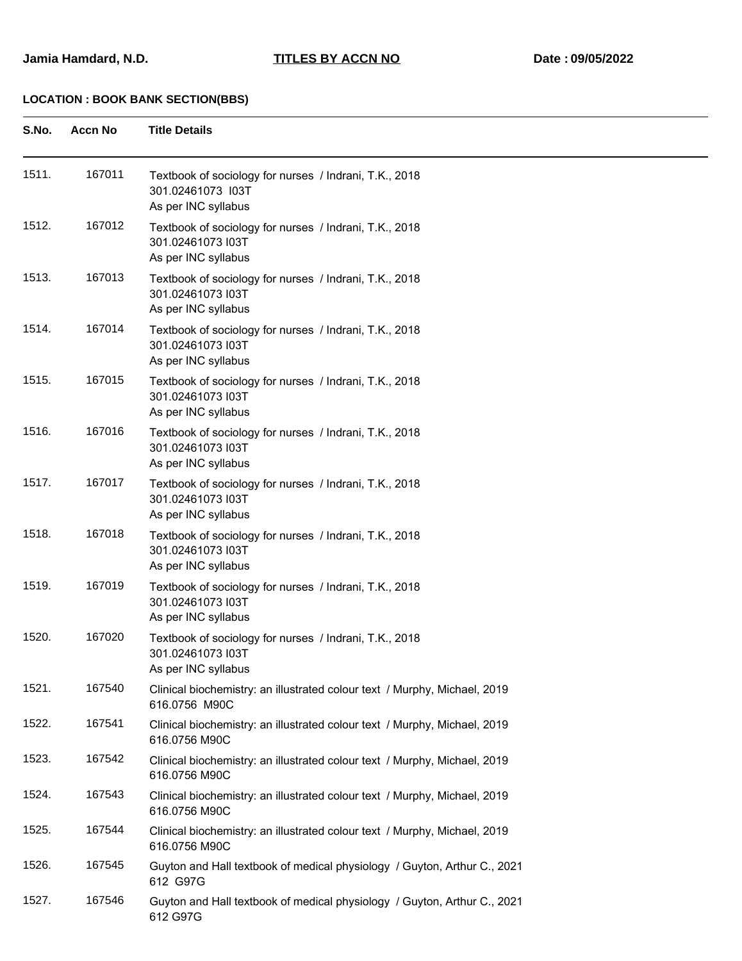| S.No. | <b>Accn No</b> | <b>Title Details</b>                                                                               |
|-------|----------------|----------------------------------------------------------------------------------------------------|
| 1511. | 167011         | Textbook of sociology for nurses / Indrani, T.K., 2018<br>301.02461073 I03T<br>As per INC syllabus |
| 1512. | 167012         | Textbook of sociology for nurses / Indrani, T.K., 2018<br>301.02461073 I03T<br>As per INC syllabus |
| 1513. | 167013         | Textbook of sociology for nurses / Indrani, T.K., 2018<br>301.02461073 I03T<br>As per INC syllabus |
| 1514. | 167014         | Textbook of sociology for nurses / Indrani, T.K., 2018<br>301.02461073 I03T<br>As per INC syllabus |
| 1515. | 167015         | Textbook of sociology for nurses / Indrani, T.K., 2018<br>301.02461073 I03T<br>As per INC syllabus |
| 1516. | 167016         | Textbook of sociology for nurses / Indrani, T.K., 2018<br>301.02461073 I03T<br>As per INC syllabus |
| 1517. | 167017         | Textbook of sociology for nurses / Indrani, T.K., 2018<br>301.02461073 I03T<br>As per INC syllabus |
| 1518. | 167018         | Textbook of sociology for nurses / Indrani, T.K., 2018<br>301.02461073 I03T<br>As per INC syllabus |
| 1519. | 167019         | Textbook of sociology for nurses / Indrani, T.K., 2018<br>301.02461073 I03T<br>As per INC syllabus |
| 1520. | 167020         | Textbook of sociology for nurses / Indrani, T.K., 2018<br>301.02461073 I03T<br>As per INC syllabus |
| 1521. | 167540         | Clinical biochemistry: an illustrated colour text / Murphy, Michael, 2019<br>616.0756 M90C         |
| 1522. | 167541         | Clinical biochemistry: an illustrated colour text / Murphy, Michael, 2019<br>616.0756 M90C         |
| 1523. | 167542         | Clinical biochemistry: an illustrated colour text / Murphy, Michael, 2019<br>616.0756 M90C         |
| 1524. | 167543         | Clinical biochemistry: an illustrated colour text / Murphy, Michael, 2019<br>616.0756 M90C         |
| 1525. | 167544         | Clinical biochemistry: an illustrated colour text / Murphy, Michael, 2019<br>616.0756 M90C         |
| 1526. | 167545         | Guyton and Hall textbook of medical physiology / Guyton, Arthur C., 2021<br>612 G97G               |
| 1527. | 167546         | Guyton and Hall textbook of medical physiology / Guyton, Arthur C., 2021<br>612 G97G               |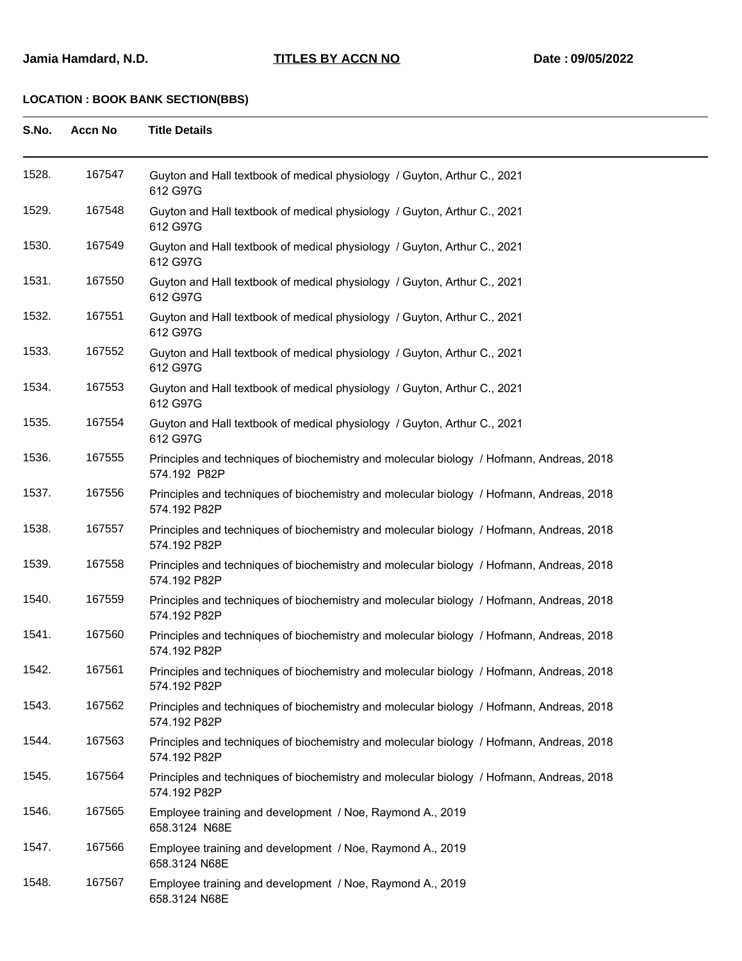| S.No. | <b>Accn No</b> | <b>Title Details</b>                                                                                     |
|-------|----------------|----------------------------------------------------------------------------------------------------------|
| 1528. | 167547         | Guyton and Hall textbook of medical physiology / Guyton, Arthur C., 2021<br>612 G97G                     |
| 1529. | 167548         | Guyton and Hall textbook of medical physiology / Guyton, Arthur C., 2021<br>612 G97G                     |
| 1530. | 167549         | Guyton and Hall textbook of medical physiology / Guyton, Arthur C., 2021<br>612 G97G                     |
| 1531. | 167550         | Guyton and Hall textbook of medical physiology / Guyton, Arthur C., 2021<br>612 G97G                     |
| 1532. | 167551         | Guyton and Hall textbook of medical physiology / Guyton, Arthur C., 2021<br>612 G97G                     |
| 1533. | 167552         | Guyton and Hall textbook of medical physiology / Guyton, Arthur C., 2021<br>612 G97G                     |
| 1534. | 167553         | Guyton and Hall textbook of medical physiology / Guyton, Arthur C., 2021<br>612 G97G                     |
| 1535. | 167554         | Guyton and Hall textbook of medical physiology / Guyton, Arthur C., 2021<br>612 G97G                     |
| 1536. | 167555         | Principles and techniques of biochemistry and molecular biology / Hofmann, Andreas, 2018<br>574.192 P82P |
| 1537. | 167556         | Principles and techniques of biochemistry and molecular biology / Hofmann, Andreas, 2018<br>574.192 P82P |
| 1538. | 167557         | Principles and techniques of biochemistry and molecular biology / Hofmann, Andreas, 2018<br>574.192 P82P |
| 1539. | 167558         | Principles and techniques of biochemistry and molecular biology / Hofmann, Andreas, 2018<br>574.192 P82P |
| 1540. | 167559         | Principles and techniques of biochemistry and molecular biology / Hofmann, Andreas, 2018<br>574.192 P82P |
| 1541. | 167560         | Principles and techniques of biochemistry and molecular biology / Hofmann, Andreas, 2018<br>574.192 P82P |
| 1542. | 167561         | Principles and techniques of biochemistry and molecular biology / Hofmann, Andreas, 2018<br>574.192 P82P |
| 1543. | 167562         | Principles and techniques of biochemistry and molecular biology / Hofmann, Andreas, 2018<br>574.192 P82P |
| 1544. | 167563         | Principles and techniques of biochemistry and molecular biology / Hofmann, Andreas, 2018<br>574.192 P82P |
| 1545. | 167564         | Principles and techniques of biochemistry and molecular biology / Hofmann, Andreas, 2018<br>574.192 P82P |
| 1546. | 167565         | Employee training and development / Noe, Raymond A., 2019<br>658.3124 N68E                               |
| 1547. | 167566         | Employee training and development / Noe, Raymond A., 2019<br>658.3124 N68E                               |
| 1548. | 167567         | Employee training and development / Noe, Raymond A., 2019<br>658.3124 N68E                               |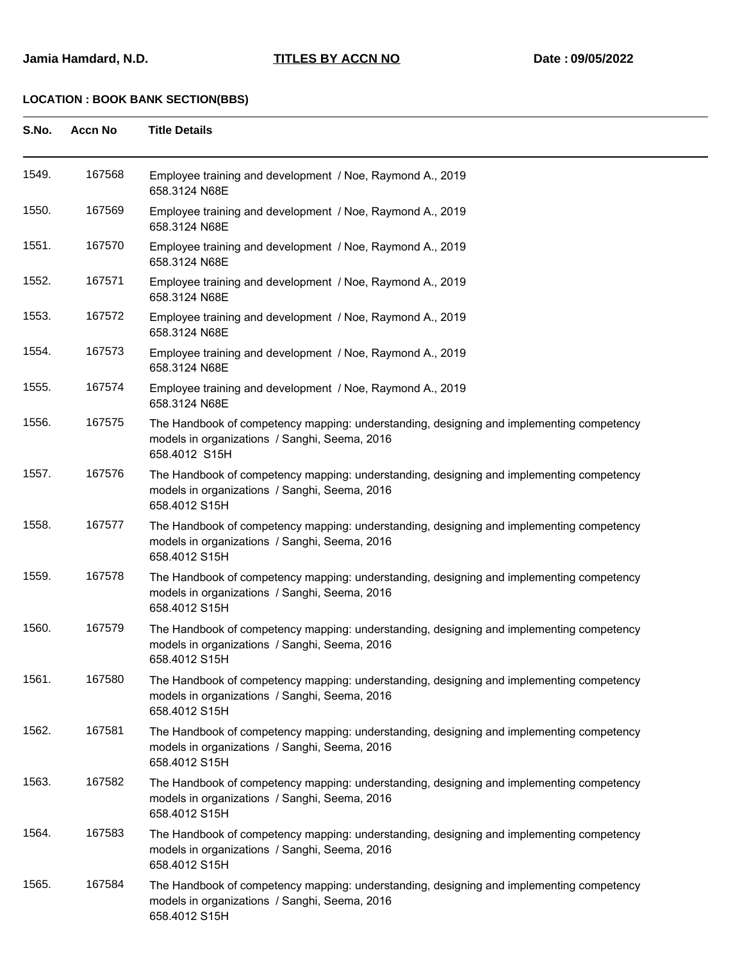| S.No. | <b>Accn No</b> | <b>Title Details</b>                                                                                                                                       |
|-------|----------------|------------------------------------------------------------------------------------------------------------------------------------------------------------|
| 1549. | 167568         | Employee training and development / Noe, Raymond A., 2019<br>658.3124 N68E                                                                                 |
| 1550. | 167569         | Employee training and development / Noe, Raymond A., 2019<br>658.3124 N68E                                                                                 |
| 1551. | 167570         | Employee training and development / Noe, Raymond A., 2019<br>658.3124 N68E                                                                                 |
| 1552. | 167571         | Employee training and development / Noe, Raymond A., 2019<br>658.3124 N68E                                                                                 |
| 1553. | 167572         | Employee training and development / Noe, Raymond A., 2019<br>658.3124 N68E                                                                                 |
| 1554. | 167573         | Employee training and development / Noe, Raymond A., 2019<br>658.3124 N68E                                                                                 |
| 1555. | 167574         | Employee training and development / Noe, Raymond A., 2019<br>658.3124 N68E                                                                                 |
| 1556. | 167575         | The Handbook of competency mapping: understanding, designing and implementing competency<br>models in organizations / Sanghi, Seema, 2016<br>658.4012 S15H |
| 1557. | 167576         | The Handbook of competency mapping: understanding, designing and implementing competency<br>models in organizations / Sanghi, Seema, 2016<br>658.4012 S15H |
| 1558. | 167577         | The Handbook of competency mapping: understanding, designing and implementing competency<br>models in organizations / Sanghi, Seema, 2016<br>658.4012 S15H |
| 1559. | 167578         | The Handbook of competency mapping: understanding, designing and implementing competency<br>models in organizations / Sanghi, Seema, 2016<br>658.4012 S15H |
| 1560. | 167579         | The Handbook of competency mapping: understanding, designing and implementing competency<br>models in organizations / Sanghi, Seema, 2016<br>658.4012 S15H |
| 1561. | 167580         | The Handbook of competency mapping: understanding, designing and implementing competency<br>models in organizations / Sanghi, Seema, 2016<br>658.4012 S15H |
| 1562. | 167581         | The Handbook of competency mapping: understanding, designing and implementing competency<br>models in organizations / Sanghi, Seema, 2016<br>658.4012 S15H |
| 1563. | 167582         | The Handbook of competency mapping: understanding, designing and implementing competency<br>models in organizations / Sanghi, Seema, 2016<br>658.4012 S15H |
| 1564. | 167583         | The Handbook of competency mapping: understanding, designing and implementing competency<br>models in organizations / Sanghi, Seema, 2016<br>658.4012 S15H |
| 1565. | 167584         | The Handbook of competency mapping: understanding, designing and implementing competency<br>models in organizations / Sanghi, Seema, 2016<br>658.4012 S15H |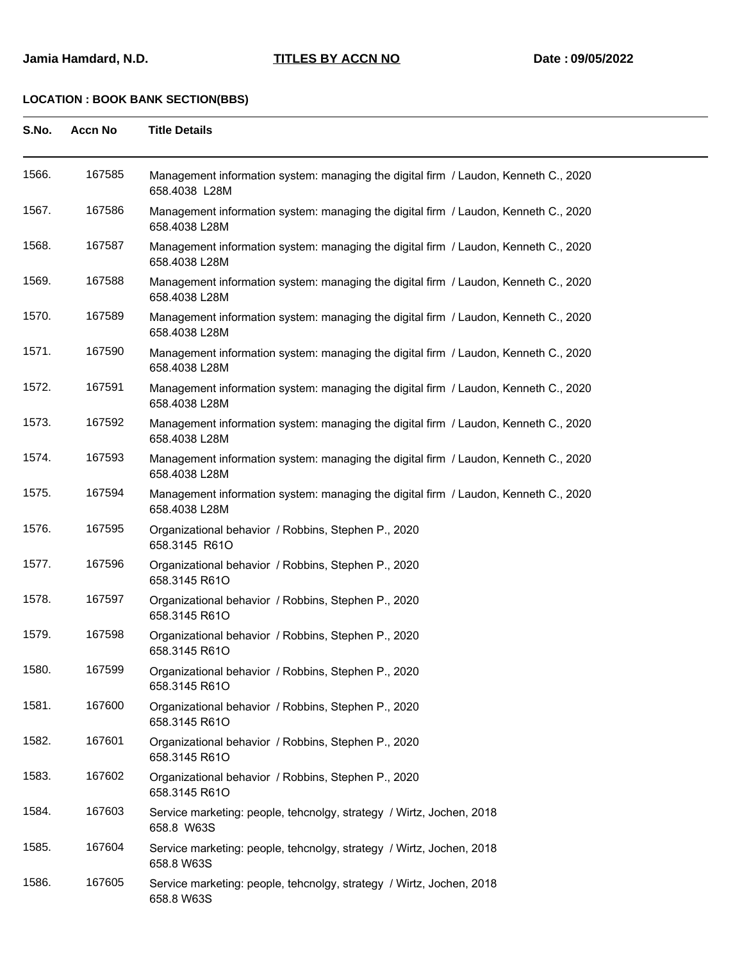| S.No. | <b>Accn No</b> | <b>Title Details</b>                                                                                 |
|-------|----------------|------------------------------------------------------------------------------------------------------|
| 1566. | 167585         | Management information system: managing the digital firm / Laudon, Kenneth C., 2020<br>658.4038 L28M |
| 1567. | 167586         | Management information system: managing the digital firm / Laudon, Kenneth C., 2020<br>658.4038 L28M |
| 1568. | 167587         | Management information system: managing the digital firm / Laudon, Kenneth C., 2020<br>658.4038 L28M |
| 1569. | 167588         | Management information system: managing the digital firm / Laudon, Kenneth C., 2020<br>658.4038 L28M |
| 1570. | 167589         | Management information system: managing the digital firm / Laudon, Kenneth C., 2020<br>658.4038 L28M |
| 1571. | 167590         | Management information system: managing the digital firm / Laudon, Kenneth C., 2020<br>658.4038 L28M |
| 1572. | 167591         | Management information system: managing the digital firm / Laudon, Kenneth C., 2020<br>658.4038 L28M |
| 1573. | 167592         | Management information system: managing the digital firm / Laudon, Kenneth C., 2020<br>658.4038 L28M |
| 1574. | 167593         | Management information system: managing the digital firm / Laudon, Kenneth C., 2020<br>658.4038 L28M |
| 1575. | 167594         | Management information system: managing the digital firm / Laudon, Kenneth C., 2020<br>658.4038 L28M |
| 1576. | 167595         | Organizational behavior / Robbins, Stephen P., 2020<br>658.3145 R61O                                 |
| 1577. | 167596         | Organizational behavior / Robbins, Stephen P., 2020<br>658.3145 R61O                                 |
| 1578. | 167597         | Organizational behavior / Robbins, Stephen P., 2020<br>658.3145 R61O                                 |
| 1579. | 167598         | Organizational behavior / Robbins, Stephen P., 2020<br>658.3145 R61O                                 |
| 1580. | 167599         | Organizational behavior / Robbins, Stephen P., 2020<br>658.3145 R61O                                 |
| 1581. | 167600         | Organizational behavior / Robbins, Stephen P., 2020<br>658.3145 R61O                                 |
| 1582. | 167601         | Organizational behavior / Robbins, Stephen P., 2020<br>658.3145 R61O                                 |
| 1583. | 167602         | Organizational behavior / Robbins, Stephen P., 2020<br>658.3145 R61O                                 |
| 1584. | 167603         | Service marketing: people, tehcnolgy, strategy / Wirtz, Jochen, 2018<br>658.8 W63S                   |
| 1585. | 167604         | Service marketing: people, tehcnolgy, strategy / Wirtz, Jochen, 2018<br>658.8 W63S                   |
| 1586. | 167605         | Service marketing: people, tehcnolgy, strategy / Wirtz, Jochen, 2018<br>658.8 W63S                   |